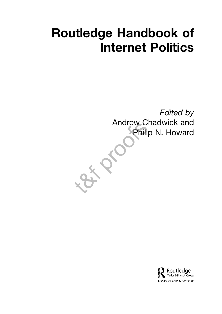# Routledge Handbook of Internet Politics

Andrew C Edited by Andrew Chadwick and Philip N. Howard

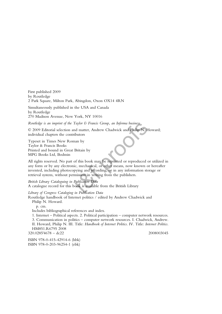First published 2009 by Routledge 2 Park Square, Milton Park, Abingdon, Oxon OX14 4RN

Simultaneously published in the USA and Canada by Routledge 270 Madison Avenue, New York, NY 10016

Routledge is an imprint of the Taylor & Francis Group, an Informa business

© 2009 Editorial selection and matter, Andrew Chadwick and Philip N. Howard; individual chapters the contributors

Typeset in Times New Roman by Taylor & Francis Books Printed and bound in Great Britain by MPG Books Ltd, Bodmin

Taylor & Francis Group, an Informa business<br>
and matter, Andrew Chadwick and Philip N. F<br>
ributors<br>
man by<br>
Britain by<br>
of this book may be reprinted or reproduced<br>
iic, mechanical, or other means, now known c<br>
pying and r All rights reserved. No part of this book may be reprinted or reproduced or utilized in any form or by any electronic, mechanical, or other means, now known or hereafter invented, including photocopying and recording, or in any information storage or retrieval system, without permission in writing from the publishers.

British Library Cataloguing in Publication Data A catalogue record for this book is available from the British Library

Library of Congress Cataloging in Publication Data

Routledge handbook of Internet politics / edited by Andrew Chadwick and Philip N. Howard.

p. cm.

Includes bibliographical references and index.

1. Internet – Political aspects. 2. Political participation – computer network resources.

3. Communication in politics – computer network resources. I. Chadwick, Andrew.

II. Howard, Philip N. III. Title: Handbook of Internet Politics. IV. Title: Internet Politics. HM851.R6795 2008

320.0285'4678 – dc22 2008003045

ISBN 978-0-415-42914-6 (hbk) ISBN 978-0-203-96254-1 (ebk)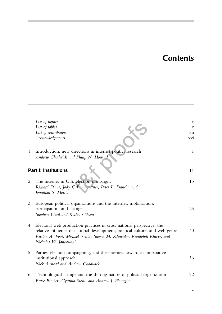# **Contents**

<u> 1989 - Johann Stoff, deutscher Stoffen und der Stoffen und der Stoffen und der Stoffen und der Stoffen und der</u>

|   | List of figures                                                                                                                                                                                                                                             | ix               |
|---|-------------------------------------------------------------------------------------------------------------------------------------------------------------------------------------------------------------------------------------------------------------|------------------|
|   | List of tables                                                                                                                                                                                                                                              | $\mathbf X$      |
|   | List of contributors                                                                                                                                                                                                                                        | $\overline{X11}$ |
|   | Acknowledgments                                                                                                                                                                                                                                             | xvi              |
| 1 | Introduction: new directions in internet politics research<br>Andrew Chadwick and Philip N. Howard                                                                                                                                                          | $\mathbf{1}$     |
|   | Part I: Institutions                                                                                                                                                                                                                                        | 11               |
| 2 | The internet in U.S. election campaigns                                                                                                                                                                                                                     | 13               |
|   | Richard Davis, Jody C Baumgartner, Peter L. Francia, and<br>Jonathan S. Morris                                                                                                                                                                              |                  |
| 3 | European political organizations and the internet: mobilization,<br>participation, and change<br>Stephen Ward and Rachel Gibson                                                                                                                             | 25               |
| 4 | Electoral web production practices in cross-national perspective: the<br>relative influence of national development, political culture, and web genre<br>Kirsten A. Foot, Michael Xenos, Steven M. Schneider, Randolph Kluver, and<br>Nicholas W. Jankowski | 40               |
| 5 | Parties, election campaigning, and the internet: toward a comparative<br>institutional approach<br>Nick Anstead and Andrew Chadwick                                                                                                                         | 56               |
| 6 | Technological change and the shifting nature of political organization<br>Bruce Bimber, Cynthia Stohl, and Andrew J. Flanagin                                                                                                                               | 72               |

v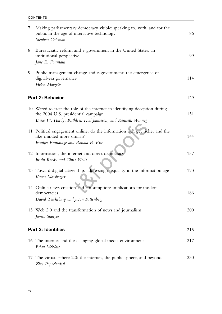| 7                  | Making parliamentary democracy visible: speaking to, with, and for the<br>public in the age of interactive technology<br>Stephen Coleman                                        | 86  |
|--------------------|---------------------------------------------------------------------------------------------------------------------------------------------------------------------------------|-----|
| 8                  | Bureaucratic reform and e-government in the United States: an<br>institutional perspective<br>Jane E. Fountain                                                                  | 99  |
| 9                  | Public management change and e-government: the emergence of<br>digital-era governance<br>Helen Margetts                                                                         | 114 |
|                    | Part 2: Behavior                                                                                                                                                                | 129 |
|                    | 10 Wired to fact: the role of the internet in identifying deception during<br>the 2004 U.S. presidential campaign<br>Bruce W. Hardy, Kathleen Hall Jamieson, and Kenneth Winneg | 131 |
|                    | 11 Political engagement online: do the information rich get richer and the<br>like-minded more similar?<br>Jennifer Brundidge and Ronald E. Rice                                | 144 |
|                    | 12 Information, the internet and direct democracy<br>Justin Reedy and Chris Wells                                                                                               | 157 |
|                    | 13 Toward digital citizenship: addressing inequality in the information age<br>Karen Mossberger                                                                                 | 173 |
|                    | 14 Online news creation and consumption: implications for modern<br>democracies<br>David Tewksbury and Jason Rittenberg                                                         | 186 |
|                    | 15 Web 2.0 and the transformation of news and journalism<br>James Stanyer                                                                                                       | 200 |
| Part 3: Identities |                                                                                                                                                                                 | 215 |
|                    | 16 The internet and the changing global media environment<br>Brian McNair                                                                                                       | 217 |
| 17                 | The virtual sphere 2.0: the internet, the public sphere, and beyond<br>Zizi Papacharissi                                                                                        | 230 |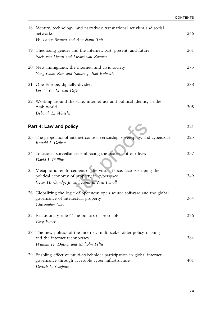| 18 Identity, technology, and narratives: transnational activism and social<br>networks<br>W. Lance Bennett and Amoshaun Toft                                         | 246 |
|----------------------------------------------------------------------------------------------------------------------------------------------------------------------|-----|
| 19 Theorizing gender and the internet: past, present, and future<br>Niels van Doorn and Liesbet van Zoonen                                                           | 261 |
| 20 New immigrants, the internet, and civic society<br>Yong-Chan Kim and Sandra J. Ball-Rokeach                                                                       | 275 |
| 21 One Europe, digitally divided<br>Jan A. G. M. van Dijk                                                                                                            | 288 |
| 22 Working around the state: internet use and political identity in the<br>Arab world<br>Deborah L. Wheeler                                                          | 305 |
| Part 4: Law and policy                                                                                                                                               | 321 |
| 23 The geopolitics of internet control: censorship, sovereignty, and cyberspace<br>Ronald J. Deibert                                                                 | 323 |
| 24 Locational surveillance: embracing the patterns of our lives<br>David J. Phillips                                                                                 | 337 |
| 25 Metaphoric reinforcement of the virtual fence: factors shaping the<br>political economy of property in cyberspace<br>Oscar H. Gandy, Jr. and Kenneth Neil Farrall | 349 |
| 26 Globalizing the logic of openness: open source software and the global<br>governance of intellectual property<br>Christopher May                                  | 364 |
| 27 Exclusionary rules? The politics of protocols<br>Greg Elmer                                                                                                       | 376 |
| 28 The new politics of the internet: multi-stakeholder policy-making<br>and the internet technocracy<br>William H. Dutton and Malcolm Peltu                          | 384 |
| 29 Enabling effective multi-stakeholder participation in global internet<br>governance through accessible cyber-infrastructure<br>Derrick L. Cogburn                 | 401 |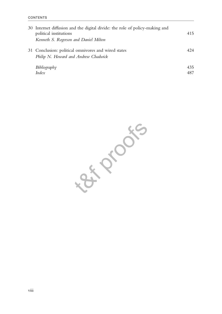#### CONTENTS

| 30 Internet diffusion and the digital divide: the role of policy-making and<br>political institutions | 415 |
|-------------------------------------------------------------------------------------------------------|-----|
| Kenneth S. Rogerson and Daniel Milton                                                                 |     |
| 31 Conclusion: political omnivores and wired states<br>Philip N. Howard and Andrew Chadwick           | 424 |
| Bibliography                                                                                          | 435 |
| Index                                                                                                 | 487 |

tex proofs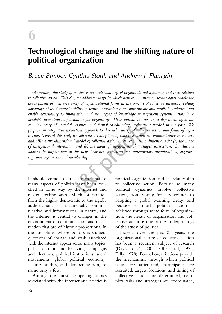# 6

# Technological change and the shifting nature of political organization

# Bruce Bimber, Cynthia Stohl, and Andrew J. Flanagin

resources and formal coordinating mechanism<br>retical approach to this rich variety of collective<br>we advance a conception of collective action a<br>l model of collective action space, comprising<br>and (b) the mode of engagement t Underpinning the study of politics is an understanding of organizational dynamics and their relation to collective action. This chapter addresses ways in which new communication technologies enable the development of a diverse array of organizational forms in the pursuit of collective interests. Taking advantage of the internet's ability to reduce transaction costs, blur private and public boundaries, and enable accessibility to information and new types of knowledge management systems, actors have available new strategic possibilities for organizing. These options are no longer dependent upon the complex array of material resources and formal coordinating mechanisms needed in the past. We propose an integrative theoretical approach to this rich variety of collective action and forms of organizing. Toward this end, we advance a conception of collective action as communicative in nature, and offer a two-dimensional model of collective action space, comprising dimensions for (a) the mode of interpersonal interaction, and (b) the mode of engagement that shapes interaction. Conclusions address the implications of this new theoretical framework for contemporary organizations, organizing, and organizational membership.

It should come as little surprise that so many aspects of politics have been touched in some way by the internet and related technologies. Much of politics, from the highly democratic to the rigidly authoritarian, is fundamentally communicative and informational in nature, and the internet is central to changes in the environment of communication and information that are of historic proportions. In the disciplines where politics is studied, questions of change and stasis associated with the internet appear across many topics: public opinion and behavior, campaigns and elections, political institutions, social movements, global political economy, security studies, and democratization, to name only a few.

Among the most compelling topics associated with the internet and politics is political organization and its relationship to collective action. Because so many political dynamics involve collective action, from voting for city council to adopting a global warming treaty, and because so much political action is achieved through some form of organization, the nexus of organization and collective action is one of the underpinnings of the study of politics.

Indeed, over the past 35 years, the organizational nature of collective action has been a recurrent subject of research (Davis et al., 2005; Oberschall, 1973; Tilly, 1978). Formal organizations provide the mechanisms through which political issues are articulated, participants are recruited, targets, locations, and timing of collective actions are determined, complex tasks and strategies are coordinated,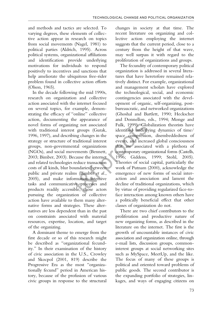and methods and tactics are selected. To varying degrees, these elements of collective action appear in research on topics from social movements (Nagel, 1981) to political parties (Aldrich, 1995). Across political systems, organizational affiliations and identification provide underlying motivations for individuals to respond positively to incentives and sanctions that help ameliorate the ubiquitous free-rider problem found in collective action efforts (Olson, 1965).

ing not associated Fulk, 1999). Gloventy ing changes in the space compression traditional interest<br>traditional interest events, and increased traditional interest events, and increased<br>traditional interest events, and incr In the decade following the mid 1990s, research on organization and collective action associated with the internet focused on several topics, for example, demonstrating the efficacy of "online" collective action, documenting the appearance of novel forms of organizing not associated with traditional interest groups (Gurak, 1996, 1997), and describing changes in the strategy or structure of traditional interest groups, non-governmental organizations (NGOs), and social movements (Bennett, 2003; Bimber, 2003). Because the internet and related technologies reduce transaction costs of all kinds, blur boundaries between public and private realms (Bimber et al., 2005), and make information-intensive tasks and communicative processes and products readily accessible, those actors pursuing the organization of collective action have available to them many alternative forms and strategies. These alternatives are less dependent than in the past on constraints associated with material resources, expertise, location, and target of the organizing.

A dominant theme to emerge from the first decade or so of this research might be described as "organizational fecundity." In their examination of the history of civic association in the U.S., Crowley and Skocpol (2001, 819) describe the Progressive Era as the most "organizationally fecund" period in American history, because of the profusion of various civic groups in response to the structural

changes in society at that time. The recent literature on organizing and collective action employing the internet suggests that the current period, close to a century from the height of that wave, may well surpass it with regard to the proliferation of organizations and groups.

The fecundity of contemporary political organization is addressed in several literatures that have heretofore remained relatively distinct. For example, organizational and management scholars have explored the technological, social, and economic contingencies associated with the development of organic, self-organizing, postbureaucratic, and networked organizations (Ghoshal and Bartlett, 1990; Heckscher and Donnellon, eds., 1994; Monge and Fulk, 1999). Globalization theorists have identified underlying dynamics of time/ space compression, disembeddedness of events, and increased global consciousness that are associated with a plethora of contemporary organizational forms (Castells, 1996; Giddens, 1999; Stohl, 2005). Theories of social capital, particularly the work of Putnam (2000), acknowledge the emergence of new forms of social interaction and association and lament the decline of traditional organizations, which by virtue of providing regularized face-toface interaction among known others have a politically beneficial effect that other classes of organization do not.

There are two chief contributors to the proliferation and productive nature of new organizing forms, as described in the literature on the internet. The first is the growth of uncountable instances of civic association and organization online, through e-mail lists, discussion groups, commoninterest groups at social networking sites such as MySpace, MeetUp, and the like. The focus of many of these groups is political and oriented toward problems of public goods. The second contributor is the expanding portfolio of strategies, linkages, and ways of engaging citizens on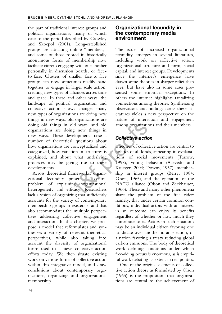Id ways, and old<br>
International among organization<br>
elopments raise a<br>
questions about<br>
onceptualized and<br>
on in structures is<br>
what underlying<br>
tions of social<br>
ng rise to these<br>
1998), voting b<br>
Krueger, 2004; I<br>
meworks the part of traditional interest groups and political organizations, many of which date to the period described by Crowley and Skocpol (2001). Long-established groups are attracting online "members," and some of those rooted in historically anonymous forms of membership now facilitate citizens engaging with one another personally in discussion boards, or faceto-face. Clusters of smaller face-to-face groups can now sometimes readily band together to engage in larger scale action, creating new types of alliances across time and space. In these and other ways, the landscape of political organization and collective action shows change: many new types of organizations are doing new things in new ways, old organizations are doing old things in old ways, and old organizations are doing new things in new ways. These developments raise a number of theoretical questions about how organizations are conceptualized and categorized, how variation in structures is explained, and about what underlying processes may be giving rise to these developments.

Across theoretical frameworks, organizational fecundity presents a central problem of explaining organizational heterogeneity and efficacy. Researchers lack a vision of organizing that sufficiently accounts for the variety of contemporary membership groups in existence, and that also accommodates the multiple perspectives addressing collective engagement and interaction. In this chapter, we propose a model that reformulates and synthesizes a variety of relevant theoretical perspectives, while also taking into account the diversity of organizational forms used to achieve collective action efforts today. We then situate existing work on various forms of collective action within this integrative model, and draw conclusions about contemporary organizations, organizing, and organizational membership.

#### Organizational fecundity in the contemporary media environment

The issue of increased organizational fecundity emerges in several literatures, including work on collective action, organizational structure and form, social capital, and interest groups. Developments since the internet's emergence have drawn some theories in sharper relief than ever, but have also in some cases presented some empirical exceptions. In others the internet highlights tantalizing connections among theories. Synthesizing observations and findings across these literatures yields a new perspective on the nature of interaction and engagement among organizations and their members.

## Collective action

Theories of collective action are central to politics of all kinds, appearing in explanations of social movements (Tarrow, 1998), voting behavior (Acevedo and Krueger, 2004; Downs, 1957), membership in interest groups (Berry, 1984; Olson, 1965), and the operation of the NATO alliance (Olson and Zeckhauser, 1966). These and many other phenomena share the problem of the free rider: namely, that under certain common conditions, individual actors with an interest in an outcome can enjoy its benefits regardless of whether or how much they contribute to it. Actors in such situations may be an individual citizen favoring one candidate over another in an election, or a nation favoring a treaty reducing global carbon emissions. The body of theoretical work defining conditions under which free-riding occurs is enormous, as is empirical work debating its extent in real politics.

One of the original elements of collective action theory as formulated by Olson (1965) is the proposition that organizations are central to the achievement of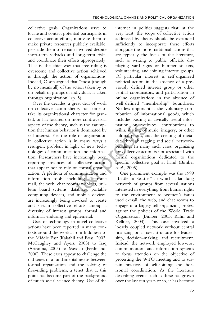collective goals. Organizations serve to locate and contact potential participants in collective action efforts, motivate them to make private resources publicly available, persuade them to remain involved despite short-term setbacks and long-term risks, and coordinate their efforts appropriately. That is, the chief way that free-riding is overcome and collective action achieved is through the action of organizations. Indeed, Olson argued that "most (though by no means all) of the action taken by or on behalf of groups of individuals is taken through organization" (p. 5).

ch as the assump-<br>
or is dominated by<br>
wikis, sharing of le<br>
le of organization cultural goods, are<br>
in many ways a<br>
data through tagg<br>
ght of new tech-<br>
building. In man<br>
tion and informa-<br>
for collective action<br>
increasi Over the decades, a great deal of work on collective action theory has come to take its organizational character for granted, or has focused on more controversial aspects of the theory, such as the assumption that human behavior is dominated by self-interest. Yet the role of organization in collective action is in many ways a resurgent problem in light of new technologies of communication and information. Researchers have increasingly been reporting instances of collective action that appear not to rely on formal organization. A plethora of communication and information tools, including electronic mail, the web, chat rooms, weblogs, bulletin board systems, databases, portable computing devices, and mobile devices, are increasingly being invoked to create and sustain collective efforts among a diversity of interest groups, formal and informal, enduring and ephemeral.

Uses of technology in novel collective actions have been reported in many contexts around the world, from Indonesia to the Middle East (Kalathil and Boas, 2003; McCaughey and Ayers, 2003) to Iraq (Arieanna, 2005) to Mexico (Ferdinand, 2000). These cases appear to challenge the old tenet of a fundamental nexus between formal organization and the solving of free-riding problems, a tenet that at this point has become part of the background of much social science theory. Use of the

internet in politics suggests that, at the very least, the scope of collective action addressed by theory should be expanded sufficiently to incorporate these efforts alongside the more traditional actions that are typically the focus of the literature, such as writing to public officials, displaying yard signs or bumper stickers, volunteering, and joining interest groups. Of particular interest is self-organized political action in the absence of a previously defined interest group or other central coordinators, and participation in online organizations in the absence of well-defined "membership" boundaries. No less important is the voluntary contribution of informational goods, which includes posting of civically useful information on websites, contributions to wikis, sharing of music, imagery, or other cultural goods, and the creating of metadata through tagging and social networkbuilding. In many such cases, organizing for collective action is not associated with formal organizations dedicated to the specific collective goal at hand (Bimber et al., 2005).

One prominent example was the 1999 "Battle in Seattle," in which a far-flung network of groups from several nations interested in everything from human rights to the environment to women's issues used e-mail, the web, and chat rooms to engage in a largely self-organizing protest against the policies of the World Trade Organization (Bimber, 2003; Kahn and Kellner, 2004). This case involved a loosely coupled network without central financing or a fixed structure for leadership, decision-making, and recruitment. Instead, the network employed low-cost communication and information systems to focus attention on the objective of protesting the WTO meeting and to sustain practices of self-joining and horizontal coordination. As the literature describing events such as these has grown over the last ten years or so, it has become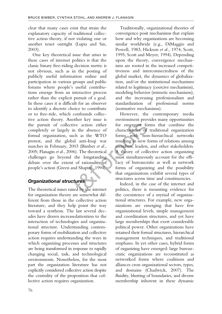clear that many cases exist that strain the explanatory capacity of traditional collective action theory, if not violating one or another tenet outright (Lupia and Sin, 2003).

One key theoretical issue that arises in these cases of internet politics is that the classic binary free-riding decision metric is not obvious, such as in the posting of publicly useful information online and participation in various groups and public forums where people's useful contributions emerge from an interactive process rather than the explicit pursuit of a goal. In these cases it is difficult for an observer to identify a discrete choice to contribute or to free-ride, which confounds collective action theory. Another key issue is the pursuit of collective action either completely or largely in the absence of formal organization, such as the WTO protest, and the global anti-Iraqi war marches in February, 2003 (Bimber et al., 2005; Flanagin et al., 2006). The theoretical challenges go beyond the longstanding debate over the extent of rationality of people's action (Green and Shapiro, 1994).

#### Organizational structures

The theoretical issues raised by the internet for organization theory are somewhat different from those in the collective action literature, and they help point the way toward a synthesis. The last several decades have drawn increasedattention to the interaction of technologies and organizational structure. Understanding contemporary forms of mobilization and collective action requires understanding the ways in which organizing processes and structures are being transformed in response to rapidly changing social, task, and technological environments. Nonetheless, for the most part the organization literature has not explicitly considered collective action despite the centrality of the proposition that collective action requires organization.

Traditionally, organizational theories of convergence posit mechanisms that explain how and why organizations are becoming similar worldwide (e.g., DiMaggio and Powell, 1983; Hickson et al., 1974; Scott, 1995; Scott and Meyer, 1994). Depending upon the theory, convergence mechanisms are rooted in the increased competitiveness and interconnectedness of the global market, the dynamics of globalization, and/or the institutional mechanisms related to legitimacy (coercive mechanisms), modeling behavior (mimetic mechanisms), and the increasing professionalism and standardization of professional norms (normative mechanisms).

ive action either<br>
the absence of<br>
characteristics of<br>
characteristics of<br>
characteristics of<br>
characteristics of<br>
characteristics of<br>
anti-Iraqi war<br>
resulting in new 1<br>
members, leaders,<br>
6). The theoretical<br>
A theory of However, the contemporary media environment provides many opportunities for emergent forms that combine the characteristics of traditional organization forms with non-hierarchical networks resulting in new forms of relations among members, leaders, and other stakeholders. A theory of collective action organizing must simultaneously account for the efficacy of bureaucratic as well as network forms of organizing and the possibility that organizations exhibit several types of structures across time and constituencies.

Indeed, in the case of the internet and politics, there is mounting evidence for the coexistence of a myriad of organizational structures. For example, new organizations are emerging that have few organizational levels, simple management and coordination structures, and yet have large memberships that exert considerable political power. Other organizations have retained their formal structures, hierarchical management techniques, and traditional emphases. In yet other cases, hybrid forms of organizing have emerged: large bureaucratic organizations are reconstituted as networked forms where coalitions and alliances cross organizational sectors, types, and domains (Chadwick, 2007). The fluidity, blurring of boundaries, and diverse membership inherent in these dynamic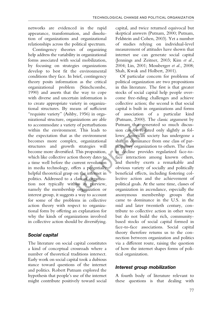TECHNOLOGICAL CHANGE AND POLITICAL ORGANIZATION

networks are evidenced in the rapid appearance, transformation, and dissolution of organizations and organizational relationships across the political spectrum.

ty of perturbations<br>
the environment<br>
the environment<br>
the environment<br>
lows: American s<br>
ex, organizational<br>
shift in dominance<br>
1. This proposition,<br>
in decline provides<br>
ticipatory organization<br>
the environment revoluti Contingency theories of organizing help address the variability in organizational forms associated with social mobilization, by focusing on strategies organizations develop to best fit the environmental conditions they face. In brief, contingency theory posits information as the critical organizational problem (Stinchcombe, 1990) and asserts that the way to cope with diverse and uncertain information is to create appropriate variety in organizational structures. By means of sufficient "requisite variety" (Ashby, 1956) in organizational structure, organizations are able to accommodate a variety of perturbations within the environment. This leads to the expectation that as the environment becomes more complex, organizational structures and growth strategies will become more diversified. This proposition, which like collective action theory dates to a time well before the current revolution in media technology, offers a potentially helpful theoretical grasp on the internet in politics. Addressed to a class of organization not typically within its purview, namely the membership organization or interest group, it suggests a way to account for some of the problems in collective action theory with respect to organizational form by offering an explanation for why the kinds of organizations involved in collective action should be diversifying.

#### Social capital

The literature on social capital constitutes a kind of conceptual crossroads where a number of theoretical traditions intersect. Early work on social capital took a dubious stance toward questions of the internet and politics. Robert Putnam explored the hypothesis that people's use of the internet might contribute positively toward social

capital, and twice returned equivocal but skeptical answers (Putnam, 2000; Putnam, Feldstein and Cohen, 2003). Yet a number of studies relying on individual-level measurement of attitudes have shown that internet use can generate social capital (Jennings and Zeitner, 2003; Kim et al., 2004; Lin, 2001; Mossberger et al., 2008; Shah, Kwak and Holbert, 2001).

Of particular concern for problems of political organization are two propositions in this literature. The first is that greater stocks of social capital help people overcome free-riding challenges and achieve collective action; the second is that social capital is built in organizations and forms of association of a particular kind (Putnam, 2000). The classic argument by Putnam that generated so much discussion can be restated only slightly as follows: American society has undergone a shift in dominance from one class of participatory organization to others. The class in decline provides regularized face-toface interaction among known others, and thereby exerts a remarkable and obvious variety of socially and politically beneficial effects, including fostering collective action and the achievement of political goals. At the same time, classes of organization in ascendance, especially the anonymous membership groups that came to dominance in the U.S. in the mid and later twentieth century, contribute to collective action in other ways but do not build the rich, communitybased stocks of social capital formed in face-to-face associations. Social capital theory therefore returns us to the connection between organization and politics via a different route, raising the question of how the internet shapes forms of political organization.

#### Interest group mobilization

A fourth body of literature relevant to these questions is that dealing with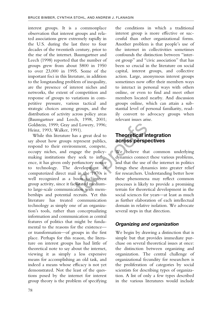interest groups. It is a commonplace observation that interest groups and related associations grew extremely rapidly in the U.S. during the last three to four decades of the twentieth century, prior to the rise of the internet. Baumgartner and Leech (1998) reported that the number of groups grew from about 5800 in 1950 to over 23,000 in 1995. Some of the important foci in this literature, in addition to the longstanding problem of inequality, are the presence of interest niches and networks, the extent of competition and response of groups to variations in competitive pressure, various tactical and strategic choices among groups, and the distribution of activity across policy areas (Baumgartner and Leech, 1998, 2001; Goldstein, 1999; Gray and Lowery, 1996; Heinz, 1993; Walker, 1991).

nd Lowery, 1996;<br>
991).<br>
has a great deal to<br>
represent publics,<br> **across perspersion across perspersion**<br>
ment, compete,<br>
gage the policy-<br>
we believe that<br>
y seek to influ-<br>
dynamics connect<br>
evelopment of brings these d While this literature has a great deal to say about how groups represent publics, respond to their environment, compete, occupy niches, and engage the policymaking institutions they seek to influence, it has given only perfunctory notice to technology. The development of computerized direct mail in the 1970s is well recognized as a boon to interest group activity, since it facilitated mediumto large-scale communication with memberships and potential recruits. Yet this literature has treated communication technology as simply one of an organization's tools, rather than conceptualizing information and communication as central features of politics that might be fundamental to the reasons for the existence or transformation—of groups in the first place. Perhaps for this reason, the literature on interest groups has had little of theoretical note to say about the internet, viewing it as simply a less expensive means for accomplishing an old task, and indeed a means whose efficacy is not yet demonstrated. Not the least of the questions posed by the internet for interest group theory is the problem of specifying

the conditions in which a traditional interest group is more effective or successful than other organizational forms. Another problem is that people's use of the internet in collectivities sometimes confounds the distinction between "interest group" and "civic association" that has been so crucial in the literature on social capital, interest groups, and collective action. Large, anonymous interest groups sometimes now offer their members ways to interact in personal ways with others online, or even to find and meet other members located nearby. And discussion groups online, which can attain a substantial level of personal familiarity, readily convert to advocacy groups when relevant issues arise.

## Theoretical integration across perspectives

We believe that common underlying dynamics connect these various problems, and that the use of the internet in politics brings these dynamics into greater relief for researchers. Understanding better how these phenomena may reflect common processes is likely to provide a promising terrain for theoretical development in the social sciences for years—at least as much as further elaboration of each intellectual domain in relative isolation. We advocate several steps in that direction.

#### Organizing and organization

We begin by drawing a distinction that is simple but that provides immediate purchase on several theoretical issues at once: the distinction between organizing and organization. The central challenge of organizational fecundity for researchers is the proliferation of categories by social scientists for describing types of organization. A list of only a few types described in the various literatures would include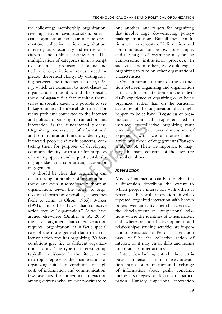damental process. instances of collect the detections: identifying experience, which<br>citions: identifying experience, which<br>eir concerns, con-<br>action and mode<br>ses of developing *et al.*, 2006). Thes<br>st or for purposes ping the following: membership organization, civic organization, civic association, bureaucratic organization, post-bureaucratic organization, collective action organization, interest group, secondary and tertiary associations, and online organization. The multiplication of categories in an attempt to contain the profusion of online and traditional organizations creates a need for greater theoretical clarity. By distinguishing between the fundamentals of organizing, which are common to most classes of organization in politics and the specific forms of organization that manifest themselves in specific cases, it is possible to see linkages across theoretical domains. For many problems connected to the internet and politics, organizing human action and interaction is the fundamental process. Organizing involves a set of informational and communication functions: identifying interested people and their concerns, contacting them for purposes of developing common identity or trust or for purposes of sending appeals and requests, establishing agendas, and coordinating action or engagement.

It should be clear that organizing can occur through a number of organizational forms, and even in some cases without an organization. Given the variety of organizational forms now possible, it becomes facile to claim, as Olson (1965), Walker (1991), and others have, that collective action requires "organization." As we have argued elsewhere (Bimber et al., 2005), the classic argument that collective action requires "organization" is in fact a special case of the more general claim that collective action requires organizing. Various conditions give rise to different organizational forms. The type of interest group typically envisioned in the literature on that topic represents the manifestation of organizing suited to conditions of high costs of information and communication, few avenues for horizontal interaction among citizens who are not proximate to

one another, and targets for organizing that involve large, slow-moving, policymaking institutions. But all these conditions can vary: costs of information and communication can be low, for example, and the targets of organizing may not be cumbersome institutional processes. In such case, and in others, we would expect organizing to take on other organizational characteristics.

One important feature of the distinction between organizing and organization is that it focuses attention on the individual's experience of organizing or of being organized, rather than on the particular attributes of the organization that might happen to be at hand. Regardless of organizational form, all people engaged in instances of collective organizing must encounter at least two dimensions of experience, which we call mode of interaction and mode of engagement (Flanagin et al., 2006). These are important to mapping the main concerns of the literature described above.

#### Interaction

Mode of interaction can be thought of as a dimension describing the extent to which people's interaction with others is personal. Personal interaction involves repeated, organized interaction with known others over time. Its chief characteristic is the development of interpersonal relations where the identities of others matter, and where relational development and relationship-sustaining activities are important to participation. Personal interaction may itself be the collective action of interest, or it may entail skills and norms important to other actions.

Interaction lacking entirely these attributes is impersonal. In such cases, interaction entails communication and exchange of information about goals, concerns, interests, strategies, or logistics of participation. Entirely impersonal interaction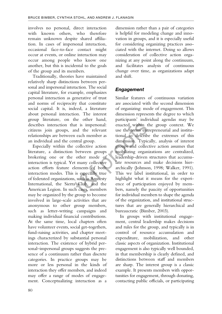involves no personal, direct interaction with known others, who therefore remain unknown despite shared affiliation. In cases of impersonal interaction, occasional face-to-face contact might occur at events, or online interaction may occur among people who know one another, but this is incidental to the goals of the group and its members.

Traditionally, theories have maintained relatively sharp distinctions between personal and impersonal interaction. The social capital literature, for example, emphasizes personal interaction as generative of trust and norms of reciprocity that constitute social capital. It is, indeed, a literature about personal interaction. The interest group literature, on the other hand, describes interaction that is impersonal: citizens join groups, and the relevant relationships are between each member as an individual and the central group.

Especially within the collective action literature, a distinction between groups brokering one or the other mode of interaction is typical. Yet many collective action efforts feature elements of both interaction modes. This is especially true of federated organizations, such as Amnesty International, the Sierra Club, and the American Legion. In such cases, members may be organized by the group to become involved in large-scale activities that are anonymous to other group members, such as letter-writing campaigns and making individual financial contributions. At the same time, local chapters often have volunteer events, social get-togethers, fund-raising activities, and chapter meetings characterized by substantial personal interaction. The existence of hybrid personal–impersonal groups suggests the presence of a continuum rather than discrete categories. In practice groups may be more or less personal in the kinds of interaction they offer members, and indeed may offer a range of modes of engagement. Conceptualizing interaction as a

dimension rather than a pair of categories is helpful for modeling change and innovation in groups, and it is especially useful for considering organizing practices associated with the internet. Doing so allows consideration of collective action organizing at any point along the continuum, and facilitates analysis of continuous change over time, as organizations adapt and shift.

### Engagement

and the relevant<br>and the relevant<br>and the relevant<br>and the relevant<br>and the relevant<br>and the relevant<br>and the terms entity<br>and the terms of described<br>and collective action of leadership-driven<br>between groups and collective Similar features of continuous variation are associated with the second dimension of organizing: mode of engagement. This dimension represents the degree to which participants' individual agendas may be enacted within the group context. We use the terms entrepreneurial and institutional to describe the extremes of this dimension. Typically, analysis of interest groups and collective action assumes that mobilizing organizations are centralized, leadership-driven structures that accumulate resources and make decisions hierarchically (Johnson, 1998; Walker, 1991). This we label institutional, in order to highlight what it means for the experience of participation enjoyed by members, namely the paucity of opportunities for individual members to shape the agenda of the organization, and institutional structures that are generally hierarchical and bureaucratic (Bimber, 2003).

In groups with institutional engagement, central leadership makes decisions and rules for the group, and typically is in control of resource accumulation and expenditure, mobilization, and other classic aspects of organization. Institutional engagement is also typically well bounded, in that membership is clearly defined, and distinctions between staff and members are sharp. The interest group is a classic example. It presents members with opportunities for engagement, through donating, contacting public officials, or participating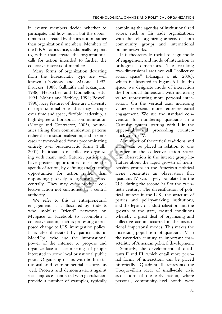in events; members decide whether to participate, and how much, but the opportunities are created by the institution rather than organizational members. Members of the NRA, for instance, traditionally respond to, rather than create, the organizational calls for action intended to further the collective interests of members.

Form and in some decomposition of the same of the same that is a more than the specific forms (Fulk, claims can be plicallective organization). A number of the collective organization is the specific forms (Fulk, claims ca Many forms of organization deviating from the bureaucratic type are well known (Davidow and Malone, 1992; Drucker, 1988; Galbraith and Kazanjiam, 1988; Heckscher and Donnellon, eds., 1994; Nohria and Berkley, 1994; Powell, 1990). Key features of these are a diversity of organizational roles that may change over time and space, flexible leadership, a high degree of horizontal communication (Monge and Contractor, 2003), boundaries arising from communication patterns rather than institutionalization, and in some cases network-based forms predominating entirely over bureaucractic forms (Fulk, 2001). In instances of collective organizing with many such features, participants have greater opportunities to shape the agenda of action, by defining and creating opportunities for action rather than responding passively to agendas created centrally. They may even produce collective action not sanctioned by a central authority.

We refer to this as entrepreneurial engagement. It is illustrated by students who mobilize "friend" networks on MySpace or Facebook to accomplish a collective action, such as protesting a proposed change to U.S. immigration policy. It is also illustrated by participants in MeetUps, who use the informational power of the internet to propose and organize face-to-face meetings of people interested in some local or national public good. Organizing occurs with both institutional and entrepreneurial features as well. Protests and demonstrations against social injustices connected with globalization provide a number of examples, typically combining the agendas of institutionalized actors, such as fair trade organizations, with the self-organizing aspects of both community groups and international online networks.

It is theoretically useful to align mode of engagement and mode of interaction as orthogonal dimensions. The resulting two-dimensional area we call "collective action space" (Flanagin et al., 2006), which is illustrated in Figure 6.1. In this space, we designate mode of interaction the horizontal dimension, with increasing values representing more personal interaction. On the vertical axis, increasing values represent more entrepreneurial engagement. We use the standard convention for numbering quadrants in a Cartesian system, starting with I in the upper-right and proceeding counterclockwise to IV.

A number of theoretical traditions and claims can be placed in relation to one another in the collective action space. The observation in the interest group literature about the rapid growth of membership groups in the American political scene constitutes an observation that quadrant IV was largely populated in the U.S. during the second half of the twentieth century. The diversification of political interests in the U.S., the structure of parties and policy-making institutions, and the legacy of industrialization and the growth of the state, created conditions whereby a great deal of organizing and collective action occurred in the institutional–impersonal modes. This makes the increasing population of quadrant IV in the twentieth century an important characteristic of American political development.

Similarly, the development of quadrants II and III, which entail more personal forms of interaction, can be placed historically. Quadrant II represents the Tocquevillian ideal of small-scale civic associations of the early nation, where personal, community-level bonds were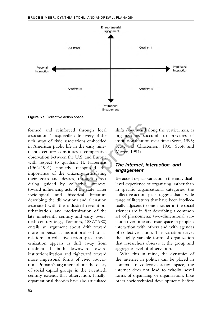

Figure 6.1 Collective action space.

d through local shifts downward is<br>
is discovery of the organizations successions in the early nine-<br>
in the early nine-<br>
Except and Christ<br>
tes a comparative Meyer, 1994).<br>
ELS. and Europe<br>
ant II. Habermas<br>
recognized th formed and reinforced through local association. Tocqueville's discovery of the rich array of civic associations embedded in American public life in the early nineteenth century constitutes a comparative observation between the U.S. and Europe with respect to quadrant II. Habermas (1962/1991) similarly recognized the importance of the citizenry articulating their goals and desires, through direct dialog guided by collective interests, toward influencing acts of the state. Later sociological and historical literature describing the dislocations and alienation associated with the industrial revolution, urbanization, and modernization of the late nineteenth century and early twentieth century (e.g., Toennies, 1887/1980) entails an argument about drift toward more impersonal, institutionalized social relations. In collective action space, modernization appears as drift away from quadrant II, both downward toward institutionalization and rightward toward more impersonal forms of civic association. Putnam's argument about the decay of social capital groups in the twentieth century extends that observation. Finally, organizational theories have also articulated

shifts downward along the vertical axis, as organizations succumb to pressures of institutionalization over time (Scott, 1995; Scott and Christensen, 1995; Scott and Meyer, 1994).

#### The internet, interaction, and engagement

Because it depicts variation in the individuallevel experience of organizing, rather than in specific organizational categories, the collective action space suggests that a wide range of literatures that have been intellectually adjacent to one another in the social sciences are in fact describing a common set of phenomena: two-dimensional variation over time and issue space in people's interaction with others and with agendas of collective action. This variation drives the highly variable forms of organization that researchers observe at the group and aggregate level of observation.

With this in mind, the dynamics of the internet in politics can be placed in context. In collective action space, the internet does not lead to wholly novel forms of organizing or organization. Like other sociotechnical developments before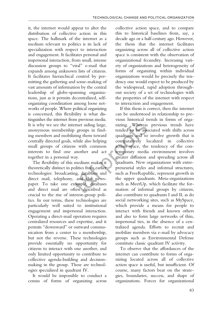it, the internet would appear to alter the distribution of collective action in this space. The hallmark of the internet as a medium relevant to politics is its lack of specialization with respect to interaction and engagement. It facilitates personal and impersonal interaction, from small, intense discussion groups to "viral" e-mail that expands among unknown lists of citizens. It facilitates hierarchical control by permitting the gathering and sense-making of vast amounts of information by the central leadership of globe-spanning organizations, just as it permits decentralized, selforganizing coordination among loose networks of people. Where political organizing is concerned, this flexibility is what distinguishes the internet from previous media. It is why we see the internet aiding large, anonymous membership groups in finding members and mobilizing them toward centrally directed goals, while also helping small groups of citizens with common interests to find one another and act together in a personal way.

The flexibility of this medium makes it theoretically distinct in politics from earlier technologies: broadcasting, databases and direct mail, telephony, and the newspaper. To take one example, databases and direct mail are often described as crucial to the rise of interest-group politics. In our terms, these technologies are particularly well suited to institutional engagement and impersonal interaction. Operating a direct-mail operation requires centralized resources and expertise, and it permits "downward" or outward communication from a center to a membership, but not the reverse. These technologies provide essentially no opportunity for citizens to interact with one another, and only limited opportunity to contribute to collective agenda-building and decisionmaking in the group. These are technologies specialized in quadrant IV.

It would be impossible to conduct a census of forms of organizing across collective action space, and to compare this to historical baselines from, say, a decade ago or a half-century ago. However, the thesis that the internet facilitates organizing across all of collective action space is consistent with the observation of organizational fecundity. Increasing variety of organizations and heterogeneity of forms of organizing within individual organizations would be precisely the tendency one would expect to be produced by the widespread, rapid adoption throughout society of a set of technologies with the properties of the internet with respect to interaction and engagement.

ernet aiding large, nizing. Whereas<br>
p groups in find-<br>
tended to be associating them toward<br>
quadrants and to<br>
while also helping<br>
in some quadrants and to<br>
another and act<br>
another and act<br>
temporary media<br>
greater diffu If this thesis is correct, then the internet can be understood in relationship to previous historical trends in forms of organizing. Whereas previous trends have tended to be associated with shifts across quadrants and to involve growth that is comparatively localized in collective action space, the tendency of the contemporary media environment involves greater diffusion and spreading across all quadrants. New organizations with entrepreneurial styles and informal structures, such as FreeRepublic, represent growth in the upper quadrants. Meta-organizations such as MeetUp, which facilitate the formation of informal groups by citizens, also contribute to quadrants I and II, as do social networking sites, such as MySpace, which provide a means for people to interact with friends and known others and also to form large networks of thin, impersonal ties, in the absence of a centralized agenda. Efforts to recruit and mobilize members via e-mail by advocacy groups such as Environmental Defense constitute classic quadrant IV activity.

> To observe that the affordances of the internet can contribute to forms of organizing located across all of collective action space is useful, but insufficient. Of course, many factors bear on the strategies, boundaries, success, and shape of organizations. Forces for organizational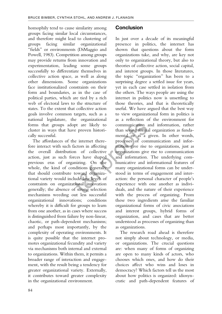homophily tend to cause similarity among groups facing similar local circumstances, and therefore might lead to clustering of<br>groups facing similar organizational groups facing similar "fields" or environments (DiMaggio and Powell, 1983). Competition among groups may provide returns from innovation and experimentation, leading some groups successfully to differentiate themselves in collective action space, as well as along other dimensions. Some organizations face institutionalized constraints on their form and boundaries, as in the case of political parties, which are tied by a rich web of electoral laws to the structure of states. To the extent that collective action goals involve common targets, such as a national legislature, the organizational forms that groups adopt are likely to cluster in ways that have proven historically successful.

The affordances of the internet therefore interact with such factors in affecting the overall distribution of collective action, just as such forces have shaped previous eras of organizing. On the whole, the kind of conditions generally that should contribute toward organizational variety would include low levels of constraints on organizational innovation generally; the absence of strong selection mechanisms weeding out less successful organizational innovations; conditions whereby it is difficult for groups to learn from one another, as in cases where success is distinguished from failure by non-linear, chaotic, or path-dependent mechanisms; and perhaps most importantly, by the complexity of operating environments. It is quite possible that the internet promotes organizational fecundity and variety via mechanisms both internal and external to organizations. Within them, it permits a broader range of interaction and engagement, with the result being a tendency for greater organizational variety. Externally, it contributes toward greater complexity in the organizational environment.

### **Conclusion**

pose and information and the method with the method with the method in the processes of confectors in affecting mation give rise<br>factors in affecting mation give rise<br>on of collective organizations give<br>rees have shaped an In just over a decade of its meaningful presence in politics, the internet has shown that questions about the form organizations take, and why, are key not only to organizational theory, but also to theories of collective action, social capital, and interest groups. In those literatures, the topic "organization" has been to a surprising degree a settled issue for years, yet in each case settled in isolation from the others. The ways people are using the internet in politics now is unsettling to those theories, and that is theoretically useful. We have argued that the best way to view organizational form in politics is as a reflection of the environment for communication and information, rather than seeing formal organization as fundamental or as a given. In other words, processes of communication and information give rise to organizations, just as organizations give rise to communication and information. The underlying communicative and informational features of many organizational forms can be understood in terms of engagement and interaction: the personal character of people's experience with one another as individuals, and the nature of their experience with the process of organizing. From these two ingredients arise the familiar organizational forms of civic associations and interest groups, hybrid forms of organization, and cases that are better understood as processes of organizing than as organizations.

> The research road ahead is therefore not simply about technology, or media, or organizations. The crucial questions are: when many of forms of organizing are open to many kinds of actors, who chooses which ones, and how do their choices affect who wins and loses in democracy? Which factors tell us the most about how politics is organized: idiosyncratic and path-dependent features of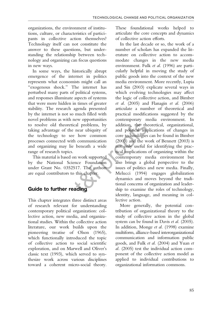organizations, the environment of institutions, culture, or characteristics of participants in collective action themselves? Technology itself can not constitute the answer to these questions, but understanding the relationship between technology and organizing can focus questions in new ways.

In some ways, the historically abrupt emergence of the internet in politics represents what economists might call an "exogenous shock." The internet has perturbed many parts of political systems, and responses illuminate aspects of systems that were more hidden in times of greater stability. The research agenda presented by the internet is not so much filled with novel problems as with new opportunities to resolve old theoretical problems, by taking advantage of the near ubiquity of the technology to see how common processes connected with communication and organizing may lie beneath a wide range of research topics.

This material is based on work supported by the National Science Foundation under Grant No. 0352517. The authors are equal contributors to this chapter.

## Guide to further reading

This chapter integrates three distinct areas of research relevant for understanding contemporary political organization: collective action, new media, and organizational studies. Within the collective action literature, our work builds upon the pioneering treatise of Olson (1965), which functionally introduced the topic of collective action to social scientific exploration, and on Marwell and Oliver's classic text (1993), which served to synthesize work across various disciplines toward a coherent micro-social theory. These foundational works helped to articulate the core concepts and dynamics of collective action efforts.

Cal problems, by<br>
addition, the the<br>
e how common core technologies<br>
the communication (2003) and the w<br>
beneath a wide<br>
problems (2003) and the w<br>
beneath a wide<br>
tical implications<br>
on work supported<br>
ence Foundation<br>
al In the last decade or so, the work of a number of scholars has expanded the literature on collective action to accommodate changes in the new media environment. Fulk et al. (1996) are particularly helpful in moving the study of public goods into the context of the new media environment. More recently, Lupia and Sin (2003) explicate several ways in which evolving technologies may affect the logic of collective action, and Bimber  $et \ al. (2005)$  and Flanagin  $et \ al. (2006)$ articulate a number of theoretical and practical modifications suggested by the contemporary media environment. In addition, the theoretical, organizational, and political implications of changes in core technologies can be found in Bimber (2003) and the work of Bennett (2003) is not only useful for identifying the practical implications of organizing within the contemporary media environment but also brings a global perspective to the issues of politics and new media. Finally, Melucci (1994) engages globalization dynamics and moves beyond the traditional concerns of organization and leadership to examine the roles of technology, identity, language, and meaning in collective action.

More generally, the potential contribution of organizational theory to the study of collective action in the global system can be found in Davis et al. (2005). In addition, Monge et al. (1998) examine multiform, alliance-based interorganizational communication and information public goods, and Fulk et al. (2004) and Yuan et al. (2005) test the individual action component of the collective action model as applied to individual contributions to organizational information commons.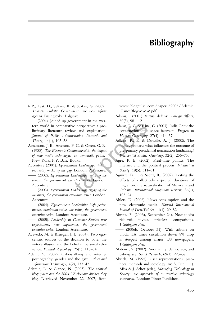# Bibliography

- 6 P., Leat, D., Seltzer, K. & Stoker, G. (2002). Towards Holistic Government: the new reform agenda. Basingstoke: Palgrave.
- —— (2004). Joined up government in the western world in comparative perspective: a preliminary literature review and explanation. Journal of Public Administration Research and Theory, 14(1), 103–38.
- Abramson, J. B., Arterton, F. C. & Orren, G. R. (1988). The Electronic Commonwealth: the impact of new media technologies on democratic politics. New York, NY: Basic Books.
- Accenture (2001). Egovernment Leadership: rhetoric *vs. reality – closing the gap.* London: Accenture.
- —— (2002). Egovernment Leadership: realizing the vision, the government executive series. London: Accenture.
- —— (2003). Egovernment Leadership: engaging the customer, the government executive series. London: Accenture.
- —— (2004). Egovernment Leadership: high performance, maximum value, the value, the government executive series. London: Accenture.
- (2005). Leadership in Customer Service: new expectations, new experiences, the government executive series. London: Accenture.
- Acevedo, M. & Krueger, J. I. (2004). Two egocentric sources of the decision to vote: the voter's illusion and the belief in personal relevance. Political Psychology, 25(1), 115-34.
- Adam, A. (2002). Cyberstalking and internet pornography: gender and the gaze. Ethics and Information Technology, 4(2), 133–42.
- Adamic, L. & Glance, N. (2005). The political blogosphere and the 2004 US election: divided they blog. Retrieved November 22, 2007, from

www . blogpulse . com / papers /2005 /Adamic GlanceBlogWWW.pdf

- Adams, J. (2001). Virtual defense. Foreign Affairs, 80(3), 98–112.
- Adams, P. C. & Rina, G. (2003). India.Com: the construction of a space between. Progress in Human Geography, 27(4), 414–37.
- Adkins, R. E. & Dowdle, A. J. (2002). The money primary: what influences the outcome of pre-primary presidential nomination fundraising? Presidential Studies Quarterly, 32(2), 256–75.
- Agre, P. E. (2002). Real-time politics: The internet and the political process. Information Society, 18(5), 311–31.
- The perspective: a pre-<br>
Adams, P, C. & Rin<br>
w and explanation.<br>
stration Research and Human Geography,<br>
Adkins, R. E. & 1<br>
C. & Orren, G. R. money primary: w<br>
Makins, R. E. & 1<br>
monewealth: the impact<br>
on democratic polit Aguirre, B. E. & Saenz, R. (2002). Testing the effects of collectively expected durations of migration: the naturalization of Mexicans and Cubans. International Migration Review, 36(1), 103–24.
	- Ahlers, D. (2006). News consumption and the new electronic media. Harvard International Journal of Press/Politics, 11(1), 29–52.
	- Ahrens, F. (2006a, September 24). New-media richcraft invites priceless comparisons. Washington Post.
	- (2006b, October 31). With tribune on block, LA times circulation down 8% drop is steepest among major US newspapers. Washington Post.
	- Akdeniz, Y. (2002). Anonymity, democracy, and cyberspace. Social Research, 69(1), 223–37.
	- Akrich, M. (1995). User representations: practices, methods and sociology. In: A. Rip, T. J. Misa & J. Schot (eds.), Managing Technology in Society: the approach of constructive technology assessment. London: Pinter Publishers.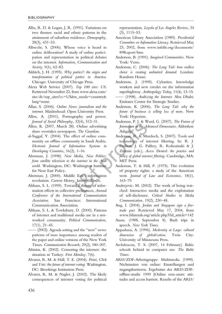- Alba, R. D. & Logan, J. R. (1991). Variations on two themes: racial and ethnic patterns in the attainment of suburban residence. Demography, 28(3), 431–53.
- Albrecht, S. (2006). Whose voice is heard in online deliberation? A study of online participation and representation in political debates on the internet. Information, Communication and Society, 9(1), 62–82.
- Aldrich, J. H. (1995). Why parties?: the origin and transformation of political parties in America. Chicago: University of Chicago Press.
- Alexa Web Service (2007). Top 100 sites: US. Retrieved November 22, from www.alexa.com/ site/ds/top\_sites?cc=US&ts\_mode=country& lang=none
- Allan, S. (2006). Online News: journalism and the internet. Maidenhead: Open University Press.
- Allen, A. (2001). Pornography and power. Journal of Social Philosophy, 32(4), 512–31.
- Allen, K. (2007, March 28). Online advertising share overtakes newspapers. The Guardian.
- al-Saggaf, Y. (2004). The effect of online community on offline community in Saudi Arabia. Electronic Journal of Information Systems in Developing Countries, 16(2), 1–16.
- Alterman, J. (1998). New Media, New Politics: from satellite television to the internet in the Arab world. Washington, DC: Washington Institute for Near East Policy.
- Alterman, J. (2000). Middle East's information revolution. Current History, January, 21–26.
- Althaus, S. L. (1999). Toward a theory of information effects in collective preferences, Annual Conference of the International Communication Association. San Francisco: International Communication Association.
- Althaus, S. L. & Tewksbury, D. (2000). Patterns of internet and traditional media use in a networked community. Political Communication, 17(1), 21–45.
- $-$  (2002). Agenda setting and the "new" news: patterns of issue importance among readers of the paper and online versions of the New York Times. Communication Research, 29(2), 180–207.
- Altintas, K. (2002). Censoring the internet: the situation in Turkey. First Monday, 7(6).
- Alvarez, R. M. & Hall, T. E. (2004). Point, Click and Vote: the future of internet voting. Washington, DC: Brookings Institution Press.
- Alvarez, R. M. & Nagler, J. (2002). The likely consequences of internet voting for political

representation. Loyola of Los Angeles Review, 34 (3), 1115–53.

- American Library Association (1989). Presidential Committee on Information Literacy. Retrieved May 23, 2002, from www.infolit.org/documents/ 89Report/htm
- Anderson, B. (1991). Imagined Communities. New York: Verso.
- Anderson, C. (2006). The Long Tail: how endless choice is creating unlimited demand. London: Random House.
- Anderson, J. (1995). Cybarites, knowledge workers and new creoles on the information superhighway. Anthropology Today, 11(4), 13-15. —— (1998). Arabizing the Internet. Abu Dhabi: Emirates Center for Strategic Studies.
- Anderson, K. (2006). The Long Tail: why the future of business is selling less of more. New York: Hyperion.
- Anderson, P. J. & Ward, G. (2007). The Future of Journalism in the Advanced Democracies. Aldershot: Ashgate.
- the extendion of the Hadreson, T. 3. All the Act of online advertising fournalism in the Act of online com-<br>
frect of online com-<br>
Anderson, R. & Munity in Saudi Arabia. technology of in<br>
interior Systems in Deibert, J. G Anderson, R. & Murdoch, S. (2007). Tools and technology of internet filtering. In: R. J. Deibert, J. G. Palfrey, R. Rohozinski & J. Zittrain (eds.), Access Denied: the practice and policy of global internet filtering. Cambridge, MA: MIT Press.
	- Anderson, T. & Hill, P. (1975). The evolution of property rights: a study of the American west. Journal of Law and Economics, 18(1), 163–79.
	- Andrejevic, M. (2002). The work of being watched: Interactive media and the exploitation of self-disclosure. Critical Studies in Media Communication, 19(2), 230–48.
	- Ang, I. (2004). Jordan and Singapore sign a freetrade pact. Retrieved May 17, 2004, from www.bilaterals.org/article.php3?id\_article=142
	- Anon. (1988, September 8). Bush trips in speech. New York Times.
	- Appadurai, A. (1996). Modernity at Large: cultural dimension of globalization. Twin City: University of Minnesota Press.
	- Archdeacon, T. S. (2007, 14 February). Baltic schools behind in computer use. The Baltic Times.
	- ARD/ZDF-Arbeitsgruppe Multimedia (1999). Nichtnutzer von online: Einstellungen und zugangsbarrieren. Ergebnisse der ARD/ZDFoffline-studie 1999 [Online non-users: attitudes and access barriers. Results of the ARD/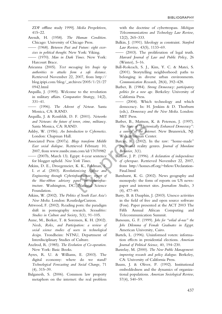ZDF offline study 1999]. Media Perspektiven, 415–22.

- Arendt, H. (1958). The Human Condition. Chicago: University of Chicago Press.
- —— (1968). Between Past and Future: eight exercises in political thought. New York: Viking.

—— (1970). Man in Dark Times. New York: Harcourt Brace.

- Arieanna (2005). Text messaging lets Iraqis tip authorities to attacks from a safe distance. Retrieved November 22, 2007, from http:// blog.ipipi.com/blog/\_archives/2005/1/21/27 0942.html
- Arquilla, J. (1995). Welcome to the revolution in military affairs. Comparative Strategy, 14(2), 331–41.
- —— (1996). The Advent of Netwar. Santa Monica, CA: RAND.
- Arquilla, J. & Ronfeldt, D. F. (2001). Networks and Netwars: the future of terror, crime, militancy. Santa Monica, CA: RAND.
- Ashby, W. (1956). An Introduction to Cybernetics. London: Chapman Hall.
- Associated Press (2007a). Blogs transform Middle East social dialogue. Retrieved February 10, 2007, from www.msnbc.msn.com/id/17070982 —— (2007b, March 13). Egypt: 4-year sentence for blogger upheld. New York Times.
- The State of "Electricity" Carrier Contains Container Containing Science and Electricity Container Container Containing Science and infrastructure: report of Barnhurst, K. G. (2002).<br>
The State of "Electricity Walt Whitman Atkins, D. E., Droegemeier, K. K., Feldman, S. I. et al. (2003). Revolutionizing Science and Engineering through Cyberinfrastructure: report of the blue-ribbon advisory panel on cyberinfrastructure. Washington, DC: National Science Foundation.
- Atkins, W. (2002). The Politics of South East Asia's New Media. London: RoutledgeCurzon.
- Attwood, F. (2002). Reading porn: the paradigm shift in pornography research. Sexualities: Studies in Culture and Society, 5(1), 91–105.
- Aune, M., Berker, T. & Sorensen, K. H. (2002). Needs, Roles, and Participation: a review of social science studies of users in technological design. Trondheim: NTNU, Department of Interdisciplinary Studies of Culture.
- Axelrod, R. (1985). The Evolution of Co-operation. New York: Basic Books.
- Ayres, R. U. & Williams, E. (2003). The digital economy: where do we stand? Technological Forecasting and Social Change, 71 (4), 315–39.
- Balganesh, S. (2006). Common law property metaphors on the internet: the real problem

with the doctrine of cybertrespass. Michigan Telecommunications and Technology Law Review, 12(2), 265–333.

- Balkin, J. (1991). Ideology as constraint. Stanford Law Review, 43(5), 1133–69.
- —— (2003). The proliferation of legal truth. Harvard Journal of Law and Public Policy, 26 (Winter), 5–16.
- Ball-Rokeach, S. J., Kim, Y. C. & Matei, S. (2001). Storytelling neighborhood: paths to belonging in diverse urban environments. Communication Research, 28(4), 392–428.
- Barber, B. (1984). Strong Democracy: participatory politics for a new age. Berkeley: University of California Press.
- (2004). Which technology and which democracy. In: H. Jenkins & D. Thorburn (eds.), Democracy and the New Media. London: MIT Press.
- Barber, B., Mattson, K. & Peterson, J. (1997). The State of "Electronically Enhanced Democracy": a survey of the internet. New Brunswick, NJ: Walt Whitman Center.
- Barcan, R. (2002). In the raw: "home-made" porn and reality genres. Journal of Mundane Behavior, 3(1).
- Barlow, J. P. (1996). A declaration of independence of cyberspace. Retrieved November 22, 2007, from http://homes.eff.org/~brlow/Declaration-Final.html
- Barnhurst, K. G. (2002). News geography and monopoly: the form of reports on US newspaper and internet sites. Journalism Studies, 3 (4), 477–89.
- Barry, B. & Dauphin, J. (2003). Unesco activities in the field of free and open source software (Foss). Paper presented at the ACT 2003 The Fifth Annual African Computing and Telecommunication Summit.
- Barsoum, G. F. (1999). Jobs for "wilad al-nas" the Jobs Dilemma of Female Graduates in Egypt. American University, Cairo.
- Bartels, L. (1996). Uninformed voters: information effects in presidential elections. American Journal of Political Science, 40, 194–230.
- Barzelay, M. (2000). The New Public Management: improving research and policy dialogue. Berkeley, CA: University of California Press.
- Baum, J. & Oliver, P. (1992). Institutional embeddedness and the dynamics of organizational populations. American Sociological Review, 57(4), 540–59.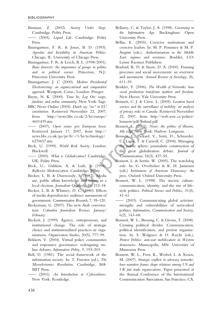- Bauman, Z. (2002). Society Under Siege. Cambridge: Polity Press.
- (2005). Liquid Life. Cambridge: Polity Press.
- Baumgartner, F. R. & Jones, B. D. (1993). Agendas and Instability in American Politics. Chicago, IL: University of Chicago Press.
- Baumgartner, F. R. & Leech, B. L. (1998/2001). Basic Interests: the importance of groups in politics and in political science. Princeton, N.J.: Princeton University Press.
- Baumgartner, J. C (2000). Modern Presidential Electioneering: an organizational and comparative approach. Westport, Conn.; London: Praeger.
- Baym, N. K. (2000). Tune In, Log On: soaps, fandom, and online community. New York: Sage.
- BBC News Online (2005). Dutch say "no" to EU constitution. Retrieved November 22, 2007, from http://news.bbc.co.uk/2/hi/europe/ 4601439.stm
- —— (2007). Open source gets European boost. Retrieved January 17, 2007, from http:// news.bbc.co.uk/go/pr/fr/-/1/hi/technology/ 6270657.stm
- Beck, U. (1999). World Risk Society. London: Blackwell.
- —— (2000). What is Globalization? Cambridge, UK: Polity Press.
- Beck, U., Giddens, A. & Lash, S. (1994). Reflexive Modernization. Cambridge: Polity.
- Becker, L. B. & Dunwoody, S. (1982). Media use, public affairs knowledge and voting in a local election. Journalism Quarterly, 59, 212–18.
- Becker, L. B. & Whitney, D. C. (1980). Effects of media dependencies: audience assessments of government. Communication Research, 7, 95–120.
- Beckerman, G. (2007). The new Arab conversation. Columbia Journalism Review, January/ February.
- Beckert, J. (1999). Agency, entrepreneurs, and institutional change. The role of strategic choice and institutionalized practices in organizations. Organization Studies, 20(5), 777–99.
- Bekkers, V. (2004). Virtual policy communities and responsive governance: redesigning online debates. Information Polity, 9, 193–203.
- Bell, D. (1981). The social framework of the information society. In: T. Forester (ed.), The Microelectronics Revolution. Cambridge, MA: MIT Press.
- $-$  (2001). An Introduction to Cybercultures. New York: Routledge.
- Bellamy, C. & Taylor, J. A. (1998). Governing in the Information Age. Buckingham: Open University Press.
- Bellin, E. (2005). Coercive institutions and coercive leaders. In: M. P. Posusney & M. P. Angrist (eds.), Authoritarianism in the Middle East: regimes and resistance. Boulder, CO: Lynne Rienner Publishers.
- Benford, R. D. & Snow, D. A. (2000). Framing processes and social movements: an overview and assessment. Annual Review of Sociology, 26, 611–39.
- Benkler, Y. (2006). The Wealth of Networks: how social production transforms markets and freedom. New Haven: Yale University Press.
- Bennett, C. J. & Crow, L. (2005). Location based services and the surveillance of mobility: an analysis of privacy risks in Canada. Retrieved November 22, 2007, from http://web.uvic.ca/polisci/ bennett/pdf/lbsfinal.pdf
- Bennett, L. (2001). News: the politics of illusion, 4th edn. New York: Harlow: Longman.
- gets European boost.<br>
2007, from http:// 4th edn. New Your 12001).<br>
2007, from http:// 4th edn. New You.<br>
2007, from http:// 4th edn. New You.<br>
2007, from http:// 4th edn. New You.<br>
2007, from http:// 4th edn. New You.<br>
20 Bennett, L., Pickard, V., Iozzi, D., Schroeder, C., Lagos, T. & Caswell, C. (2004). Managing the public sphere: journalistic construction of the great globalization debate. Journal of Communication, 54(3), 437–55.
	- Bennett, L. & Serrin, W. (2005). The watchdog role. In: G. Overholser & K. H. Jamieson (eds.) Institutions of American Democracy: the press. Oxford: Oxford University Press.
	- Bennett, W. L. (1998). The uncivic culture: communication, identity, and the rise of lifestyle politics. Political Science and Politics, 31(4), 41–61.
	- (2003). Communicating global activism: strengths and vulnerabilities of networked politics. Information, Communication and Society, 6(2), 143–68.
	- Bennett, W. L., Breunig, C. & Givens, T. (2008). Crossing political divides: Communication, political identification, and protest organization. In: S. Walgrave & D. Rucht (eds.), Protest Politics: anti-war mobilization in Western democracies. Minneapolis, MN: University of Minnesota Press.
	- Bennett, W. L., Foot, K., Werbel, L. & Xenos, M. (2007). Strategic conflicts in advocacy networks: how narrative frames shape relations among US and UK fair trade organizations. Paper presented at the Annual Conference of the International Communication Association, San Francisco, CA.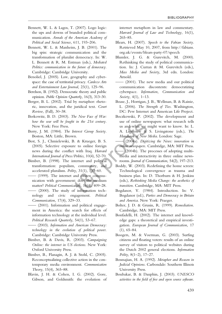- Bennett, W. L. & Lagos, T. (2007). Logo logic: the ups and downs of branded political communication. Annals of the American Academy of Political and Social Science, 611, 193–206.
- Bennett, W. L. & Manheim, J. B. (2001). The big spin: strategic communication and the transformation of pluralist democracy. In: W. L. Bennett & R. M. Entman (eds.), Mediated Politics: communication in the future of democracy. Cambridge: Cambridge University.
- Benoliel, J. (2005). Law, geography and cyberspace: the case of territorial privacy. Cardozo Arts and Entertainment Law Journal, 23(1), 125–96.
- Berelson, B. (1952). Democratic theory and public opinion. Public Opinion Quarterly, 16(3), 313–30.
- Berger, B. L. (2002). Trial by metaphor: rhetoric, innovation, and the juridical text. Court Review, (Fall), 30–38.
- Berkowitz, B. D. (2003). The New Face of War: how the war will be fought in the 21st century. New York: Free Press.
- Berry, J. M. (1984). The Interest Group Society. Boston, MA: Little, Brown.
- Best, S. J., Chmielewski, B. & Krueger, B. S. (2005). Selective exposure to online foreign news during the conflict with Iraq. Harvard International Journal of Press/Politics, 10(4), 52–70.
- Bimber, B. (1998). The internet and political transformation: populism, community, and accelerated pluralism. Polity, 31(1), 133–60.
- —— (1999). The internet and citizen communication with government: does the medium matter? Political Communication, 16(4), 409–28.
- $(2000)$ . The study of information technology and civic engagement. Political Communication, 17(4), 329–33.
- $-$  (2001). Information and political engagement in America: the search for effects of information technology at the individual level. Political Research Quarterly, 54(1), 53–67.
- —— (2003). Information and American Democracy: technology in the evolution of political power. Cambridge: Cambridge University Press.
- Bimber, B. & Davis, R. (2003). Campaigning Online: the internet in US elections. New York: Oxford University Press.
- Bimber, B., Flanagin, A. J. & Stohl, C. (2005). Reconceptualizing collective action in the contemporary media environment. Communication Theory, 15(4), 365–88.
- Blavin, J. H. & Cohen, I. G. (2002). Gore, Gibson, and Goldsmith: the evolution of

internet metaphors in law and commentary. Harvard Journal of Law and Technology, 16(1), 265–85.

- Blears, H. (2007). Speech to the Fabian Society. Retrieved May 10, 2007, from http://fabians. org.uk/events/blears-party-07/speech
- Blumler, J. G. & Gurevitch, M. (2000). Rethinking the study of political communication. In: J. Curran & M. Gurevitch (eds.), Mass Media and Society, 3rd edn. London: Arnold.
- $(2001)$ . The new media and our political communication discontents: democratizing cyberspace. Information, Communication and Society, 4(1), 1–13.
- Boase, J., Horrigan, J. B., Wellman, B. & Rainie, L. (2006). The Strength of Ties. Washington, DC: Pew Internet and American Life Project.
- Boczkowski, P. (2002). The development and use of online newspapers: what research tells us and what we might want to know. In: L. A. Lievrouw & S. Livingstone (eds.), The Handbook of New Media. London: Sage.
- $(2004a)$ . Digitizing the News: innovation in online newspapers. Cambridge, MA: MIT Press. (2004b). The processes of adopting multimedia and interactivity in three online newsrooms. Journal of Communication, 54(2), 197–213.
- Value 21st children<br>
Unterest Group Society.<br>
The United 21st children<br>
The United States of Schell<br>
The Handbook of New .<br>
Handbook of New .<br>
Handbook of New .<br>
Handbook of New .<br>
Handbook of New .<br>
Handbook of New .<br>
(20 Boddy, W. (2003). Redefining the home screen: Technological convergence as trauma and business plan. In: D. Thorburn & H. Jenkins (eds.), Rethinking Media Change: the aesthetics of transition. Cambridge, MA: MIT Press.
	- Bogdanor, V. (1984). Introduction. In: V. Bogdanor (ed.), Parties and Democracy in Britain and America. New York: Praeger.
	- Bolter, J. D. & Grusin, R. (1999). Remediation. Cambridge, MA: MIT Press.
	- Bonfadelli, H. (2002). The internet and knowledge gaps: a theoretical and empirical investigation. European Journal of Communication, 17 (1), 65–84.
	- Boogers, M. & Voerman, G. (2003). Surfing citizens and floating voters: results of an online survey of visitors to political websites during the Dutch 2002 general elections. Information Polity, 8(1–2), 17–27.
	- Bosmajian, H. A. (1992). Metaphor and Reason in Judicial Opinions. Carbondale: Southern Illinois University Press.
	- Boubakar, B. & Dauphin, J. (2003). UNESCO activities in the field of free and open source software.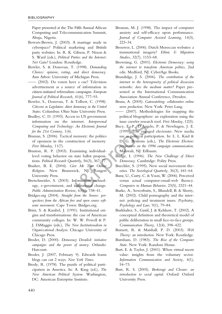Paper presented at the The Fifth Annual African Computing and Telecommunication Summit, Abuja, Nigeria.

- Bowers-Brown, J. (2003). A marriage made in cyberspace? Political marketing and British party websites. In: R. K. Gibson, P. Nixon & S. Ward (eds.), Political Parties and the Internet: Net Gain? London: Routledge.
- Bowler, S. & Donovan, T. (1998). Demanding Choices: opinion, voting, and direct democracy. Ann Arbor: University of Michigan Press.
- —— (2002). Do voters have a cue? Television advertisement as a source of information in citizen-initiated referendum campaigns. European Journal of Political Research, 41(6), 777–93.
- Bowler, S., Donovan, T. & Tolbert, C. (1998). Citizens as Legislators: direct democracy in the United States. Columbus: Ohio State University Press.
- Bradley, C. D. (1993). Access to US government information on the internet. Interpersonal Computing and Technology: An Electronic Journal for the 21st Century, 1(4).
- Braman, S. (2006). Tactical memory: the politics of openness in the construction of memory. First Monday, 11(7).
- Branton, R. P. (2003). Examining individuallevel voting behavior on state ballot propositions. Political Research Quarterly, 56(3), 367–77.
- Brasher, B. E. (2004). Give Me That Online Religion. New Brunswick, NJ: Rutgers University Press.
- Bretschneider, S. (2003). Information technology, e-government, and institutional change. Public Administration Review, 63(6), 738–41.
- Bridges.org (2004). Straight from the Source: perspectives from the African free and open source software movement. Cape Town: Bridges.org.
- Brint, S. & Karabel, J. (1991). Institutional origins and transformations: the case of American community colleges. In: W. W. Powell & P. J. DiMaggio (eds.), The New Institutionalism in Organizational Analysis. Chicago: University of Chicago Press.
- Broder, D. (2000). Democracy Derailed: initiative campaigns and the power of money. Orlando: Harcourt.
- Broder, J. (2007, February 9). Edwards learns blogs can cut 2 ways. New York Times.
- Brody, R. (1978). The puzzle of political participation in America. In: A. King (ed.), The New American Political System. Washington, DC: American Enterprise Institute.
- Brosnan, M. J. (1998). The impact of computer anxiety and self-efficacy upon performance. Journal of Computer Assisted Learning, 14(3), 223–34.
- Brouwer, L. (2006). Dutch Moroccan websites: a transnational imagery? Ethnic & Migration Studies, 32(7), 1153–68.
- Browning, G. (2001). Electronic Democracy: using the internet to transform American politics, 2nd edn. Medford, NJ: CyberAge Books.
- Brundidge, J. S. (2006). The contribution of the internet to the heterogeneity of political discussion networks: does the medium matter? Paper presented at the International Communication Association Annual Conference, Dresden.
- Bruns, A. (2005). Gatewatching: collaborative online news production. New York: Peter Lang.
- $(2007)$ . Methodologies for mapping the political blogosphere: an exploration using the issue crawler research tool. First Monday, 12(5).
- The Electronic Journal<br>
1. An Electronic Journal<br>
2. An Electronic Journal<br>
2. An Electronic Journal<br>
2. C. Bystrom (Perspectives on the<br>
1. G. Bystrom (Perspectives on the<br>
3. C. Bystrom (Perspectives on the<br>
3. An Unive Bucy, E. P., D'Angelo, P. & Newhagen, J. E. (1999). The engaged electorate: New media use as political participation. In: L. L. Kaid & D. G. Bystrom (eds.), The Electronic Election: perspectives on the 1996 campaign communication. Mahwah, NJ: Erlbaum.
	- Budge, I. (1996). The New Challenge of Direct Democracy. Cambridge: Polity Press.
	- Buechler, S. (1995). New social movement theories. The Sociological Quarterly, 36(3), 441–64.
	- Bunz, U., Curry, C. & Voon, W. (2006). Perceived versus actual computer-email-web fluency. Computers in Human Behavior, 23(5), 2321–44.
	- Burke, A., Sowerbutts, S., Blundell, B. & Sherry, M. (2002). Child pornography and the internet: policing and treatment issues. Psychiatry, Psychology and Law, 9(1), 79–84.
	- Burkhalter, S., Gastil, J. & Kelshaw, T. (2002). A conceptual definition and theoretical model of public deliberation in small face-to-face groups. Communication Theory, 12(4), 398–422.
	- Burnett, R. & Marshall, P. D. (2003). Web Theory: an introduction. New York: Routledge.
	- Burnham, D. (1983). The Rise of the Computer State. New York: Random House.
	- Burt, E. & Taylor, J. (2001). When virtual meets value: insights from the voluntary sector. Information Communication and Society, 4(1), 54–73.
	- Burt, R. S. (2005). Brokerage and Closure: an introduction to social capital. Oxford: Oxford University Press.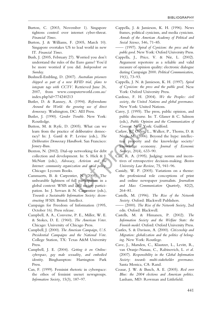- Burton, C. (2003, November 1). Singapore tightens control over internet cyber-threat. Financial Times.
- Burton, J. & Williams, F. (2005, March 10). Singapore overtakes US to lead world in new IT. Financial Times.
- Bush, J. (2005, February 27). Worried you don't understand the rules of the Euro game? You'd be more worried if you did. Independent on Sunday.
- Bushnell-Embling, D. (2007). Australian prisoners chipped as part of a new RFID trial, plans to integrate tags with CCTV. Retrieved June 26, 2007, from www.computerworld.com.au/ index.php?id=774240213
- Butler, D. & Ranney, A. (1994). Referendums Around the World: the growing use of direct democracy. Washington, DC: AEI Press.
- Butler, J. (1990). Gender Trouble. New York: Routledge.
- 2005). What can we<br>
Consent. New Youth, W. (2006).<br>
Levine (eds.), *The*<br>
Levine (eds.), *The*<br>
Muth, M. (2006).<br> *dbook.* San Francisco:<br>
tual property an<br>
metworking for debt<br>
showledge econ<br>
networking for debt<br>
showled Button, M. & Ryfe, D. (2005). What can we learn from the practice of deliberative democracy? In: J. Gastil & P. Levine (eds.), The Deliberative Democracy Handbook. San Francisco: Jossey-Bass.
- Buxton, N. (2002). Dial-up networking for debt collection and development. In: S. Hick & J. McNutt (eds.), Advocacy, Activism and the Internet: community organization and social policy. Chicago: Lyceum Books.
- Cammaerts, B. & Carpentier, N. (2005). The unbearable lightness of full participation in a global context: WSIS and civil society participation. In: J. Servaes & N. Carpentier (eds.), Towards a Sustainable Information Society: deconstructing WSIS. Bristol: Intellect.
- Campaign for Freedom of Information (1995, October 16). Press release.
- Campbell, A. A., Converse, P. E., Miller, W. E. & Stokes, D. E. (1960). The American Voter. Chicago: University of Chicago Press.
- Campbell, J. (2000). The American Campaign, U.S. Presidential Campaigns and the National Vote. College Station, TX: Texas A&M University Press.
- Campbell, J. E. (2004). Getting it on Online: cyberspace, gay male sexuality, and embodied identity. Binghampton: Harrington Park Press.
- Can, F. (1999). Feminist rhetoric in cyberspace: the ethos of feminist usenet newsgroups. Information Society, 15(3), 187–97.
- Cappella, J. & Jamieson, K. H. (1996). News frames, political cynicism, and media cynicism. Annals of the American Academy of Political and Social Science, 546, 71–85.
- —— (1997). Spiral of Cynicism: the press and the public good. New York: Oxford University Press.
- Cappella, J., Price, V. & Nir, L. (2002). Argument repertoire as a reliable and valid measure of opinion quality: electronic dialogue during Campaign 2000. Political Communication, 19(1), 73–93.
- Cappella, J. N. & Jamieson, K. H. (1997). Spiral of Cynicism: the press and the public good. New York: Oxford University Press.
- Cardoso, F. H. (2004). We the Peoples: civil society, the United Nations and global governance. New York: United Nations.
- Carey, J. (1995). The press, public opinion, and public discourse. In: T. Glasser & C. Salmon (eds.), Public Opinion and the Communication of Consent. New York: Guilford.
- Carlaw, K., Oxley, L., Walker, P., Thorns, D. & Nuth, M. (2006). Beyond the hype: intellectual property and the knowledge society/ knowledge economy. Journal of Economic Surveys, 20(4), 633–90.
- Cass, R. A. (1995). Judging: norms and incentives of retrospective decision-making. Boston University Law Review, 75, 941–96.
- Cassidy, W. P. (2005). Variations on a theme: the professional role conceptions of print and online newspaper journalists. Journalism and Mass Communication Quarterly, 82(2), 264–81.
- Castells, M. (1996). The Rise of the Network Society. Oxford: Blackwell Publishers.
- —— (2000). The Rise of the Network Society, 2nd edn. Oxford: Blackwell.
- Castells, M. & Himanen, P. (2002). The Information Society and the Welfare State: the Finnish model. Oxford: Oxford University Press.
- Castles, S. & Davison, A. (2000). Citizenship and Migration: globalization and the politics of belonging. New York: Routlege.
- Cave, J., Marsden, C., Klautzer, L., Levitt, R., van Oranje-Nassau, C., Rabinovich, L. et al. (2007). Responsibility in the Global Information Society: towards multi-stakeholder governance. Santa Monica, CA: Rand.
- Ceasar, J. W. & Busch, A. E. (2005). Red over Blue: the 2004 elections and American politics. Lanham, MD: Rowman and Littlefield.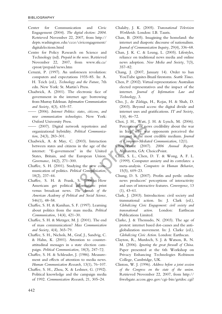- Center for Communication and Civic Engagement (2004). The digital election: 2004. Retrieved November 22, 2007, from http:// depts.washington.edu/ccce/civicengagement/ digitalelections.html
- Centre for Policy Research on Science and Technology (nd). Prepaid in the news. Retrieved November 22, 2007, from www.sfu.ca/ cprost/prepaid/news.htm
- Ceruzzi, P. (1997). An unforeseen revolution: computers and expectations 1935–85. In: A. H. Teich (ed.), Technology and the Future, 7th edn. New York: St. Martin's Press.
- Chadwick, A. (2001). The electronic face of government in the internet age: borrowing from Murray Edelman. Information Communication and Society, 4(3), 435–57.
- —— (2006). Internet Politics: states, citizens, and new communication technologies. New York: Oxford University Press.
- —— (2007). Digital network repertoires and organizational hybridity. Political Communication, 24(3), 283–301.
- From the United The Annals of the Choice Point (1999). Computer-<br>
Section of Computer-Media<br>
Termet as the manufacture of Computer-Media<br>
In Iraq. why was internet as the manufacture of Computer-Media<br>
It is the United Alp Chadwick, A. & May, C. (2003). Interaction between states and citizens in the age of the internet: "E-government" in the United States, Britain, and the European Union. Governance, 16(2), 271–300.
- Chaffee, S. H. (2001). Studying the new communication of politics. Political Communication, 18(2), 237–44.
- Chaffee, S. H. & Frank, S. (1996). How Americans get political information: print versus broadcast news. The Annals of the American Academy of Political and Social Science, 546(1), 48–58.
- Chaffee, S. H. & Kanihan, S. F. (1997). Learning about politics from the mass media. Political Communication, 14(4), 421–30.
- Chaffee, S. H. & Metzger, M. J. (2001). The end of mass communication? Mass Communication and Society, 4(4), 365–79.
- Chaffee, S. H., Nichols, M., Graf, J., Sandvig, C. & Hahn, K. (2001). Attention to counterattitudinal messages in a state election campaign. Political Communication, 18(3), 247–72.
- Chaffee, S. H. & Schleuder, J. (1986). Measurement and effects of attention to media news. Human Communication Research, 13(1), 76–107.
- Chaffee, S. H., Zhoa, X. & Leshner, G. (1992). Political knowledge and the campaign media of 1992. Communication Research, 21, 305–24.
- Chalaby, J. K. (2005). Transnational Television Worldwide. London: I.B. Tauris.
- Chan, B. (2005). Imagining the homeland: the internet and diasporic discourse of nationalism. Journal of Communication Inquiry, 29(4), 336–68.
- Chan, J. K. C. & Leung, L. (2005). Lifestyles, reliance on traditional news media and online news adoption. New Media and Society, 7(3), 357–82.
- Chang, J. (2007, January 14). Order to ban YouTube ignites Brazil firestorm. Seattle Times.
- Chen, P. (2002). Virtual representation: Australian elected representatives and the impact of the internet. Journal of Information Law and Technology, 3.
- Cho, J., de Zúñiga, H., Rojas, H. & Shah, D. (2003). Beyond access: the digital divide and internet uses and gratifications. IT and Society, 1(4), 46–72.
- Choi, J. H., Watt, J. H. & Lynch, M. (2006). Perceptions of news credibility about the war in Iraq: why war opponents perceived the internet as the most credible medium. Journal of Computer-Mediated Communication, 12(1).
- ChoicePoint (2007). 2006 Annual Report. Alpharetta, GA: ChoicePoint.
- Chua, S. L., Chen, D. T. & Wong, A. F. L.
- (1999). Computer anxiety and its correlates: a meta-analysis. Computers in Human Behavior, 15(5), 609–23.
- Chung, D. S. (2007). Profits and perils: online news producers' perceptions of interactivity and uses of interactive features. Convergence, 13 (1), 43–61.
- Clark, J. (2003). Introduction: civil society and transnational action. In: J. Clark (ed.), Globalizing Civic Engagement: civil society and transnational action. London: Earthscan Publications Limited.
- Clarke, J. & Themudo, N. (2003). The age of protest: internet based dot-causes and the antiglobalization movement. In: J. Clarke (ed.), Globalizing Civic Action. London: Earthscan.
- Clayton, R., Murdoch, S. J. & Watson, R. N. M. (2006). Ignoring the great firewall of China. Paper presented at the 6th Workshop on Privacy Enhancing Technologies Robinson College, Cambridge, UK.
- Clinton, W. J. (1996). Address before a joint session of the Congress on the state of the union. Retrieved November 22, 2007, from http:// frwebgate.access.gpo.gov/cgi-bin/getdoc.cgi?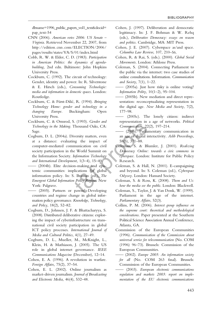dbname=1996\_public\_papers\_vol1\_text&docid= pap\_text-54

- CNN (2006). American votes 2006: US Senate Virginia. Retrieved November 22, 2007, from http://edition.cnn.com/ELECTION/2006/ pages/results/states/VA/S/01/index.html
- Cobb, R. W. & Elder, C. D. (1983). Participation in American Politics: the dynamics of agendabuilding, 2nd edn. Baltimore: John Hopkins University Press.
- Cockburn, C. (1992). The circuit of technology: Gender, identity and power. In: R. Silverstone & E. Hirsch (eds.), Consuming Technologie: media and information in domestic spaces. London: Routledge.
- Cockburn, C. & Fürst-Dilić, R. (1994). Bringing Technology Home: gender and technology in a changing Europe. Buckingham: Open University Press.
- Cockburn, C. & Ormrod, S. (1993). Gender and Technology in the Making. Thousand Oaks, CA: Sage.
- Thousand Oaks, CA: Communication, 22<br>
iversity matters, even<br>
increased by the impact of the impact of 58(5), 371–88.<br>
munication on civil<br>
Le World Summit on<br> *Information Technology*<br> *Coleman, S. & Bl*<br> *Reformation Tec* Cogburn, D. L. (2004a). Diversity matters, even at a distance: evaluating the impact of computer-mediated communication on civil society participation in the World Summit on the Information Society. Information Technology and International Development, 1(3–4), 15–40.
- $(2004b)$ . Elite decision-making and epistemic communities: implications for global information policy. In: S. Braman (ed.), The Emergent Global Information Policy Regime. New York: Palgrave.
- (2005). Partners or pawns? Developing countries and regime change in global information policy governance. Knowledge, Technology, and Policy, 18(2), 52–82.
- Cogburn, D., Johnsen, J. F. & Bhattacharyya, S. (2008). Distributed deliberative citizens: exploring the impact of cyberinfrastructure on transnational civil society participation in global ICT policy processes. International Journal of Media and Cultural Politics, 4(1), 27–49.
- Cogburn, D. L., Mueller, M., McKnight, L., Klein, H. & Mathiason, J. (2005). The US role in global internet governance. IEEE Communications Magazine (December), 12–14.
- Cohen, E. A. (1996). A revolution in warfare. Foreign Affairs, 75(2), 37–54.
- Cohen, E. L. (2002). Online journalism as market-driven journalism. Journal of Broadcasting and Electronic Media, 46(4), 532–48.
- Cohen, J. (1997). Deliberation and democratic legitimacy. In: J. F. Bohman & W. Rehq (eds.), Deliberative Democracy: essays on reason and politics. Cambridge, MA: MIT Press.
- Cohen, J. E. (2007). Cyberspace as/and space. Columbia Law Review, 107, 210–56.
- Cohen, R. & Rai, S. (eds.). (2000). Global Social Movements. London: Athlone Press.
- Coleman, S. (2004). Connecting Parliament to the public via the internet: two case studies of online consultations. Information. Communication and Society, 7(1), 1–22.
- (2005a). Just how risky is online voting? Information Polity,  $10(1-2)$ , 95-104.
- —— (2005b). New mediation and direct representation: reconceptualizing representation in the digital age. New Media and Society, 7(2), 177–98.
- $(2005c)$ . The lonely citizen: indirect representation in a age of networks. Political Communication, 22(2), 197–214.
- (2006). Parliamentary communication in an age of digital interactivity. Aslib Proceedings, 58(5), 371–88.
- Coleman, S. & Blumler, J. (2001). Realizing Democracy Online: towards a civic commons in cyberspace. London: Institute for Public Policy Research.
- Coleman, S. & Hall, N. (2001). E-campaigning and beyond. In: S. Coleman (ed.), Cyberspace Odyssey. London: Hansard Society.
- Coleman, S. & Ross, K. (2008). Them and Us: how the media see the public. London: Blackwell.
- Coleman, S., Taylor, J. & Van Donk, W. (1999). Parliament in the age of the internet. Parliamentary Affairs, 52(3).
- Collins, P. M. (2006). Interest group influence on the supreme court: theoretical and methodological considerations. Paper presented at the Southern Political Science Association Annual Conference, Atlanta, GA.
- Commission of the European Communities (1996). Communication of the Commission about universal service for telecommunication (No. COM (1996) 96–73). Brussels: Commission of the European Communities.
- $-$  (2002). Europe 2005: An information society for all (No. COM 263 final). Brussels: Commission of the European Communities.
- $(2003)$ . European electronic communications regulation and markets 2003: report on implementation of the EU electronic communications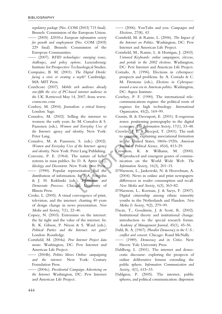regulatory package (No. COM (2003) 715 final). Brussels: Commission of the European Union.

- $-$  (2005). I2010-a European information society for growth and employment (No. COM (2005) 229 final). Brussels: Commission of the European Communities.
- —— (2007). RFID technologies: emerging issues, challenges, and policy options. Luxembourg: Institute for Prospective Technological Studies.
- Compaine, B. M. (2001). The Digital Divide: facing a crisis or creating a myth? Cambridge, MA: MIT Press.
- ComScore (2007). Mobile web audience already one-fifth the size of PC-based internet audience in the UK. Retrieved May 14, 2007, from www. comscore.com
- Conboy, M. (2004). Journalism: a critical history. London: Sage.
- Consalvo, M. (2002). Selling the internet to women: the early years. In: M. Consalvo & S. Paasonen (eds.), Women and Everyday Uses of the Internet: agency and identity. New York: Peter Lang.
- Consalvo, M. & Paasonen, S. (eds.) (2002). Women and Everyday Uses of the Internet: agency and identity. New York: Peter Lang Publishing.
- and Everyday Uses of<br>
and Everyday Uses of<br>
to conomy. The Infe<br>
identity. New York:<br>
Crowley, J. E. & SI<br>
to organize: expla<br>
to organize: expla<br>
to organize: expla<br>
to organize: expla<br>
to organize: expla<br>
to organize: ex Converse, P. E. (1964). The nature of belief systems in mass publics. In: D. A. Apter (ed.), Ideology and Discontent. New York: Free Press. —— (1990). Popular representation and the distribution of information. In: J. A. Ferejohn & J. H. Kuklinski (eds.), Information and Democratic Processes. Chicago: University of Illinois Press.
- Cooke, L. (2005). A visual convergence of print, television, and the internet: charting 40 years of design change in news presentation. New Media and Society, 7(1), 22–46.
- Copsey, N. (2003). Extremism on the internet: the far right and the value of the internet. In: R. K. Gibson, P. Nixon & S. Ward (eds.), Political Parties and the Internet: net gain? London: Routledge.
- Cornfield, M. (2004a). Pew Internet Project data memo. Washington, DC: Pew Internet and American Life Project.
- —— (2004b). Politics Moves Online: campaigning and the internet. New York: Century Foundation Press.
- —— (2004c). Presidential Campaign Advertising on the Internet. Washington, DC: Pew Internet and American Life Project.

—— (2006). YouTube and you. Campaigns and Elections, 27(8), 43.

- Cornfield, M. & Rainie, L. (2006). The Impact of the Internet on Politics. Washington, DC: Pew Internet and American Life Project.
- Cornfield, M., Rainie, L. & Horrigan, J. (2003). Untuned Keyboards: online campaigners, citizens, and portals in the 2002 elections. Washington, DC: Pew Internet and American Life Project.
- Corrado, A. (1996). Elections in cyberspace: prospects and problems. In: A. Corrado & C. M. Firestone (eds.), Elections in Cyberspace: toward a new era in American politics. Washington, DC: Aspen Institute.
- Cowhey, P. F. (1990). The international telecommunications regime: the political roots of regimes for high technology. International Organisation, 45(2), 169–99.
- Cronin, B. & Davenport, E. (2001). E-rogenous zones: positioning pornography in the digital economy. The Information Society, 17(1), 33–48.
- Crowley, J. E. & Skocpol, T. (2001). The rush to organize: explaining associational formation in the United States, 1860s–1920s. American Journal of Political Science, 45(4), 813–29.
- Crowston, K. & Williams, M. (2000). Reproduced and emergent genres of communication on the World Wide Web. The Information Society, 16(3), 201–15.
- D'Haenens, L., Jankowski, N. & Heuvelman, A. (2004). News in online and print newspapers: differences in reader consumption and recall. New Media and Society, 6(3), 363–82.
- D'Haenens, L., Koeman, J. & Saeys, F. (2007). Digital citizenship among ethnic minority youths in the Netherlands and Flanders. New Media & Society, 9(2), 279–99.
- Dacin, T., Goodstein, J. & Scott, R. (2002). Institutional theory and institutional change: introduction to the special research forum. Academy of Management Journal, 45(1), 45–56.
- Dahl, R. A. (1967). Pluralist Democracy in the U.S.: conflict and consent. Chicago: Rand McNally.
- —— (1989). Democracy and its Critics. New Haven: Yale University Press.
- Dahlberg, L. (2001). The internet and democratic discourse: exploring the prospects of online deliberative forums extending the public sphere. Information Communication and Society, 4(1), 615–33.
- Dahlgren, P. (2005). The internet, public spheres, and political communication: dispersion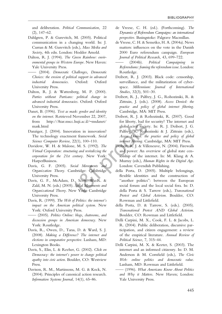and deliberation. Political Communication, 22 (2), 147–62.

- Dahlgren, P. & Gurevitch, M. (2005). Political communication in a changing world. In: J. Curran & M. Gurevitch (eds.), Mass Media and Society, 4th edn. London: Hodder Arnold.
- Dalton, R. J. (1994). The Green Rainbow: environmental groups in Western Europe. New Haven: Yale University Press.
- —— (2004). Democratic Challenges, Democratic Choices: the erosion of political support in advanced industrial democracies. Oxford: Oxford University Press.
- Dalton, R. J. & Wattenberg, M. P. (2000). Parties without Partisans: political change in advanced industrial democracies. Oxford: Oxford University Press.
- Danet, B. (1996). Text as mask: gender and identity on the internet. Retrieved November 22, 2007, from http://Atar.mscc.huji.ac.il/~msdanet/ mask.html
- Danziger, J. (2004). Innovation in innovation? The technology enactment framework. Social Science Computer Review, 22(1), 100–110.
- Davidow, W. H. & Malone, M. S. (1992). The Virtual Corporation: structuring and revitalizing the corporation for the 21st century. New York: HarperBusiness.
- Davis, G. F. (2005). Social Movements and Organization Theory. Cambridge: Cambridge University Press.
- Davis, G. F., McAdam, D., Scott, W. R. & Zald, M. N. (eds.) (2005). Social Movements and Organizational Theory. New York: Cambridge University Press.
- Davis, R. (1999). The Web of Politics: the internet's impact on the American political system. New York: Oxford University Press.
- —— (2005). Politics Online: blogs, chatrooms, and discussion groups in American democracy. New York: Routledge.
- Davis, R., Owen, D., Taras, D. & Ward, S. J. (2008). Making a Difference? The internet and elections in comparative perspective. Lanham, MD: Lexington Books.
- Davis, S., Elin, L. & Reeher, G. (2002). Click on Democracy: the internet's power to change political apathy into civic action. Boulder, CO: Westview Press.
- Davison, R. M., Martinsons, M. G. & Kock, N. (2004). Principles of canonical action research. Information Systems Journal, 14(1), 65–86.
- de Vreese, C. H. (ed.). (Forthcoming). The Dynamics of Referendum Campaigns: an international perspective. Basingstoke: Palgrave Macmillan.
- de Vreese, C. H. & Semetko, H. A. (2004a). News matters: influences on the vote in the Danish 2000 Euro referendum campaign. European Journal of Political Research, 43, 699–722.
- $(2004b)$ . Political Campaigning in Referendums: framing the referendum issue. London: Routledge.
- Deibert, R. J. (2003). Black code: censorship, surveillance, and the militarization of cyberspace. Millennium: Journal of International Studies, 32(3), 501–30.
- Deibert, R. J., Palfrey, J. G., Rohozinski, R. & Zittrain, J. (eds.). (2008). Access Denied: the practice and policy of global internet filtering. Cambridge, MA: MIT Press.
- Deibert, R. J. & Rohozinski, R. (2007). Good for liberty, bad for security? The internet and global civil society. In: R. J. Deibert, J. G. Palfrey, R. Rohozinski & J. Zittrain (eds.), Access Denied: the practice and policy of global internet filtering. Cambridge, MA: MIT Press.
- Deibert, R. J. & Villeneuve, N. (2004). Firewalls and power: An overview of global state censorship of the internet. In: M. Klang & A. Murray (eds.), Human Rights in the Digital Age. London: Cavendish Publishing.
- Example and power: An origination in innovation?<br>
ation in innovation? Palfrey, R. Rohn<br>
ation in innovation? Palfrey, R. Rohn<br>
22(1), 100–110. *internet filtering. Ca*<br>
22(1), 100–110. *internet filtering. Ca*<br>
22(1), 100 della Porta, D. (2005). Multiple belongings, flexible identities and the construction of "another politics": between the European social forum and the local social fora. In: D. della Porta & S. Tarrow (eds.), Transnational Protest and Global Activism. Boulder, CO: Rowman and Littlefield.
	- della Porta, D. & Tarrow, S. (eds.). (2005). Transnational Protest AND Global Activism. Boulder, CO: Rowman and Littlefield.
	- Delli Carpini, M. X., Cook, F. L. & Jacobs, L. R. (2004). Public deliberation, discursive participation, and citizen engagement: a review of the empirical literature. Annual Review of Political Science, 7, 315–44.
	- Delli Carpini, M. X. & Keeter, S. (2003). The internet and an informed citizenry. In: D. M. Anderson & M. Cornfield (eds.), The Civic Web: online politics and democratic value. Lanham, MD: Rowman and Littlefield.
	- —— (1996). What Americans Know About Politics and Why it Matters. New Haven; London: Yale University Press.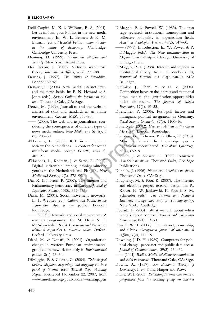- Delli Carpini, M. X. & Williams, B. A. (2001). Let us infotain you: Politics in the new media environment. In: W. L. Bennett & R. M. Entman (eds.), Mediated Politics: communication in the future of democracy. Cambridge: Cambridge University Press.
- Denning, D. (1999). Information Warfare and Security. New York: ACM Press.
- Der Derian, J. (2000). Virtuous war/virtual theory. International Affairs, 76(4), 771–88.
- Derrida, J. (1997). The Politics of Friendship. London: Verso.
- Dessauer, C. (2004). New media, internet news, and the news habit. In: P. N. Howard & S. Jones (eds.), Society Online: the internet in context. Thousand Oaks, CA: Sage.
- Deuze, M. (1999). Journalism and the web: an analysis of skills and standards in an online environment. Gazette, 61(5), 373-90.
- —— (2003). The web and its journalisms: considering the consequences of different types of news media online. New Media and Society, 5 (2), 203–30.
- d'Haenens, L. (2003). ICT in multicultural society: the Netherlands – a context for sound multiform media policy? Gazette, 65(4–5), 401–21.
- the space of the set of the set of the set of the set of the set of the set of the set of the set of the set of the set of the SCO2).<br> *Media and Society*, 5 Movement. London<br>
Donohue, G., Tiche<br>
2. Gazette, 65(4–5), 50(4) d'Haenens, L., Koeman, J. & Saeys, F. (2007). Digital citizenship among ethnic minority youths in the Netherlands and Flanders. New Media and Society, 9(2), 278–99.
- Dia, X. & Norton, P. (2007). The Internet and Parliamentary democracy in Europe. Journal of Legislative Studies, 13(3), 342–453.
- Diani, M. (2001). Social movement networks. In: F. Webster (ed.), Culture and Politics in the Information Age: a new politics? London: Routledge.
- —— (2003). Networks and social movements: A research programme. In: M. Diani & D. McAdam (eds.), Social Movements and Networks: relational approaches to collective action. Oxford: Oxford University Press.
- Diani, M. & Donati, P. (2001). Organization change in western European environmental groups: a framework for analysis. Environmental politics, 8(1), 13–34.
- DiMaggio, P. & Celeste, C. (2004). Technological careers: adoption, deepening, and dropping out in a panel of internet users (Russell Sage Working Paper). Retrieved November 22, 2007, from www.russellsage.org/publications/workingpapers
- DiMaggio, P. & Powell, W. (1983). The iron cage revisited: institutional isomorphism and collective rationality in organization fields. American Sociological Review, 48(2), 147–60.
- —— (1991). Introduction. In: W. Powell & P. DiMaggio (eds.), The New Institutionalism in Organizational Analysis. Chicago: University of Chicago Press.
- DiMaggio, P. J. (1988). Interest and agency in institutional theory. In: L. G. Zucker (Ed.), Institutional Patterns and Organizations. MA: Ballinger.
- Dimmick, J., Chen, Y. & Li, Z. (2004). Competition between the internet and traditional news media: the gratification-opportunities niche dimension. The Journal of Media Economics, 17(1), 19–33.
- Doerschler, P. (2006). Push-pull factors and immigrant political integration in Germany. Social Science Quarterly, 87(5), 1100-16.
- Doherty, B. (2002). Ideas and Actions in the Green Movement. London: Routledge.
- Donohue, G., Tichenor, P. & Olien, C. (1975). Mass media and the knowledge gap: a hypothesis reconsidered. Journalism Quarterly, 50(4), 652–9.
- Doppelt, J. & Shearer, E. (1999). Nonvoters: America's no-shows. Thousand Oaks, CA: Sage Publications.
- Doppely, J. (1996). Nonvoters: America's no-shows. Thousand Oaks, CA: Sage.
- Dougherty, M. & Foot, K. (2007). The internet and elections project research design. In: R. Kluver, N. W. Jankowski, K. Foot & S. M. Schneider (eds.), The Internet and National Elections: a comparative study of web campaigning. New York: Routledge.
- Dourish, P. (2004). What we talk about when we talk about context. Personal and Ubiquitous Computing, 8(1), 19–30.
- Dowell, W. T. (2006). The internet, censorship, and China. Georgetown Journal of International Affairs, 7(2), 111–19.
- Downing, J. D. H. (1989). Computers for political change: peace net and public data access. Journal of Communication, 39(3), 154–62.
- —— (2001). Radical Media: rebellious communication and social movements. Thousand Oaks, CA: Sage.
- Downs, A. (1957). An Economic Theory of Democracy. New York: Harper and Row.
- Drake, W. J. (2005). Reforming Internet Governance: perspectives from the working group on internet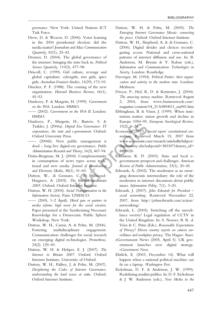governance. New York: United Nations ICT Task Force.

- Drew, D. & Weaver, D. (2006). Voter learning in the 2004 presidential election: did the media matter? Journalism and Mass Communication Quarterly, 83(1), 25–42.
- Drezner, D. (2004). The global governance of the internet: bringing the state back in. Political Science Quarterly, 119(3), 477–98.
- Driscoll, C. (1999). Girl culture, revenge and global capitalism: cybergirls, riot grrls, spice girls. Australian Feminist Studies, 14(29), 173–93.
- Drucker, P. F. (1988). The coming of the new organization. Harvard Business Review, 66(1), 45–53.
- Dunleavy, P. & Margetts, H. (1999). Government on the Web. London: HMSO.
- $-$  (2002). Government on the Web II. London: HMSO.
- Dunleavy, P., Margetts, H., Bastow, S. & Tinkler, J. (2006a). Digital Era Governance: IT corporations, the state and e-government. Oxford: Oxford University Press.
- $(2006b)$ . New public management is dead – long live digital-era governance. Public Administration Research and Theory, 16(3), 467–94.
- Dutta-Bergman, M. J. (2004). Complementarity in consumption of news types across traditional and new media. Journal of Broadcasting and Electronic Media, 48(1), 41–60.
- Dutton, W., di Gennaro, C. & Millwood-Hargrave, A. (2005). The Internet in Britain 2005. Oxford: Oxford Internet Institute.
- Dutton, W. H. (2004). Social Transformation in the Information Society. Paris: UNESCO.
- (2005, 1–2 April). Hired gun or partner in media reform: high noon for the social scientist. Paper presented at the Synthesizing Necessary Knowledge for a Democratic Public Sphere Workshop, New York.
- Dutton, W. H., Carusi, A. & Peltu, M. (2006). Fostering multidisciplinary engagement: Communication challenges for social research on emerging digital technologies. Prometheus, 24(2), 129–49.
- Dutton, W. H. & Helsper, E. J. (2007). The Internet in Britain 2007. Oxford: Oxford Internet Institute, University of Oxford.
- Dutton, W. H., Palfrey, J. & Peltu, M. (2007). Deciphering the Codes of Internet Governance: understanding the hard issues at stake. Oxford: Oxford Internet Institute.
- Dutton, W. H. & Peltu, M. (2005). The Emerging Internet Governance Mosaic: connecting the pieces. Oxford: Oxford Internet Institute.
- Dutton, W. H., Shepherd, A. & di Gennaro, C. (2006). Digital divides and choices reconfiguring access: National and cross-national patterns of internet diffusion and use. In: B. Anderson, M. Brynin & Y. Raban (eds.), Information and Communications Technologies in Society. London: Routledge.
- Duverger, M. (1954). Political Parties: their organization and activity in the modern state. London: Methuen.
- Dwyer, P., Hof, R. D. & Kerstetter, J. (2004). The amazing money machine. Retrieved August 2, 2004, from www.businessweek.com/ magazine/content/04\_31/b3894011\_mz001.htm
- Ebbinghaus, B. & Visser, J. (1999). When institutions matter: union growth and decline in Europe 1950–95. European Sociological Review, 15(2), 1–24.
- 11, Dassow, 3. a Europe 1-24.<br>
23. al Era Governance: IT<br>
24. Economist (2007). S<br>
24. egovernment. Oxford:<br>
Economist (2007). S<br>
26. and the management is www.economist.cc<br>
3808026<br>
26. a Sales (displaystory.cfm?st<br>
27. a Economist (2007). Special report: constitutional conundrum. Retrieved March 15, 2007 from www.economist.com/research/articlesBySubject/ displaystory.cfm?subjectid=3833071&story\_id= 8808026
	- Edmiston, K. D. (2003). State and local egovernment: prospects and challenges. American Review of Public Administration, 33(1), 20–45.
	- Edwards, A. (2002). The moderator as an emerging democratic intermediary: the role of the moderator in internet discussions about public issues. Information Polity, 7(1), 3–20.
	- Edwards, J. (2007). John Edwards for President social networking. Retrieved November 22, 2007, from http://johnedwards.com/action/ networking/
	- Edwards, L. (2005). Switching off the surveillance society? Legal regulation of CCTV in the United Kingdom. In: S. Nouwt, B. R. d. Vries & C. Prins (Eds.), Reasonable Expectations of Privacy? Eleven country reports on camera surveillance and workplace privacy. The Hague: Asser.
	- eGovernment News (2005, April 5). UK government launches new digital strategy. eGovernment News.
	- Ehrlich, E. (2003, December 14). What will happen when a national political machine can fit on a laptop. Washington Post.
	- Eickelman, D. F. & Anderson, J. W. (1999). Redefining muslim publics. In: D. F. Eickelman & J. W. Anderson (eds.), New Media in the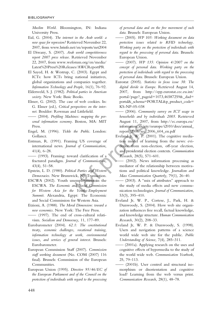Muslim World. Bloomington, IN: Indiana University Press.

- Eid, G. (2004). The internet in the Arab world: a new space for repression? Retrieved November 22, 2007, from www.hrinfo.net/en/reports/net2004
- El Diwany, S. (2007). Arab world competitiveness report 2007 press release. Retrieved November 22, 2007, from www.weforum.org/en/media/ Latest%20Press%20Releases/AWCReportPR
- El Sayed, H. & Westrup, C. (2003). Egypt and ICTs: how ICTs bring national initiatives, global organizations and companies together. Information Technology and People, 16(1), 76–92.
- Eldersveld, S. J. (1982). Political parties in American society. New York: Basic Books.
- Elmer, G. (2002). The case of web cookies. In: G. Elmer (ed.), Critical perspectives on the internet. Boulder: Rowman and Littlefield.
- —— (2004). Profiling Machines: mapping the personal information economy. Boston, MA: MIT Press.
- Engel, M. (1996). Tickle the Public. London: Gollancz.
- Entman, R. (1991). Framing US coverage of international news. Journal of Communication, 41(4), 6–28.
- —— (1993). Framing: toward clarification of a fractured paradigm. Journal of Communication, 43(4), 51–58.
- Epstein, L. D. (1980). Political Parties and Western Democracies. New Brunswick, NJ: Transaction.
- ESCWA (2002). Youth unemployment in the ESCWA. The Economic and Social Commission for Western Asia for the Youth Employment Summit. Alexandria, Egypt: The Economic and Social Commission for Western Asia.
- Etzioni, A. (1988). The Moral Dimension: toward a new economics. New York: The Free Press.
- —— (1997). The end of cross-cultural relativism. Socialism and Democracy, 11, 177–89.
- Eurobarometer (2004). 62.1: The constitutional treaty, economic challenges, vocational training, information technology at work, environmental issues, and services of general interest. Brussels: Eurobarometer.
- European Commission Staff (2007). Commission staff working document (No. COM (2007) 116 final). Brussels: Commission of the European Communities.
- European Union (1995). Directive 95/46/EC of the European Parliament and of the Council on the protection of individuals with regard to the processing

of personal data and on the free movement of such data. Brussels: European Union.

- $-$  (2005). WP 105: Working document on data protection issues related to RFID technology. Working party on the protection of individuals with regard to the processing of personal data. Brussels: European Union.
- $-$  (2007). WP 135: Opinion 4/2007 on the concept of personal data. Working party on the protection of individuals with regard to the processing of personal data. Brussels: European Union.
- Eurostat (2005). Statistics in focus issue 38: The digital divide in Europe. Retrieved August 14, 2007, from http://epp.eurostat.cec.eu.int/ portal/page?\_pageid=1073,46587259&\_dad= portal&\_schema=PORTAL&p\_product\_code= KS-NP-05-038
- (2006). Community survey on ICT usage in households and by individuals 2005. Retrieved August 11, 2007, from http://ec.europa.eu/ information\_society/eeurope/i2010/docs/annual\_ report/2006/sec\_2006\_604\_en.pdf
- Example to the Public. London:<br>
the Public. London:<br>
the Public. London:<br>
Eveland Jr, W. P. (2<br>
Eveland Jr, W. P. (2<br>
Eveland Jr, W. P. (2<br>
Eveland Jr, W. P. (2<br>
Eveland Jr, W. P. (2<br>
and of Communication,<br>
and presidentia Eveland Jr, W. P. (2001). The cognitive mediation model of learning from the news: evidence from non-election, off-year election, and presidential election contexts. Communication Research, 28(5), 571–601.
	- $(2002)$ . News information processing as mediator of the relationship between motivations and political knowledge. Journalism and Mass Communication Quarterly, 79(1), 26–40.
	- $-$  (2003). A "mix of attributes" approach to the study of media effects and new communication technologies. Journal of Communication, 53(3), 395–410.
	- Eveland Jr, W. P., Cortese, J., Park, H. & Dunwoody, S. (2004). How web site organization influences free recall, factual knowledge, and knowledge structure. Human Communication Research, 30(2), 208–33.
	- Eveland Jr, W. P. & Dunwoody, S. (1998). Users and navigation patterns of a science world wide web site for the public. Public Understanding of Science, 7(4), 285–311.
	- $(2001a)$ . Applying research on the uses and cognitive effects of hypermedia to the study of the world wide web. Communication Yearbook, 25, 79–113.
	- —— (2001b). User control and structural isomorphism or disorientation and cognitive load? Learning from the web versus print. Communication Research, 28(1), 48–78.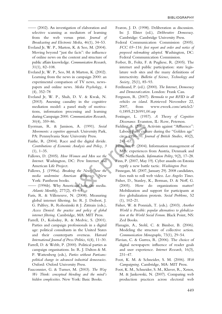—— (2002). An investigation of elaboration and selective scanning as mediators of learning from the web versus print. Journal of Broadcasting and Electronic Media, 46(1), 34–53.

- Eveland Jr, W. P., Marton, K. & Seo, M. (2004). Moving beyond "just the facts": the influence of online news on the content and structure of public affairs knowledge. Communication Research, 31(1), 82–108.
- Eveland Jr, W. P., Seo, M. & Marton, K. (2002). Learning from the news in campaign 2000: an experimental comparison of TV news, newspapers and online news. Media Psychology, 4 (4), 352–78
- Eveland Jr, W. P., Shah, D. V. & Kwak, N. (2003). Assessing causality in the cognitive mediation model: a panel study of motivations, information processing and learning during Campaign 2000. Communication Research, 30(4), 359–86.
- Eyerman, R. & Jamison, A. (1991). Social Movements: a cognitive approach. University Park, PA: Pennsylvania State University Press.
- Fairlie, R. (2004). Race and the digital divide. Contributions of Economic Analysis and Policy, 3  $(1), 1-35.$
- Fallows, D. (2005). How Women and Men use the Internet. Washington, DC: Pew Internet and American Life Project.
- Fallows, J. (1996a). Breaking the News: how the<br>media undermine American democracy. New media undermine American York: Pantheon books.
- —— (1996b). Why Americans hate the media. Atlantic Monthly, 277(2), 45–64.
- Faris, R. & Villeneuve, N. (2008). Measuring global internet filtering. In: R. J. Deibert, J. G. Palfrey, R. Rohozinski & J. Zittrain (eds.), Access Denied: the practice and policy of global internet filtering. Cambridge, MA: MIT Press.
- Farrell, D., Kolodny, R. & Medvic, S. (2001). Parties and campaign professionals in a digital age: political consultants in the United States and their counterparts overseas. Harvard International Journal of Press/Politics, 6(4), 11–30.
- Farrell, D. & Webb, P. (2000). Political parties as campaign organisations. In: R. J. Dalton & M. P. Wattenberg (eds.), Parties without Partisans: political change in advanced industrial democracies. Oxford: Oxford University Press.
- Fauconnier, G. & Turner, M. (2003). The Way We Think: conceptual blending and the mind's hidden complexities. New York: Basic Books.
- Fearon, J. D. (1998). Deliberation as discussion. In: J. Elster (ed.), Deliberative Democracy. Cambridge: Cambridge University Press.
- Federal Communication Commission (2005). FCC 05-116: first report and order and notice of proposed rulemaking adopted. Washington, DC: Federal Communication Commission.
- Ferber, B., Foltz, F. & Pugliese, R. (2005). The internet and public participation: state legislature web sites and the many definitions of interactivity. Bulletin of Science, Technology and Society, 25(1), 85–93.
- Ferdinand, P. (ed.). (2000). The Internet, Democracy and Democratization. London: Frank Cass.
- Ferguson, R. (2007). Bermuda to put RFID in all vehicles on island. Retrieved November 22, 2007, from www.eweek.com/article2/ 0,1895,2126991,00.asp
- Festinger, L. (1957). A Theory of Cognitive Dissonance. Evanston, IL: Row, Peterson.
- A. (1991). Social Fielding, S. (2001).<br> *Dissolution.* Labour party culture interventive Press.<br>
inversity Press. circa 1950–70. Joint the digital divide.<br>
241–67.<br> *Analysis and Policy*, 3 Filzmaier, P. (2004).<br> *MPs:* ex Fielding, S. (2001). Activists against "Affluence": Labour party culture during the "Golden age" circa 1950–70. Journal of British Studies, 40(2), 241–67.
	- Filzmaier, P. (2004). Information management of MPs: experiences from Austria, Denmark and the Netherlands. Information Polity, 9(2), 17–28.
	- Finn, P. (2007, May 19). Cyber assaults on Estonia typify a new battle tactic. Washington Post.
	- Finnegan, M. (2007, January 29). 2008 candidates, foes rush to roll web video. Los Angeles Times.
	- Fisher, D., Stanley, K., Berman, D. & Neff, G. (2005). How do organizations matter? Mobilization and support for participants at five globalization protests. Social Problems, 52 (1), 102–21.
	- Fisher, W. & Ponniah, T. (eds.). (2003). Another World is Possible: popular alternatives to globalization at the World Social Forum. Black Point, NS: Zed Books.
	- Flanagin, A., Stohl, C. & Bimber, B. (2006). Modeling the structure of collective action. Communication Monographs, 73(1), 29–54.
	- Flavian, C. & Gurrea, R. (2006). The choice of digital newspapers: influence of reader goals and user experience. Internet Research, 16(3), 231–47.
	- Foot, K. M. & Schneider, S. M. (2006). Web Campaigning. Cambridge, MA: MIT Press.
	- Foot, K. M., Schneider, S. M., Kluver, R., Xenos, M. & Jankowski, N. (2007). Comparing web production practices across electoral web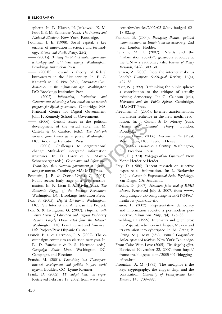spheres. In: R. Kluver, N. Jankowski, K. M. Foot & S. M. Schneider (eds.), The Internet and National Elections. New York: Routledge.

- Fountain, J. E. (1998). Social capital: a key enabler of innovation in science and technology. Science and Public Policy, 25(2).
- (2001a). Building the Virtual State: information technology and institutional change. Washington: Brookings Institution Press.
- —— (2001b). Toward a theory of federal bureaucracy in the 21st century. In: E. C. Kamarck & J. S. Nye (eds.), Governance.Com: democracy in the information age. Washington DC: Brookings Institution Press.
	- (2002). Information, Institutions and Government: advancing a basic social science research program for digital government. Cambridge, MA: National Centre for Digital Government, John F. Kennedy School of Government.
- —— (2006). Central issues in the political development of the virtual state. In: M. Castells & G. Cardoso (eds.), The Network Society: from knowledge to policy. Washington, DC: Brookings Institution Press.
- trual state. In: M. Media and C<br>
(eds.), The Network Routledge.<br>
policy. Washington, Freedom House. (2<br>
n Press. Washington, DC:<br>
to organizational (2007). Demote<br>
egrated information DC: Freedom House. (2<br>
er & V. Mayer-<br> (2007). Challenges to organizational change: Multi-level integrated information structures. In: D. Lazer & V. Mayer-Schoenberger (eds.), Governance and Information Technology: from electronic government to information government. Cambridge MA: MIT Press.
- Fountain, J. E. & Osorio-Urzua, C. (2001). Public sector: Early stage of a deep transformation. In: R. Litan & A. Rivlin (eds.), The Economic Payoff of the Internet Revolution. Washington DC: Brookings Institution Press.
- Fox, S. (2005). Digital Divisions. Washington, DC: Pew Internet and American Life Project.
- Fox, S. & Livingston, G. (2007). Hispanics with Lower Levels of Education and English Proficiency Remain Largely Disconnected from the Internet. Washington, DC: Pew Internet and American Life Project/Pew Hispanic Center.
- Francia, P. L. & Herrnson, P. S. (2002). The ecampaign: coming to an election near you. In: R. D. Faucheux & P. S. Herrnson (eds.), Campaign Battle Lines. Washington DC: Campaigns and Elections.
- Franda, M. (2001). Launching into Cyberspace: internet development and politics in five world regions. Boulder, CO: Lynne Rienner.
- Frank, D. (2002). IT budget takes on e-gov. Retrieved February 18, 2002, from www.few.

com/few/articles/2002/0218/cov-budget1-02- 18-02.asp

- Franklin, B. (2004). Packaging Politics: political communications in Britain's media democracy, 2nd edn. London: Hodder.
- Franklin, M. I. (2007). NGOs and the "Information society": grassroots advocacy at the  $UN - a$  cautionary tale. Review of Policy Research, 24(4), 309–30.
- Franzen, A. (2000). Does the internet make us lonely? European Sociological Review, 16(4), 427–38.
- Fraser, N. (1992). Rethinking the public sphere: a contribution to the critique of actually existing democracy. In: C. Calhoun (ed.), Habermas and the Public Sphere. Cambridge, MA: MIT Press.
- Freedman, D. (2006). Internet transformations: old media resilience in the new media revolution. In: J. Curran & D. Morley (eds.), Media and Cultural Theory. London: Routledge.
- Freedom House. (2006). Freedom in the World. Washington, DC: Freedom House.

(2007). Democracy's Century. Washington, DC: Freedom House.

- Freire, P. (1970). Pedagogy of the Oppressed. New York: Herder & Herder.
- Frey, D. (1986). Recent research on selective exposure to information. In: L. Berkowitz (ed.), Advances in Experimental Social Psychology. San Diego, CA: Academic.
- Friedlos, D. (2007). Heathrow joins trial of RFID scheme. Retrieved July 5, 2007, from www. computing.co.uk/computing/news/2193486/ heathrow-joins-trial-rfid
- Frissen, P. (2002). Representative democracy and information society: a postmodern perspective. Information Polity, 7(4), 175-83.
- Froehling, O. (1999). Internauts and guerilleros: the Zapatista rebellion in Chiapas, Mexico and its extension into cyberspace. In: M. Crang, P. Crang & J. May (eds.), Virtual Geographies: bodies, space and relations. New York: Routledge.
- From Cairo With Love (2005). The blogging effect. Retrieved November 22, 2007, from http:// fromcairo.blogspot.com/2005/02/bloggingeffect.html
- Froomkin, A. M. (1995). The metaphor is the key: cryptography, the clipper chip, and the constitution. University of Pennsylvania Law Review, 143, 709–897.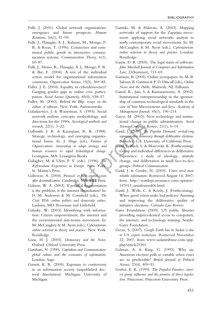- Fulk, J. (2001). Global network organizations: emergence and future prospects. Human Relations, 54(1), 91–99.
- Fulk, J., Flanagin, A. J., Kalman, M., Monge, P. R. & Ryan, T. (1996). Connective and communal public goods in interactive communication systems. Communication Theory, 6(1), 60–87.
- Fulk, J., Heino, R., Flanagin, A. J., Monge, P. R. & Bar, F. (2004). A test of the individual action model for organizational information commons. Organization Science, 15(5), 569-85.
- Fuller, J. E. (2004). Equality in cyberdemocracy? Gauging gender gaps in online civic participation. Social Science Quarterly, 85(4), 938-57.
- Fuller, M. (2003). Behind the Blip: essays on the culture of software. New York: Autonomedia.
- Galaskiewics, J. & Wasserman, S. (1993). Social network analysis: concepts, methodology, and directions for the 1990s. Sociological methods and research, 22(1), 3–22.
- Science Computer F<br>
iam, R. K. (1988). Gastil, J. (2000). By<br>
l emerging organiza-<br>
ge (ed.), Futures of Berkeley, CA: Ur<br>
to adapt strategy and Gastil, J., Black, L. &<br>
technological change. Group and individen<br>
m Books. Galbraith, J. R. & Kazanjiam, R. K. (1988). Strategy, technology, and emerging organizational forms. In: J. Hage (ed.), Futures of Organizations: innovating to adapt strategy and human resources to rapid technological change. Lexington, MA: Lexington Books.
- Gallagher, M. & Uleri, P. V. (eds.). (1996). The Referendum Experience in Europe. New York: St. Martin's Press.
- Galloway, A. (2004). Protocol: or how control exists after decentralization. Cambridge, MA: MIT Press.
- Galston, W. A. (2003). If political fragmentation is the problem, is the internet the solution? In: D. M. Anderson & M. Cornfield (eds.), The Civic Web: online politics and democratic values. Lanham, MD: Rowman and Littlefield.
- Galusky, W. (2003). Identifying with information: Citizen empowerment, the internet and the environmental anti-toxins movement. In: M. McCaughey & M. Ayers (eds.), Cyberactivism: online activism in theory and practice. New York: Routledge.
- Gans, H. J. (2003). Democracy and the News. Oxford: Oxford University Press.
- Garnham, N. (1990). Capitalism and Communication: global culture and the economics of information. London: Sage.
- Garrett, K. R. (2005). Exposure to controversy in an information society (unpublished doctoral dissertation). Michigan: University of Michigan.
- Garrido, M. & Halavais, A. (2003). Mapping networks of support for the Zapatista movement: applying social networks analysis to study contemporary social movements. In: M. McCaughey & M. Ayers (eds.), Cyberactivism: online activism in theory and practice. London: Routledge.
- Garrie, D. B. (2005). The legal status of software. John Marshall Journal of Computer and Information Law, 23(Summer), 711–69.
- Garrison, B. (2005). Online newspapers. In: M. B. Salwen, B. Garrison & P. D. Driscoll (eds.), Online News and the Public. Mahwah, NJ: Erlbaum.
- Garud, R., Jain, S. & Kumaraswamy, A. (2002). Institutional entrepreneurship in the sponsorship of common technological standards in the case of Sun Microsystems and Java. Academy of Management Journal, 45(1), 196–214.
- Gasco, M. (2003). New technology and institutional change in public administration. Social Science Computer Review, 21(1), 6–14.
- Gastil, J. (2000). By Popular Demand: revitalizing representative democracy through deliberative elections. Berkeley, CA: University of California Press.
- Gastil, J., Black, L. & Moscovitz, K. (Forthcoming). Group and individual differences in deliberative experience: a study of ideology, attitude change, and deliberation in small face-to-face groups. Political Communication.
- Gastil, J. & Crosby, N. (2003). Voters need more reliable information. Retrieved August 14, 2007, from http://seattlepi.nwsource.com/opinion/ 147013\_uninformed06.html
- Gastil, J., Wells, C. & Reedy, J. (Forthcoming). When good voters make bad policies: Assessing and improving the deliberative quality of initiative elections. Colorado Law Review.
- Gates Foundation (2005). US public libraries providing unprecedented access to computers, the internet, and technology training. Seattle: Gates Foundation.
- Geens, S. (2007). Google Earth ban in Sudan is due to US export restrictions. Retrieved November 22, 2007, from www.sudantribune.com/spip. php?article21501.
- Gelman, A. & King, G. (1993). Why are American election polls so variable when votes are so predictable? British Journal of Political Science, 23(4), 409-51.
- Gerber, E. R. (1999). The Populist Paradox: interest group influence and the promise of direct legislation. Princeton: Princeton University Press.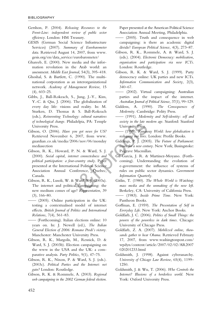- Gershon, P. (2004). Releasing Resources to the Front-Line: independent review of public sector efficiency. London: HM Treasury.
- GESIS (German Social Science Infrastructure Services) (2007). Summary of Eurobarometer data. Retrieved August 14, 2007, from www. gesis.org/en/data\_service/eurobarometer/
- Ghareeb, E. (2000). New media and the information revolution in the Arab world: an assessment. Middle East Journal, 54(3), 395–418.
- Ghoshal, S. & Bartlett, C. (1990). The multinational corporation as an interorganizational network. Academy of Management Review, 15 (4), 603–25.
- Gibbs, J., Ball-Rokeach, S., Jung, J.-Y., Kim, Y.-C. & Qiu, J. (2006). The globalization of every day life: visions and reality. In: M. Sturken, D. Thomas & S. Ball-Rokeach (eds.), Reinventing Technology: cultural narratives of technological change. Philadelpia, PA: Temple University Press.
- Gibson, O. (2006). Have you got news for US? Retrieved November 6, 2007, from www. guardian.co.uk/media/2006/nov/06/monday mediasection
- South in the date in University Press.<br>
2007, from www. reshaping our lives.<br>
2007, from www. reshaping our lives.<br>
2007, from www. Fishaping our lives.<br>
2009). Runau<br>
2007, from www. Fishaping our lives.<br>
2009). Runau<br>
20 Gibson, R. K., Howard, P. N. & Ward, S. J. (2000). Social capital, internet connectedness and political participation: a four-country study. Paper presented at the International Political Science Association Annual Conference, Quebec, Canada.
- Gibson, R. K., Lusoli, W. & Ward, S. J. (2003a). The internet and political campaigning: the new medium comes of age? Representation, 39 (3), 166–80.
- $(2005)$ . Online participation in the UK: testing a contextualised model of internet effects. British Journal of Politics and International Relations, 7(4), 561–83.
- (Forthcoming). Italian elections online: 10 years on. In: J. Newell (ed.), The Italian General Election of 2006: Romano Prodi's victory. Manchester: Manchester University Press.
- Gibson, R. K., Margolis, M., Resnick, D. & Ward, S. J. (2003b). Election campaigning on the www in the USA and the UK: a comparative analysis. Party Politics, 9(1), 47–75.
- Gibson, R. K., Nixon, P. & Ward, S. J. (eds.). (2003c). Political Parties and the Internet: net gain? London: Routledge.
- Gibson, R. K. & Rommele, A. (2003). Regional web campaigning in the 2002 German federal election.

Paper presented at the American Political Science Association Annual Meeting, Philadelphia.

- $-$  (2005). Truth and consequence in web campaigning: is there an academic digital divide? European Political Science, 4(3), 273–87.
- Gibson, R. K., Rommele, A. & Ward, S. J. (eds.). (2004). Electronic Democracy: mobilisation, organisation and participation via new ICTs. London: Routledge.
- Gibson, R. K. & Ward, S. J. (1999). Party democracy online: UK parties and new ICTs. Information Communication and Society, 2(3), 340–67.
- —— (2002). Virtual campaigning: Australian parties and the impact of the internet. Australian Journal of Political Science, 37(1), 99–129.
- Giddens, A. (1990). The Consequences of Modernity. Cambridge: Polity Press.
- —— (1991). Modernity and Self-identity: self and society in the late modern age. Stanford: Stanford University Press.
- —— (1999). Runaway World: how globalisation is reshaping our lives. London: Profile Books.
- Giddings, P. J. (2005). The Future of Parliament: issues for a new century. New York; Basingstoke: Palgrave Macmillan.
- Gil-Garcia, J. R. & Martinez-Moyano. (Forthcoming). Understanding the evolution of e-government: the influence of systems of rules on public sector dynamics. Government Information Quarterly.
- Gitlin, T. (1980). The Whole World is Watching: mass media and the unmaking of the new left. Berkeley, CA: University of California Press.
- —— (1983). Inside Prime Time. New York: Pantheon Books.
- Goffman, E. (1959). The Presentation of Self in Everyday Life. New York: Anchor Books.
- Goldfarb, J. C. (2006). Politics of Small Things: the powers of the powerless in dark times. Chicago: University of Chicago Press.
- Goldfarb, Z. A. (2007). Mobilized online, thousands gather to hear Obama. Retrieved February 17, 2007, from www.washingtonpost.com/ wpdyn/content/article/2007/02/02/AR2007 020201233.html
- Goldsmith, J. (1998). Against cyberanarchy. University of Chicago Law Review, 65(4), 1199– 1250.
- Goldsmith, J. & Wu, T. (2006). Who Controls the Internet? Illusions of a borderless world. New York: Oxford University Press.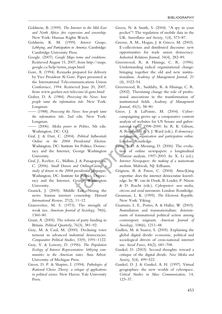- Goldstein, B. (1999). The Internet in the Mid East and North Africa: free expression and censorship. New York: Human Rights Watch.
- Goldstein, K. M. (1999). Interest Groups, Lobbying, and Participation in America. Cambridge: Cambridge University Press.
- Google. (2007). Google Maps terms and conditions. Retrieved August 15, 2007, from http://maps. google.ca/help/terms\_maps.html
- Gore, A. (1994). Remarks prepared for delivery by Vice President Al Gore. Paper presented at the International Telecommunications Union Conference, 1994. Retrieved June 20, 2007, from www.goelzer.net/telecom/al-gore.html
- Graber, D. A. (1984). Processing the News: how people tame the information tide. New York: Longman.
- —— (1988). Processing the News: how people tame the information tide, 2nd edn. New York: Longman.
- —— (2006). Media power in Politics, 5th edn. Washington, DC: CQ.
- Graf, J. & Darr, C. (2004). Political Influentials Online in the 2004 Presidential Election. Washington, DC: Institute for Politics, Democracy and the Internet, George Washington University.
- in Politics, 5th edn.<br>
analysis of website<br>
A. Roemmele & S.<br>
29<br>
2. Political Influentials<br>
Presidential Election.<br>
Ceorge Washington<br>
George Washington<br>
5. J. & Panagopoulos,<br>
5. J. & Panagopoulos,<br>
5. J. & Panagopoulos, Graf, J., Reeher, G., Malbin, J. & Panagopoulos, C. (2006). Small Donors and Online Giving: a study of donors to the 2004 presidential campaigns. Washington, DC: Institute for Politics, Democracy and the Internet, George Washington University.
- Granick, J. (2005). Middle East. Nixing the news: Iranian internet censorship. Harvard International Review, 27(2), 11–12.
- Granovetter, M. S. (1973). The strength of weak ties. American Journal of Sociology, 78(6), 1360–80.
- Grant, A. (2005). The reform of party funding in Britain. Political Quarterly, 76(3), 381–92.
- Gray, M. & Caul, M. (2000). Declining voter turnout in advanced industrial democracies. Comparative Political Studies, 33(9), 1091–1122.
- Gray, V. & Lowery, D. (1996). The Population Ecology of Interest Representation: lobbying communities in the American states. Ann Arbor: University of Michigan Press.
- Green, D. P. & Shapiro, I. (1994). Pathologies of Rational Choice Theory: a critique of applications in political science. New Haven: Yale University Press.
- Green, N. & Smith, S. (2004). "A spy in your pocket"? The regulation of mobile data in the UK. Surveillance and Society, 1(4), 573-87.
- Greene, A. M., Hogan, J. & Grieco, M. (2003). E-collectivism and distributed discourse: new opportunities for trade union democracy. Industrial Relations Journal, 34(4), 282–89.
- Greenwood, R. & Hinings, C. R. (1996). Understanding radical organizational change: bringing together the old and new institutionalism. Academy of Management Journal, 21 (4), 1022–54.
- Greenwood, R., Suddaby, R. & Hinings, C. R. (2002). Theorizing change the role of professional associations in the transformation of institutional fields. Academy of Management Journal, 45(1), 58–80.
- Greer, J. & LaPointe, M. (2004). Cybercampaigning grows up: a comparative content analysis of websites for US Senate and gubernatorial races, 1998–2000. In: R. K. Gibson, A. Roemmele & S. J. Ward (eds.), E-democracy: mobilisation, organisation and participation online. London: Routledge.
- Greer, J. D. & Mensing, D. (2006). The evolution of online newspapers: a longitudinal content analysis, 1997–2003. In: X. Li (ed.), Internet Newspapers: the making of a mainstream medium. Mahwah, NJ: Erlbaum.
- Grignou, B. & Patou, C. (2004). Attac(k)ing expertise: does the internet democratize knowledge. In: W. van de Donk, B. Loader, P. Nixon & D. Rucht (eds.), Cyberprotest: new media, citizens and social movements. London: Routledge.
- Grossman, L. K. (1995). The Electronic Republic. New York: Viking.
- Guarnizo, L. E., Portes, A. & Haller, W. (2003). Assimilation and transnationalism: determinants of transnational political action among contempory migrants. American Journal of Sociology, 108(6), 1211–48.
- Guillen, M. & Suarez, S. (2005). Explaining the global digital divide: economic, political and sociological drivers of cross-national internet use. Social Forces, 84(2), 681–708.
- Gunkel, D. (2003). Second thoughts: toward a critique of the digital divide. New Media and Society, 5(4), 499-522.
- Gunkel, D. J. & Gunkel, A. H. (1997). Virtual geographies: the new worlds of cyberspace. Critical Studies in Mass Communication, 14, 123–37.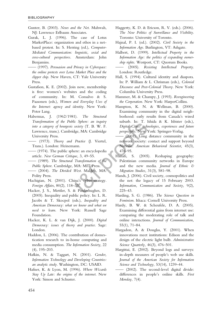- Gunter, B. (2003). News and the Net. Mahwah, NJ: Lawrence Erlbaum Associates.
- Gurak, L. J. (1996). The case of Lotus MarketPlace: organization and ethos in a netbased protest. In: S. Herring (ed.), Computer-Mediated Communication: linguistic, social and cross-cultural perspectives. Amsterdam: John Benjamins.
- —— (1997). Persuasion and Privacy in Cyberspace: the online protests over Lotus Market Place and the clipper chip. New Haven, CT: Yale University Press.
- Gustafson, K. E. (2002). Join now, membership is free: women's websites and the coding of community. In: M. Consalvo & S. Paasonen (eds.), Women and Everyday Uses of the Internet: agency and identity. New York: Peter Lang.
- Habermas, J. (1962/1981). The Structural Transformation of the Public Sphere: an inquiry into a category of bourgeois society (T. B. W. F. Lawrence, trans.). Cambridge, MA: Cambridge University Press.
- (1973). Theory and Practice (J. Viertel, Trans.). London: Heinemann.
- —— (1974). The public sphere: an encyclopedia article. New German Critique, 3, 49–55.
- —— (1989). The Structural Transformation of the Public Sphere. Cambridge, MA: MIT Press.
- —— (2004). The Divided West. Malden, MA: Polity Press.
- Hachigian, N. (2001). China's cyber-strategy. Foreign Affairs, 80(2), 118–33.
- Hacker, J. S., Mettler, S. & Pinderhughes, D. (2005). Inequality and public policy. In: L. R. Jacobs & T. Skocpol (eds.), Inequality and American Democracy: what we know and what we need to learn. New York: Russell Sage Foundation.
- Hacker, K. L. & van Dijk, J. (2000). Digital Democracy: issues of theory and practice. Sage: London.
- Haddon, L. (2006). The contribution of domestication research to in-home computing and media consumption. The Information Society, 22 (4), 195–203.
- Hafkin, N. & Taggart, N. (2001). Gender, Information Technology and Developing Countries: an analytic study. Washington, DC: USAID.
- Hafner, K. & Lyon, M. (1996). Where Wizards Stay Up Late: the origins of the internet. New York: Simon and Schuster.
- Haggerty, K. D. & Ericson, R. V. (eds.). (2006). The New Politics of Surveillance and Visibility. Toronto: University of Toronto.
- Hajnal, P. I. (ed.). (2002). Civil Society in the Information Age. Burlington, VT: Ashgate.
- Halbert, D. (1999). Intellectual Property in the Information Age: the politics of expanding ownership rights. Westport, CT: Quorum Books.
- $(2005)$ . Resisting Intellectual Property. London: Routledge.
- Hall, S. (1994). Cultural identity and diaspora. In: P. William & L. Chrisman (eds.), Colonial Discourse and Post-Colonial Theory. New York: Columbia University Press.
- Hammer, M. & Champy, J. (1993). Reengineering the Corporation. New York: HarperCollins.
- Hampton, K. N. & Wellman, B. (2000). Examining community in the digital neighborhood: early results from Canada's wired suburb. In: T. Ishida & K. Isbister (eds.), Digital Cities: technologies, experiences and future perspectives. New York: Springer-Verlag.
- $(2001)$ . Long distance community in the network society: contact and support beyond Netville. American Behavioral Scientist, 45(3), 476–95.
- the opinic, an inpury<br>
society (T. B. W. F. Digital Cities; tech.<br>
dge, MA: Cambridge perspectives. New \<br>
 (2001). Long<br>
Practice (J. Viertel, network society:<br>
ann.<br>
nere: an encyclopedia 476–95.<br>
Hanafi, S. (2005)<br>
Tra Hanafi, S. (2005). Reshaping geography: Palestinian community networks in Europe and the new media. Journal of Ethnic & Migration Studies, 31(3), 581–98.
	- Hands, J. (2006). Civil society, cosmopolitics and the net: the legacy of 15 February 2003. Information, Communication and Society, 9(2), 225–43.
	- Harding, S. G. (1986). The Science Question in Feminism. Ithaca: Cornell University Press.
	- Hardy, B. W. & Scheufele, D. A. (2005). Examining differential gains from internet use: comparing the moderating role of talk and online interactions. Journal of Communication, 55(1), 71–84.
	- Hargadon, A. & Douglas, Y. (2001). When innovations meet institutions: Edison and the design of the electric light bulb. Administrative Science Quarterly, 46(3), 476–501.
	- Hargittai, E. (2002). Beyond logs and surveys: in-depth measures of people's web use skills. Journal of the American Society for Information Science and Technology, 53(14), 1239–44.
	- —— (2002). The second-level digital divide: differences in people's online skills. First Monday,  $7(4)$ .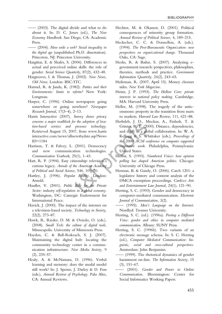- —— (2003). The digital divide and what to do about it. In: D. C. Jones (ed.), The New Economy Handbook. San Diego, CA: Academic Press.
- —— (2004). How wide a web? Social inequality in the digital age (unpublished Ph.D. dissertation). Princeton, NJ: Princeton University.
- Hargittai, E. & Shafer, S. (2006). Differences in actual and perceived online skills: the role of gender. Social Science Quarterly, 87(2), 432–48.
- Hargreaves, I. & Thomas, J. (2002). New News, Old News. London: BSC/ITC.
- Harmel, R. & Janda, K. (1982). Parties and their Environments: limits to reform? New York: Longman.
- Harper, C. (1996). Online newspapers: going somewhere or going nowhere? Newspaper Research Journal, 17(3–4), 2–13.
- Harris Interactive (2007). Survey shows privacy concerns a major roadblock for the adoption of location-based services and presence technology. Retrieved August 15, 2007, from www.harris interactive.com/news/allnewsbydate.asp?News ID=1184
- Harrison, T. & Falvey, L. (2001). Democracy and new communication technologies. Communication Yearbook, 25(1), 1–43.
- Hart, R. P. (1994). Easy citizenship: television's curious legacy. Annals of the American Academy of Political and Social Science, 546, 109–20.
- Hartley, J. (1996). Popular Reality. London: Arnold.
- Haufler, V. (2001). Public Role for the Private Sector: industry self-regulation in a global economy. Washington, DC: Carnegie Endowment for International Peace.
- Havick, J. (2000). The impact of the internet on a television-based society. Technology in Society, 22(2), 273–87.
- Hawk, B., Rieder, D. M. & Oviedo, O. (eds.). (2008). Small Tech: the culture of digital tools. Minneapolis: University of Minnesota Press.
- Hayden, C. & Ball-Rokeach, S. J. (2007). Maintaining the digital hub: locating the community technology center in a communication infrastructure. New Media Society, 9 (2), 235–57.
- Healy, A. & McNamara, D. (1996). Verbal learning and memory: does the modal model still work? In: J. Spense, J. Darley & D. Foss (eds.), Annual Review of Psychology. Palo Alto, CA: Annual Reviews.
- Hechter, M. & Okamot, D. (2001). Political consequences of minority group formation. Annual Review of Political Science, 4, 189–215.
- Heckscher, C. C. & Donnellon, A. (eds.). (1994). The Post-Bureaucratic Organization: new perspectives on organizational change. Thousand Oaks, CA: Sage.
- Heeks, R. & Bailur, S. (2007). Analyzing egovernment research: perspectives, philosophies, theories, methods and practice. Government Information Quarterly, 24(2), 243–65.
- Heileman, R. (2007, April 15). Money chooses sides. New York Magazine.
- Heinz, J. P. (1993). The Hollow Core: private interests in national policy making. Cambridge, MA: Harvard University Press.
- Heller, M. (1998). The tragedy of the anticommons: property in the transition from marx to markets. Harvard Law Review, 111, 621–88.
- France technology. Grinter, R. E. (20<br>
D7, from www.harris and delay in a glocussby<br>
directly and delay in a glocussby<br>
the 2000 ACM contract the component of the 2000 ACM contract the component<br>
directly. London: extendin Herbsleb, J. D., Mockus, A., Finholt, T. & Grinter, R. E. (2000). Distance, dependencies, and delay in a global collaboration. In: W. A. Kellogg & S. Whittaker (eds.), Proceedings of the 2000 ACM conference on computer supported cooperative work. Philadelphia, Pennsylvania: United States.
	- Herbst, S. (1993). Numbered Voices: how opinion polling has shaped American politics. Chicago: University of Chicago Press.
	- Herman, B. & Gandy, O. (2006). Catch 1201: a legislative history and content analysis of the DMCA exemption proceedings. Cardozo Arts and Entertainment Law Journal, 24(1), 121–90.
	- Herring, S. C. (1993). Gender and democracy in computer-mediated communication. Electronic Journal of Communication, 3(2).
	- —— (1995). Men's Language on the Internet. Nordlyd: Tromso University.
	- Herring, S. C. (ed.). (1996a). Posting a Different Voice: gender and ethics in computer mediated communication. Albany: SUNY Press.
	- Herring, S. C. (1996b). Two variants of an electronic message schema. In: S. C. Herring (ed.), Computer Mediated Communication: linguistic, social and cross-cultural perspectives. Amsterdam: John Benjamins.
	- —— (1999). The rhetorical dynamics of gender harassment on-line. The Information Society, 15 (3), 151–67.
	- (2001). Gender and Power in Online Communication. Bloomington: Center for Social Informatics Working Papers.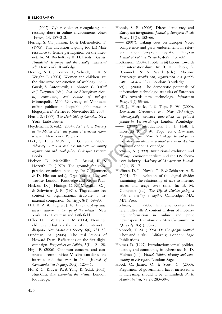- (2002). Cyber violence: recognizing and resisting abuse in online environments. Asian Women, 14, 187–212.
- Herring, S. C., Johnson, D. & DiBenedetto, T. (1995). This discussion is going too far! Male resistance to female participation on the internet. In: M. Bucholtz & K. Hall (eds.), Gender Articulated: language and the socially constructed self. New York: Routledge.
- Herring, S. C., Kouper, I., Scheidt, L. A. & Wright, E. (2004). Women and children last: the discursive construction of weblogs. In: L. Gurak, S. Antonijevik, L. Johnson, C. Ratliff & J. Reyman (eds.), Into the Blogosphere: rhetoric, community, and culture of weblogs. Minnespolis, MN: University of Minnesota online publication: http://blog.lib.umn.edu/ blogosphere/ Retrieved November 23, 2007.
- Hersh, S. (1997). The Dark Side of Camelot. New York: Little Brown.
- Heydemann, S. (ed.). (2004). Networks of Privilege in the Middle East: the politics of economic reform revisited. New York: Palgrave.
- Hick, S. F. & McNutt, J. G. (eds.). (2002). Advocacy, Activism and the Internet: community organization and social policy. Chicago: Lyceum Books.
- Hickson, D., MacMillan, C., Azumi, K. & Horvath, D. (1979). The grounds for comparative organization theory. In: C. Lammers & D. Hickson (eds.), Organizations Alike and Unalike. London: Routledge and Kegan Paul.
- Hickson, D. J., Hinings, C. R., McMillan, C. J. & Schwitter, J. P. (1974). The culture-free context of organizational structure: a trinational comparison. Sociology, 8(1), 59-80.
- Hill, K. A. & Hughes, J. E. (1998). Cyberpolitics: citizen activism in the age of the internet. New York, NY: Rowman and Littlefield.
- Hiller, H. H. & Franz, T. M. (2004). New ties, old ties and lost ties: the use of the internet in diaspora. New Media and Society, 6(6), 731–52.
- Hindman, M. (2005). The real lessons of Howard Dean: Reflections on the first digital campaign. Perspectives on Politics, 3(1), 121–28.
- Hirji, F. (2006). Common concerns and constructed communities: Muslim canadians, the internet and the war in Iraq. Journal of Communication Inquiry, 30(2), 125–41.
- Ho, K. C., Kluver, R. & Yang, K. (eds.). (2003). Asia.Com: Asia encounters the internet. London: Routledge.
- Hobolt, S. B. (2006). Direct democracy and European integration. Journal of European Public Policy, 13(1), 153–66.
- —— (2007). Taking cues on Europe? Voter competence and party endorsements in referendums on European integration. European Journal of Political Research, 46(2), 151–82.
- Hodkinson. (2004). Problems @ labour: towards net internationalism. In: R. K. Gibson, A. Rommele & S. Ward (eds.), Electronic Democracy: mobilisation, organisation and participation via new ICTs. London: Routledge.
- Hoff, J. (2004). The democratic potentials of information technology: attitudes of European MPs towards new technology. Information Polity, 9(2) 55–66.
- Hoff, J., Horrocks, I. & Tops, P. W. (2000). Democratic Governance and New Technology: technologically mediated innovations in political practice in Western Europe. London: Routledge.
- —— (2000). Introduction. In: J. Hoff, I. Horrocks & P. W. Tops (eds.), Democratic Governance and New Technology: technologically mediated innovations in political practice in Western Europe. London: Routledge.
- Hoffman, A. (1999). Institutional evolution and change: environmentalism and the US chemistry industry. Academy of Management Journal, 42(4), 351–71.
- The Units of economic reform<br>
The phase is a contribution of the Merculeum of the Merculeum C, eds.). (2002).<br>
The methanic and N<br>
I. G. (eds.). (2002). The metal of November 2010). The metal of the proofs of comparizatio Hoffman, D. L., Novak, T. P. & Schlosser, A. E. (2001). The evolution of the digital divide: examining the relationship of race to internet access and usage over time. In: B. M. Compaine (ed.), The Digital Divide: facing a crisis or creating a myth?. Cambridge, MA: MIT Press.
	- Hoffman, L. H. (2006). Is internet content different after all? A content analysis of mobilizing information in online and print newspapers. Journalism and Mass Communication Quarterly, 83(1), 58–76.
	- Holbrook, T. M. (1996). Do Campaigns Matter? Thousand Oaks, California; London: Sage Publications.
	- Holmes, D. (1997). Introduction: virtual politics, identity and community in cyberspace. In: D. Holmes (ed.), Virtual Politics: identity and community in cyberspace. London: Sage.
	- Hood, C., James, O. & Scott, C. (2000). Regulation of government: has it increased, is it increasing, should it be diminished? Public Administration, 78(2), 283–304.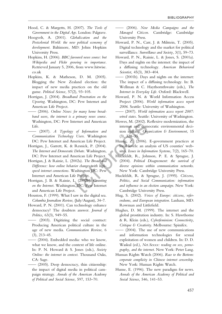- Hood, C. & Margetts, H. (2007). The Tools of Government in the Digital Age. London: Palgrave.
- Hoogvelt, A. (2001). Globalization and the Postcolonial World: the new political economy of development. Baltimore, MD: Johns Hopkins University Press.
- Hopkins, H. (2006). BBC favoured news source: but Wikipedia and Flickr growing in importance. Retrieved January 5, 2006, from www.hitwise. co.uk
- Hopkins, K. & Matheson, D. M. (2005). Blogging the New Zealand election: the impact of new media practices on the old game. Political Science, 57(2), 93–105.
- Horrigan, J. (2004). Broadband Penetration on the Upswing. Washington, DC: Pew Internet and American Life Project.
- —— (2006). Online News: for many home broadband users, the internet is a primary news source. Washington, DC: Pew Internet and American Life.
- —— (2007). A Typology of Information and Communication Technology Users. Washington DC: Pew Internet and American Life Project.
- Horrigan, J., Garrett, K. & Resnick, P. (2004). The Internet and Democratic Debate. Washington, DC: Pew Internet and American Life Project.
- The Content of Mormation and Sion making. Org<br>
1997 Users. Washington (3), 328–35.<br>
merican Life Project. Huang, Z, (2006).<br>
Resnick, P. (2004). Iocal levels: an an<br>
1998 Debate. Washington, sites. Issues in Informerican L Horrigan, J. & Rainie, L. (2002a). The Broadband Difference: how online behavior changes with highspeed internet connections. Washington DC: Pew Internet and American Life Project.
- Horrigan, J. B. & Rainie, L. (2002b). Counting on the Internet. Washington, DC: Pew Internet and American Life Project.
- Houston, F. (1999). What I saw in the digital sea. Columbia Journalism Review, (July/August), 34–7.
- Howard, P. N. (2001). Can technology enhance democracy? The doubters answer. Journal of Politics, 63(3), 949–55.
	- $(2003)$ . Digitizing the social contract: Producing American political culture in the age of new media. Communication Review, 6 (3), 213–45.
	- —— (2004). Embedded media: who we know, what we know, and the context of life online. In: P. N. Howard & S. Jones (eds.), Society Online: the internet in context. Thousand Oaks, CA: Sage.
	- $-$  (2005). Deep democracy, thin citizenship: the impact of digital media in political campaign strategy. Annals of the American Academy of Political and Social Science, 597, 153–70.

—— (2006). New Media Campaigns and the Managed Citizen. Cambridge: Cambridge University Press.

- Howard, P. N., Carr, J. & Milstein, T. (2005). Digital technology and the market for political surveillance. Surveillance and Society, 3(1), 59-73.
- Howard, P. N., Rainie, L. & Jones, S. (2001a). Days and nights on the internet: the impact of a diffusing technology. American Behavioral Scientist, 45(3), 383–404.
- (2001b). Days and nights on the internet: The impact of a diffusing technology. In: B. Wellman & C. Haythornthwaite (eds.), The Internet in Everyday Life. Oxford: Blackwell.
- Howard, P. N. & World Information Access Project (2006). World information access report 2006. Seattle: University of Washington.
- (2007). World information access report 2007: wired states. Seattle: University of Washington.
- Howes, M. (2002). Reflexive modernization, the internet and democratic environmental decision making. Organization & Environment, 15 (3), 328–35.
- Huang, Z. (2006). E-government practices at local levels: an analysis of US counties' websites. Issues in Information Systems, 7(2), 165–70.
- Huckfeldt, R., Johnson, P. E. & Sprague, J. (2004). Political Disagreement: the survival of diverse opinions within communication networks. New York: Cambridge University Press.
- Huckfeldt, R. & Sprague, J. (1995). Citizens, Politics, and Social Communication: information and influence in an election campaign. New York: Cambridge University Press.
- Hug, S. (2002). Voices of Europe: citizens, referendums, and European integration. Lanham, MD: Rowman and Littlefield.
- Hughes, D. M. (1999). The internet and the global prostitution industry. In: S. Hawthorne & R. Klein (eds.), Cyberfeminism: Connectivity, Critique & Creativity. Melbourne: Spinifex.
- —— (2004). The use of new communications and information technologies for sexual exploitation of women and children. In: D. D. Waskul (ed.), Net.Sexxx: reading on sex, pornography, and the internet. New York: Peter Lang.
- Human Rights Watch (2006). Race to the Bottom: corporate complicity in Chinese internet censorship. New York: Human Rights Watch.
- Hume, E. (1996). The new paradigm for news. Annals of the American Academy of Political and Social Science, 546, 141–53.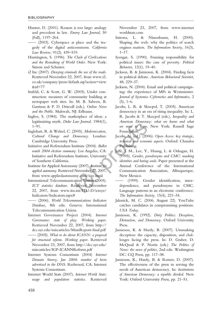- Hunter, D. (2001). Reason is too large: analogy and precedent in law. Emory Law Journal, 50 (Fall), 1197–264.
- —— (2003). Cyberspace as place and the tragedy of the digital anticommons. California Law Review, 91(2), 439–519.
- Huntington, S. (1996). The Clash of Civilizations and the Remaking of World Order. New York: Simon and Schuster.
- i2 Inc (2007). Denying criminals the use of the roads. Retrieved November 22, 2007, from www.i2. co.uk/company/press/default.asp?action=view &id=77
- Imfeld, C. & Scott, G. W. (2005). Under construction: measures of community building at newspaper web sites. In: M. B. Salwen, B. Garrison & P. D. Driscoll (eds.), Online News and the Public. Mahwah, NJ: Erlbaum.
- Ingber, S. (1984). The marketplace of ideas: a legitimizing myth. Duke Law Journal, 1984(1), 1–91.
- Inglehart, R. & Welzel, C. (2005). Modernization, Cultural Change and Democracy. London: Cambridge University Press.
- Initiative and Referendum Institute (2004). Ballot watch 2004 election summary. Los Angeles, CA: Initiative and Referendum Institute, University of Southern California.
- Institute for Applied Autonomy (2007). Institute for applied autonomy. Retrieved November 22, 2007, from www.appliedautonomy.com/isee.html
- International Telecommunication Union (2005). ICT statistics database. Retrieved November 22, 2007, from www.itu.int/ITU-D/icteye/ Indicators/Indicators.aspx#
- —— (2006). World Telecommunications Indicators Database, 8th edn. Geneva: International Telecommunication Union.
- Internet Governance Project (2004). Internet Governance: state of play. Working paper. Retrieved November 22, 2007, from http:// dcc.syr.edu/miscarticles/MainReport-final.pdf
- $-$  (2005). What to do about ICANN: a proposal for structural reform. Working paper. Retrieved November 23, 2007, from http://dcc.syr.edu/ miscarticles/IGP-ICANNReform.pdf
- Internet Systems Consortium (2004) Internet Domain Survey, Jan 2004: number of hosts advertised in the DNS. Redwood, CA: Internet Systems Consortium.
- Internet World Stats (2007). Internet World Stats: usage and population statistics. Retrieved

November 23, 2007, from www.internet worldstats.com

- Introna, L. & Nissenbaum, H. (2000). Shaping the web: why the politics of search engines matters. The Information Society, 16(3), 1–17.
- Iyengar, S. (1990). Framing responsibility for political issues: the case of poverty. Political Behavior, 12(1), 19–40.
- Jackson, B. & Jamieson, K. (2004). Finding facts in political debate. American Behavioral Scientist, 48, 229–37.
- Jackson, N. (2004). Email and political campaigning: the experience of MPs in Westminster. Journal of Systemics Cybernetics and Informatics, 2  $(5), 1-6.$
- Jacobs, L. R. & Skocpol, T. (2005). American democracy in an era of rising inequality. In: L. R. Jacobs & T. Skocpol (eds.), Inequality and American Democracy: what we know and what we need to learn. New York: Russell Sage Foundation.
- Jacobs, N. (ed.). (2006). Open Access: key strategic, technical and economic aspects. Oxford: Chandos Publishing.
- Examplemental Democration, We need to learn.<br>
Democracy. London: Jacobs, N. (ed.). (2005). Modernization, Foundation.<br>
Democracy. London: Jacobs, N. (ed.). (2008).<br>
Substitute (2004). Ballot Publishing.<br>
Thus Angeles, CA: Jaffe, J. M., Lee, Y., Huang, L. & Oshagan, H. (1995). Gender, pseudonyms and CMC: masking identities and baring souls. Paper presented at the Annual Conference of the International Communication Association, Albuquerque, New Mexico.
	- —— (1999). Gender identification, interdependence, and pseudonyms in CMC. Language patterns in an electronic conference. The Information Society, 15(4), 221–34.
	- Jalonick, M. C. (2006, August 22). YouTube catches candidates in compromising positions. USA Today.
	- Jamieson, K. (1992). Dirty Politics: Deception, Distraction, and Democracy. Oxford University Press.
	- Jamieson, K. & Hardy, B. (2007). Unmasking deception: the capacity, disposition, and challenges facing the press. In: D. Graber, D. McQuail & P. Norris (eds.) The Politics of News: the news of politics, 2nd edn. Washington DC: CQ Press, pp. 117–38.
	- Jamieson, K., Hardy, B. & Romer, D. (2007). The effectiveness of the press in serving the needs of American democracy. In: Institutions of American Democracy: a republic divided. New York: Oxford University Press, pp. 21–51.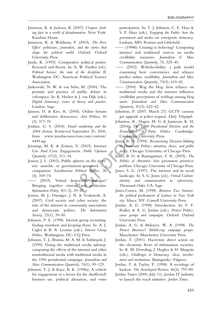- Jamieson, K. & Jackson, B. (2007). Unspun: finding facts in a world of disinformation. New York: Random House.
- Jamieson, K. & Waldman, P. (2003). The Press Effect: politicians, journalists, and the stories that shape the political world. Oxford: Oxford University Press.
- Janda, K. (1993). Comparative political parties: Research and theory. In: A. W. Finifter (ed.), Political Science: the state of the discipline II. Washington DC: American Political Science Association.
- Jankowski, N. W. & van Selm, M. (2000). The promise and practice of public debate in cyberspace. In: K. Hacker & J. van Dijk (eds.), Digital democracy: issues of theory and practice. London: Sage.
- Janssen, D. & Kies, R. (2005). Online forums and deliberative democracy. Acta Politica, 40 (3), 317–35.
- ail marketing and the (2004). The 2000<br>September 20, 2006, Foundations of<br>ection.com/content/ Cambridge Unive<br>lones, B. D. (1994).<br>N. (2003). Internet Jones, B. D. (1994).<br>N. (2003). Internet in Democratic Politic problems Jenkins, G. S. (2004). Email marketing and the 2004 election. Retrieved September 20, 2006, from www.imediaconnection.com/content/ 4499.asp
- Jennings, M. K. & Zeitner, V. (2003). Internet Use And Civic Engagement. Public Opinion Quarterly, 67(3), 311–34.
- Jensen, J. L. (2003). Public spheres on the internet: anarchic or government-sponsored – a comparison. Scandinavian Political Studies, 26 (4), 349–74.
- —— (2003). Virtual democratic dialogue? Bringing together citizens and politicians. Information Polity, 8(1–2), 29–47.
- Jensen, M. J., Danziger, J. N. & Venkatesh, A. (2007). Civil society and cyber society: the role of the internet in community associations and democratic politics. The Information Society, 23(1), 39–50.
- Johnson, P. E. (1998). Interest group recruiting: finding members and keeping them. In: A. J. Cigler & B. A. Loomis (eds.), Interest Group Politics. Washington, DC: CQ Press.
- Johnson, T. J., Braima, M. A. M. & Sothirajah, J. (1999). Doing the traditional media sidestep: comparing the effects of the internet and other nontraditional media with traditional media in the 1996 presidential campaign. Journalism and Mass Communication Quarterly, 76(1), 99–123.
- Johnson, T. J. & Kaye, B. K. (1998a). A vehicle for engagement or a haven for the disaffected? Internet use, political alienation, and voter

participation. In: T. J. Johnson, C. E. Hays & S. P. Hays (eds.), Engaging the Public: how the government and media can reinvigorate democracy. Lanham, MD: Roman and Littlefield.

- —— (1998b) Cruising is believing? Comparing internet and traditional sources on media credibility measures. Journalism & Mass Communication Quarterly, 75, 325–40.
- —— (2002). Webelievability: a path model examining how convenience and reliance predict online credibility. Journalism and Mass Communication Quarterly, 79(3), 619–42.
- $-$  (2004). Wag the blog: how reliance on traditional media and the internet influence credibility perceptions of weblogs among blog users. Journalism and Mass Communication Quarterly, 81(3), 622–42.
- Johnston, P. (2007, March 27). CCTV cameras get upgrade at police request. Daily Telegraph.
- Johnston, R., Hagen, M. G. & Jamieson, K. H. (2004). The 2000 Presidential Election and the Foundations of Party Politics. Cambridge: Cambridge University Press.
- Jones, B. D. (1994). Reconceiving Decision-Making in Democratic Politics: attention, choice, and public policy. Chicago: University of Chicago Press.
- Jones, B. D. & Baumgartner, F. R. (2005). The Politics of Attention: how government prioritizes
- problems. Chicago: University of Chicago Press. Jones, S. G. (1997). The internet and its social
- landscape. In: S. G. Jones (ed.), Virtual Culture: identity and communication in cybersociety. Thousand Oaks, CA: Sage.
- Jones-Correa, M. (1998). Between Two Nations: the political predicament of Latinos in New York city. Ithaca, NY: Cornell University Press.
- Jordan, A. G. (1998). Introduction. In: F. F. Ridley & A. G. Jordan (eds.), Protest Politics: cause groups and campaigns. Oxford: Oxford University Press.
- Jordan, A. G. & Maloney, W. A. (1998). The Protest Business? Mobilizing campaign groups. Manchester: Manchester University Press.
- Jordan, T. (2001). Hactivism: direct action on the electronic flows of information societies. In: K. M. Dowding, J. Hughes & H. Margetts (eds.), Challenges to Democracy: ideas, involvement and institutions. Basingstoke: Palgrave.
- Jordan, T. & Taylor, P. (1998). A sociology of hackers. The Sociological Review, 46(4), 757-80.
- Jordan Times (2000, July 11). Jordan IT industry to launch the reach initiative. Jordan Times.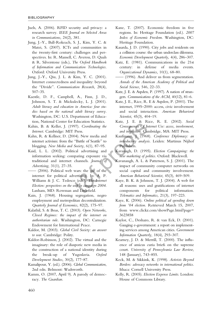- Juels, A. (2006). RFID security and privacy: a research survey. IEEE Journal on Selected Areas in Communications, 24(2), 381.
- Jung, J.-Y., Ball-Rokeach, S. J., Kim, Y. C. & Matei, S. (2007). ICTs and communities in the twenty-first century: challenges and perspectives. In: R. Mansell, C. Averou, D. Quah & R. Silverstone (eds.), The Oxford Handbook of Information and Communication Technologies. Oxford: Oxford University Press.
- Jung, J.-Y., Qiu, J. L. & Kim, Y. C. (2001). Internet connectedness and inequality: beyond the "Divide". Communication Research, 28(4), 507–35.
- Kaestle, D. F., Campbell, A., Finn, J. D., Johnson, S. T. & Mickulecky, L. J. (2001). Adult literacy and education in America: four studies based on the national adult literacy survey. Washington, DC: U.S. Department of Education, National Center for Education Statistics.
- Kahin, B. & Keller, J. (1997). Coordinating the Internet. Cambridge: MIT Press.
- Kahn, R. & Kellner, D. (2004). New media and internet activism: from the "Battle of Seattle" to blogging. New Media and Society, 6(1), 87–95.
- Kaid, L. L. (2002). Political advertising and information seeking: comparing exposure via traditional and internet channels. Journal of Advertising, 31(1), 27–35.
- Example 2014<br>
197). Coordinating the Consequences Of Ir<br>
197). Coordinating the Consequences Of Ir<br>
1988<br>
1988<br>
1988<br>
1988<br>
1988<br>
1988<br>
1989<br>
1989<br>
1989<br>
1989<br>
1989<br>
1989<br>
1989<br>
1989<br>
1989<br>
1989<br>
1999<br>
1989<br>
1999<br>
1999<br>
19  $-$  (2006). Political web wars: the use of the internet for political advertising. In: A. P. Williams & J. C. Tedesco (eds.), The Internet Election: perspectives on the web in campaign 2004. Lanham, MD: Rowman and Littlefield.
- Kain, J. (1968). Housing segregation, negro employment and metropolitan decentralization. Quarterly Journal of Economics, 82(2), 175–97.
- Kalathil, S. & Boas, T. C. (2003). Open Networks, Closed Regimes: the impact of the internet on authoritarian rule. Washington, DC: Carnegie Endowment for International Peace.
- Kaldor, M. (2003). Global Civil Society: an answer to war. Cambridge: Polity.
- Kaldor-Robinson, J. (2002). The virtual and the imaginary: the role of diasporic new media in the construction of a national identity during the break-up of Yugoslavia. Oxford Development Studies, 30(2), 177–87.
- Kamalipour, Y. (ed.). (2006). Global Communication, 2nd edn. Belmont: Wadsworth.
- Kamm, O. (2007, April 9). A parody of democracy. The Guardian.
- Kane, T. (2007). Economic freedom in five regions. In: Heritage Foundation (ed.). 2007 Index of Economic Freedom. Washington, DC: Heritage Foundation.
- Kasarda, J. D. (1990). City jobs and residents on a collision course: the urban underclass dilemma. Economic Development Quarterly, 4(4), 286–307.
- Katz, E. (1981). Communications in the 21st century: in defense of media events. Organizational Dynamics, 10(1), 68–80.
- (1996). And deliver us from segmentation. Annals of the American Academy of Political and Social Science, 546, 22–33.
- Katz, J. E. & Aspden, P. (1997). A nation of strangers. Communications of the ACM, 40(12), 81–6.
- Katz, J. E., Rice, R. E & Aspden, P. (2001). The internet, 1995–2000: access, civic involvement and social interaction. American Behavioral Scientist, 45(3), 404–19.
- Katz, J. E. & Rice, R. E. (2002). Social Consequences Of Internet Use: access, involvement, and interaction. Cambridge, MA: MIT Press.
- Kaufmann, J. (1968). Conference Diplomacy: an introductory analysis. Leiden: Martinus Nijhof Publishers.
- Kavanagh, D. (1995). Election Campaigning: the new marketing of politics. Oxford: Blackwell.
- Kavanaugh, A. L. & Patterson, S. J. (2001). The impact of community computer networks on social capital and community involvement. American Behavioral Scientist, 45(3), 469–509.
- Kaye, B. K. & Johnson, T. J. (2004). A web for all reasons: uses and gratifications of internet components for political information. Telematics and Informatics, 21(3), 197–223.
- Kaye, K. (2006). Online political ad spending down from '04 election. Retrieved March 15, 2007, from www.clickz.com/showPage.html?page= 3623858
- Kaylor, C., Deshazo, R. & van Eck, D. (2001). Gauging e-government: a report on implementing services among American cities. Government Information Quarterly, 18(4), 293–307.
- Kearney, J. D. & Merrill, T. (2000). The influence of amicus curia briefs on the supreme court. University of Pennsylvania Law Review, 148 (January), 743–855.
- Keck, M. & Sikkink, K. (1998). Activists Beyond Borders: advocacy networks in international politics. Ithaca: Cornell University Press.
- Kelly, R. (2005). Election Expense Limits. London: House of Commons Library.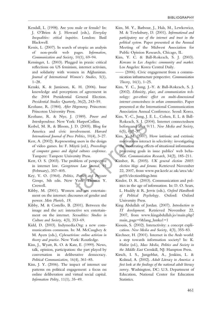- Kendall, L. (1998). Are you male or female? In: J. O'Brien & J. Howard (eds.), Everyday Inequalities: critical inquiries. London: Basil Blackwell.
- Kenix, L. (2007). In search of utopia: an analysis of non-profit web pages. Information, Communication and Society, 10(1), 69–94.
- Kensinger, L. (2003). Plugged in praxis: critical reflections on US feminism, internet activism, and solidarity with women in Afghanistan. Journal of International Women's Studies, 5(1), 1–28.
- Kenski, K. & Jamieson, K. H. (2006). Issue knowledge and perceptions of agreement in the 2004 Presidential General Election. Presidential Studies Quarterly, 36(2), 243–59.
- Keohane, R. (1984). After Hegemony. Princeton: Princeton University Press.
- Keohane, R. & Nye, J. (1989). Power and Interdependence. New York: HarperCollins.
- Kerbel, M. R. & Bloom, J. D. (2005). Blog for America and civic involvement. Harvard International Journal of Press Politics, 10(4), 3–27.
- Kerr, A. (2002). Representing users in the design of video games. In: F. Mäyrä (ed.), Proceedings of computer games and digital cultures conference. Tampere: Tampere University Press.
- Kerr, O. S. (2003). The problem of perspective in internet law. Georgetown Law Journal, 91 (February), 357–405.
- Key, V. O. (1964). Politics, Parties and Pressure Groups, 5th edn. New York: Thomas Y. Crowell.
- Kibby, M. (2001). Women and sex entertainment on the internet: discourses of gender and power. Mots Pluriels, 19.
- Kibby, M. & Costello, B. (2001). Between the image and the act: interactive sex entertainment on the internet. Sexualities: Studies in Culture and Society, 4(3), 353–69.
- Kidd, D. (2003). Indymedia.Org: a new communications commons. In: M. McCaughey & M. Ayers (eds.), Cyberactivism: online activism in theory and practice. New York: Routledge.
- Kim, J., Wyatt, R. O. & Katz, E. (1999). News, talk, opinion, participation: the part played by conversation in deliberative democracy. Political Communication, 16(4), 361–85.
- Kim, J. Y. (2006). The impact of internet use patterns on political engagement: a focus on online deliberation and virtual social capital. Information Polity, 11(1), 35–49.
- Kim, M. Y., Barbour, J., Hals, M., Lewkowicz, M. & Tewksbury, D. (2001). Informational and participatory use of the internet and trust in the political system. Paper presented at the Annual Meeting of the Midwest Association for Public Opinion Research, Chicago, IL.
- Kim, Y. C. & Ball-Rokeach, S. J. (2003). Koreans in Los Angeles: community and market. Los Angeles: Korea Central Daily.
- $-$  (2006). Civic engagement from a communication infrastructure perspective. Communication Theory, 16(1), 1–25.
- Kim, Y. C., Jung, J.-Y. & Ball-Rokeach, S. J. (2002). Ethnicity, place, and communication technology: geo-ethnic effect on multi-dimensional internet connectedness in urban communities. Paper presented at the International Communication Association Annual Conference. Seoul: Korea.
- Kim, Y.-C., Jung, J. E. L., Cohen, E. L. & Ball-Rokeach, S. J. (2004). Internet connectedness before and after 9/11. New Media and Society, 6(5), 611–31.
- the Calculary of the moderating effects of the moderation of the moderation of the moderation of the moderating effects and present approximately process and the moderating effects of the moderating effects of the moderati Kim, Y. M. (2007). How intrinsic and extrinsic motivations interact in selectivity: investigating the moderating effects of situational information processing goals in issue publics' web behavior. Communication Research, 34(2), 185–211.
	- Kimber, R. (2005). UK general election 2005: election blogs and forums. Retrieved November 22, 2007, from www.psr.keele.ac.uk/area/uk/ ge05/electionblogs.htm
	- Kinder, D. R. (2003). Communication and politics in the age of information. In: D. O. Sears, L. Huddy & R. Jervis (eds.), Oxford Handbook of Political Psychology. Oxford: Oxford University Press.
	- King Abdullah of Jordan. (2007). Introduction to IT development. Retrieved November 22, 2007, from www.kingabdullah.jo/main.php? main\_page=0&lang\_hmka1=1
	- Kiousis, S. (2002). Interactivity: a concept explication. New Media and Society, 4(3), 355–83.
	- Kirchner, H. (2001). Internet in the Arab world: a step towards information society? In: K. Hafez (ed.), Mass Media, Politics and Society in the Middle East Cresskill, NJ: Hampton Press.
	- Kirsch, I. S., Jungeblut, A., Jenkins, L. & Kolstad, A. (2002). Adult Literacy in America: a first look at the findings of the national adult literacy survey. Washington, DC: U.S. Department of Education, National Center for Education Statistics.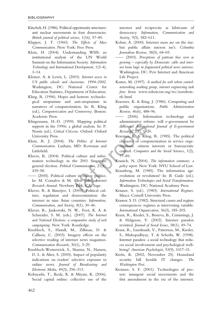- Kitschelt, H. (1986). Political opportunity structures: anti nuclear movements in four democracies. British journal of political science, 1(16), 57–85.
- Klapper, J. T. (1960). The Effects of Mass Communication. New York: Free Press.
- Klein, H. (2004). Understanding WSIS: an institutional analysis of the UN World Summit on the Information Society. Information Technology and International Development, 1(3–4),  $3 - 14$ .
- Kleiner, A. & Lewis, L. (2003). Internet access in US public schools and classrooms: 1994–2002. Washington, DC: National Center for Education Statistics, Department of Education.
- Kling, R. (1996). Hopes and horrors: technological utopianism and anti-utopianism in narratives of computerization. In: R. Kling (ed.), Computerization and Controversy. Boston: Academic Press.
- Klingemann, H.-D. (1999). Mapping political support in the 1990s: a global analysis. In: P. Norris (ed.), Critical Citizens. Oxford: Oxford University Press.
- Klotz, R. J. (2004). The Politics of Internet Communication. Lanham, MD: Rowman and Littlefield.
- Kluver, R. (2004). Political culture and information technology in the 2001 Singapore general election. Political Communication, 21(4), 435–58.
- —— (2005). Political culture in online politics. In: M. Consalvo & M. Allen (eds.), Internet Research Annual. Newbury Park, CA: Sage.
- Kluver, R. & Banerjee, I. (2005). Political culture, regulation and democratization: the internet in nine Asian countries. Information, Communication, and Society, 8(1), 30–46.
- Kluver, R., Jankowski, N. W., Foot, K. A. & Schneider, S. M. (eds.). (2007). The Internet and National Elections: a comparative study of web campaigning. New York: Routledge.
- Knobloch, S., Hastall, M., Zillman, D. & Callison, C. (2003). Imagery effects on the selective reading of internet news magazines. Communication Research, 30(1), 3–29.
- Knobloch-Westerwick, S., Sharma, N., Hansen, D. L. & Alter, S. (2005). Impact of popularity indications on readers' selective exposure to online news. Journal of Broadcasting and Electronic Media, 49(3), 296–313.
- Kobayashi, T., Ikeda, K. & Miyata, K. (2006). Social capital online: collective use of the

internet and reciprocity as lubricants of democracy. Information, Communication and Society, 9(5), 582-611.

- Kohut, A. (2000). Internet users are on the rise: but public affairs interest isn't. Columbia Journalism Review, 38(5), 68–69.
- —— (2003). Perceptions of partisan bias seen as growing – especially by Democrats: cable and internet loom large in fragmented political news universe. Washington, DC: Pew Internet and American Life Project.
- Koster, M. (1997). A method for web robots control: networking working group, internet engineering task force from www.robots.txt.org/wc/norobotsrfc.html
- Kraemer, K. & King, J. (1986). Computing and public organisations. Public Administration Review, 46(6), 488–96.
- (2006). Information technology and administrative reform: will e-government be different? International Journal of E-government Research, 2(1), 1–20.
- Example 18 different? International analysis. In: P. different? Internations: Control. Control. Control. Computer.<br>
18 Example 2001 Singapore (Control. Computer distance in the 2001 Singapore (Control. Computer distance in Kraemer, K. & Kling, R. (1985). The political character of computerization in service organizations: citizens interests or bureaucratic control. Computers and the Social Sciences, 1(2), 77–89.
	- Kranich, N. (2004). The information commons: a policy report. New York: NYU School of Law.
	- Kranzberg, M. (1985). The information age: evolution or revolution? In: B. Guile (ed.), Information Technologies and Social Transformation. Washington, DC: National Academy Press.
	- Krasner, S. (ed.). (1983). International Regimes. Ithaca: Cornell University Press.
	- Krasner, S. D. (1982). Structural causes and regime consequences: regimes as intervening variable. International Organization, 36(3), 185–205.
	- Kraut, R., Kiesler, S., Boneva, B., Cummings, J. & Helgeson, V. (2002). Internet paradox revisited. Journal of Social Issues, 58(1), 49–74.
	- Kraut, R., Lundmark, V., Patterson, M., Kiesler, S., Mukopadhyay, T. & Scherlis, W. (1998). Internet paradox: a social technology that reduces social involvement and psychological wellbeing? American Psychologist, 53(9), 1017–31.
	- Krebs, K. (2002, November 25). Homeland security bill heralds IT changes. The Washington Post.
	- Kreimer, S. F. (2001). Technologies of protest: insurgent social movements and the first amendment in the era of the internet.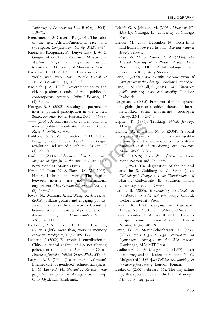University of Pennsylvania Law Review, 150(1), 119–71.

- Kretchmer, S. & Carveth, R. (2001). The color of the net: African-Americans, race, and cyberspace. Computers and Society, 31(3), 9–14.
- Kriesi, H., Koopmans, R., Duyvendask, J. W. & Giugni, M. G. (1995). New Social Movements in Western Europe: a comparative analysis. Minneapolis: University of Minnesota Press.
- Kroløkke, C. H. (2003). Grrl explorers of the world wild web. Nora: Nordic Journal of Women's Studies, 11(3), 140–48.
- Krosnick, J. A. (1990). Government policy and citizen passion: a study of issue publics in contemporary America. Political Behavior, 12 (1), 59–92.
- Krueger, B. S. (2002). Assessing the potential of internet political participation in the United States. American Politics Research, 30(5), 476–98.
- $-$  (2006). A comparison of conventional and internet political mobilization. American Politics Research, 34(6), 759–76.
- Kulikova, S. V. & Perlmutter, D. D. (2007). Blogging down the dictator? The Kyrgyz revolution and samizdat websites. Gazette, 69 (1), 29–50.
- Kush, C. (2000). Cybercitizen: how to use your computer to fight for all the issues you care about. New York: St. Martin's Press.
- tion. American Politics 119–23.<br>
LaRose, R. & East<br>
tter, D. D. (2007). cognitive theory<br>
ttator? The Kyrgyz cations: toward a<br>
websites. *Gazette*, 69 dance. Journal of<br>
Media, 48(3), 358-<br>
seen: how to use your<br>
Lasch, C Kwak, N., Poor, N. & Skoric, M. M. (2006). Honey, I shrunk the world! The relation between internet use and international engagement. Mass Communication and Society, 9 (2), 189–213.
- Kwak, N., Williams, A. E., Wang, X. & Lee, H. (2005). Talking politics and engaging politics: an examination of the interactive relationships between structural features of political talk and discussion engagement. Communication Research, 32(1), 87–111.
- Kyllonen, P. & Christal, R. (1990). Reasoning ability is (little more than) working-memory capacity? Intelligence, 14(4), 389-433.
- Lacharite, J. (2002). Electronic decentralisation in China: a critical analysis of internet filtering policies in the People's Republic of China. Australian Journal of Political Science, 37(2), 333–46.
- Lægran, A. S. (2004). Just another boys' room? Internet cafés as gendered technosocial spaces. In: M. Lie (ed.), He, She and IT Revisited: new perspectives on gender in the information society. Oslo: Gyldendal Akademisk.
- Lakoff, G. & Johnson, M. (2003). Metaphors We Live By. Chicago, IL: University of Chicago Press.
- Lander, M. (2005, December 14). Tech firms find home in revived Estonia. The International Herald Tribune.
- Landes, W. M. & Posner, R. A. (2004). The Political Economy of Intellectual Property Law. Washington, DC: AEI-Brookings Joint Center for Regulatory Studies.
- Lane, F. (2000). Obscene Profits: the entrepreneurs of pornography in the cyber age. London: Routledge.
- Lane, G. & Thelwall, S. (2005). Urban Tapestries: public authoring, place and mobility. London: Proboscis.
- Langman, L. (2005). From virtual public spheres to global justice: a critical theory of internetworked social movements. Sociological Theory, 23(1), 42–74.
- Lappin, T. (1995). Trucking. Wired, January, 119–23.
- LaRose, R. & Eastin, M. S. (2004). A social cognitive theory of internet uses and gratifications: toward a new model of media attendance. Journal of Broadcasting and Electronic Media, 48(3), 358–77.
- Lasch, C. (1979). The Culture of Narcissism. New York: Norton and Company.
- $(1987)$ . The degradation of the political arts. In: S. Goldberg & C. Strain (eds.), Technological Change and the Transformation of America. Carbondale, IL: Southern Illinois University Press, pp. 79–90.
- Latour, B. (2005). Reassembling the Social: an introduction to actor network theory. Oxford: Oxford University Press.
- Laudon, K. (1974). Computers and Bureaucratic Reform. New York: John Wiley and Sons.
- Lawson-Borders, G. & Kirk, R. (2005). Blogs in campaign communication. American Behavioral Scientist, 49(4), 548–59.
- Lazer, D. & Mayer-Schönberger, V. (eds.). (2007). From E-gov to I-gov: governance and information technology in the 21st century. Cambridge, MA: MIT Press.
- Leadbeater, C. & Mulgan, G. (1997). Lean democracy and the leadership vacuum. In: G. Mulgan (ed.), Life After Politics: new thinking for the twenty first century. London: Fontana.
- Leake, C. (2007, February, 11). The tiny airline spy that spots bombers in the blink of an eye. Mail on Sunday, p. 52.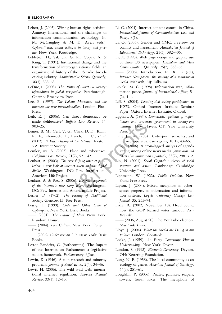- Lebert, J. (2003). Wiring human rights activism: Amnesty International and the challenges of information communication technology. In: M. McCaughey & M. D. Ayers (eds.), Cyberactivism: online activism in theory and practice. New York: Routledge.
- Leblebici, H., Salancik, G. R., Copay, A. & King, T. (1991). Institutional change and the transformation of interorganizational fields: an organizational history of the US radio broadcasting industry. Administrative Science Quarterly, 36(3), 333–63.
- LeDuc, L. (2003). The Politics of Direct Democracy: referendums in global perspective. Peterborough, Ontario: Broadview Press.
- Lee, E. (1997). The Labour Movement and the internet: the new internationalism. London: Pluto Press.
- Leib, E. J. (2006). Can direct democracy be made deliberative? Buffalo Law Review, 54, 903–25.
- Leiner, B. M., Cerf, V. G., Clark, D. D., Kahn, R. E., Kleinrock, L., Lynch, D. C., et al. (2003). A Brief History of the Internet. Reston, VA: Internet Society.
- Lemley, M. A. (2003). Place and cyberspace. California Law Review, 91(2), 521–42.
- Clark, D. D., Kahn, Press.<br>
Clark, D. D., Kahn, Press.<br>
ynch, D. C., et al. Lillie, J. J. M. (2004)<br>
the Internet. Reston, the net apparatus.<br>
Lim, J. (2006). A cr<br>
ace and cyberspace.<br>
(2), 521–42. Mass Communication<br>
sub Lenhart, A. (2003). The ever-shifting internet population: a new look at internet access and the digital divide. Washington, DC: Pew Internet and American Life Project.
- Lenhart, A. & Fox, S. (2006). Bloggers: a portrait of the internet's new story tellers Washington, DC: Pew Internet and American Life Project.
- Lerner, D. (1962). The Passing of Traditional Society. Glencoe, Ill: Free Press.
- Lessig, L. (1999). Code and Other Laws of Cyberspace. New York: Basic Books.
- —— (2001). The Future of Ideas. New York: Random House.
- —— (2004). Free Culture. New York: Penguin Press.
- —— (2006). Code: version 2.0. New York: Basic Books.
- Leston-Bandeira, C. (forthcoming). The Impact of the Internet on Parliaments: a legislative studies framework. Parliamentary Affairs.
- Lewin, K. (1946). Action research and minority problems. Journal of Social Issues, 2(4), 34–46.
- Lewis, H. (2006). The wild wild web: international internet regulation. Harvard Political Review, 33(1), 12–13.
- Li, C. (2004). Internet content control in China. International Journal of Communications Law and Policy,  $8(1)$ .
- Li, Q. (2005). Gender and CMC: a review on conflict and harassment. Australasian Journal of Educational Technology, 21(3), 382–406.
- Li, X. (1998). Web page design and graphic use of three US newspapers. Journalism and Mass Communication Quarterly, 75(2), 353–65.
- —— (2006). Introduction. In: X. Li (ed.), Internet Newspapers: the making of a mainstream media. Mahwah, NJ: Erlbaum.
- Libicki, M. C. (1998). Information war, information peace. Journal of International Affairs, 51 (2), 411.
- Liff, S. (2004). Locating civil society participation in WSIS. Oxford Internet Institute Seminar Paper. Oxford Internet Institute, Oxford.
- Lijphart, A. (1984). Democracies: patterns of majoritarian and consensus government in twenty-one countries. New Haven, CT: Yale University Press.
- Lillie, J. J. M. (2004). Cyberporn, sexuality, and the net apparatus. Convergence, 10(1), 43–65.
- Lim, J. (2006). A cross-lagged analysis of agenda setting among online news media. Journalism and Mass Communication Quarterly, 83(2), 298–312.
- Lin, N. (2001). Social Capital: a theory of social structure and action. Cambridge: Cambridge University Press.
- Lippmann, W. (1922). Public Opinion. New York: Free Press.
- Lipton, J. (2004). Mixed metaphors in cyberspace: property in information and information systems. Loyola University Chicago Law Journal, 35, 235–74.
- Lizza, R. (2002, November 18). Head count: how the GOP learned voter turnout. New Republic.
- $-$  (2006, August 20). The YouTube election. New York Times.
- Lloyd, J. (2004). What the Media are Doing to our Politics. London: Constable.
- Locke, J. (1959). An Essay Concerning Human Understanding. New York: Dover.
- London, S. (1993). Electronic Democracy. Dayton, OH: Kettering Foundation.
- Long, N. E. (1958). The local community as an ecology of games. American Journal of Sociology, 64(3), 251–61.
- Loughlan, P. (2006). Pirates, parasites, reapers, sowers, fruits, foxes. The metaphors of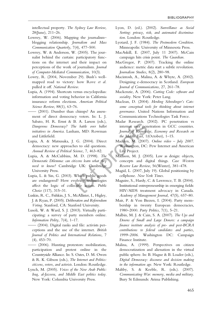intellectual property. The Sydney Law Review, 28(June), 211–26.

- Lowrey, W. (2006). Mapping the journalism– blogging relationship. Journalism and Mass Communication Quarterly, 7(4), 477–500.
- Lowrey, W. & Anderson, W. (2005). The journalist behind the curtain: participatory functions on the internet and their impact on perceptions of the work of journalism. Journal of Computer-Mediated Communication, 10(3).
- Lowry, R. (2004, November 29). Bush's wellmapped road to victory: how Rove et al. pulled it off. National Review.
- Lupia, A. (1994). Shortcuts versus encyclopedias: information and voting behavior in California insurance reform elections. American Political Science Review, 88(1), 63–76.
- $(2001)$ . Dumber than chimps? An assessment of direct democracy voters. In: L. J. Sabato, H. R. Ernst & B. A. Larson (eds.), Dangerous Democracy? The battle over ballot initiatives in America. Lanham, MD: Rowman and Littlefield.
- Lupia, A. & Matsusaka, J. G. (2004). Direct democracy: new approaches to old questions. Annual Review of Political Science, 7, 463–82.
- E. T. Latson (eas.),<br>
The battle over ballot internet user pen<br>
the Middle East, 1<br>
I. G. (2004). Direct Madden, M. (2007)<br>
hes to old questions. Washington, DC:<br>
Science, 7, 463–82. Life Project.<br>
M. D. (1998). The Middis Lupia, A. & McCubbins, M. D. (1998). The Democratic Dilemma: can citizens learn what they need to know? Cambridge UK: Cambridge University Press.
- Lupia, L. & Sin, G. (2003). Which public goods are endangered? How evolving technologies affect the logic of collective action. Public Choice (117), 315–31.
- Luskin, R. C., Fishkin, J. S., McAllister, I., Higley, J. & Ryan, P. (2005). Deliberation and Referendum Voting. Stanford, CA: Stanford University.
- Lusoli, W. & Ward, S. J. (2003). Virtually participating: a survey of party members online. Information Polity, 7(4), 1–17.
- —— (2004). Digital ranks and file: activists perceptions and the use of the internet. British Journal of Politics and International Relations, 7 (4), 453–70.
- (2006). Hunting protestors: mobilization, participation and protest online in the Countryside Alliance. In: S. Oates, D. M. Owen & R. K. Gibson (eds.), The Internet and Politics: citizens, voters, and activists. London: Routledge.
- Lynch, M. (2005). Voices of the New Arab Public: Iraq, al-Jazeera, and Middle East politics today. New York: Columbia University Press.
- Lyon, D. (ed.). (2002). Surveillance as Social Sorting: privacy, risk, and automated discrimination. London: Routledge.
- Lyotard, J. F. (1984). The Postmodern Condition. Minneapolis: University of Minnesota Press.
- MacAskill, E. (2007, July 11 2007). McCain campaign hits crisis point. The Guardian.
- MacGregor, P. (2007). Tracking the online audience: metric data start a subtle revolution. Journalism Studies, 8(2), 280–98.
- Macintosh, A., Malina, A. & Whyte, A. (2002). Designing e-democracy in Scotland. European Journal of Communications, 27, 261–78.
- Mackenzie, A. (2006). Cutting Code: software and sociality. New York: Peter Lang.
- Maclean, D. (2004). Herding Schrodinger's Cats: some conceptual tools for thinking about internet governance. United Nations Information and Communications Technologies Task Force.
- Madar Research. (2002). PC penetration vs internet user penetration in GCC countries. Journal of Knowledge, Economy and Research on the Middle East, 1(October), 1–15.
- Madden, M. (2007). Online video July 2007. Washington, DC: Pew Internet and American Life Project.
- Madison, M. J. (2005). Law as design: objects, concepts and digital things. Case Western Reserve Law Review, 56(Winter), 381–478.
- Magid, L. (2007, July 19). Global positioning by cellphone. New York Times.
- Maguire, S., Hardy, C. & Lawrence, T. B. (2004). Institutional entrepreneurship in emerging fields: HIV/AIDS treatment advocacy in Canada. Academy of Management Journal, 47(5), 657–80.
- Mair, P. & Von Biezen, I. (2004). Party membership in twenty European democracies, 1980–2000. Party Politics, 7(1), 5–21.
- Malbin, M. J. & Cain, S. A. (2007). The Ups and Downs of Small and Large Donors: a campaign finance institute analysis of pre- and post-BCRA contributions to federal candidates and parties, 1999–2006. Washington DC: Campaign Finance Institute.
- Malina, A. (1999). Perspectives on citizen democratization and alienation in the virtual public sphere. In: B. Hague & B. Loader (eds.), Digital Democracy: discourse and decision making in the information age. New York: Routledge.
- Maltby, S. & Keeble, R. (eds.). (2007). Communicating War: memory, media and military. Bury St Edmunds: Arima Publishing.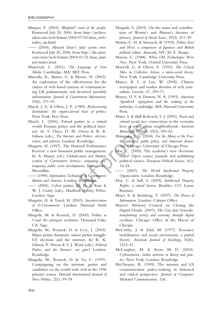- Manjoo, F. (2003). Blogland's man of the people. Retrieved July 20, 2006, from http://archive. salon.com/tech/feature/2003/07/03/dean\_web/ index\_np.html
- —— (2004). Howard Dean's fatal system error. Retrieved July 20, 2006, from http://dir.salon. com/story/tech/feature/2004/01/21/dean\_inter net/index.html
- Manovich, L. (2001). The Language of New Media. Cambridge, MA: MIT Press.
- Marcella, R., Baxter, G. & Moore, N. (2002). An exploration of the effectiveness for the citizen of web-based systems of communicating UK parliamentary and devolved assembly information. Journal of Government Information, 29(6), 371–91.
- March, J. G. & Olsen, J. P. (1989). Rediscovering Institutions: the organizational basis of politics. New York: Free Press.
- March, L. (2006). Virtual parties in a virtual world: Russian parties and the political internet. In: S. Oates, D. M. Owen & R. K. Gibson (eds.), The Internet and Politics: citizens, voters, and activists. London: Routledge.
- Frances in a virtual virtual social test.<br>
A. Owen & R. K. Behavioral Scientist,<br>
A. Owen & R. K. Behavioral Scientist,<br>
t and Politics: citizens, Matsusaka, J. G. (20<br>
1: Routledge. the initiative, public<br>
lational Perfor Margetts, H. (1997). The National Performance Review: a new humanist public management. In: A. Massey (ed.), Globalization and Marketization of Government Services: comparing contemporary public sector developments. Basingstoke: Macmillan.
- —— (1999). Information Technology in Government: Britain and America. London: Routledge.
- —— (2006). Cyber parties. In: R. S. Katz & W. J. Crotty (eds.), Handbook of Party Politics. London: Sage.
- Margetts, H. & Yared, H. (2003). Incentivization of E-Government. London: National Audit Office.
- Margolis, M. & Resnick, D. (2000). Politics as Usual: the cyberspace revolution. Thousand Oaks, CA: Sage.
- Margolis, M., Resnick, D. & Levy, J. (2003). Major parties dominate, minor parties struggle: US elections and the internet. In: R. K. Gibson, P. Nixon & S. J. Ward (eds.), Political Parties and the Internet: net gain? London: Routledge.
- Margolis, M., Resnick, D. & Tu, C. (1997). Campaigning on the internet: parties and candidates on the world wide web in the 1996 primary season. Harvard International Journal of Press/Politics, 2(1), 59–78.
- Margulis, S. (2003). On the status and contribution of Westin's and Altman's theories of privacy. Journal of Social Issues, 59(2), 411–29.
- Martin, C. H. & Stronach, B. (1992). Politics East and West: a comparison of Japanese and British political culture. Armonk, NY: M. E. Sharpe.
- Marvin, C. (1988). When Old Technologies Were New. New York: Oxford University Press.
- Marwell, G. & Oliver, P. (1993). The Critical Mass in Collective Action: a micro-social theory. New York: Cambridge University Press.
- Massey, B. L. & Luo, W. (2005). Chinese newspapers and market theories of web journalism. Gazette, 67, 359–71.
- Massey, D. S. & Denton, N. A. (1993). American Apartheid: segregation and the making of the underclass. Cambridge, MA: Harvard University Press.
- Matei, S. & Ball-Rokeach, S. J. (2001). Real and virtual social ties: connections in the everyday lives of seven ethnic neighborhoods. American Behavioral Scientist, 45(3), 550–63.
- Matsusaka, J. G. (2004). For the Many or the Few: the initiative, public policy, and American democracy. Chicago: University of Chicago Press.
- May, C. (2005). The academy's new electronic order? Open source journals and publishing political science. European Political Science, 4(1), 14–24.
- $(2007)$ . The World Intellectual Property Organization. London: Routledge.
- May, C. & Sell, S. (2005). Intellectual Property Rights: a critical history. Boulder, CO: Lynne Rienner.
- Mayo, E. & Steinberg, T. (2007). The Power of Information. London: Cabinet Office.
- Mayor's Advisory Council on Closing the Digital Divide. (2007). The City that Networks: transforming society and economy through digital excellence. Chicago: Office of the Mayor of Chicago.
- McCarthy, J. & Zald, M. (1977). Resource mobilization and social movements: a partial theory. American Journal of Sociology, 82(6), 1212–41.
- McCaughey, M. & Ayers, M. D. (2003). Cyberactivism: online activism in theory and practice. New York; London: Routledge.
- McChesney, R. (1995). The internet and US communication policy-making in historical and critical perspective. Journal of Computer-Mediated Communication, 1(4).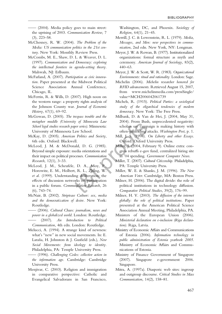—— (2004). Media policy goes to main street: the uprising of 2003. Communication Review, 7 (3), 223–58.

- McChesney, R. W. (2004). The Problem of the Media: US communication politics in the 21st century. New York: Monthly Review Press.
- McCombs, M. E., Shaw, D. L. & Weaver, D. L. (1997). Communication and Democracy: exploring the intellectual frontiers in agenda-setting theory. Mahwah, NJ: Erlbaum.
- McFarland, A. (2007). Participation as civic innovation. Paper presented at the Midwest Political Science Association Annual Conference, Chicago, IL.
- McFerrin, R. & Wills, D. (2007). High noon on the western range: a property rights analysis of the Johnson County war. Journal of Economic History, 67(1), 69–92.
- McGowan, D. (2005). The trespass trouble and the metaphor muddle (University of Minnesota Law School legal studies research paper series). Minnesota: University of Minnesota Law School.
- McKay, D. (2005). American Politics and Society, 6th edn. Oxford: Blackwell.
- McLeod, J. M. & McDonald, D. G. (1985). Beyond simple exposure: media orientations and their impact on political processes. Communication Research, 12(1), 3–33.
- The Miller, H. (2006).<br>
The Miller Coronal Control of the Miller Coronal Coronal Case of the Miller Coronal Case of the Miller Coronal Coronal Coronal Coronal Coronal Coronal Coronal Coronal Coronal Coronal Coronal Coronal McLeod, J. M., Scheufele, D. A., Moy, P., Horowitz, E. M., Holbert, R. L., Zhang, W. et al. (1999). Understanding deliberation: the effects of discussion networks on participation in a public forum. Communication Research, 26 (6), 743–74.
- McNair, B. (2002). Striptease Culture: sex, media and the democratization of desire. New York: Routledge.
- —— (2006). Cultural Chaos: journalism, news and power in a globalized world. London: Routledge.  $(2007)$ . An Introduction to Political

Communication, 4th edn. London: Routledge.

- Melucci, A. (1994). A strange kind of newness: what's "new" in new social movements. In: E. Laraña, H. Johnston & J. Gusfield (eds.), New Social Movements: from ideology to identity. Philadelphia, PA: Temple University Press.
- —— (1996). Challenging Codes: collective action in the information age. Cambridge: Cambridge University Press.
- Menjivar, C. (2003). Religion and immigration in comparative perspective: Catholic and Evangelical Salvadorans in San Francisco,

Washington, DC, and Phoenix. Sociology of Religion, 64(1), 21–45.

- Merrill, J. C. & Lowenstein, R. L. (1979). Media, Messages, and Men: new perspectives in communication, 2nd edn. New York, NY: Longman.
- Meyer, J. W. & Rowan, B. (1977). Institutionalized organizations: formal structure as myth and ceremony. American Journal of Sociology, 83(2), 440–63.
- Meyer, J. W. & Scott, W. R. (1983). Organizational Environments: ritual and rationality. London: Sage.
- Michelin (2006). Michelin researcher honored for RFID advancements. Retrieved August 15, 2007, from www.michelinmedia.com/pressSingle/ value=MCH2006042061739
- Michels, R. (1915). Political Parties: a sociological study of the oligarchical tendencies of modern democracy. New York: The Free Press.
- Milbank, D. & Van de Hei, J. (2004, May 31, 2004). From Bush, unprecedented negativity: scholars say campaign is making history with often-misleading attacks. Washington Post, p. 1.
- Mill, J. S. (1998). On Liberty and other Essays. Oxford: Oxford University Press.
- Miller, J. (2004, February 9). Online extra: congress rebuffs e-gov fund, centralized hiring site in '04 spending. Government Computer News.
- Miller, T. (2007). Cultural Citizenship. Philadelphia, PA: Temple University Press.
- Miller, W. E. & Shanks, J. M. (1996). The New American Voter. Cambridge, MA: Boston Press.
- Milner, H. (2006). The digital divide: the role of political institutions in technology diffusion. Comparative Political Studies, 39(2), 176–99.
- Milner, H. V. (2003). The diffusion of the internet globally: the role of political institutions. Paper presented at the American Political Science Association Annual Meeting, Philadelphia, PA.
- Ministers of the European Union (2006). Ministerial declaration on e-inclusion (Riga declaration). Riga, Latvia.
- Ministry of Economic Affairs and Communications of Estonia (2006). Information technology in public administration of Estonia yearbook 2005. Ministry of Economic Affairs and Communications of Estonia.
- Ministry of Finance Government of Singapore (2007). Singapore e-government 2006. Singapore.
- Mitra, A. (1997a). Diasporic web sites: ingroup and outgroup discourse. Critical Studies in Mass Communication, 14(2), 158–81.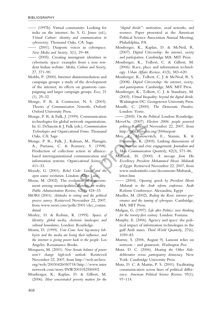- (1997b). Virtual community: Looking for india on the internet. In: S. G. Jones (ed.), Virtual Culture: identity and communication in cybersociety. Thousand Oaks, CA: Sage.
- —— (2001). Diasporic voices in cyberspace. New Media and Society, 3(1), 29–48.
- —— (2005). Creating immigrant identities in cybernetic space: examples from a non resident Indian website. Media, Culture and Society, 27, 371–90.
- Mobbs, P. (2000). Internet disintermediation and campaign groups: a study of the development of the internet, its effects on grassroots campaigning and larger campaign groups. Ecos, 21 (1), 25–32.
- Monge, P. R. & Contractor, N. S. (2003). Theories of Communication Networks. Oxford: Oxford University Press.
- Monge, P. R. & Fulk, J. (1999). Communication technologies for global network organizations. In: G. DeSanctis & J. Fulk (eds.), Communication Technologies and Organizational Forms. Thousand Oaks, CA: Sage.
- Collainty<br>
(eds.), Communication politics. Retrieved<br>
onal Forms. Thousand http://pol.moveon<br>
Moy, P., Manose<br>
alman, M., Flanagin, Dunsmore, K. (20<br>
lumsey, S. (1998).<br>
action in alliance-<br>
anizational Science, 9, Excelle Monge, P. R., Fulk, J., Kalman, M., Flanagin, A., Parnassa, C. & Rumsey, S. (1998). Production of collection action in alliancebased interorganizational communication and information systems. Organizational Science, 9, 411–33.
- Moody, G. (2001). Rebel Code: Linux and the open source revolution. London: Allen Lane.
- Moon, M. (2002). The evolution of e-government among municipalities rhetoric or reality. Public Administration Review, 62(4), 424–33.
- MORI (2001). Attitudes to voting and the political process survey. Retrieved November 22, 2007, from www.mori.com/polls/2001/elec\_comm. shtml
- Morley, D. & Robins, K. (1995). Spaces of Identity: global media, electronic landscapes and cultural boundaries. London: Routledge.
- Morris, D. (1999). Vote.Com: how big-money lobbyists and the media are losing their influence, and the internet is giving power back to the people. Los Angeles: Renaissance Books.
- Mosquera, M. (2001). New Senate balance of power won't change high-tech outlook. Retrieved November 22, 2007, from http://web.archive. org/web/20030426050718/http://www.inter netweek.com/story/INW20010525S0002
- Mossberger, K., Kaplan, D. & Gilbert, M. (2006). How concentrated poverty matters for the

"digital divide": motivation, social networks, and resources. Paper presented at the American Political Science Association Annual Meeting, Philadelphia, PA.

- Mossberger, K., Kaplan, D. & McNeil, R. (2007). Digital Citizenship: the internet, society and participation. Cambridge MA: MIT Press.
- Mossberger, K., Tolbert, C. & Gilbert, M. (2006). Race, place and information technology. Urban Affairs Review, 41(5), 583–620.
- Mossberger, K., Tolbert, C. J. & McNeal, R. S. (2008). Digital Citizenship: the internet, society, and participation. Cambridge, MA: MIT Press.
- Mossberger, K., Tolbert, C. J. & Stansbury, M. (2003). Virtual Inequality: beyond the digital divide. Washington DC: Georgetown University Press.
- Mouffe, C. (2000). The Democratic Paradox. London: Verso.
- (2005). On the Political. London: Routledge.
- MoveOn. (2007). Election 2006: people powered politics. Retrieved November 22, 2007, from http://pol.moveon.org/2006report
- Moy, P., Manosevitch, E., Stamm, K. & Dunsmore, K. (2005). Linking dimensions of internet use and civic engagement. Journalism and Mass Communication Quarterly, 82(3), 571–86.
- Mubarak, H. (2000). A message from His Excellency President Mohammed Hosni Mubarak of Egypt. Retrieved November 22, 2007, from www.mideastinfo.com/documents/Mubarak\_ letter.htm
- —— (2004). Opening speech by President Hosni Mubarak to the Arab reform conference. Arab Reform Conference. Alexandria, Egypt
- Mueller, M. (2002). Ruling the Root: internet governance and the taming of cyberspace. Cambridge, MA: MIT Press.
- Mulgan, G. (1997). Life after Politics: new thinking for the twenty-first century. London: Fontana.
- Murphy, E. (2006). Agency and space: the political impact of information technologies in the gulf Arab states. Third World Quarterly, 27(6), 1059–83.
- Murray, S. (2006, August 9). Lamont relies on netroots – and grassroots. Washington Post.
- Mutz, D. C. (2006). Hearing the Other Side: deliberative versus participatory democracy. New York: Cambridge University Press.
- Mutz, D. C. & Martin, P. S. (2001). Facilitating communication across lines of political difference. American Political Science Review, 95(1), 97–114.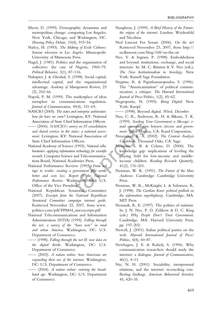- Myers, D. (1999). Demographic dynamism and metropolitan change: comparing Los Angeles, New York, Chicago, and Washington, DC. Housing Policy Debate, 10(4), 915-54.
- Naficy, H. (1993). The Making of Exile Cultures: Iranian television in Los Angeles. Minneapolis: Univeristy of Minnesota Press.
- Nagel, J. (1981). Politics and the organization of collective: the case of Nigeria, 1960–75. Political Behavior, 3(1), 87–116.
- Nahapiet, J. & Ghoshal, S. (1998). Social capital, intellectual capital, and the organizational advantage. Academy of Management Review, 23 (2), 242–66.
- Napoli, P. M. (1999). The marketplace of ideas metaphor in communications regulation. Journal of Communication, 49(4), 151–69.
- NASCIO (2005). The states and enterprise architecture: how far have we come? Lexington, KY: National Association of State Chief Information Officers.
- $-$  (2006). NASCIO's survey on IT consolidation and shared services in the states: a national assessment. Lexington, KY: National Association of State Chief Information Officers.
- National Academy of Science (1993). National collaboratories: applying information technology for scientific research. Computer Science and Telecommunications Board, National Academies Press.
- monnaton Oncess. (1993). Senang T<br>
vey on IT consolidation mail communication<br>
tates: a national assessment. Santa Monitonal Association of Neuendorf, K. A. (<br>
Officers. Guidebook. Thouss:<br>
(1993). National colla-<br>
Meuman, National Performance Review (1993). From red tape to results: creating a government that works better and costs less. Report of the National Performance Review. Washington, DC: U.S. Office of the Vice President.
- National Republican Senatorial Committee (2007). Excerpts from the National Republican Senatorial Committee campaign internet guide. Retrieved November 22, 2007, from www. politico.com/pdf/PPM44\_nrscexcerpts.pdf
- National Telecommunications and Information Administration (NTIA) (1995). Falling through the net: a survey of the "have nots" in rural and urban America. Washington, DC: U.S. Department of Commerce.
- —— (1998). Falling through the net II: new data on the digital divide. Washington, DC: U.S. Department of Commerce.
- —— (2002). A nation online: how Americans are expanding their use of the internet. Washington, DC: U.S. Department of Commerce.
- —— (2004). A nation online: entering the broadband age. Washington, DC: U.S. Department of Commerce.
- Naughton, J. (1999). A Brief History of the Future: the origins of the internet. London: Weidenfeld and Nicolson.
- Ned Lamont For Senate (2006). On the air! Retrieved November 23, 2007, from http:// nedlamont.com/blog/168/on-the-air
- Nee, V. & Ingram, P. (1998). Embeddedness and beyond: institutions, exchange, and social structure. In: M. C. Brinton & V. Nee (eds.), The New Institutionalism in Sociology. New York: Russell Sage Foundation.
- Negrine, R. & Papathanassopoulos, S. (1996). The "Americanization" of political communication: a critique. The Harvard International Journal of Press/Politics, 1(2), 45–62.
- Negroponte, N. (1995). Being Digital. New York: Knopf.
- —— (1998). Beyond digital. Wired, December.
- Neu, C. R., Anderson, R. H. & Bikson, T. K. (1999). Sending Your Government a Message: email communication between citizens and government. Santa Monica, CA: Rand Corporation.
- Neuendorf, K. A. (2002). The Content Analysis Guidebook. Thousand Oaks, CA: Sage.
- Neuman, S. B. & Celano, D. (2006). The knowledge gap: implications of leveling the playing field for low-income and middleincome children. Reading Research Quarterly, 41(2), 176–201.
- Neuman, W. R. (1991). The Future of the Mass Audience. Cambridge: Cambridge University Press.
- Neuman, W. R., McKnight, L. & Solomon, R. J. (1998). The Gordian Knot: political gridlock on the information superhighway. Cambridge, MA: MIT Press.
- Neustadt, R. E. (1997). The politics of mistrust. In: J. N. Nye, P. D. Zelikow & D. C. King (eds.) Why People Don't Trust Government. Cambridge, MA: Harvard University Press, pp. 197–202.
- Newell, J. (2001). Italian political parties on the web. Harvard International Journal of Press/ Politics, 6(4), 60–87.
- Newhagen, J. E. & Rafaeli, S. (1996). Why communication researchers should study the internet: a dialogue. Journal of Communication, 46(1), 4–13.
- Nie, N. H. (2001). Sociability, interpersonal relations, and the internet: reconciling conflicting findings. American Behavioral Scientist, 45, 420–35.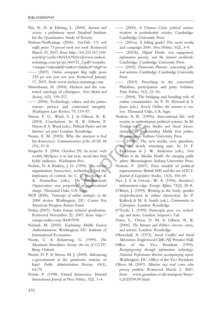- Nie, N. H. & Erbring, L. (2000). Internet and society: a preliminary report. Stanford Institute for the Quantitative Study of Society.
- Nielsen/NetRatings (2006). YouTube US web traffic grows 75 percent week over week. Retrieved March 20, 2007, from http://64.233.167.104/ search?q=cache:1PoVUO5z5vwJ:www.nielsennetratings.com/pr/pr\_060721\_2.pdf+youtube +unique+visitors&hl=en&ct=clnk&cd=1&gl=us
- —— (2007). Online newspaper blog traffic grows 210 per cent year over year. Retrieved January 17, 2007, from www.nielsen-netratings.com
- Nissenbaum, H. (2004). Hackers and the contested ontology of cyberspace. New Media and Society, 6(2), 195–217.
- —— (2004). Technology, values, and the justice system: privacy and contextual integrity. Washington Law Review, 79, 119–57.
- Nixon, P. G., Ward, S. J. & Gibson, R. K. (2003). Conclusions. In: R. K. Gibson, P. Nixon & S. Ward (eds.), Political Parties and the Internet: net gain? London: Routledge.
- Noam, E. M. (2005). Why the internet is bad for democracy. Communications of the ACM, 48  $(10), 57-8.$
- Noguchi, Y. (2006, October 29). In teens' web world, MySpace is so last year, social sites find fickle audience. Washington Post.
- Political Parties and the Tessler (ed.), Are<br>
Routledge.<br>
The internet is bad Bloomington: Index<br>
Example of the ACM, 48 (1999b). The<br>
er 29). In teens' web Eickleman & J.<br>
year, social sites find Media in the Musl<br>
on Pos Nohria, N. & Berkley, J. D. (1994). The virtual organization: bureacracy, technology, and the implosion of control. In: C. C. Heckscher & A. Donnellon (eds.), The Post-Bureacratic Organization: new perspectives on organizational change. Thousand Oaks, CA: Sage.
- NOI (2006). Transcript of online strategies in the 2006 election. Washington, DC: Centre For American Progress Action Fund.
- Nokia (2007). Nokia Europe technical specifications. Retrieved November 22, 2007, from http:// europe.nokia.com/A4307095
- Noland, M. (2005). Explaining Middle Eastern Authoritarianism. Washington, DC: Institute of International Economics.
- Norris, C. & Armstrong, G. (1999). The Maximum Surveillance Society: the rise of CCTV. Berg: Oxford.
- Norris, D. F. & Moon, M. J. (2005). Advancing e-government at the grassroots: tortoise or hare? Public Administration Review, 65(1), 64–75.
- Norris, P. (1998). Virtual democracy. Harvard International Journal of Press Politics, 3(2), 1–4.
- —— (2000). A Virtuous Circle: political communications in postindustrial societies. Cambridge: Cambridge University Press.
- $-$  (2001a). A failing grade? The news media and campaign 2000. Press/Politics, 6(2), 3–9.
- (2001b). Digital Divide: civic engagement, information poverty, and the internet worldwide. Cambridge: Cambridge University Press.
- —— (2002). Democratic Phoenix: reinventing political activism. Cambridge: Cambridge University Press.
- (2003). Preaching to the converted? Pluralism, participation and party websites. Party Politics, 9(1), 21-46.
- $-$  (2004). The bridging and bonding role of online communities. In: P. N. Howard & S. Jones (eds.), Society Online: the internet in context. Thousand Oaks, CA: Sage.
- Norton, A. R. (1999a). Associational life: civil society in authoritarian political systems. In M. Tessler (ed.), Area Studies and Social Science: strategies for understanding Middle East politics. Bloomington: Indiana University Press.
- (1999b). The new media, civic pluralism, and the slowly retreating state. In: D. F. Eickleman & J. W. Anderson (eds.), New Media in the Muslim World: the emerging public sphere. Bloomington: Indiana University Press.
- Norton, P. (2007). Four models of political representation: British MPs and the use of ICT. Journal of Legislative Studies, 13(3), 354–69.
- Nye, J. S. & Owens., W. A. (1996). America's information edge. Foreign Affairs, 75(2), 20–8.
- O'Brien, J. (1999). Writing in the body: gender (re)production in online interaction. In: P. Kollock & M. A. Smith (eds.), Communities in Cyberspace. London: Routledge.
- O'Toole, L. (1999). Pornocopia: porn, sex, technology and desire. London: Serpent's Tail.
- Oates, S., Owen, D. M. & Gibson, R. K. (2006). The Internet and Politics: citizens, voters, and activists. London: Routledge.
- Oberschall, A. (1973). Social Conflict and Social Movements. Englewood Cliffs, NJ: Prentice Hall.
- Office of the Vice President (1993). Reengingeering through information technology: National Performance Review accompanying report. Washington, DC: Office of the Vice President.
- Oliver, M. (2007). Minister says road zones solve privacy problem. Retrieved March 2, 2007, from www.guardian.co.uk/transport/Story/ 0,2025299,00.html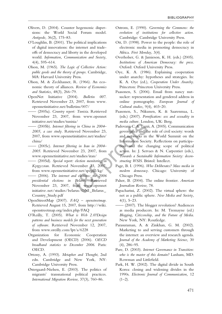- Olivers, D. (2004). Counter hegemonic dispersions: the World Social Forum model. Antipode, 36(2), 175–83.
- O'Loughlin, B. (2001). The political implications of digital innovations: the internet and tradeoffs of democracy and liberty in the developed world. Information, Communication and Society, 4(4), 595–614.
- Olson, M. (1965). The Logic of Collective Action: public goods and the theory of groups. Cambridge, MA: Harvard University Press.
- Olson, M. & Zeckhauser, R. (1966). An economic theory of alliances. Review of Economics and Statistics, 48(3), 266–79.
- OpenNet Initiative (2004). Bulletin 007. Retrieved November 23, 2007, from www. opennetinitiative.net/bulletins/007/
- —— (2005a). Country report: Tunisia. Retrieved November 23, 2007, from www.opennet initiative.net/studies/tunisia/
- $-$  (2005b). Internet filtering in China in 2004– 2005, a case study. Retrieved November 23, 2007, from www.opennetinitiative.net/studies/ china/
- $-$  (2005c). Internet filtering in Iran in 2004– 2005. Retrieved November 23, 2007, from www.opennetinitiative.net/studies/iran/
- —— (2005d). Special report: election monitoring in Kyrgyzstan. Retrieved November 23, 2007, from www.opennetinitiative.net/special/kg/
- $-$  (2006). The internet and elections: the 2006 presidential elections in Belarus. Retrieved November 23, 2007, from www.opennet initiative.net/studies/belarus/ONI \_Belarus \_ Country\_Study.pdf
- OpenStreetMap (2007). FAQ openstreetmap. Retrieved August 15, 2007, from http://wiki. openstreetmap.org/index.php/FAQ
- O'Reilly, T. (2005). What is Web 2.0?Design patterns and business models for the next generation of software. Retrieved November 12, 2007, from www.oreilly.com/lpt/a/6228
- Organization for Economic Cooperation and Development (OECD) (2006). OECD broadband statistics to December 2006. Paris: OECD.
- Ortony, A. (1993). Metaphor and Thought, 2nd edn. Cambridge and New York, NY: Cambridge University Press.
- Østergaard-Nielsen, E. (2003). The politics of migrants' transnational political practices. International Migration Review, 37(3), 760–86.
- Ostrom, E. (1990). Governing the Commons: the evolution of institutions for collective action. Cambridge: Cambridge University Press.
- Ott, D. (1998). Power to the people: the role of electronic media in promoting democracy in Africa. First Monday, 3(4).
- Overholser, G. & Jamieson, K. H. (eds.) (2005). Institutions of American Democracy: the press. Oxford: Oxford University Press.
- Oye, K. A. (1986). Explaining cooperation under anarchy: hypotheses and strategies. In: K. A. Oye (ed.), Cooperation Under Anarchy. Princeton: Princeton University Press.
- Paasonen, S. (2006). Email from nancy nutsucker: representation and gendered address in online pornography. European Journal of Cultural studies, 9(4), 403–20.
- Paasonen, S., Nikunen, K. & Saarenmaa, L. (eds.) (2007). Pornification: sex and sexuality in media culture. London, UK: Berg.
- man chimat Exchenge in China in 2004<br>
and chimat C. & Tuzz<br>
eved November 23,<br>
event/studies/
and networks in<br>
limitiative.net/studies/
and networks in<br>
limitative.net/studies/
in and the cl<br>
user 23, 2007, from<br>
the class Padovani, C. & Tuzzi, A. (2005). Communication governance and the role of civil society: words and networks in the World Summit on the Information Society. Reflections on participation and the changing scope of political action. In: J. Servaes & N. Carpentier (eds.), Towards a Sustainable Information Society: deconstructing WSIS. Bristol: Intellect.
	- Page, B. I. (1996). Who Deliberates? Mass media in modern democracy. Chicago: University of Chicago Press.
	- Palser, B. (2004). The online frontier. American Journalism Review, 78.
	- Papacharissi, Z. (2002). The virtual sphere: the net as a public sphere. New Media and Society, 4(1), 5–23.
	- —— (2007). The blogger revolution? Audiences as media producers. In: M. Tremayne (ed.) Blogging, Citizenship, and the Future of Media. New York, NY: Routledge.
	- Parasuraman, A. & Zinkhan, G. M. (2002). Marketing to and serving customers through the internet: an overview and research agenda. Journal of the Academy of Marketing Science, 30 (4), 286–95.
	- Pare, D. (2003). Internet Governance in Transition: who is the master of this domain? Lanham, MD: Rowman and Littlefield.
	- Park, H. W. (2002). The digital divide in South Korea: closing and widening divides in the 1990s. Electronic Journal of Communication, 12  $(1-2)$ .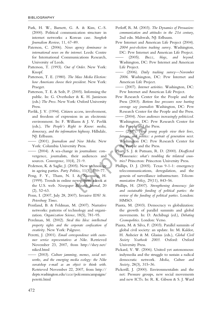- Park, H. W., Barnett, G. A. & Kim, C.-S. (2000). Political communication structure in internet networks: a Korean case. Sungkok Journalism Review, 11, 67–89.
- Paterson, C. (2006). News agency dominance in international news on the internet. Leeds: Centre for International Communications Research, University of Leeds.
- Patterson, T. (1993). Out of Order. New York: Knopf.
- Patterson, T. E. (1980). The Mass Media Election: how Americans choose their president. New York: Praeger.
- Patterson, T. E. & Seib, P. (2005). Informing the public. In: G. Overholser & K. H. Jamieson (eds.) The Press. New York: Oxford University Press.
- Pavlik, J. V. (1994). Citizen access, involvement, and freedom of expression in an electronic environment. In: F. Williams & J. V. Pavlik (eds.), The People's Right to Know: media, democracy, and the information highway. Hillsdale, NJ: Erlbaum.
	- —— (2001). Journalism and New Media. New York: Columbia University Press.
- —— (2004). A sea-change in journalism: convergence, journalists, their audiences and sources. Convergence, 10(4), 21-9.
- Pederson, K. & Saglie, J. (2005). New technology in ageing parties. Party Politics, 11(3), 359–77.
- Matthe Matthe Washington, DC.<br>
ht to Know: media, the People and the<br>
futures, and politics<br>
d New Media. New Washington DC:<br>
ty Press.<br>
in journalism: con-<br>
heir audiences and Democracies: what<br>
in journalism: con-<br>
pharr Peng, F. Y., Tham, N. I. & Xiaoming, H. (1999). Trends in online newspapers: a look at the U.S. web. Newspaper Research Journal, 20 (2), 52–63.
- Penn, I. (2007, July 28, 2007). Invasive IDS? St. Petersburg Times.
- Pentland, B. & Feldman, M. (2007). Narrative networks: patterns of technology and organization. Organization Science, 18(5), 781–95.
- Perelman, M. (2002). Steal this Idea: intellectual property rights and the corporate confiscation of creativity. New York: Palgrave.
- Peretti, J. (2001). Email correspondence with customer service representatives at Nike. Retrieved November 23, 2007, from http://shey.net/ niked.html
- —— (2003). Culture jamming, memes, social networks, and the emerging media ecology: the Nike sweatshop e-mail as an object to think with. Retrieved November 22, 2007, from http:// depts.washington.edu/ccce/polcommcampaigns/ peretti.html
- Perloff, R. M. (2003). The Dynamics of Persuasion: communication and attitudes in the 21st century, 2nd edn. Mahwah, NJ: Erlbaum.
- Pew Internet and American Life Project (2004). 2004 post-election tracking survey. Washington, DC: Pew Internet and American Life Project.
- $(2005)$ . Buzz, blogs, and beyond. Washington, DC: Pew Internet and American Life Project.
- —— (2006). Daily tracking survey—November 2006. Washington, DC: Pew Internet and American Life Project.
- —— (2007). Internet activities. Washington, DC: Pew Internet and American Life Project.
- Pew Research Center for the People and the Press (2003). Bottom line pressures now hurting coverage say journalists Washington, DC: Pew Research Center for the People and the Press.
- (2004). News audiences increasingly politicized. Washington, DC: Pew Research Center for the People and the Press.
- —— (2007). How young people view their lives, futures, and politics: a portrait of generation next. Washington DC: Pew Research Center for the People and the Press.
- Pharr, S. J. & Putnam, R. D. (2000). Disaffected Democracies: what's troubling the trilateral countries? Princeton: Princeton University Press.
- Phillips, D. J. (2005). Texas 9-1-1: emergency telecommunications, deregulation, and the genesis of surveillance infrastructure. Telecommunication Policy, 29(11), 843-56.
- Phillips, H. (2007). Strengthening democracy: fair and sustainable funding of political parties: the review of the funding of political parties. London: HMSO.
- Pianta, M. (2003). Democracy vs globalization: the growth of parallel summits and global movements. In: D. Archibugi (ed.), Debating Cosmopolitics. London: Verso.
- Pianta, M. & Silva, F. (2003). Parallel summits of global civil society: an update. In: M. Kaldor, H. Anheier & M. Glasius (eds.), Global Civil Society Yearbook 2003. Oxford: Oxford University Press.
- Pickard, V. W. (2006). United yet autonomous: indymedia and the struggle to sustain a radical democratic network. Media, Culture and Society, 28(3), 315–36.
- Pickerill, J. (2000). Environmentalists and the net: Pressure groups, new social movements and new ICTs. In: R. K. Gibson & S. J. Ward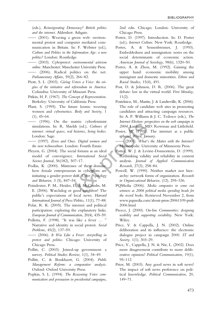(eds.), Reinvigorating Democracy? British politics and the internet. Aldershot: Ashgate.

- —— (2001). Weaving a green web: environmental protest and computer mediated communication in Britain. In: F. Webster (ed.), Culture and Politics in the Information Age: a new politics? London: Routledge.
- —— (2003). Cyberprotest: environmental activism online. Manchester: Manchester University Press.
- —— (2006). Radical politics on the net. Parliamentary Affairs, 59(2), 266–82.
- Piott, S. L. (2003). Giving Voters a Voice: the origins of the initiative and referendum in America. Columbia: University of Missouri Press.
- Pitkin, H. F. (1967). The Concept of Representation. Berkeley: University of California Press.
- Plant, S. (1995). The future looms: weaving women and cybernetics. Body and Society, 1 (1), 45–64.
- —— (1996). On the matrix: cyberfeminist simulations. In: R. Shields (ed.), Cultures of internet: virtual spaces, real histories, living bodies. London: Sage.
- —— (1997). Zeros and Ones. Digital women and the new technoculture. London: Fourth Estate.
- Pleyers, G. (2004). The social forums as an ideal model of convergence. International Social Science Journal, 56(182), 507–17.
- atana, eyestemmake matter Excusor, per<br>
lds (ed.), Cultures of 2004. Lanham, M<br>
histories, living bodies. Poster, M. (1995).<br>
sphere? Wired, Jan<br>
sphere? Wired, Jan<br>
sphere? Wired, Jan<br>
sphere? Wired, Jan<br>
sphere? Wired, J Podlas, K. (2000). Mistresses of their domain: how female entrepreneurs in cyberporn are initiating a gender power shift. Cyber Psychology and Behavior, 3 (5), 847–54.
- Poindexter, P. M., Heider, D. & McCombs, M. E. (2006). Watchdog or good neighbor? The public's expectations of local news. Harvard International Journal of Press/Politics, 11(1), 77–88.
- Polat, R. K. (2005). The internet and political participation: exploring the explanatory links. European Journal of Communication, 20(4), 435–59.
- Polletta, F. (1998). "It was like a fever … " Narrative and identity in social protest. Social Problems, 45(2), 137–59.
- —— (2006). It Was Like a Fever: storytelling in protest and politics. Chicago: University of Chicago Press.
- Pollitt, C. (2003). Joined-up government: a survey. Political Studies Review, 1(1), 34-49.
- Pollitt, C. & Boukhaert, G. (2004). Public Management Reform: a comparative analysis. Oxford: Oxford University Press.
- Popkin, S. L. (1994). The Reasoning Voter: communication and persuasion in presidential campaigns,

2nd edn. Chicago; London: University of Chicago Press.

- Porter, D. (1997). Introduction. In: D. Porter (ed.), Internet Culture. New York: Routledge.
- Portes, A. & Sensenbrenner, J. (1993). Embeddedness and immigration: notes on the social determinants of economic action. American Journal of Sociology, 98(6), 1320–50.
- Portes, A. & Zhou, M. (1992). Gaining the upper hand: economic mobility among immigrant and domestic minorities. Ethnic and Racial Studies, 15(4), 491.
- Post, D. & Johnson, D. R. (2006). The great debate: law in the virtual world. First Monday, 11(2).
- Postelnicu, M., Martin, J. & Landreville, K. (2006). The role of candidate web sites in promoting candidates and attracting campaign resources. In: A. P. Williams & J. C. Tedesco (eds.), The Internet Election: perspectives on the web campaign in 2004. Lanham, MD: Rowman and Littlefield.
- Poster, M. (1995). The internet as a public sphere? Wired, January.
- $(2001)$ . What's the Matter with the Internet? Minneapolis: University of Minnesota Press.
- Potter, W. J. & Levine-Donnerstein, D. (1999). Rethinking validity and reliability in content analysis. Journal of Applied Communication Research, 27(3), 258–84.
- Powell, W. (1990). Neither market nor hierarchy: network forms of organization. Research in Organizational Behavior, (12), 295–336.
- PQMedia (2006). Media companies to come out winners as 2006 political media spending heads for the record books. Retrieved November 2, from www.pqmedia.com/about-press-20061109-pmb 2006.html
- Preece, J. (2000). On-line Communities: designing usability and supporting sociability. New York: Wiley.
- Price, V. & Cappella, J. N. (2002). Online deliberation and its influence: the electronic dialogue project in campaign 2000. IT and Society, 1(1), 303–29.
- Price, V., Cappella, J. N. & Nir, L. (2002). Does more disagreement contribute to more deliberative opinion? Political Communication, 19(1), 95–112.
- Prior, M. (2003). Any good news in soft news? The impact of soft news preference on political knowledge. Political Communication, 20, 149–71.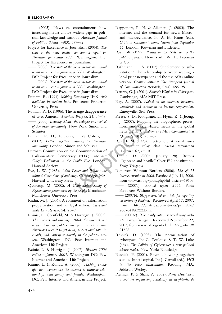- (2005). News vs. entertainment: how increasing media choice widens gaps in political knowledge and turnout. American Journal of Political Science, 49(3), 577–92.
- Project for Excellence in Journalism (2004). The state of the news media: an annual report on American journalism 2003. Washington, DC: Project for Excellence in Journalism.
- $-$  (2006). The state of the news media: an annual report on American journalism 2005. Washington, DC: Project for Excellence in Journalism.
- $-$  (2007). The state of the news media: an annual report on American journalism 2006. Washington, DC: Project for Excellence in Journalism.
- Putnam, R. (1994). Making Democracy Work: civic traditions in modern Italy. Princeton: Princeton University Press.
- Putnam, R. D. (1996). The strange disappearance of civic America. American Prospect, 24, 34–48.
- $-$  (2000). Bowling Alone: the collapse and revival of American community. New York: Simon and Schuster.
- Putnam, R. D., Feldstein, L. & Cohen, D. (2003). Better Together: restoring the American community. London: Simon and Schuster.
- Example and Review S. (2007). Energy<br>
the compete and Review Science is a fourneed to the the state of the American<br>
The Contenty, 8(3), 23<br>
restoring the American<br>
Reid, E. M. (1993).<br>
In and Schuster. The internet relati Puttnam Commission on the Communication of Parliamentary Democracy (2006). Members Only? Parliament in the Public Eye. London: Hansard Society.
- Pye, L. W. (1985). Asian Power and Politics: the cultural dimensions of authority. Cambridge, MA: Harvard University Press.
- Qvortrup, M. (2002). A Comparative Study of Referendums: government by the people. Manchester: Manchester University Press.
- Radin, M. J. (2006). A comment on information propertization and its legal milieu. Cleveland State Law Review, 54, 23–39.
- Rainie, L., Cornfield, M. & Horrigan, J. (2005). The internet and campaign 2004: the internet was a key force in politics last year as 75 million Americans used it to get news, discuss candidates in emails, and participate directly in the political process. Washington, DC: Pew Internet and American Life Project.
- Rainie, L. & Horrigan, J. (2007). Election 2006 online – January 2007. Washington DC: Pew Internet and American Life Project.
- Rainie, L. & Kohut, A. (2000). Tracking online life: how women use the internet to cultivate relationships with family and friends. Washington, DC: Pew Internet and American Life Project.
- Rappoport, P. N. & Alleman, J. (2003). The internet and the demand for news: Macroand microevidence. In: A. M. Knott (ed.), Crisis in Communications: lessons from September 11. London: Rowman and Littlefield.
- Rash, W. (1997). Politics on the Nets: wiring the political process. New York: W. H. Freeman & Co.
- Rathmann, T. A. (2002). Supplement or substitution? The relationship between reading a local print newspaper and the use of its online version. Communications: The European Journal of Communication Research, 27(4), 485–98.
- Rattray, G. J. (2001). Strategic Warfare in Cyberspace. Cambridge, MA: MIT Press.
- Ray, A. (2007). Naked on the internet: hookups, downloads and cashing in on internet sexploration. Emeryville: Seal Press.
- Reese, S. D., Rutigliano, L., Hyun, K. & Jeong, J. (2007). Mapping the blogosphere: professional and citizen-based media in the global news arena. Journalism and Mass Communication Quarterly, 8(3), 235–62.
- Reid, E. M. (1993). Electronic chat: social issues in internet relay chat. Media Information Australia, 67, 62–70.
- Rennie, D. (2005, January 28). Britons "Ignorant and hostile" Over EU constitution. Daily Telegraph.
- Reporters Without Borders (2006). List of 13 internet enemies in 2006. Retrieved July 11, 2006, from www.rsf.org/print.php3?id\_article=19603
- $(2007a)$ . Annual report 2007. Paris: Reporters Without Borders.
- —— (2007b). Blogger arrested and held for reporting on torture of detainees. Retrieved April 17, 2007, from http://allafrica.com/stories/printable/ 200704180322.html
- —— (2007c). The Dailymotion video-sharing website is accessible again. Retrieved November 22, 2007, from www.rsf.org/article.php3?id\_article= 21528
- Resnick, D. (1998). The normalization of cyberspace. In: C. Toulouse & T. W. Luke (eds.), The Politics of Cyberspace: a new political science reader. New York: Routledge.
- Resnick, P. (2001). Beyond bowling together: sociotechnical capital. In: J. Carroll (ed.), HCI in the New Millennium. Reading, MA: Addison-Wesley.
- Resnick, P. & Shah, V. (2002). Photo Directories: a tool for organizing sociability in neighborhoods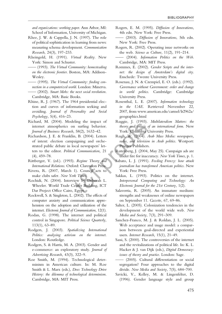and organizations: working paper. Ann Arbor, MI: School of Information, University of Michigan.

- Rhee, J. W. & Cappella, J. N. (1997). The role of political sophistication in learning from news: measuring schema development. Communication Research, 24(3), 197–233.
- Rheingold, H. (1991). Virtual Reality. New York: Simon and Schuster.
- $-$  (1993). The Virtual Community: homesteading on the electronic frontier. Boston, MA: Addison-Wesley.
- (1995). The Virtual Community: finding connection in a computerized world. London: Minerva.
- —— (2002). Smart Mobs: the next social revolution. Cambridge, MA: Basic Books.
- Rhine, R. J. (1967). The 1964 presidential election and curves of information seeking and avoiding. Journal of Personality and Social Psychology, 5(4), 416–23.
- Richard, M. (2004). Modeling the impact of internet atmospherics on surfing behavior. Journal of Business Research, 58(2), 1632–42.
- The Extendant Communication of Edge Control of Extremely and the terminology and praxis (5.8(2), 1632–42.<br>
The proofs are provided by the proofs and the proofs and the proofs and the proofs ocal newspapers' let-<br>
and Commu Richardson, J. E. & Franklin, B. (2004). Letters of intent: election campaigning and orchestrated public debate in local newspapers' letters to the editor. Political Communication, 21 (4), 459–78.
- Rittberger, V. (ed.). (1993). Regime Theory and International Relations. Oxford: Clarendon Press.
- Rivera, R. (2007, March 1). Council acts to make clubs safer. New York Times.
- Rochidi, N. (2004). Interview by Deborah L. Wheeler. World Trade Center Building, ICT Dar Project Office Cairo, Egypt.
- Rockwell, S. & Singleton, L. (2002). The effects of computer anxiety and communication apprehension on the adoption and utilization of the internet. Electronic Journal of Communication, 12(1).
- Rodan, G. (1998). The internet and political control in Singapore. Political Science Quarterly, 113(1), 63–89.
- Rodgers, J. (2003). Spatializing International Politics: analysing activism on the internet. London: Routledge.
- Rodgers, S. & Harris, M. A. (2003). Gender and e-commerce: an exploratory study. Journal of Advertising Research, 43(3), 322–9.
- Roe Smith, M. (1994). Technological determinism in American culture. In: M. Roe Smith & L. Marx (eds.), Does Technology Drive History: the dilemma of technological determinism. Cambridge, MA: MIT Press.
- Rogers, E. M. (1995). Diffusion of Innovations, 4th edn. New York: Free Press.
- (2003). Diffusion of Innovations, 5th edn. New York: Free Press.
- Rogers, R. (2002). Operating issue networks on the web. Science as Culture, 11(2), 191-214.
- $-$  (2004). Information Politics on the Web. Cambridge, MA: MIT Press.
- Rommes, E. (2002). Gender Scripts and the internet: the design of Amsterdam's digital city. Enschede: Twente University Press.
- Rosenau, J. N. & Czempiel, E. O. (eds.). (1992). Governance without Government: order and change in world politics. Cambridge: Cambridge University Press.
- Rosenthal, L. E. (2007). Information technology in the UAE. Retrieved November 22, 2007, from www.american.edu/carmel/lr2962a/ geographics.html
- Ruggie, J. (1993). Multilateralism Matters: the theory and praxis of an international form. New York: Columbia University Press.
- Rugh, W. (2004). Arab Mass Media: newspapers, radio, and television in Arab politics. Westport: Praeger Publishers.
- Rutenberg, J. (2004, May 25). Campaign ads are under fire for inaccuracy. New York Times, p. 1.
- Sabato, L. J. (1991). Feeding Frenzy: how attack journalism has transformed American politics. New York: Free Press.
- Sakkas, L. (1993). Politics on the internet. Interpersonal Computing and Technology: An Electronic Journal for the 21st Century, 1(2).
- Salaverria, R. (2005). An immature medium: strengths and weaknesses of online newspapers on September 11. Gazette, 67, 69–86.
- Salter, L. (2005). Colonization tendencies in the development of the world wide web. New Media and Society, 7(3), 291–309.
- Sanchez-Franco, M. J. & Roldan, J. L. (2005). Web acceptance and usage model: a comparison between goal-directed and experiential users. Internet Research, 15(1), 21–49.
- Sassi, S. (2000). The controversies of the internet and the revitalizations of political life. In: K. L. Hacker & J. van Dijk (eds.), Digital Democracy: issues of theory and practice. London: Sage.
- —— (2005). Cultural differentiation or social segregation? Four approaches to the digital divide. New Media and Society, 7(5), 684-700.
- Savicki, V., Kelley, M. & Lingenfelter, D. (1996). Gender language style and group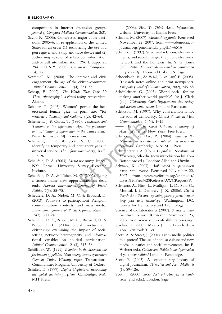composition in internet discussion groups. Journal of Computer-Mediated Communication, 2(3).

- Savin, R. (2006). Conspectus: major court decisions, 2005–6: in re application of the United States for an order (1) authorizing the use of a pen register and a trap and trace device and (2) authorizing release of subscriber information and/or cell site information, 396 f. Supp. 2d 294 (e.D.N.Y. 2005). CommLaw Conspectus, 14, 586.
- Scammell, M. (2000). The internet and civic engagement: the age of the citizen-consumer. Political Communication, 17(4), 351–55.
- Schaap, F. (2002). The Words That Took Us There: ethnography in a virtual reality. Amsterdam: Aksant.
- Schauer, T. (2005). Women's porno: the heterosexual female gaze in porn sites "for women". Sexuality and Culture, 9(2), 42–64.
- Schement, J. & Curtis, T. (1997). Tendencies and Tensions of the Information Age: the production and distribution of information in the United States. New Brunswick, NJ: Transaction.
- Schement, J. R. & Scott, S. C. (2000). Identifying temporary and permanent gaps in universal service. The Information Society, 16(2), 117–26.
- Scheufele, D. A. (2003). Media use survey. Ithaca, NY: Cornell University Survey Research Institute.
- 1777, Franchise and Communication, 1888.<br>
In Age: the production (1998). The<br>
no in the United States. American civic life.<br>
Schuler, D. & Da<br>
ott, S. C. (2000). Network Society: t<br>
d permanent gaps in cyberspace. Cambri Scheufele, D. A. & Nisbet, M. C. (2002). Being a citizen online: new opportunities and dead ends. Harvard International Journal of Press/ Politics, 7(3), 55–75.
- Scheufele, D. A., Nisbet, M. C. & Brossard, D. (2003). Pathways to participation? Religion, communication contexts, and mass media. International Journal of Public Opinion Research, 15(3), 300–24.
- Scheufele, D. A., Nisbet, M. C., Brossard, D. & Nisbet, E. C. (2004). Social structure and citizenship: examining the impact of social setting, network heterogeneity, and informational variables on political participation. Political Communication, 21(3), 315–38.
- Schiffauer, W. (1999). Islamism in the diaspora: the fascination of political Islam among second generation German Turks. Working paper. Transnational Communities Program, University of Oxford.
- Schiller, D. (1999). Digital Capitalism: networking the global marketing system. Cambridge, MA: MIT Press.

—— (2006). How To Think About Information. Urbana: University of Illinois Press.

- Schmitt, M. (2007). Mismatching funds. Retrieved November 22, 2007, from www.democracyjournal.org/printfriendly.php?ID=6516
- Schmitz, J. (1997). Structural relations, electronic media, and social change: the public electronic network and the homeless. In: S. G. Jones (ed.), Virtual Culture: identity and communication in cybersociety. Thousand Oaks, CA: Sage.
- Schoenbach, K., de Waal, E. & Lauf, E. (2005). Research note: online and print newspapers. European Journal of Communication, 20(2), 245–58
- Schönleitner, G. (2003). World social forum: making another world possible? In: J. Clark (ed.), Globalizing Civic Engagement: civil society and transnational action. London: Earthscan.
- Schudson, M. (1997). Why conversation is not the soul of democracy. Critical Studies in Mass Communication, 14(4), 1–13.
- —— (1998). The Good Citizen: a history of American civic life. New York: Free Press.
- Schuler, D. & Day, P. (2004). Shaping the Network Society: the new role of civil society in cyberspace. Cambridge, MA: MIT Press.
- Schumpeter, J. A. (1976). Capitalism, Socialism and Democracy, 5th edn. (new introduction by Tom Bottomore ed.). London: Allen and Unwin.
- Schwab, K. (2007). Arab world competitiveness report press release. Retrieved November 22, 3007, from www.weforum.org/en/media/ Latest%20Press%20Releases/AWCReportPR
- Schwartz, A., Flint, L., Mulligan, L. D., Suh, G., Mondal, I. & Dempsey, J. X. (2006). Digital Search And Seizure: updating privacy protections to keep pace with technology. Washington, DC: Center for Democracy and Technology.
- Science of Collaboratories (2007). Science of collaboratories website. Retrieved November 23, 2007, from www.scienceofcollaboratories.org
- Sciolino, E. (2005, May 31). The French decision. New York Times.
- Scott, A. & Street, J. (2001). From media politics to e-protest? The use of popular culture and new media in parties and social movements. In: F. Webster (ed.), Culture and Politics in the Information Age: a new politics? London: Routledge.
- Scott, B. (2005). A contemporary history of digital journalism. Television and New Media, 6 (1), 89–126.
- Scott, J. (2000). Social Network Analysis: a handbook (2nd edn.). London: Sage.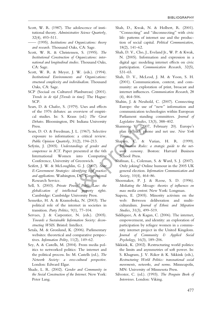- Scott, W. R. (1987). The adolescence of institutional theory. Administrative Science Quarterly, 32(4), 493–511.
- —— (1995). Institutions and Organizations: theory and research. Thousand Oaks, CA: Sage.
- Scott, W. R. & Christensen, S. (1995). The Institutional Construction of Organizations: international and longitudinal studies. Thousand Oaks, CA: Sage.
- Scott, W. R. & Meyer, J. W. (eds.). (1994). Institutional Environments and Organizations: structural complexity and individualism. Thousand Oaks, CA: Sage.
- SCP (Sociaal en Cultureel Planbureau) (2001). Trends in de tijd [Trends in time]. The Hague: SCP.
- Sears, D. & Chafee, S. (1979). Uses and effects of the 1976 debates: an overview of empirical studies. In: S. Kraus (ed.) The Great Debates. Bloomington, IN: Indiana University Press.
- Sears, D. O. & Freedman, J. L. (1967). Selective exposure to information: a critical review. Public Opinion Quarterly, 31(2), 194–213.
- Sefyrin, J. (2005). Understandings of gender and competence in ICT. Paper presented at the 6th International Women into Computing Conference, University of Greenwich.
- 1. L. (1967). Selective plan to track photons, V. (2007).<br>
1. L. (1967). Selective plan to track photons, V. (2007).<br>
1. a critical review. Times.<br>
1. a critical review. Times.<br>
1. a critical review. Times.<br>
1. a critical Seifert, J. W. & McLoughlin, G. J. (2007). State E-Government Strategies: identifying best practices and applications. Washington, DC: Congressional Research Service.
- Sell, S. (2003). Private Power, Public Law: the globalization of intellectual property rights. Cambridge: Cambridge University Press.
- Semetko, H. A. & Krasnoboka, N. (2003). The political role of the internet in societies in transition. Party Politics, 9(1), 77-104.
- Servaes, J. & Carpentier, N. (eds.). (2005). Towards a Sustainable Information Society: deconstructing WSIS. Bristol: Intellect.
- Setala, M. & Gronlund, K. (2006). Parlimentary websites: theoretical and comparative perspectives. Information Polity, 11(2), 149–62.
- Sey, A. & Castells, M. (2004). From media politics to networked politics: The internet and the political process. In: M. Castells (ed.), The Network Society: a cross-cultural perspective. London: Edward Elgar.
- Shade, L. R. (2002). Gender and Community in the Social Construction of the Internet. New York: Peter Lang.
- Shah, D., Kwak, N. & Holbert, R. (2001). "Connecting" and "disconnecting" with civic life: patterns of internet use and the production of social capital. Political Communication, 18(2), 141–62.
- Shah, D. V., Cho, J., Eveland Jr., W. P. & Kwak, N. (2005). Information and expression in a digital age: modeling internet effects on civic participation. Communication Research, 32(5), 531–65.
- Shah, D. V., McLeod, J. M. & Yoon, S. H. (2001). Communication, context, and community: an exploration of print, broacast and internet influences. Communication Research, 28 (4), 464–506.
- Shahin, J. & Neuhold, C. (2007). Connecting Europe: the use of "new" information and communication technologies within European Parliament standing committees. Journal of Legislative Studies, 13(3), 388–402.
- Shannon, V. (2007, February 20). Europe's plan to track phone and net use. New York pla.<br>Times.<br>C.
- Shapiro, C. & Varian, H. R. (1999). Information Rules: a strategic guide to the network economy. Boston: Harvard Business School Press.
- Shifman, L., Coleman, S. & Ward, S. J. (2007). Only joking? Online humour in the 2005 UK general election. Information Communication and Society, 10(4), 464–86.
- Shoemaker, P. J. & Reese, S. D. (1996). Mediating the Message: theories of influences on mass media content. New York: Longman.
- Siapera, E. (2005). Minority activism on the web: Between deliberation and multiculturalism. Journal of Ethnic and Migration Studies, 31(3), 499–519.
- Siddiquee, A. & Kagan, C. (2006). The internet, empowerment, and identity: an exploration of participation by refugee women in a community internet project in the United Kingdom. Journal of Community & Applied Social Psychology, 16(3), 189–206.
- Sikkink, K. (2002). Restructuring world politics: the limits and asymmetries of soft power. In: S. Khagram, J. V. Riker & K. Sikkink (eds.), Restructuring World Politics: transnational social movements, networks, and norms. Minneapolis, MN: University of Minnesota Press.
- Silvester, C. (ed.). (1993). The Penguin Book of Interviews. London: Viking.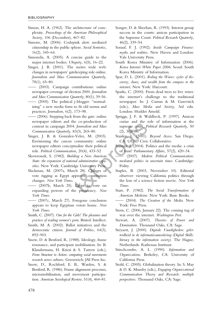- Simon, H. A. (1962). The architecture of complexity. Proceedings of the American Philosophical Society, 106 (December), 467–82.
- Simone, M. (2006). Codepink alert: mediated citizenship in the public sphere. Social Semiotics, 16(2), 345–64.
- Simonelis, A. (2005). A concise guide to the major internet bodies. Ubiquity, 6(5), 16–22.
- Singer, J. B. (2001). The metro wide web: changes in newspapers' gatekeeping role online. Journalism and Mass Communication Quarterly, 78(1), 65–80.
- —— (2003). Campaign contributions: online newspaper coverage of election 2000. Journalism and Mass Communication Quarterly, 80(1), 39–56. —— (2005). The political j-blogger: "normal-
- izing" a new media form to fit old norms and practices. Journalism, 6(2), 173–98.
- (2006). Stepping back from the gate: online newspaper editors and the co-production of content in campaign 2004. Journalism and Mass Communication Quarterly, 83(3), 265–80.
- A. Journalism and Mass supreme court. P<br>
A. Journalism and Mass supreme court. P<br>
83(3), 265–80. (2), 365–86.<br>
C-Velez, M. (2003). Stanley, L. (2001).<br>
community: online CA: UCSD Civic<br>
tualize their political Stanyer, J. Singer, J. B. & Gonzalez-Velez, M. (2003). Envisioning the caucus community: online newspaper editors conceptualize their political role. Political Communication, 20(4), 433–52
- Skowronek, S. (1982). Building a New American State: the expansion of national administrative capacities. New York: Cambridge University Press.
- Slackman, M. (2007a, March 28). Charges of vote rigging as Egypt approves constitution changes. New York Times.
- $-$  (2007b, March 25). Egypt to vote on expanding powers of the presidency. New York Times.
- —— (2007c, March 27). Foregone conclusion appears to keep Egyptian voters home. New York Times.
- Smith, C. (2007). One for the Girls! The pleasures and practices of reading women's porn. Bristol: Intellect.
- Smith, M. A. (2002). Ballot initiatives and the democratic citizen. Journal of Politics, 64(3), 892–903.
- Snow, D. & Benford, R. (1988). Ideology, frame resonance, and participant mobilization. In: B. Klandermans, H. Kriesi & S. Tarrow (eds.), From Structure to Action: comparing social movements research across cultures. Greenwich: JAI Press Inc.
- Snow, D., Rochford, E. B., Warden, S. & Benford, R. (1986). Frame alignment processes, micromobilization, and movement participation. American Sociological Review, 51(4), 464–81.
- Songer, D. & Sheehan, R. (1993). Interest group success in the courts: amicus participation in the Supreme Court. Political Research Quarterly, 46(2), 339–54.
- Sorauf, F. J. (1992). Inside Campaign Finance: myths and realities. New Haven and London: Yale University Press.
- South Korea Ministry of Information (2006). Korea Internet White Paper 2006. Seoul: South Korea Ministry of Information.
- Spar, D. L. (2001). Ruling the Waves: cycles of discovery, chaos, and wealth from the compass to the internet. New York: Harcourt.
- Sparks, C. (2000). From dead trees to live wires: the internet's challenge to the traditional newspaper. In: J. Curran & M. Gurevitch (eds.), Mass Media and Society, 3rd edn. London: Hodder Arnold.
- Spriggs, J. F. & Wahlbeck, P. (1997). Amicus curiae and the role of information at the supreme court. Political Research Quarterly, 50 (2), 365–86.
- Stanley, L. (2001). Beyond Access. San Diego, CA: UCSD Civic Collaborative.
- Stanyer, J. (2004). Politics and the media: a crisis of trust? Parliamentary Affairs, 57(2), 420–34.
- (2007). Modern Political Communication: mediated politics in uncertain times. Cambridge: Polity.
- Staples, B. (2003, November 10). Editorial observer: viewing California politics through the lens of a science fiction movie. New York Times.
- Starr, P. (1982). The Social Transformation of American Medicine. New York: Basic Books.
- —— (2004). The Creation of the Media. New York: Free Press.
- Stern, C. (2006, January 22). The coming tug of war over the internet. Washington Post.
- Stewart, A. (2007). Theories of Power and Domination. Thousand Oaks, CA: Sage.
- Steyaert, J. (2000). Digitale Vaardigheden: geletterdheid in de informatiesamenleving (Digital Skills: literacy in the information society). The Hague, Netherlands: Rathenau Instituut.
- Stinchcombe, A. L. (1990). Information and Organizations. Berkeley, CA: University of California Press.
- Stohl, C. (2005). Globalization theory. In: S. May & D. K. Mumby (eds.), Engaging Organizational Communication Theory and Research: multiple perspectives. Thousand Oaks, CA: Sage.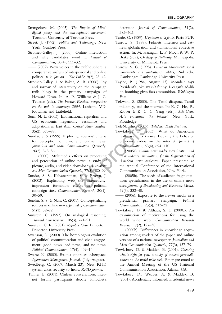- Strangelove, M. (2005). The Empire of Mind: digital piracy and the anti-capitalist movement. Toronto: University of Toronto Press.
- Street, J. (1992). Politics and Technology. New York: Guilford Press.
- Stromer-Galley, J. (2000). Online interaction and why candidates avoid it. Journal of Communication, 50(4), 111–32.
- $-$  (2002). New voices in the public sphere: a comparative analysis of interpersonal and online political talk. Javnost – The Public, 9(2), 23–42.
- Stromer-Galley, J. & Baker, A. B. (2006). Joy and sorrow of interactivity on the campaign trail: blogs in the primary campaign of Howard Dean. In: A. P. Williams & J. C. Tedesco (eds.), The Internet Election: perspectives on the web in campaign 2004. Lanham, MD: Rowman and Littlefield.
- Sum, N.-L. (2003). Informational capitalism and US economic hegemony: resistance and adaptations in East Asia. Critical Asian Studies, 35(2), 373–98.
- Sundar, S. S. (1999). Exploring receivers' criteria for perception of print and online news. Journalism and Mass Communication Quarterly, 76(2), 373–86.
	- —— (2000). Multimedia effects on processing and perception of online news: a study of picture, audio, and video downloads. Journalism and Mass Communication Quarterly, 77(3), 480–99.
- Sundar, S. S., Kalyanaraman, S. & Brown, J. (2003). Explicating web site interactivity: impression formation effects in political campaign sites. Communication Research, 30(1), 30–59.
- Sundar, S. S. & Nass, C. (2001). Conceptualizing sources in online news. Journal of Communication, 51(1), 52–72.
- Sunstein, C. (1993). On analogical reasoning. Harvard Law Review, 106(3), 741–91.
- Sunstein, C. R. (2001). Republic.Com. Princeton: Princeton University Press.
- Swanson, D. (2000). The homologous evolution of political communication and civic engagement: good news, bad news, and no news. Political Communication, 17(4), 409–14.
- Swartz, N. (2003). Estonia embraces cyberspace. Information Management Journal, (July–August).
- Swedberg, C. (2007, March 23). New RFID system takes security to heart. RFID Journal.
- Tanner, E. (2001). Chilean conversations: internet forum participants debate Pinochet's

detention. Journal of Communication, 51(2), 383–403.

Tarde, G. (1989). L'opinion et la foule. Paris: PUF.

- Tarrow, S. (1998). Fishnets, internets and catnets: globalization and transnational collective action. In: M. Hanagan, L. P. Moch & W. P. Brake (eds.), Challenging Authority. Minneapolis: University of Minnesota Press.
- Tarrow, S. G. (1998). Power in Movement: social movements and contentious politics, 2nd edn. Cambridge: Cambridge University Press.
- Taylor, P. (1984, August 13). Mondale says President's joke wasn't funny; Reagan's ad-lib on bombing gives foes ammunition. Washington Post.
- Tekwani, S. (2003). The Tamil diaspora, Tamil militancy, and the internet. In: K. C. Ho, R. Kluver & K. C. C. Yang (eds.), Asia.Com: Asia encounters the internet. New York: Routledge.

TeleNav Inc. (2007). TeleNav Track Features.

- Tewksbury, D. (2003). What do Americans really want to know? Tracking the behavior of news readers on the internet. Journal of Communication, 53(4), 694–710.
- The Council Council Council Council Council Council Council Council Council Council Council Council Council Council Council Council Council Council Council Council Council Council Council Council Council Council Council Co  $(2005a)$ . Online news reader specialization and its boundaries: implications for the fragmentation of American news audiences. Paper presented at the Annual Conference of the International Communication Association, New York.
	- —— (2005b). The seeds of audience fragmentation: specialization in the use of online news sites. Journal of Broadcasting and Electronic Media, 49(3), 332–40.
	- —— (2006). Exposure to the newer media in a presidential primary campaign. Political Communication, 23(3), 313–32.
	- Tewksbury, D. & Althaus, S. L. (2000a). An examination of motivations for using the world wide web. Communication Research Reports, 17(2), 127–38.
	- —— (2000b). Differences in knowledge acquisition among readers of the paper and online versions of a national newspaper. Journalism and Mass Communication Quarterly, 77(3), 457–79.
	- Tewksbury, D. & Maddex, B. (2001). Choosing what's right for you: a study of content personalization on the world wide web. Paper presented at the Annual Meeting of the US National Communication Association, Atlanta, GA.
	- Tewksbury, D., Weaver, A. & Maddex, B. (2001). Accidentally informed: incidental news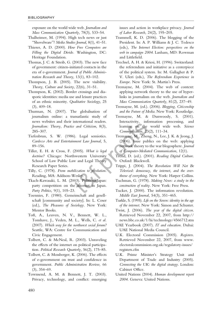exposure on the world wide web. Journalism and Mass Communication Quarterly, 78(3), 533–54.

- Thalheimer, M. (1994). High tech news or just "Shovelware"? Media Studies Journal, 8(1), 41–51.
- Thierer, A. D. (2000). How Free Computers are Filling the Digital Divide. Washington, DC: Heritage Foundation.
- Thomas, J. C. & Streib, G. (2003). The new face of government: citizen-initiated contacts in the era of e-government. Journal of Public Administration Research and Theory, 13(1), 83–102.
- Thompson, J. B. (2005). The new visibility. Theory, Culture and Society, 22(6), 31–51.
- Thompson, K. (2002). Border crossings and diasporic identities: media use and leisure practices of an ethnic minority. Qualitative Sociology, 25 (3), 409–18.
- Thurman, N. (2007). The globalisation of journalism online: a transatlantic study of news websites and their international readers. Journalism: Theory, Practice and Criticism, 8(3), 285–307.
- Tiefenbrun, S. W. (1986). Legal semiotics. Cardozo Arts and Entertainment Law Journal, 5, 89–156.
- Equisional Francesco Communication, 23<br>
e and Criticism, 8(3), learning on the<br>
Communication, 23<br>
S). Legal semiotics. Tremayne, M., Zhen<br>
meth Law Journal, 5, (2006). Issue put<br>
(2005). What is legal<br>
(2006). Issue put<br> Tiller, E. H. & Cross, F. (2005). What is legal doctrine? Chicago: Northwestern University School of Law Public Law and Legal Theory Research Paper Series.
- Tilly, C. (1978). From mobilization to revolution. Reading, MA: Addison-Wesley.
- Tkach-Kawasaki, L. M. (2003). Politics@Japan: party competition on the internet in Japan. Party Politics, 9(1), 105-23.
- Toennies, F. (1980). Gemeinschaft and gesellschaft [community and society]. In: L. Coser (ed.), The Pleasures of Sociology. New York: Mentor Books.
- Toft, A., Leuven, N. V., Bennett, W. L., Tomhave, J., Veden, M. L., Wells, C. et al. (2007). Which way for the northwest social forum? Seattle, WA: Centre for Communication and Civic Engagement.
- Tolbert, C. & McNeal, R. (2003). Unraveling the effects of the internet on political participation. Political Research Quarterly, 56(2), 175–85.
- Tolbert, C. & Mossberger, K. (2006). The effects of e-government on trust and confidence in government. Public Administration Review, 66 (3), 354–69.
- Townsend, A. M. & Bennett, J. T. (2003). Privacy, technology, and conflict: emerging

issues and action in workplace privacy. Journal of Labor Research, 24(2), 195–205.

- Trammell, K. D. (2006). The blogging of the President. In: A. P. Williams & J. C. Tedesco (eds.), The Internet Election: perspectives on the web in campaign 2004. Lanham, MD: Rowman and Littlefield.
- Trechsel, A. H. & Kriesi, H. (1996). Switzerland: the referendum and initiative as a centerpiece of the political system. In: M. Gallagher & P. V. Uleri (eds.), The Referendum Experience in Europe. New York: St. Martin's Press.
- Tremayne, M. (2004). The web of context: applying network theory to the use of hyperlinks in journalism on the web. Journalism and Mass Communication Quarterly, 81(2), 237–49.
- Tremayne, M. (ed.). (2006). Blogging, Citizenship and the Future of Media. New York: Routledge.
- Tremayne, M. & Dunwoody, S. (2001). Interactivity, information processing, and learning on the world wide web. Science Communication, 23(2), 111–34.
- Tremayne, M., Zheng, N., Lee, J. K. & Jeong, J. (2006). Issue publics on the web: applying network theory to the war blogosphere. Journal of Computer-Mediated Communication, 12(1).
- Trend, D. (ed.). (2001). Reading Digital Culture.
- Oxford: Blackwell. Trippi, J. (2004). The Revolution Will Not Be
- Televised: democracy, the internet, and the overthrow of everything. New York: Harper Collins.
- Tuchman, G. (1978). Making News: a study in the construction of reality. New York: Free Press.
- Tucker, J. (2000). The information revolution. Middle East Journal, 54(3), 351–465.
- Turkle, S. (1995). Life on the Screen: identity in the age of the internet. New York: Simon and Schuster.
- Twist, J. (2006). The year of the digital citizen. Retrieved November 22, 2007, from http:// news.bbc.co.uk/1/hi/technology/4566712.stm
- UAE Yearbook (2007). IT and education. Dubai: UAE National Media Council.
- U.K. Electoral Commission (2005). Registers. Retrieved November 22, 2007, from www. electoralcommission.org.uk/regulatory-issues/ registers.cfm
- U.K. Prime Minister's Strategy Unit and Department of Trade and Industry (2005). Connecting the UK: the digital strategy. London: Cabinet Office.
- United Nations (2004). Human development report 2004. Geneva: United Nations.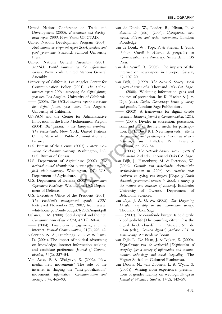- United Nations Conference on Trade and Development (2003). E-commerce and development report 2003. New York: UNCTAD.
- United Nations Development Program (2004). Arab human development report 2004: freedom and good governance. Stanford: Stanford University Press.
- United Nations General Assembly (2001). 56/183: World Summit on the Information Society. New York: United Nations General Assembly.
- University of California, Los Angeles Center for Communication Policy (2001). The UCLA internet report 2001: surveying the digital future, year two. Los Angeles: University of California.
- —— (2003). The UCLA internet report: surveying the digital future, year three. Los Angeles: University of California.
- UNPAN and the Center for Administrative Innovation in the Euro-Mediterranean Region (2004). Best practices in the European countries: The Netherlands. New York: United Nations Online Network in Public Administration and Finance.
- U.S. Bureau of the Census (2003). E-stats: measuring the electronic economy. Washington, DC: U.S. Bureau of Census.
- U.S. Department of Agriculture (2007). The national animal identification system: pilot projects/ field trials summary. Washington, DC: U.S. Department of Agriculture.
- U.S. Department of Defense (2003). Information Operations Roadmap. Washington, DC: Department of Defense.
- U.S. Executive Office of the President (2001). The President's management agenda, 2002. Retrieved November 22, 2007, from www. whitehouse.gov/omb/budget/fy2002/mgmt.pdf
- Uslaner, E. M. (2000). Social capital and the net. Communications of the ACM, 43(12), 60–4.
- —— (2004). Trust, civic engagement, and the internet. Political Communication, 21(2), 223–42.
- Valentino, N. A., Hutchings, V. L. & Williams, D. (2004). The impact of political advertising on knowledge, internet information seeking, and candidate preference. Journal of Communication, 54(2), 337–54.
- Van Aelst, P. & Walgrave, S. (2002). New media, new movements? The role of the internet in shaping the "anti-globalization" movement. Information, Communication and Society, 5(4), 465-93.
- van de Donk, W., Loader, B., Nixon, P. & Rucht, D. (eds.). (2004). Cyberprotest: new media, citizens and social movements. London: Routledge.
- van de Donk, W., Tops, P. & Snellen, I. (eds.). (1995). Orwell in Athens: A perspective on informatization and democracy. Amsterdam: IOS Press.
- van der Wurff, R. (2005). The impacts of the internet on newspapers in Europe. Gazette, 67, 107–20.
- van Dijk, J. (1999). The Network Society: social aspects of new media. Thousand Oaks CA: Sage.
- $(2000)$ . Widening information gaps and policies of prevention. In: K. Hacker & J. v. Dijk (eds.), Digital Democracy: issues of theory and practice. London: Sage Publications.
- —— (2003). A framework for digital divide research. Electronic Journal of Communication, 12(1).
- —— (2004). Divides in succession: possession, skills and use of the new media for participation. In: E. Bucy & J. Newhagen (eds.), Media Access: social and psychological dimensions of new technology use. Hillsdale NJ: Lawrence Erlbaum, pp. 233–54.

(2006). The Network Society: social aspects of new media, 2nd edn. Thousand Oaks CA: Sage.

- European countries:<br>
he European countries:<br>
c Administration and<br>
c Administration and<br>
(2003). E-stats: mea-<br>
(2003). E-stats: mea-<br>
p. Washington, DC:<br>
(2006). The New media, 2nd ediculture (2007). The New media, 2nd ed van Dijk, J., Hanenburg, M. & Pieterson, W. (2006). Gebruik van nederlandse elektronische overheidsdiensten in 2006, een enquête naar motieven en gedrag van burgers [Usage of Dutch electronic government services in 2006, a survey of the motives and behavior of citizens]. Enschede: University of Twente, Department of Behavioral Sciences.
	- van Dijk, J. A. G. M. (2005). The Deepening Divide: inequality in the information society. Thousand Oaks: Sage.
	- —— (2007). De e-surfende burger: Is de digitale kloof gedicht? [The e-surfing citizen: has the digital divide closed?]. In: J. Steyaert & J. de Haan (eds.), Gewoon digitaal, jaarboek ICT en samenleving. Amsterdam: Boom.
	- van Dijk, L., De Haan, J. & Rijken, S. (2000). Digitalisering van de leefwereld [Digitization of everyday life: a survey of information and communication technology and social inequality]. The Hague: Sociaal en Cultureel Planbureau.
	- van Doorn, N., van Zoonen, L. & Wyatt, S. (2007a). Writing from experience: presentations of gender identity on weblogs. European Journal of Women's Studies, 14(2), 143–59.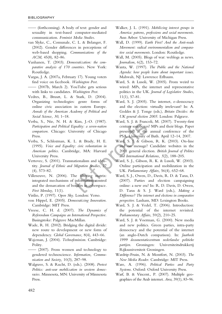(forthcoming). A body of text: gender and sexuality in text-based computer-mediated communication. Feminist Media Studies.

- van Slyke, C., Comunale, C. L. & Belanger, F. (2002). Gender differences in perceptions of web-based shopping. Communications of the ACM, 45(8), 82–86.
- Vanhanen, T. (2003). Democratization: the comparative analysis of 170 countries. New York: Routledge.
- Vargas, J. A. (2007a, February 17). Young voters find voice on facebook. Washington Post.
- —— (2007b, March 2). YouTube gets serious with links to candidates. Washington Post.
- Vedres, B., Bruszt, L. & Stark, D. (2004). Organizing technologies: genre forms of online civic association in eastern Europe. Annals of the American Academy of Political and Social Science, 30, 1–18.
- Verba, S., Nie, N. H. & Kim, J.-O. (1987). Participation and Political Equality: a seven-nation comparison. Chicago: University of Chicago Press.
- Verba, S., Schlozman, K. L. & Brady, H. E. (1995). Voice and Equality: civic voluntarism in American politics. Cambridge, MA: Harvard University Press.
- Vertovec, S. (2001). Transnationalism and identity. Journal of Ethnic and Migration Studies, 27 (4), 573–82.
- Villeneuve, N. (2006). The filtering matrix: integrated mechanisms of information control and the demarcation of borders in cyberspace. First Monday, 11(1).
- Virilio, P. (1997). Open Sky. London: Verso.
- von Hippel, E. (2005). Democratizing Innovation. Cambridge: MIT Press.
- Vreese, C. H. d. (2007). The Dynamics of Referendum Campaigns an International Perspective. Basingstoke: Palgrave MacMillan.
- Wade, R. H. (2002). Bridging the digital divide: new route to development or new form of dependency. Global Governance, 8(4), 443-66.
- Wajcman, J. (2004). Technofeminism. Cambridge: Polity.
- $(2007)$ . From women and technology to gendered technoscience. Information, Communication and Society, 10(3), 287–98.
- Walgrave, S. & Rucht, D. (eds.). (2008). Protest Politics: anti-war mobilization in western democracies. Minnesota, MN: University of Minnesota Press.
- Walker, J. L. (1991). Mobilizing interest groups in America: patrons, professions and social movements. Ann Arbor: University of Michigan Press.
- Wall, D. (1999). Earth First! And the Anti-roads Movement: radical environmentalism and comparative social movements. London: Routledge.
- Wall, M. (2005). Blogs of war: weblogs as news. Journalism, 6(2), 153–72.
- Wanta, W. (1997). The Public and the National Agenda: how people learn about important issues. Mahwah, NJ: Lawrence Erlbaum.
- Ward, S. & Lusoli, W. (2005). From weird to wired: MPs, the internet and representative politics in the UK. Journal of Legislative Studies, 11(1), 57-81.
- Ward, S. J. (2005). The internet, e-democracy and the election: virtually irrelevant? In: A. Geddes & J. Tonge (eds.), Britain Decides: the UK general election 2005. London: Palgrave.
- Ward, S. J. & Francoli, M. (2007). Twenty-first century soapboxes? MPs and their blogs. Paper presented at the annual conference of the PSA, University of Bath. April 12–14, 2007.
- Ward, S. J. & Gibson, R. K. (2003). On-line and on message? Candidate websites in the 2001 general election. British Journal of Politics and International Relations, 5(2), 188–205.
- Ward, S. J., Gibson, R. K. & Lusoli, W. (2003). Online participation and mobilization in the UK. Parliamentary Affairs, 56(4), 652–68.
- The Extra Contrast Contrast Contrast Contrast Contrast Contrast Control Control Control Control Control Control Control Control Control Control Control Control Control Control Control Control Control Control Control Contro Ward, S. J., Owen, D., Davis, R. D. & Taras, D. (2007). Parties and election campaigning online: a new era? In: R. D. Davis, D. Owen, D. Taras & S. J. Ward (eds.), Making a Difference? The internet and elections in comparative perspective. Lanham, MD: Lexington Books.
	- Ward, S. J. & Vedel, T. (2006). Introduction: the potential of the internet revisited. Parliamentary Affairs, 59(2), 210–25.
	- Ward, S. J. & Voerman, G. (2000). New media and new politics. Green parties, intra-party democracy and the potential of the internet (an anglo-Dutch comparison). In: Jaarboek 1999 documentatiecentrum nederlandse politieke partijen. Groningen: Universiteitsdrukkerij Rijksuniversiteit Groningen.
	- Wardrip-Fruin, N. & Montfort, N. (2003). The New Media Reader. Cambridge: MIT Press.
	- Ware, A. (1996). Political Parties and Party Systems. Oxford: Oxford University Press.
	- Warf, B. & Vincent., P. (2007). Multiple geographies of the Arab internet. Area, 39(1), 83–96.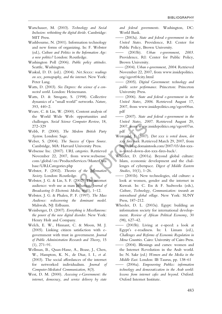- Warschauer, M. (2003). Technology and Social Inclusion: rethinking the digital divide. Cambridge: MIT Press.
- Washbourne, N. (2001). Information technology and new forms of organizing. In: F. Webster (ed.), Culture and Politics in the Information Age: a new politics? London: Routledge.
- Washington Poll (2006). Public policy attitudes. Seattle, Washington.
- Waskul, D. D. (ed.). (2004). Net.Sexxx: readings on sex, pornography, and the internet. New York: Peter Lang.
- Watts, D. (2003). Six Degrees: the science of a connected world. London: Heinemann.
- Watts, D. & Strogatz, S. (1998). Collective dynamics of a "small world" networks. Nature, 393, 440–2.
- Weare, C. & Lin, W. (2000). Content analysis of the World Wide Web: opportunities and challenges. Social Science Computer Review, 18, 272–329
- Webb, P. (2000). The Modern British Party System. London: Sage.
- Weber, S. (2004). The Success of Open Source. Cambridge, MA: Harvard University Press.
- Websense Inc. (2007). URL categories. Retrieved November 22, 2007, from www.websense. com/global/en/ProductsServices/MasterData base/URLCategories.php
- Webster, F. (2002). Theories of the Information Society. London: Routledge.
- Webster, J. G. & Lin, S. F. (2002). The internet audience: web use as mass behavior. Journal of Broadcasting & Electronic Media, 46(1), 1–12.
- Webster, J. G. & Phalen, P. F. (1997). The Mass Audience: rediscovering the dominant model. Mahwah, NJ: Erlbaum.
- Weinberger, D. (2007). Everything is Miscellaneous: the power of the new digital disorder. New York: Henry Holt and Company.
- Welch, E. W., Hinnant, C. & Moon, M. J. (2005). Linking citizen satisfaction with egovernment with trust in government. Journal of Public Administration Research and Theory, 15 (1), 271–91.
- Wellman, B., Quan-Hasse, A., Boase, J., Chen, W., Hampton, K. N., de Diaz, I. I., et al. (2003). The social affordances of the internet for networked individualism. Journal of Computer-Mediated Communication, 8(3).
- West, D. M. (2000). Assessing e-Government: the internet, democracy, and service delivery by state

and federal governments. Washington, DC: World Bank.

- (2003a). State and federal e-government in the United States. Providence, RI: Center for Public Policy, Brown University.
- $(2003b)$ . Urban e-government, 2003. Providence, RI: Center for Public Policy, Brown University.
- (2004). Urban e-government, 2004. Retrieved November 22, 2007, from www.insidepolitics. org/egovt04city.html
- (2005). Digital Government: technology and public sector performance. Princeton: Princeton University Press.
- $-$  (2006). State and federal e-government in the United States, 2006. Retrieved August 17, 2007, from www.insidepolitics.org/egovt06us. pdf
- (2007). State and federal e-government in the United States, 2007. Retrieved August 20, 2007, from www.insidepolitics.org/egovt07us. pdf
- Westerdal, J. (2007). Dot xxx is voted down, dot xxx fires back. Retrieved March 29, 2007, from http://blog.domaintools.com/2007/03/dot-xxxis-voted-down-dot-xxx-fires-back/.
- Wheeler, D. (2001a). Beyond global culture: Islam, economic development and the challenges of cyberspace. Digest of Middle Eastern Studies, 10(1), 1–26.
- Modern British Party<br>
Modern British Party<br>
Westerdal, J. (2007)<br>
The Westerdal Community Press.<br>
Lategories. Retrieved<br>
Categories. Retrieved<br>
Services/MasterData<br>
Example://blog.domain<br>
Lategories. Retrieved<br>
Services/Ma —— (2001b). New technologies, old culture: a look at women, gender and the internet in Kuwait. In: C. Ess & F. Sudweeks (eds.), Culture, Technology, Communication: towards an intercultural global village. New York: SUNY Press, 187–212.
	- Wheeler, D. L. (2003a). Egypt: building an information society for international development. Review of African Political Economy, 30 (98), 627–42.
	- $(2003b)$ . Living at e-speed: a look at Egypt's e-readiness. In: I. Limam (ed.), Challenges and Reforms of Economic Regulation in Mena Countries. Cairo: University of Cairo Press.
	- (2004). Blessings and curses: women and the Internet Revolution in the Arab world. In: N. Sakr (ed.) Women and the Media in the Middle East. London: IB Taurus, pp. 138–61
	- —— (2006a). Empowering Publics: information technology and democratization in the Arab world: lessons from internet cafes and beyond. Oxford: Oxford Internet Institute.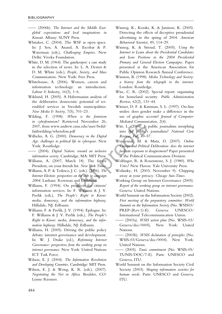- (2006b). The Internet and the Middle East: global expectations and local imaginations in Kuwait. Albany: SUNY Press.
- Whitaker, C. (2004). The WSF as open space. In: J. Sen, A. Anand, A. Escobar & P. Waterman (eds.), Challenging Empires. New Delhi: Viveka Foundation.
- White, D. M. (1964). The gatekeeper: a case study in the selection of news. In: L. A. Dexter & D. M. White (eds.), People, Society, and Mass Communications. New York: Free Press.
- Whitehouse, A. (2006). Women, careers and information technology: an introduction. Labour & Industry,  $16(3)$ ,  $1-6$ .
- Wiklund, H. (2005). A Habermasian analysis of the deliberative democratic potential of ictenabled services in Swedish municipalities. New Media & Society, 7(5), 701–23.
- Wilding, F. (1998). Where is the feminism in cyberfeminism? Retrieved November 26, 2007, from www.andrew.cmu.edu/user/fwild/ faithwilding/wherefem.pdf
- Wilhelm, A. G. (2000). Democracy in the Digital Age: challenges to political life in cyberspace. New York: Routledge.
- —— (2004). Digital Nation: toward an inclusive information society. Cambridge, MA: MIT Press.
- Williams, A. (2007, March 18). The future President, on your friends list. New York Times.
- Williams, A. P. & Tedesco, J. C. (eds.). (2006). The Internet Election: perspectives on the web in campaign 2004. Lanham: Rowman and Littlefield.
- Williams, F. (1994). On prospects for citizens' information services. In: F. Williams & J. V. Pavlik (eds.), The People's Right to Know: media, democracy, and the information highway. Hillsdale, NJ: Erlbaum.
- Williams, F. & Pavlik, J. V. (1994). Epilogue. In: F. Williams & J. V. Pavlik (eds.), The People's Right to Know: media, democracy, and the information highway. Hillsdale, NJ: Erlbaum.
- Williams, H. (2005). Driving the public policy debate: internet governance and development. In: W. J. Drake (ed.), Reforming Internet Governance: perspectives from the working group on internet governance. New York: United Nations ICT Task Force.
- Wilson, E. J. (2004). The Information Revolution and Developing Countries. Cambridge: MIT Press.
- Wilson, E. J. & Wong, K. R. (eds.). (2007). Negotiating the Net in Africa. Boulder, CO: Lynne Rienner.
- Winneg, K., Kenski, K. & Jamison, K. (2005). Detecting the effects of deceptive presidential advertising in the spring of 2004. American Behavioral Scientist, 49, 114–29.
- Winneg, K. & Stroud, T. (2005). Using the Internet to Learn about the Presidential Candidates and Issue Positions in the 2004 Presidential Primary and General Election Campaigns. Paper presented at the American Association for Public Opinion Research Annual Conference.
- Winston, B. (1998). Media Technology and Society: a history from the telegraph to the internet. London: Routledge.
- Wise, C. R. (2002). Special report: organizing for homeland security. Public Administration Review, 62(2), 131–44.
- Witmer, D. F. & Katzman, S. L. (1997). On-line smiles: does gender make a difference in the use of graphic accents? Journal of Computer-Mediated Communication, 2(4).
- Witt, L. (2004). Is public journalism morphing into the public's journalism? National Civic Review, Fall, 49–57.
- Communisty Communisty Communisty<br>
Communisty Communisty Communisty Communisty Control of the public's<br>
the public's<br>
the public's<br>
into the public's<br>
for property, Fall, 49–5<br>
if in cyberspace. New Wojcieszak, M. &<br>
a: tow Wojcieszak, M. & Mutz, D. (2007). Online Groups and Political Deliberation: does the internet facilitate exposure to disagreement? Paper presented at the Political Communication Division.
	- Wolfinger, R. & Rosenstone, S. J. (1980). Who Votes? New Haven: Yale University Press.
	- Wolinsky, H. (2003, November 9). Chipping away at your privacy. Chicago Sun-Times.
	- Working Group on Internet Governance (2005). Report of the working group on internet governance. Geneva: United Nations.
	- World Summit on the Information Society (2002). First meeting of the preparatory committee: World Summit on the Information Society (No. WSIS03/ PREP-(Rev.1)-E). Geneva: UNESCO/ International Telecommunication Union.
	- $-$  (2003a). WSIS action plan (No. WSIS-03/ Geneva/doc/0005). New York: United Nations.
	- (2003b). WSIS declaration of principles (No. WSIS-03/Geneva/doc/0004). New York: United Nations.
	- —— (2005). Tunis commitment (No. WSIS-05/ TUNIS/DOC/7-E). Paris: UNESCO and Geneva, ITU.
	- World Summit on the Information Society Civil Society (2003). Shaping information societies for human needs. Paris: UNESCO and Geneva, ITU.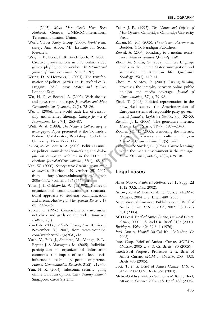—— (2005). Much More Could Have Been Achieved. Geneva: UNESCO/International Telecommunication Union.

- World Values Study Group (2000). World values survey. Ann Arbor, MI: Institute for Social Research.
- Wright, T., Boria, E. & Breidenbach, P. (2000). Creative player actions in FPS online video games: playing counter-strike. The International Journal of Computer Game Research, 2(2).
- Wring, D. & Horrocks, I. (2001). The transformation of political parties. In: B. Axford & R. Huggins (eds.), New Media and Politics. London: Sage.
- Wu, H. D. & Bechtel, A. (2002). Web site use and news topic and type. Journalism and Mass Communication Quarterly, 79(1), 73–86.
- Wu, T. (2006). The world trade law of censorship and internet filtering. Chicago Journal of International Law, 7(1), 263–87.
- Wulf, W. A. (1989). The National Collaboratory: a white paper. Paper presented at the Towards a National Collaboratory Workshop, Rockefeller University, New York, NY.
- Xenos, M. & Foot, K. A. (2005). Politics as usual, or politics unusual: position-taking and dialogue on campaign websites in the 2002 US elections. Journal of Communication, 55(1), 165–89.
- Extram, J. E. (2008)<br>
attional Collaboratory: a<br>
red at the Towards a<br>
Theoretical at the Content of Marvard Law Review<br>
NY. Journal of Commun<br>
NY. Journal of Commun<br>
NY. Journal of Commun<br>
Dural of Commun<br>
on-taking and d Yan, W. (2006). Survey: more Brazilians gain access to internet. Retrieved November 25, 2007, from http://news.xinhuanet.com/english/ 2006–11/24/content\_5369766.htm
- Yates, J. & Orlikowski, W. J. (1992). Genres of organizational communication: a structurational approach to studying communication and media. Academy of Management Review, 17 (2), 299–326.
- Yervasi, C. (1996). Confessions of a net surfer: net chick and grrrls on the web. Postmodern Culture, 7(1).
- YouTube (2006). Allen's listening tour. Retrieved November 26, 2007, from www.youtube. com/watch?v=9G7gq7GQ71c
- Yuan, Y., Fulk, J., Shumate, M., Monge, P. R., Bryant, J. & Matsaganis, M. (2005). Individual participation in organizational information commons: the impact of team level social influence and technology-specific competence. Human Communication Research, 31(2), 212–40.
- Yun, H. K. (2004). Infocomm security: going offline is not an option. Cisco Security Summit. Singapore: Cisco Systems.
- Zaller, J. R. (1992). The Nature and Origins of Mass Opinion. Cambridge: Cambridge University Press.
- Zayani, M. (ed.). (2005). The al-Jazeera Phenomenon. Boulder, CO: Paradigm Publishers.
- Zewail, A. (2004). Roadmap to a muslim renaissance. New Perspectives Quarterly, Fall.
- Zhou, M. & Cai, G. (2002). Chinese language media in the United States: immigration and assimilation in American life. Qualitative Sociology, 25(3), 419–41.
- Zhou, Y. & Moy, P. (2007). Parsing framing processes: the interplay between online public opinion and media coverage. Journal of Communication, 57(1), 79–98.
- Zittel, T. (2003). Political representation in the networked society: the Americanization of European systems of responsible party government? Journal of Legislative Studies, 9(3), 32–53.
- Zittrain, J. L. (2006). The generative internet. Harvard Law Review, 119(7), 1974–2040.
- Zoonen van, L. (2002). Gendering the internet: claims, controversies and cultures. European Journal of Communication, 17(5), 5–23.
- Zukin, C. & Snyder, R. (1984). Passive learning: when the media environment is the message. Public Opinion Quarterly, 48(3), 629–38.

## Legal cases

- Access Now v. Southwest Airlines, 227 F. Supp. 2d 1312 (U.S. Dist. 2002).
- Arrow, K. et al. Brief of Amici Curiae, MGM v. Grokster, 2004 U.S. Briefs 480 (2005).
- Association of American Publishers et al. Brief of Amici Curiae, U.S. v. ALA, 2002 U.S. Briefs 361 (2003).
- ACLU et al. Brief of Amici Curiae, Universal City v. Corley, 2000 U.S. 2nd Cir. Briefs 9185 (2001).
- Buckley v. Valeo, 424 U.S. 1 (1976).
- Intel Corp. v. Hamidi, 30 Cal 4th, 1342 (Sup. Ct 2003).
- Intel Corp. Brief of Amicus Curiae, MGM v. Grokster, 2005 U.S. S. Ct. Briefs 480 (2005).
- Intellectual Property Professors et al. Brief of Amici Curiae, MGM v. Grokster, 2004 U.S. Briefs 480 (2005).
- Lott, T. et al. Brief of Amici Curiae, U.S. v. ALA, 2002 U.S. Briefs 361 (2003).
- Metro-Goldwyn-Mayer Studios et al. Reply Brief, MGM v. Grokster, 2004 U.S. Briefs 480 (2005).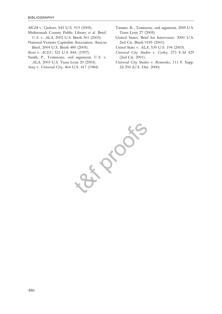- MGM v. Grokster, 545 U.S. 913 (2005).
- Multnomah County Public Library et al. Brief, U.S. v. ALA, 2002 U.S. Briefs 361 (2003).
- National Venture Capitalists Association, Amicus Brief, 2004 U.S. Briefs 480 (2005).
- Reno v. ACLU, 521 U.S. 844, (1997).
- Smith, P., Testimony, oral argument, U.S. v. ALA, 2003 U.S. Trans Lexis 20 (2003).
- Sony v. Universal City, 464 U.S. 417 (1984).
- Taranto, R., Testimony, oral argument, 2005 U.S. Trans Lexis 27 (2005).
- United States, Brief for Intervenor, 2000 U.S. 2nd Cir. Briefs 9185 (2001).
- United States v. ALA, 539 U.S. 194 (2003).
- Universal City Studios v. Corley, 273 F.3d 429 (2nd Cir. 2001).
- Universal City Studios v. Reimerdes, 111 F. Supp. 2d 294 (U.S. Dist. 2000).

**CATALLES**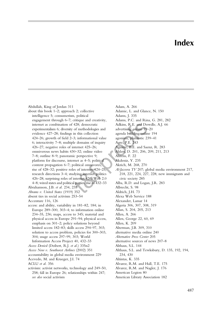## Index

Abdullah, King of Jordan 311

- about this book 1–2; approach 2; collective intelligence 5; consumerism, political engagement through 6–7; critique and creativity, internet as combination of 428; democratic experimentalism 6; diversity of methodologies and evidence 427–28; findings in this collection 424–26; growth of field 2–3; informational value 6; interactivity 7–8; multiple domains of inquiry 426–27; negative roles of internet 425–26; omniverous news habits 430–32; online video 7–8; outline 8–9; panoramic perspective 9; platform for discourse, internet as 4–5; political content propagation 6–7; political omnivores, rise of 428–32; positive roles of internet 424–25; research directions 3–4; studying internet politics 426–28; surprising roles of internet 426; Web 2.0 4–8; wired states and political parties, rise of 432–33
- Abrahamson, J.B. et al. 234, 235
- Abrams v. United States (1919) 352
- absent ties in social activism 253–54
- Accenture 116, 126

access: and ability, variability in 181–82, 184; in Europe 289–300, 303–4; to information online 234–35, 236; maps, access to 345; material and physical access in Europe 291–94; physical access, emphasis on 301–2; policy solutions beyond limited access 182–83; skills access 294–97, 303; solution to access problem, policies for 300–303, 304; usage access 297–99, 303; World Information Access Project 40, 432–33

- Access Denied (Deibert, R.J. et al.) 335n2
- Access Now v. Southwest Airlines (2002) 351
- accountability in global media environment 229
- Acevedo, M. and Krueger, J.I. 74
- ACLU et al. 356
- activism: activist networks, technology and 249–50, 258; fall in Europe 26; relationships within 247; see also social activism

428; democratic Adkins, R.E. and Do<br>
of methodologies and advertising online 19-<br>
in this collection agenda building online 19-<br>
3; informational value agonism, pluralistic 2:<br>
le domains of inquiry Agre, P.E. 243<br>
nterne Adam, A. 266 Adamic, L. and Glance, N. 150 Adams, J. 335 Adams, P.C. and Rina, G. 281, 282 Adkins, R.E. and Dowdle, A.J. 66 advertising online 19–20 agenda building online 194 agonism, pluralistic 239–41 Agre, P.E. 243 Aguirre, B.E. and Saenz, R. 283 Ahlers, D. 201, 206, 209, 211, 213 Ahrens, F. 22 Akdeniz, Y. 235 Akrich, M. 268, 270 Al-Jazeera TV 207; global media environment 217, 218, 221, 224, 227, 228; new immigrants and civic society 285 Alba, R.D. and Logan, J.R. 283 Albrecht, S. 98 Aldrich, J.H. 73 Alexa Web Service 188 Alexander, Lamar 14 Algeria 306, 307, 308, 319 Allan, S. 204, 205, 213 Allen, A. 266 Allen, George 22, 60, 69 Allen, K. 209 Alterman, J.B. 309, 310 alternative media online 240 Alternative Press Center 205 alternative sources of news 207–8 Althaus, S.L. 144 Althaus, S.L. and Tewksbury, D. 135, 192, 194, 234, 430 Altintas, K. 335 Alvarez, R.M. and Hall, T.E. 175 Alvarez, R.M. and Nagler, J. 176 American Legion 80 American Library Association 182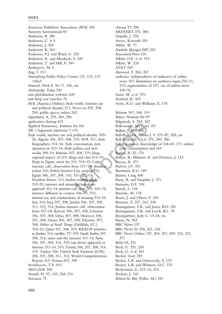For 341<br>
170<br>
170 Balkenende, Jan Peter<br>
170 Balkenende, Jan Peter<br>
170 Balkenende, Jan Peter<br>
170 Balken, J. 349, 350<br>
political identity 305 Ball-Rokeach, Sandra<br>
319; AOL 311; Arab<br>
1811-Rokeach, S.J.al.<br>
conversation, American Publishers Association (APA) 358 Amnesty International 80 Anderson, B. 280 Anderson, C. 4–5 Anderson, J. 320 Anderson, K. 204 Anderson, P.J. and Ward, G. 225 Anderson, R. and Murdoch, S. 325 Anderson, T. and Hill, P. 349 Andrejevic, M. 6 Ang, I. 313 Annenberg Public Policy Center 131, 133, 137, 143n3 Anstead, Nick 8, 56–71, 426, xii Anthropolgy Today 320 anti-globalization websites 240 anti-Iraqi war marches 76 AOL (America Online): Arab world, internet use and political identity 311; News on 205, 208, 209; public spaces online 242 Appadurai, A. 275, 280, 286 application sharing 412 Applied Autonomy, Institute for 341 AR ("argument repertoire") 170 Arab world, internet use and political identity 305– 20; Algeria 306, 307, 308, 319; AOL 311; Arab blogosphere 314–16; Arab conversation, new openness in 313–14; Arab politics and new media 309–10; Bahrain 307, 308, 319; blogs, regional impact of 315; blogs and chat 314–19; blogs in Egypt, arrest for 310, 314–15; Cairo internet café, observation from 317–18; dissident action 310; Dubai Internet City project 311; Egypt 306, 307, 308, 310, 311–12, 314; Freedom House 313; further reading guide 319–20; internet and meanings, top-down approach 311–14; internet café users 309, 316–19; internet diffusion in context 306–10, 319; internet use and constructions of meaning 314–19; Iran 314; Iraq 307, 308; Jordan 306, 307, 308, 311, 312, 314; Jordan internet café, observation from 317–18; Kuwait 306, 307, 308; Lebanon 306, 307, 308; Libya 307, 308; Morocco 306, 307, 308; Oman 306, 307, 308; Palestine 307, 308; Politics of Small Things (Goldfarb, J.C.) 315–16; Qatar 307, 308, 313; REACH initiative in Jordan 314; satellite TV 309; Saudi Arabia 307, 308, 314; states and the internet 311–14; Syria 306, 307, 308, 314, 319; top-down approach to internet 311–14, 319; Tunisia 306, 307, 308, 314, 319; Turkey 306; United Arab Emirates (UAE) 306, 307, 308, 311, 313; World Competitiveness Report 313; Yemen 307, 308 Archdeacon, T.S. 419 ARD-ZDF 290 Arendt, H. 97, 145, 244, 316 Arieanna 75

Arirang TV 286 ARPANET 376, 384 Arquilla, J. 335 Arrow, Kenneth 359 Ashby, W. 77 AsiaInfo (Kyrgyz ISP) 333 Associated Press 310 Atkins, D.E. et al. 414 Atkins, W. 224 AT&T 242 Attwood, F. 266, 267 audience: independence of audiences of online news 187; limitations on audience input 210–11, 212; segmentation of 187; use of online news 190–92 Aune, M. et al. 270 Axelrod, R. 402 Ayres, R.U. and Williams, E. 178 Bahrain 307, 308, 319 Baker, Norman 86–87 Balganesh, S. 352, 362 Balkenende, Jan Peter 157 Balkin, J. 349, 350 Ball-Rokeach, Sandra J. 9, 275–87, 426, xii Ball-Rokeach, S.J.al. 276, 280, 286 ballot measures: knowledge of 168–69, 171; online news consumption and 169 Barber, B. 32, 170 Barber, B., Mattson, K. and Peterson, J. 152 Barcan, R. 271 Barlow, J.P. 351 Barnhurst, K.G. 189 Barrett, Craig 408 Barry, B. and Dauphin, J. 371 Barsoum, G.F. 318 Bartels, L. 144 Barzelay, M. 118 Baum, J. and Oliver, P. 100 Bauman, Z. 227, 241, 245 Baumgartner, F.R. and Jones, B.D. 350 Baumgartner, F.R. and Leech, B.L. 78 Baumgartner, Jody C. 13–24, xii Baym, N. 262 BBC News 157 BBC News 24 218, 221, 224 BBC News Online 157, 204, 207, 209, 210, 221, 371 Bebo 65, 221 Beck, U. 251, 259 Beck, U. et al. 241 Becker, Gary 359 Becker, L.B. and Dunwoody, S. 133 Becker, L.B. and Whitney, D.C. 133 Beckerman, G. 313–14, 315 Beckert, J. 100

Behind the Blip (Fuller, M,) 383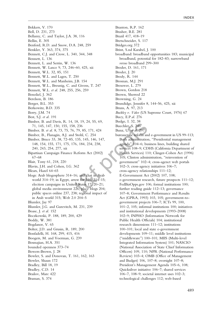16, 21, 21, 32, 35, 21, 32, 326<br>
8, 236 Bueckler, S. 246<br>
5, 79, 85, 171, 424 Bunz, U. et al. 297<br>
14 Stohl, C. 254 bureaucratic reform an<br>
135, 145, 146, 147, Bush administration<br>
76, 184, 234, 238, agenda<sup>19</sup> 104–6; bur Bekkers, V. 170 Bell, D. 231, 273 Bellamy, C. and Taylor, J.A. 38, 116 Bellin, E. 305 Benford, R.D. and Snow, D.A. 248, 259 Benkler, Y. 363, 374, 375 Bennett, C.J. and Crow, L. 340, 344, 348 Bennett, L. 136 Bennett, L. and Serrin, W. 136 Bennett, W. Lance 9, 73, 246–60, 425, xii Bennett, W.L. 32, 85, 151 Bennett, W.L. and Lagos, T. 250 Bennett, W.L. and Manheim, J.B. 154 Bennett, W.L., Breunig, C. and Givens, T. 247 Bennett, W.L. et al. 248, 255, 256, 259 Benoliel, J. 362 Berelson, B. 186 Berger, B.L. 353 Berkowitz, B.D. 335 Berry, J.M. 74 Best, S.J. et al. 191 Bimber, B. and Davis, R. 14, 18, 19, 24, 55, 69, 71, 145, 147, 150, 155, 158, 236 Bimber, B. et al. 8, 73, 75, 76, 79, 85, 171, 424 Bimber, B., Flanagin, A.J. and Stohl, C. 254 Bimber, Bruce 33, 38, 72–85, 135, 145, 146, 147, 148, 154, 155, 171, 175, 176, 184, 234, 238, 240, 243, 254, 277, xii Bipartisan Campaign Finance Reform Act (2002) 67–68 Blair, Tony 61, 218, 220 Blavin, J.H. and Cohen, I.G. 362 Blears, Hazel 64–65 blogs: Arab blogosphere 314–16; and chat in Arab world 314–19; in Egypt, arrest for 310, 314–15; election campaigns in United States 17, 20–21; global media environment 226; place blogs 204; public spaces online 237, 238; regional impact of in Arab world 315; Web 2.0 204–5 Blumler, Jay 97 Blumler, J.G. and Gurevitch, M. 231, 239 Boase, J. et al. 152 Boczkowski, P. 188, 189, 200, 429 Boddy, W. 381 Bogdanor, V. 65 Bolter, J.D. and Grusin, R. 189, 200 Bonfadelli, H. 168, 299, 415, 416 Boogers, M. and Voerman, G. 239 Bosmajian, H.A. 351 bounded openness 373–74 Bowers-Brown, J. 28 Bowler, S. and Donovan, T. 161, 162, 163 Bowler, Shaun 172 Bradley, Bill 18, 19 Bradley, C.D. 14 Brailov, Marc 422 Braman, S. 374

Branton, R.P. 162 Brasher, B.E. 281 Brazil 417, 418–19 Bretschneider, S. 117 Bridges.org 372 Brint, S.nd Karabel, J. 100 broadband: broadband opportunities 183; municipal broadband, potential for 182–83; narrowband versus broadband 299–300 Broder, D. 161, 171 Broder, J. 20 Brody, R. 144 Brosnan, M.J. 291 Brouwer, L. 279 Brown, Gordon 218 Brown, Sherrod 22 Browning, G. 24 Brundidge, Jennifer 8, 144–56, 425, xii Bruns, A. 97, 213 Buckley v. Valeo (US Supreme Court, 1976) 67 Bucy, E.P.al. 276 Budge, I. 32, 38 Buechler, S. 246 Bunz, U. et al. 297 bureaucratic reform and e-government in US 99–113; Bush administration, "Presidential management agenda" 104–6; business lines, building shared services 108–9; CDHS (California Department of Health Services) 110; Clinger-Cohen Act (1996) 105; Clinton administration, "reinvention of government" 102–4; cross-agenct web portals 102–3; cross-agency initiatives 106–7; cross-agency relationships 111–12; E-Government Act (2002) 107, 108; e-government research, future prospects 111–12; FedBizOpps.gov 106; formal institutions 100; further reading guide 112–13; governance 107–8; Government Performance and Results Act (GPRA, 1993) 103, 105; government-togovernment projects 106–7; ICTs 99, 100, 101–2, 105; informal institutions 100; initiatives and institutional developments (1993–2008) 102–9; INPHO (Information Network for Public Health Officials) 104; institutional research dimensions 111–12; institutions 100–101; local and state e-government developments 109–11; middle level institutions ("middleware") 100–101; MIIS (Multi-level Integrated Information System) 101; NASCIO (National Association of State Chief Information Officers) 109, 110; NPR (National Performance Review) 103–4; OMB (Office of Management and Budget) 106, 107–8; oversight 107–8; President's Management Agenda 105–6, 108; Quicksilver initiative 106–7; shared services 106–7, 108–9; societal internet uses 102–3; technological challenges 112; web-based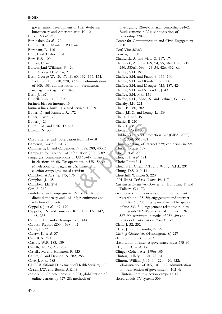governemnt, development of 102; Weberian bureaucracy and American state 101–2 Burke, A.t al. 266 Burkhalter, S.t al. 170 Burnett, R.nd Marshall, P.D. 44 Burnham, D. 116 Burt, E.nd Taylor, J. 31 Burt, R.S. 100 Burton, C. 420 Burton, J.nd Williams, F. 420 Bush, George H.W. 14, 21 Bush, George W. 15, 17, 18, 60, 132, 133, 134, 138, 139, 165, 218, 228, 379–80; administration of 105, 108; administration of, "Presidential management agenda" 104–6 Bush, J. 167 Bushell-Embling, D. 340 business bias on internet 134 business lines, building shared services 108–9 Butler, D. and Ranney, A. 172 Butler, David 172 Butler, J. 264 Button, M. and Ryfe, D. 414 Buxton, N. 30 Cairo internet café, observation from 317–18 Cameron, David 8, 61, 70 Cammaerts, B. and Carpentier, N. 388, 389, 400n6 Campaign for Freedom of Information (CFOI) 89 campaigns: communications in US 15–17; finance in elections 66–68, 70; operations in US 15; see also election campaigns in US; parties and election campaigns; social activism Campbell, A.A. et al. 175, 176 Campbell, J. 135 Campbell, J.E. 274 Can, F. 262 candidates: and campaigns in US 13–14; election of, direct democracy and 161–62; recruitment and selection of 65–66 Cappella, J. et al. 167, 170 Cappella, J.N. and Jamieson, K.H. 132, 136, 142, 148, 233 Cardoso, Fernando Henrique 388, 414 Cardoso Report (2004) 398, 402 Carey, J. 232 Carlaw, K. et al. 374 Cass, R.A. 353 Cassidy, W.P. 188, 189 Castells, M. 73, 277, 282 Castells, M. and Himanen, P. 423 Castles, S. and Davison, A. 282, 286 Cave, J. et al. 385 CDHS (California Department of Health Services) 110 Ceasar, J.W. and Busch, A.E. 18 censorship: Chinese censorship 224; globalization of online censorship 327–28; methods of

Calidera's Hernet P<br>
Chen, P. 88<br>
Chen, P. 88<br>
Chen, P. 88<br>
Chen, P. 88<br>
Chengy, Dick 133<br>
Childera's Internet P<br>
1357, 358, 361, 421<br>
China: blocking of in<br>
r, N. 388, 389, 400n6<br>
China: blocking of in<br>
Fromation (CFOI) investigating 326–27; Russian censorship 224–25; Saudi censorship 224; sophistication of censorship 328–30 Center for Communication and Civic Engagement 250 Cerf, Vint 383n2 Ceruzzi, P. 368 Chadwick, A. and May, C. 117, 174 Chadwick, Andrew 1–9, 24, 55, 56–71, 76, 212, 250, 383n1, 399, 424–34, 426, 432, xii Chaffee, S.H. 191 Chaffee, S.H. and Frank, S. 133, 140 Chaffee, S.H. and Kanihan, S.F. 146 Chaffee, S.H. and Metzger, M.J. 187, 424 Chaffee, S.H. and Schleuder, J. 431 Chaffee, S.H. et al. 151 Chaffee, S.H., Zhao, X. and Leshner, G. 133 Chalaby, J.K. 221 Chan, B. 280, 282 Chan, J.K.C. and Leung, L. 189 Chang, J. 418–19 Charles II 220 Chen, P. 88 Cheney, Dick 133 Children's Internet Protection Act (CIPA, 2000) 357, 358, 361, 421 China: blocking of internet 329; censorship in 224 Chirac, Jacques 157 Cho, J. et al. 299 Choi, J.H. et al. 191 ChoicePoint 341 Chua, S.L., Chen, D.T. and Wong, A.F.L. 291 Chung, D.S. 210–11 Churchill, Winston S. 220 CIA World Factbook Online 49, 417 Citizens as Legislators (Bowler, S., Donovan, T. and Tolbert, C.) 172 civic society: consequences of internet use, past research on 135–36; engagement and internet use 276–77, 286; engagement in public spaces online 233–34; engagement relationship, new immigrants 282–86; as key stakeholder in WSIS 387–90; narcissism, benefits of 236–39; and politics of participation 396–97, 398 Clark, J. 32, 252 Clark, J. and Themudo, N. 29 Clash of Civilisations (Huntington, S.) 227 class and internet use 283 classification of internet governance issues 395–96 Clayton, R. et al. 331 Clinger-Cohen Act (1996) 105 Clinton, Hillary 13, 21, 23, 61 Clinton, William J. 13, 14, 220, 420, 422; administration of 105, 107. 112; administration of, "reinvention of government" 102–4; Clinton-Gore re-election campaign 14 closed circuit TV systems 339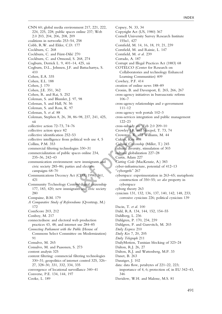6<br>
Total web use 4, 5<br>
Crowley J.E. and Skc<br>
Crowston, K. and W<br>
olitical web use 4, 5<br>
Crowston, K. and W<br>
Cukier, Ken 408<br>
Cukier, Ken 408<br>
Cukier, Ken 408<br>
Cukier, Ken 408<br>
Cukier, Ken 408<br>
Cukier, Ken 408<br>
Cukier, Ken CNN 60; global media environment 217, 221, 222, 224, 225, 228; public spaces online 237; Web 2.0 203, 204, 206, 208, 209 coalitions in networks 253–54, 258 Cobb, R.W. and Elder, C.D. 177 Cockburn, C. 268 Cockburn, C. and Fürst-Dilic´ 270 Cockburn, C. and Ormond, S. 268, 274 Cogburn, Derrick L. 9, 401–14, 425, xii Cogburn, D.L., Johnsen, J.F. and Battacharrya, S. 410 Cohen, E.A. 335 Cohen, E.L. 188 Cohen, J. 170 Cohen, J.E. 351, 362 Cohen, R. and Rai, S. 252 Coleman, S. and Blumler, J. 97, 98 Coleman, S. and Hall, N. 56 Coleman, S. and Ross, K. 97 Coleman, S. et al. 88 Coleman, Stephen 8, 26, 38, 86–98, 237, 241, 425, xii collective action 72–73, 74–76 collective action space 82 collective identification 252–53 collective intelligence from political web use 4, 5 Collins, P.M. 353 commercial filtering technologies 330–31 commercialization of public spaces online 234, 235–36, 242–43 communication environment: new immigrants and civic society 285–86; parties and election campaigns 68–70 Communications Decency Act (CDA, 1996) 361, 421 Community Technology Centers: digital citizenship 177, 183, 420; new immigrants and civic society 280 Compaine, B.M. 179 A Comparative Study of Referendums (Qvortrup, M.) 172 ComScore 203, 212 Conboy, M. 217 connectedness: and electoral web production practices 43, 48; and internet use 284–85 Connecting Parliament with the Public (House of Commons Select Committee on Modernization) 91 Consalvo, M. 265 Consalvo, M. and Paasonen, S. 273 content analysis 325 content filtering: commercial filtering technologies 330–31; geopolitics of internet control 325, 326– 27, 328–30, 331, 332, 334, 335 convergence of locational surveillance 340–41 Converse, P.E. 134, 144, 197 Cooke, L. 189

Copsey, N. 33, 34 Copyright Act (US, 1980) 367 Cornell University Survey Research Institute 155n1, 427 Cornfield, M. 14, 16, 18, 19, 21, 239 Cornfield, M. and Rainie, L. 147 Cornfield, M. et al. 239 Corrado, A. 187 Corrupt and Illegal Practices Act (1883) 68 COTELCO (Center for Research on Collaboratories and technology Enhanced Learning Communities) 409 Cowhey, P.F. 414 creation of online news 188–89 Cronin, B. and Davenport, E. 265, 266, 267 cross-agency initiatives in bureaucratic reform 106–7 cross-agency relationships and e-government 111–12 cross-agency web portals 102–3 cross-services integration and public management 122–23 cross-subsidy on Web 2.0 209–10 Crowley J.E. and Skocpol, T. 73, 74 Crowston, K. and Williams, M. 44 Cukier, Ken 408 Cultural Citizenship (Miller, T.) 245 cultural diversity, stimulation of 303 cultural globalization 227–28 Curtis, Adam 227 Cutting Code (MacKenzie, A.) 383 cyber-infrastructure, potential of 412–13 "cybergrrls" 267 cyberspace: experimentation in 263–65; metaphoric construction of 350–55; see also property in cyberspace cyborg theory 263 cynicism 131, 132, 136, 137, 140, 142, 148, 233; corrosive cynicism 226; political cynicism 139 Dacin, T. et al. 100 Dahl, R.A. 134, 144, 152, 154–55 Dahlberg, L. 236 Dahlgren, P. 170, 234, 239 Dahlgren, P. and Gurevitch, M. 203 Daily Express 210 Daily Kos 7, 20, 205 Daily Telegraph 211 DailyMotion, Tunisian blocking of 323–24 Dalton, R.J. 26, 27 Dalton, R.J. and Wattenberg, M.P. 33 Danet, B. 263 Danziger, J. 102 data: data flow, petabytes of 221–22, 223; importance of 4, 6; protection of, in EU 342–43, 346 Davidow, W.H. and Malone, M.S. 81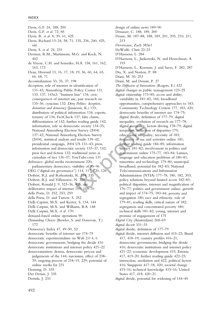- Davis, G.F. 24, 188, 200
- Davis, G.F. et al. 72, 85
- Davis, R. et al. 8, 39, 61, 425
- Davis, Richard 13–24, 58, 71, 135, 236, 240, 425, xiii
- Davis, S. et al. 24, 231
- Davison, R.M., Martinsons, M.G. and Kock, N. 402
- de Vreese, C.H. and Semetko, H.A. 158, 161, 162, 163, 172
- Dean, Howard 13, 16, 17, 18, 19, 56, 60, 64, 65, 66, 68, 71
- decentralization 33, 35, 37, 198
- deception, role of internet in identification of 131–43; Annenberg Public Policy Center 131, 133, 137, 143n3; "business bias" 134; civic consequences of internet use, past research on 135–36; cynicism 132; Dirty Politics: deception, distraction and democracy (Jamieson, K.) 133; distribution of political information 134; experts, tyranny of 134; FactCheck 137; false claims, differentiation of 142; further reading guide 142; information, role in democratic society 134–35; National Annenberg Election Survey (2004) 137–42; National Annenberg Election Survey (2004), statistical analysis and results 139–42; presidential campaign, 2004 US 131–43; press, information and democratic society 133–37, 142; press fact and fiction 132; traditional news as custodian of fact 136–37; YouTube.com 131

deference: global media environment 220; parliamentary democracy, visibility of 95–96

- DEG ("digital-era governance") 114, 117, 120, 126
- Deibert, R.J. and Rohozinski, R. 334, 335
- Deibert, R.J. and Villeneuve, N. 325
- Deibert, Ronald J. 9, 323–36, 425, xiii deliberative impact of internet 159, 169–70
- della Porta, D. 252, 253, 259
- della Porta, D. and Tarrow, S. 252
- Delli Caprini, M.X. and Keeter, S. 134, 144
- Delli Carpini, M.X. and Williams, B.A. 148
- Delli Carpini, M.X. et al. 170
- demand-based online operations 90
- Demanding Choices (Bowler, S. and Donovan, T.) 172
- Democracy Index 47, 49–50, 52
- democratic benefits of internet use 174–75
- democratic experimentalism on Web 2.0 4, 6
- democratic governments, bridging the divide 416
- democratic institutions and internet policy 421–22 democratization: demos, democratic process and
- judgements of the 144; narcissism, effect of 238– 39; ongoing process of 218–19, 229; potential of online media for 231
- Denning, D. 335
- Der Derian, J. 335
- Derrida, J. 233
- design of online news 189–90
	- Dessauer, C. 188, 189, 200
	- Deuze, M. 187–88, 188, 189, 201, 205, 210, 211, 213
	- Devereaux, Zach 383n1
	- DeWolfe, Chris 22–23
	- D'Haenens, L. 284
	- D'Haenens, L., Jankowski, N. and Heuvelman, A. 193
	- D'Haenens, L., Koeman, J. and Saeys, F. 282, 287
	- Dia, X. and Norton, P. 88
	- Diani, M. 30, 253
	- Diani, M. and Donati, P. 27
	- The Diffusion of Innovations (Rogers, E.) 422
	- digital changes in public management 123–25
- Exercise of the main of the main of the main of the main of the main of the proofs on Survey (2004) inequality, reductional inequality, reductional inequality, reductional inequality, reductional inequality, reductional in digital citizenship 173–85; access and ability, variability in 181–82, 184; broadband opportunities, comprehensive approaches to 183; Community Technology Centers 177, 183, 420; democratic benefits of internet use 174–75; digital divide, definition of 177–79; digital inequality, evolution of research on 177–78; digital inequality, factors driving 178–79; digital inequality, reduction of disparities 179; educational inequality, necessity of 183; frequency of use and activities online 181; further reading guide 184–85; information literacy 181–82; involvement in politics and government online 175–77, 183–84; Latinos, language and education problems of 180–81; minorities and technology 179–80; municipal broadband, potential for 182–83; National Telecommunications and Information Administration (NTIA) 177–78, 180, 182, 303; policy solutions beyond limited access 182–83; political disparities, internet and magnification of 176–77; politics and government online, growth and impact of 174–75, 183–84; poverty and segregation 180; race and ethnicity, role of 179–81; reading skills, critical nature of 182; segregation and concentrated poverty 180; technical skills 181–82; young, internet and promise of engagement of 175
	- Digital City (Amsterdam) 268–69
	- digital deceit 331–33
	- digital divide, definition of 177–79
	- digital divide, internet diffusion and 415–23; Brazil 417, 418–19; country profiles 416–21; democratic governments, bridging the divide 416; democratic institutions and internet policy 421–22; economic development 415; Estonia 417, 419–20; further reading guide 422–23; interaction, mediation and 422; political factors 416; Singapore 417–18, 420; societal change 415–16; technical knowledge 415–16; United States 417, 418, 420–21
	- digital divide, potential for widening of 144–45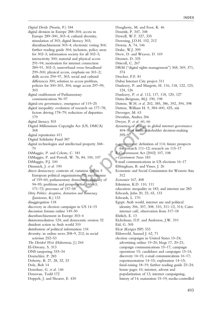Digital Divide (Norris, P.) 184 digital division in Europe 288–304; access in Europe 289–300, 303–4; cultural diversity, stimulation of 303; digital literacy 303; disenfranchisement 303–4; electronic voting 304; further reading guide 304; inclusion, policy areas for 302–3; information society for all 302–3; interactivity 300; material and physical access 291–94; motivation for internet connection 289–91, 302–3; narrowband versus broadband 299–300; physical access, emphasis on 301–2; skills access 294–97, 303; social and cultural differences 300; solution to access problem, policies for 300–303, 304; usage access 297–99, 303 digital enablement of Parliamentary communications 96–97 digital-era governance, emergence of 119–25 digital inequality: evolution of research on 177–78; factors driving 178–79; reduction of disparities 179 digital literacy 303 Digital Millennium Copyright Act (US, DMCA) 368 digital repositories 411 Digital Solidarity Fund 387 digital technologies and intellectual property 368– 70 DiMaggio, P. and Celeste, C. 181 DiMaggio, P. and Powell, W. 76, 84, 100, 107 DiMaggio, P.J. 100 Dimmick, J. et al. 190 direct democracy: contexts of, variation within 5 European political organizations 32; mechanisms of 159–60; parliamentary democracy, visibility of 94–95; problems and prospects for 160–63, 171–72; processes of 157–58 Dirty Politics: deception, distraction and democracy (Jamieson, K.) 133 disaggregation 118 discovery in election campaigns in US 14–15 discussion forums online 149–50 disenfranchisement in Europe 303–4 disintermediation 124; and democratic erosion 32 dissident action in Arab world 310 distribution of political information 134 diversity: in online news 208–9, 212; in social activism 252–53 The Divided West (Habermas, J.) 244 El-Diwany, S. 313 DNS tampering 333–34 Doerschler, P. 283 Doherty, B. 27, 28, 32, 33 Dole, Bob 14 Donohue, G. et al. 146 Donovan, Todd 172 Doppelt, J. and Shearer, E. 430

t Act (US, DMCA)<br>  $\frac{1}{404-5}$ ; of change i<br>  $\frac{404-5}{105-97}$ <br>
ectual property 368-<br>
e-government: definition<br>
for research 111-11.<br>
181<br>
76, 84, 100, 107<br>
e-Government Act (2)<br>
e-Government Act (2)<br>
e-Government Act ( Dougherty, M. and Foot, K. 46 Dourish, P. 347, 348 Dowell, W.T. 327, 335 Downing, J.D.H. 152, 212 Downs, A. 74, 146 Drake, W.J. 399 Drew, D. and Weaver, D. 169 Drezner, D. 335 Driscoll, C. 267 DRM ("digital rights management") 368, 369, 371, 374 Drucker, P.F. 81 Dubai Internet City project 311 Dunleavy, P. and Margetts, H. 116, 118, 122, 123, 124, 126 Dunleavy, P. et al. 112, 117, 118, 120, 127 Dutta-Bergman, M.J. 190, 198 Dutton, W.H. et al. 202, 385, 386, 392, 394, 398 Dutton, William H. 9, 384–400, 425, xiii Duverger, M. 63 Dworkin, Andrea 266 Dwyer, P. et al. 60, 66 dynamics: of change in global internet governance 404–5; of multi-stakeholder decision-making 395–97 e-government: definition of 114; future prospects for research 111–12; research on 115–17 E-Government Act (2002) 107, 108 e-Government News 183 e-mail communications in US elections 16–17 Ebbinghaus, B. and Visser, J. 26 Economic and Social Commission for Western Asia 312 Economist 167, 408 Edmiston, K.D. 110, 111 education: inequality in 183; and internet use 283 Edwards, John 20, 23, 65, 133 Edwards, L. 170 Egypt: Arab world, internet use and political identity 306, 307, 308, 310, 311–12, 314; Cairo internet café, observation from 317–18 Ehrlich, E. 13 Eickelman, D.F. and Anderson, J.W. 310 Eid, G. 305 Elcat (Kyrgyz ISP) 333 Eldersveld, Samuel J. 62, 71 election campaigns in United States 13–24; advertising online 19–20; blogs 17, 20–21; campaign communications 15–17; campaign operations 15; candidates and campaigns 13–14; discovery 14–15; e-mail communications 16–17; experimentation 14–15; exploration 14–15; fund-raising 18–19; further reading guide 23–24; home pages 16; internet, advent and popularization of 13; internet campaigning,

history of 14; maturation 15–19; media-controlled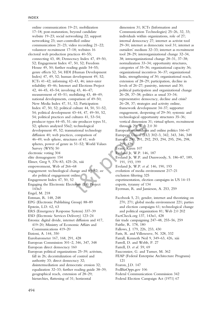Extra dimensional technological<br>
through 29; Web 2<br>
technological through 29; Web 2<br>
through 29; Web 2<br>
through 29; Web 2<br>
technology European referendum<br>
res of 41; web European Union (EU<br>
51-52; World Values 299, 428<br>
Ev online communication 19–21; mobilization 17–18; post-maturation, beyond candidate website 19–23; social networking 22; support networking 23; user-controlled online communication 21–23; video recording 21–22; volunteer recruitment 17–18; websites 16 electoral web production practices 40–55; connecting 43, 48; Democracy Index 47, 49–50, 52; Engagement Index 47, 50, 52; Freedom House 49, 50; further reading guide 54–55; genre effects 52, 54; HDI (Human Development Index) 47, 49, 52; human development 49, 52; ICTs 41–42; informing 42–43, 46; inter-rater reliability 45–46; Internet and Elections Project 42, 44–45, 45–54; involving 43, 46–47; measurement of 45–51; mobilizing 43, 48–49; national developments, comparison of 49–50; New Media Index 47, 51, 52; Participation Index 47, 50, 52; political culture 44, 50, 51–52, 54; political development 43–44, 47, 49–50, 52, 54; political practices and cultures 41, 53–54; producer types 44–45, 51; site producer types 51, 52; spheres analyzed 55n2; technological development 49, 52; transnational technology diffusion 40; web practices, comparison of 46–49; web sphere, structures of 41; web spheres, power of genre in 51–52; World Values Survey (WVS) 50 electronic voting 304 elite demagoguery 154 Elmer, Greg 9, 376–83, 425–26, xiii empowerment, Web of 266–68 engagement: technological change and 80–82; see also political engagement online Engagement Index 47, 50, 52 Engaging the Electronic Electorate (E4) Project 143n3 Engel, M. 218 Entman, R. 148, 248 EPG (Electronic Publishing Group) 88–89 Epstein, L.D. 62, 63 ERS (Emergency Response System) 337–39 ESD (Electronic Services Delivery) 123–24 Estonia: digital divide, internet diffusion and 417, 419–20; Ministry of Economic Affairs and Communications 419–20 Etzioni, A. 144, 350 Eurobarometer 167, 168, 291, 428 European Commission 301–2, 346, 347, 348 European direct democracy 160 European political organizations 25–39; activism, fall in 26; decentralization of control and authority 33; direct democracy 32; disintermediation and democratic erosion 32; equalization 32–33; further reading guide 38–39; geographical reach, extension of 28–29; hierarchies, flattening of 31; horizontal

dimension 31; ICTs (Information and Communication Technologies) 25–26, 32, 33; individuals within organizations, role of 27; internal democracy 27; internet as activist tool 29–30; internet as democratic tool 31; internet as outsiders' medium 32–33; internet as recruitment tool 28–29; interorganizational change 32–34, 38; intraorganizational change 28–31, 37–38; normalization 33–34; opportunity structures, categories of 35–36; organizational capacity 36; organizational incentives 36–37; organizational links, strengthening of 30; organizational reach, extension of 28–29; participation, decline in levels of 26–27; passivity, internet and 30; political participation and organizational change 26–28, 37–38; politics as usual 33–34; representative democracy, decline and crisis? 26–28, 37; strategies and activity online, framework development 34–37; supporter engagement, deepening of 29–30; systemic and technological opportunity structures 35–36; vertical dimension 31; virtual sphere, recruitment through 29; Web 2.0 30 European referendums and online politics 166–67 European Union (EU) 302–3, 342, 343, 346, 348 Eurostat 290, 291, 292, 293, 294, 295, 296, 298, 299, 428 Evans, Karen 107 Eveland Jr, W.P. 146, 187 Eveland Jr, W.P. and Dunwoody, S. 186–87, 189, 191, 193, 199 Eveland Jr, W.P. et al. 146, 190, 193 evolution of media environment 217–21 exclusion filtering 325 experimentation, election campaigns in US 14–15 experts, tyranny of 134 Eyerman, R. and Jamieson, A. 253, 259 Facebook 5, 21; gender, internet and theorizing on 270, 271; global media environment 221; parties and election campaigns 61; technological change and political organization 81; Web 2.0 202

- FactCheck.org 137, 143n1, 428
- fair trade campaigning 247–48, 255–56, 259
- Fairlie, R. 178, 180
- Fallows, J. 179, 226, 233, 430
- Faris, R. and Villeneuve, N. 328, 332
- Farrall, Kenneth Neil 9, 349–63, 426, xiii
- Farrell, D. and Webb, P. 27
- Farrell, D. et al. 59, 69
- Fauconnier, G. and Turner, M. 362
- FEAP (Federal Enterprise Architecture Programs) 121

Fearon, J.D. 147

- FedBizOpps.gov 106
- Federal Communication Commission 342
- Federal Election Campaign Act (1971) 67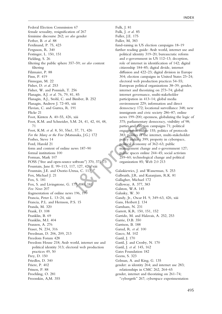t&f proofs Federal Election Commission 67 female sexuality, resignification of 267 feminine discourse 262; see also gender Ferber, B. et al. 88 Ferdinand, P. 75, 423 Ferguson, R. 340 Festinger, L. 150, 151 Fielding, S. 26 filtering the public sphere 357–59; see also content filtering Filzmaier, P. 88 Finn, P. 419 Finnegan, M. 22 Fisher, D. et al. 253 Fisher, W. and Ponniah, T. 256 Flanagin, A.J. et al. 76, 79, 81, 85 Flanagin, A.J., Stohl, C. and Bimber, B. 252 Flanagin, Andrew J. 72–85, xiii Flavian, C. and Gurrea, R. 191 Flickr 21 Foot, Kirsten A. 40–55, 426, xiii Foot, K.M. and Schneider, S.M. 24, 41, 42, 44, 48, 71 Foot, K.M. et al. 8, 50, 55n1, 57, 71, 426 For the Many or the Few (Matsusaka, J.G.) 172 Forbes, Steve 14 Ford, Harold 21 form and content of online news 187–90 formal institutions 100 Forman, Mark 107 FOSS ("free and open-source softwate") 370, 37 Fountain, Jane E. 99–113, 117, 127, 426, xiii Fountain, J.E. and Osorio-Urzua, C. 113 Fox, Michael J. 21 Fox, S. 181 Fox, S. and Livingstone, G. 177, 180, 181 Fox News 207 fragmentation of online news 196, 199 Francia, Peter L. 13–24, xiii Francia, P.L. and Hernson, P.S. 15 Franda, M. 320 Frank, D. 108 Franklin, B. 69 Franklin, M.I. 404 Franzen, A. 276 Fraser, N. 234, 316 Freedman, D. 206, 209, 213 Freedom Forum 428 Freedom House 218; Arab world, internet use and political identity 313; electoral web production practices 49, 50 Frey, D. 150 Friedlos, D. 340 Friere, P. 402 Frissen, P. 88 Froehling, O. 281 Froomkin, A,M. 355

Fulk, J. et al. 85 Fuller, J.E. 175 Fuller, M, 383 fund-raising in US election campaigns 18–19 further reading guide: Arab world, internet use and political identity 319–20; bureaucratic reform and e-government in US 112–13; deception, role of internet in identification of 142; digital citizenship 184–85; digital divide, internet diffusion and 422–23; digital division in Europe 304; election campaigns in United States 23–24; electoral web production practices 54–55; European political organizations 38–39; gender, internet and theorizing on 273–74; global internet governance, multi-stakeholder participation in 413–14; global media environment 229; information and direct democracy 172; locational surveillance 348; new immigrants and civic society 286–87; online news 199–200; openness, globalizing the logic of 375; parliamentary democracy, visibility of 98; parties and election campaigns 71; political engagement online 155; politics of protocols 383; politics of the internet, multi-stakeholder policy making 399; property in cyberspace, political economy of 362–63; public management change and e-government 127; public spaces online 244–45; social activism 259–60; technological change and political organization 85; Web 2.0 213

Fulk, J. 81

Galaskiewics, J. and Wasserman, S. 253 Galbraith, J.R. and Kazanjiam, R.K. 81 Gallagher, Michael 172 Galloway, A. 377, 383 Galston, W.A. 145 Galusky, W. 30 Gandy, Jr., Oscar H. 9, 349–63, 426, xiii Gans, Herbert J. 134 Garnham, N. 231 Garrett, K.R. 150, 151, 152 Garrido, M. and Halavais, A. 252, 253 Garrie, D.B. 350 Garrison, B. 188 Garud, R. et al. 100 Gasco, M. 102 Gastil, J. 170 Gastil, J. and Crosby, N. 170 Gastil, J. et al. 145, 162 Gates Foundation 182 Geens, S. 323 Gelman, A. and King, G. 135 gender: as identity 264; and internet use 283; relationships in CMC 262, 264–65 gender, internet and theorizing on 261–74; "cybergrrls" 267; cyberspace experimentation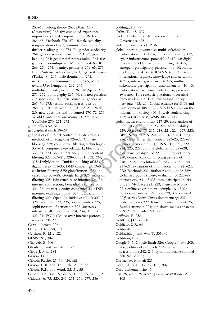263–65; cyborg theory 263; Digital City (Amsterdam) 268–69; embodied experience, importance of 264; empowerment, Web of 266–68; Facebook 270, 271; female sexuality, resignification of 267; feminine discourse 262; further reading guide 273–74; gender as identity 264; gender as social structure 271–72; gender bending 264; gender differences online 261–63; gender relationships in CMC 262, 264–65; ICTs 269, 270, 271; identity, gender as 261–65, 273; IRC ("internet relay chat") 263; Life on the Screen (Turkle, S.) 263; male domination 262; marketing "the feminine" online 265; MUDs (Multi User Dungeons) 262, 263; multidisciplinarity, need for 261; MySpace 270, 271, 272; pornography 265–66; situated practices and spaces 268–70; social structure, gender as 265–70, 273; techno-social spaces, uses of 268–69, 270–72; Web 2.0 270–72, 273; Web 2.0, new questions and outcomes? 270–72, 273; World Conference on Women (1995) 267; YouTube 270, 271, 272 genre effects 52, 54

geographical reach 28–29

- geopolitics of internet control 323–36; censorship, methods of investigating 326–27; Chinese blocking 329; commercial filtering technologies 330–31; computer network attack, blocking by 333–34, 334–35; content analysis 325; content filtering 325, 326–27, 328–30, 331, 332, 334, 335; DailyMotion, Tunisian blocking of 323–24; digital deceit 331–33; DNS tampering 333–34; exclusion filtering 325; globalization of online censorship 327–28; Google Earth 326; inclusion filtering 325; infrastructure of internet 324–26; internet connections, beneath the surface of 324–26; internet security companies 331; IXPs (internet exchange points) 324; localization filtering 329; OpenNet Initiative (ONI) 323–24, 326, 327, 329, 333, 335, 335n2; routers 325; sophistication of censorship 328–30; states, internet challenges to 323–24, 334; Tunisia 323–24; VOIP ("voice over internet protocol") services 328–29 Geras, Norman 226 Gerber, E.R. 158, 171
- Gershon, P. 121, 122
- GESIS 291, 304
- Ghareeb, E. 306
- Ghoshal S. and Bartlett, C. 73
- Gibbs, J. et al. 284
- Gibson, O. 211
- Gibson, Rachel 25–39, 426, xiii
- Gibson, R.K. and Rommele, A. 35, 55
- Gibson, R.K. and Ward, S.J. 31, 55
- Gibson, R.K. et al. 29, 35, 39, 41–42, 55, 57, 61, 276 Giddens, A. 73, 223, 241, 251, 259, 277, 286

Giddings, P.J. 98

- Gitlin, T. 148, 237
- Global Deliberative Dialogue on Internet Governance 428
- global governance of IP 365–68
- global internet governance, multi-stakeholder participation in 401–14; application sharing 412; cyber-infrastructure, potential of 412–13; digital repositories 411; dynamics of change 404–5; emergent participatory practices 409–10; further reading guide 413–14; ICANN 406; IGF 408; international regimes, knowledge and networks 402–3; internet governance 403–5; multistakeholder participation, enablement of 410–13; participation, enablement of? 405–6; presence awareness 411; research questions, theoretical framework and 401–3; transnational policy networks 413; UN Global Alliance for ICTs and Development 408–9; UN World Summit on the Information Society 403–4; web-conferencing 412; WGIG 407–8; WSIS 406–7, 413
- giotal information flow 2<br>
information flow 2<br>
229; *Al-Jazeera TV*<br>
229; *Al-Jazeera TV*<br>
BBC News 24-218<br>
226; chaos rather t<br>
filtering technologies<br>
catack, blocking by<br>
224, 225, 228; cult<br>
malysis 325; content<br>
30, 3 global media environment 217–29; acceleration of information flow 222–23, 228; accountability 229; Al-Jazeera TV 217, 218, 221, 224, 227, 228; BBC News 24 218, 221, 224; Bebo 221; blogs 226; chaos rather than control 223–25, 228–29; Chinese censorship 224; CNN 217, 221, 222, 224, 225, 228; cultural globalization 227–28; data flow, petabytes of 221–22, 223; deference 220; democratization, ongoing process of 218–19, 229; evolution of media environment 217–21; expansion of information flow 221–22, 228; Facebook 221; further reading guide 229; globalized public sphere, evaluation of 225–27; interactivity, rise of 223; mass participation, rise of 223; MySpace 221, 223; Netscape Mosaic 221; online environment, complexity of 226; politics and internet 225, 228–29; The Power of Nightmares (Adam Curtis documentary) 227; real-time news 222; Russian censorship 224–25; Saudi censorship 224; top-down media apparatus 219–21; YouTube 221, 223
	- Goffman, E. 238
	- Goldfarb, J.C. 315–16
	- Goldfarb, Z.A. 64
	- Goldsmith, J. 335
	- Goldsmith, J. and Wu, T. 335, 414
	- Goldstein, B. 78, 335
	- Google 345; Google Earth 326; Google News 205, 206; politics of protocols 377–78, 379; public spaces online 242, 243; symbiotic business model 380–82, 382–83
	- Gorbachev, Mikhail 225
	- Gore, Al 15–16, 17, 59, 103, 306
	- Gore-Lieberman site 15
	- Gore Report on Reinventing Government (Gore, A.) 103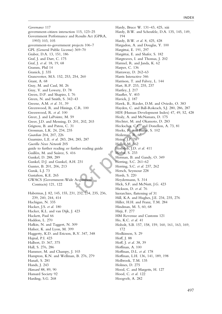Governance 117 government-citizen interaction 115, 123–25 Government Performance and Results Act (GPRA, 1993) 103, 105 government-to-government projects 106–7 GPL (General Public License) 369–70 Graber, D.A. 13, 151, 186 Graf, J. and Darr, C. 175 Graf, J. et al. 18, 19, 68 Gramm, Phil 14 Granick, J. 335 Granovetter, M.S. 152, 253, 254, 260 Grant, A. 68 Gray, M. and Caul, M. 26 Gray, V. and Lowery, D. 78 Green, D.P. and Shapiro, I. 76 Green, N. and Smith, S. 342–43 Greene, A.M. et al. 31, 39 Greenwood, R. and Hinings, C.R. 100 Greenwood, R. et al. 100 Greer, J. and LaPointe, M. 59 Greer, J.D. and Mensing, D. 201, 202, 203 Grignou, B. and Patou, C. 31 Grossman, L.K. 24, 234, 235 Guardian 204, 207, 226 Guarnizo, L.E. et al. 283, 284, 285, 287 Guerilla News Network 205 guide to further reading see further reading guide Guillén, M. and Suárez, S. 416 Gunkel, D. 288, 289 Gunkel, D.J. and Gunkel, A.H. 231 Gunter, B. 201, 206, 213 Gurak, L.J. 73 Gustafson, K.E. 265 GWACS (Government-Wide Acquisition Contracts) 121, 122 Habermas, J. 82, 145, 155, 231, 232, 234, 235, 236, 239, 240, 244, 414 Hachigan, N. 335 Hacker, J.S. et al. 180 Hacker, K.L. and van Dijk, J. 423 Hackett, Paul 66 Haddon, L. 270 Hafkin, N. and Taggert, N. 309 Hafner, K. and Lyon, M. 399 Haggerty, K.D. and Ericson, R.V. 347, 348 Hajnal, P.I. 423 Halbert, D. 367, 375 Hall, S. 276, 286 Hammer, M. and Champy, J. 103 Hampton, K.N. and Wellman, B. 276, 279 Hanafi, S. 281 Hands, J. 243 Hansard 88, 89, 90 Hansard Society 92 Harding, S.G. 268

Heckscher, C.C. and<br>
Heckscher, C.C. and<br>
Heckscher, C.C. and<br>
Heckscher, C.C. and<br>
Heileman, R. 66<br>
1. 235, 287<br>
Heinz, J.P. 78<br>
Heinz, J.P. 78<br>
Heinz, J.P. 78<br>
Heinz, J.P. 78<br>
Heinz, J.P. 78<br>
Heinz, J.P. 78<br>
Heinz, J.P. Hardy, Bruce W. 131–43, 425, xiii Hardy, B.W. and Scheufele, D.A. 135, 145, 149, 194 Hardy, B.W. et al. 8, 425, 428 Hargadon, A. and Douglas, Y. 100 Hargittai, E. 191, 297 Hargittai, E. and Shafer, S. 182 Hargreaves, I. and Thomas, J. 202 Harmel, R. and Janda, K. 62 Harper, C. 136 Harraway, D. 262–63 Harris Interactive 346 Harrison, T. and Falvey, L. 144 Hart, R.P. 233, 235, 237 Hartley, J. 217 Haufler, V. 403 Havick, J. 187 Hawk, B., Rieder, D.M. and Oviedo, O. 383 Hayden, C. and Ball-Rokeach, S.J. 280, 286, 287 HDI (Human Development Index) 47, 49, 52, 428 Healy, A. and McNamara, D. 175 Hechter, M. and Okamoto, D. 283 Heckscher, C.C. and Donellon, A. 73, 81 Heeks, R. and Bailur, S. 102 Heileman, R. 66 Heinz, J.P. 78 Heller, M. 362 Herbsleb, J.D. et al. 411 Herbst, S. 233 Herman, B. and Gandy, O. 349 Herring, S.C. 261–62 Herring, S.C. et al. 237, 262 Hersch, Seymour 228 Hersh, S. 220 Heydermann, S. 314 Hick, S.F. and McNutt, J.G. 423 Hickson, D. et al. 76 hierarchies, flattening of 31 Hill, K.A. and Hughes, J.E. 234, 235, 276 Hiller, H.H. and Franz, T.M. 284 Hindman, M. 5, 60, 68 Hirji, F. 277 HM Revenue and Customs 121 Ho, K.C. et al. 41 Hobolt, S.B. 157, 158, 159, 160, 161, 163, 169, 172 Hodkinson, S. 29 Hoff, J. 88 Hoff, J. et al. 38, 39 Hoffman, A. 100 Hoffman, D.L. et al. 178 Hoffman, L.H. 136, 141, 189, 198 Holbrook, T.M. 135 Holmes, D. 275 Hood, C. and Margetts, H. 127 Hood, C. et al. 122 Hoogvelt, A. 282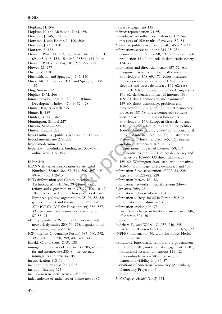the weather of the propen interest and the solid and the solid and the solid and the solid and the solid and the solid and the solid and the solid and the solid and the solid and the solid and the solid space of the solid Hopkins, H. 206 Hopkins, K. and Matheson, D.M. 198 Horrigan, J. 146, 178, 179 Horrigan, J. and Rainie, L. 190, 300 Horrigan, J. et al. 170 Houston, F. 188 Howard, Philip N. 1–9, 15, 18, 40, 44, 53, 55, 61, 69, 145, 148, 152, 154, 243, 383n1, 424–34, xiii Howard, P.N. et al. 154, 181, 276, 277, 299 Howes, M. 277 Huang, Z. 110 Huckfeldt, R. and Sprague, J. 145, 150 Huckfeldt, R., Johnson, P.E. and Sprague, J. 149, 155 Hug, Simon 172 Hughes, D.M. 266 human development 49, 52; HDI (Human Development Index) 47, 49, 52, 428 Human Rights Watch 335 Hume, E. 189 Hunter, D. 351, 362 Huntington, Samuel 227 Hussein, Saddam 226 Hutton Enquiry 222 hybrid influence, public spaces online 242–43 hybrid internet use 278, 282 hyper-modernism 115–16 hypertext: hyperlinks as binding ties 355–57; in online news 189, 193 i2 Inc 340 ICANN (Internet Corporation for Assigned Numbers) 383n2, 386–87, 391, 396, 397, 403, 404–5, 406, 412–13 ICTs (Information and Communication Technologies) 384, 386, 394; bureaucratic reform and e-government in US 99, 100, 101–2, 105; electoral web production practices 41–42; European political organizations 25–26, 32, 33; gender, internet and theorizing on 269, 270, 271; ICT4D (ICT for Development) 386, 387, 393; parliamentary democracy, visibility of 87–88, 91 identity: gender as 261–65, 273; narratives and network dynamics 250–54, 258; negotiation of, new immigrants and 276

IGF (Internet Governance Forum) 387, 390, 392, 393, 394, 395, 398, 399, 405, 408, 412

Imfeld, C. and Scott, G.W. 188

- immigration: policies of host society 285; reasons for and internet use 283–84; see also new immigrants and civic society
- incentivization 118–19 inclusion, policy areas for 302–3
- inclusion filtering 325
- inclusiveness in social activism 252–53
- independence of audiences of online news 187

indirect engagement 145

indirect representation 94–95 individual-level influences: analysis of 152–54;

measures of 152; results of analysis 152–54

Indymedia: public spaces online 240; Web 2.0 205

information: access to online 234–35, 236; democratization of 197–98, 199; in electoral web production 42–43, 46; role in democratic society 134–35

information and direct democracy 157–72; AR ("argument repertoire") 170; ballot measures, knowledge of 168–69, 171; ballot measures, online news consumption and 169; candidate elections and direct democracy 161–62; case studies 163–67; choices, complexity facing voters 161–62; deliberative impact of internet 159, 169–70; direct democracy, mechanisms of 159–60; direct democracy, problems and prospects for 160–63, 171–72; direct democracy processes 157–58; direct democratic contexts, variation within 162–63; endorsements, knowledge of 169; European direct democracy 160; European referendums and online politics 166–67; further reading guide 172; informational impact of internet 159, 168–71; Initiative and Referendum Institute, USC 165, 172; internet and direct democracy 167–71, 172; organizational impact of internet 159, 171; presidential election 2004, direct democracy and internet use 165–66; US direct democracy 159–60; Washington State, state-wide initiatives 163–65; world stage, direct democracy and 158 information flow: acceleration of 222–23, 228; expansion of 221–22, 228 information literacy 181–82 information networks in social activism 246–47 Information Polity 98 information richness 145–49, 154 information society: for all in Europe 302–3; information capitalism and 375 information tracking 96–97 infrastructure: change in locational surveillance 346; of internet 324–26 Ingber, S. 352 Inglehart, R. and Welzel, C. 237, 240, 245 Initiative and Referendum Institute, USC 165, 172 INPHO (Information Network for Public Health Officials) 104 institutions: bureaucratic reform and e-government in US 100–101; institutional engagement 80–81; institutional research dimensions 111–12; relationship between 58–59; secrecy of, democratic visibility and 86–87 Institutions of American Democracy (Annenberg Democracy Project) 143 Intel Corp. 360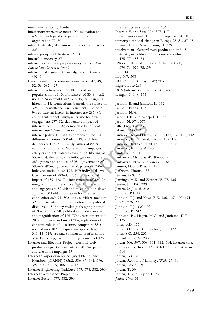- inter-rater reliability 45–46
- interaction: interactive news 190; mediation and 422; technological change and political organization 79–80
- interactivity: digital division in Europe 300; rise of 223
- interest group mobilization 77–78
- internal democracy 27
- internal perspectives, property in cyberspace 354–55
- International Organization 414
- international regimes, knowledge and networks 402–3
- International Telecommunication Union 47, 49, 52, 56, 387, 427
- Example the contributions and a contribute of the set of the contributions and a state contribution and state of the state of the state of the state of the state of the state of the state of the state of the state of the internet: as activist tool 29–30; advent and popularization of 13; affordances of 83–84; café users in Arab world 309, 316–19; campaigning, history of 14; connections, beneath the surface of 324–26; consultation on Parliament's use of 91– 94; contextual factors in internet use 285–86; contingent model, immigrants' use for civic engagement 277–82; deliberative impact of internet 159, 169–70; democratic benefits of internet use 174–75; democratic institutions and internet policy 421–22; as democratic tool 31; diffusion in context 306–10, 319; and direct democracy 167–71, 172; dynamics of 82–83; education and use of 283; election campaigns, catalysts and anti-catalysts for 62–70; filtering of 335–36n4; flexibility of 82–83; gender and use of 283; generation and use of 284; governance of 397–98, 403–5; governance of, phases of 390–93; hubs and online news 192, 197; individual-level factors in use of 283–85, 286; informational impact of 159, 168–71; infrastructure of 324–26; integration of content, role in 431; interaction and engagement 82–84; and meanings, top-down approach 311–14; motivation for internet connection 289–91, 302–3; as outsiders' medium 32–33; passivity and 30; as platform for political discourse 4–5; policy-making, changing politics of 384–86, 397–98; political disparities, internet and magnification of 176–77; as recruitment tool 28–29; religion and use of 284; replication of content, role in 431; security companies 331; societal uses 102–3; top-down approach to 311–14, 319; use and constructions of meaning 314–19; young, promise of engagement of 175
- Internet and Elections Project: electoral web production practices 42, 44–45, 45–54; parties and election campaigns 57
- Internet Corporation for Assigned Names and Numbers (ICANN) 383n2, 386–87, 391, 396, 397, 403, 404–5, 406, 412–13
- Internet Engineering Taskforce 377, 378, 382, 390
- Internet Governance Project 409
- Internet Society 377, 382, 390

Internet Systems Consortium 136 Internet World Stats 306, 307, 417 interorganizational change in Europe 32–34, 38 intraorganizational change in Europe 28–31, 37–38 Introna, L. and Nissembaum, H. 379 involvement: electoral web production and 43, 46–47; in politics and government online 175–77, 183–84 IPRs (Intellectual Property Rights) 364–68, 370–71, 373–75, 394 Iran 314 Iraq 307, 308 IRC ("internet relay chat") 263 Irigary, Luce 263 IXPs (internet exchange points) 324 Iyengar, S. 148, 155 Jackson, B. and Jamison, K. 132 Jackson, Brooks 143 Jackson, N. 61 Jacobs, L.R. and Skocpol, T. 184 Jacobs, N. 374, 375 Jaffe, J.M. et al. 262 Jalonick, M.C. 22 Jamieson, K. and Hardy, B. 132, 133, 136, 137, 142 Jamieson, K. and Waldman, P. 132, 136 Jamieson, Kathleen Hall 131–43, 143, xiii Jamieson, K.H. et al. 143 Janda, K. 63, 71 Jankowski, Nicholas W. 40–55, xiii Jankowski, N.W. and van Selm, M. 235 Janssen, D. and Kies, R. 170 Jefferson, Thomas 133 Jenkins, G.S. 17 Jennings, M.K. and Zeitner, V. 77, 135 Jensen, J.L. 170, 239 Jensen, M.J. et al. 240 Johnson, P.E. 80 Johnson, T.J. and Kaye, B.K. 136, 137, 190, 191, 231, 276, 277 Johnson, T.J. et al. 192 Johnston, P. 342 Johnston, R., Hagen, M.G. and Jamieson, K.H. 135 Jones, B.D. 177 Jones, B.D. and Baumgartner, F.R. 177 Jones, S.G. 234, 235 Jones-Correa, M. 283 Jordan 306, 307, 308, 311, 312, 314; internet café, observation from 317–18; REACH initiative in 314 Jordan, A.G. 27 Jordan, A.G. and Mahoney, W.A. 27, 30 Jordan, Eason 229

- Jordan, T. 30
- Jordan, T. and Taylor, P. 354
- Jordan Times 314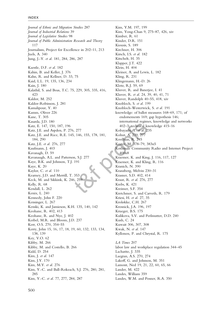402-3: technical kyanton (402-3: technical kyanton)<br>
402-3: technical kyanton (402-3: technical kyanton).<br>
5, 146, 155, 178, 181,<br>
Kobayashi, T. et al. 2<br>
Koshaas, R. 245<br>
Koster, M. 378-79, 3<br>
Kothmale Communit<br>
400n8<br>
m, Journal of Ethnic and Migration Studies 287 Journal of Industrial Relations 39 Journal of Legislative Studies 98 Journal of Public Administration Research and Theory 117 Journalism, Project for Excellence in 202–11, 213 Juels, A. 340 Jung, J.-Y. et al. 181, 284, 286, 287 Kaestle, D.F. et al. 182 Kahin, B. and Keller, J. 376 Kahn, R. and Kellner, D. 33, 75 Kaid, L.L. 19, 135, 136, 234 Kain, J. 180 Kalathil, S. and Boas, T.C. 75, 229, 305, 335, 416, 423 Kaldor, M. 252 Kaldor-Robinson, J. 281 Kamalipour, Y. 40 Kamm, Oliver 226 Kane, T. 305 Kasarda, J.D. 180 Katz, E. 147, 150, 187, 196 Katz, J.E. and Aspden, P. 276, 277 Katz, J.E. and Rice, R.E. 145, 146, 155, 178, 181, 184, 290 Katz, J.E. et al. 276, 277 Kaufmann, J. 403 Kavanagh, D. 59 Kavanaugh, A.L. and Patterson, S.J. 277 Kaye, B.K. and Johnson, T.J. 191 Kaye, K. 20 Kaylor, C. et al. 110 Kearney, J.D. and Merrill, T. 353 Keck, M. and Sikkink, K. 246, 25 Kelly, R. 68 Kendall, L. 262 Kenix, L. 240 Kennedy, John F. 220 Kensinger, L. 267 Kenski, K. and Jamieson, K.H. 135, 140, 142 Keohane, R. 402, 413 Keohane, R. and Nye, J. 402 Kerbel, M.R. and Bloom, J.D. 237 Kerr, O.S. 270, 354–55 Kerry, John 15, 16, 17, 18, 19, 60, 132, 133, 134, 138, 139 Key, V.O. 62 Kibby, M. 266 Kibby, M. and Costello, B. 266 Kidd, D. 254 Kim, J. et al. 147 Kim, J.Y. 170 Kim, M.Y. et al. 276 Kim, Y.-C. and Ball-Rokeach, S.J. 276, 280, 281, 285 Kim, Y.-C. et al. 77, 277, 284, 287

Kim, Y.M. 197, 199 Kim, Yong-Chan 9, 275–87, 426, xiv Kimber, R. 61 Kinder, D.R. 151 Kiousis, S. 189 Kirchner, H. 306 Kirsch, I.S. et al. 182 Kitschelt, H. 35 Klapper, J.T. 422 Klein, H. 404 Kleiner, A. and Lewis, L. 182 Kling, R. 231 Klingemann, H.-D. 26 Klotz, R.J. 59, 69 Kluver, R. and Banerjee, I. 41 Kluver, R. et al. 24, 39, 40, 41, 71 Kluver, Randolph 40–55, 418, xiv Knobloch, S. et al. 199 Knobloch-Westerwick, S. et al. 191 knowledge: of ballot measures 168–69, 171; of endorsements 169; gap hypothesis 146; international regimes, knowledge and networks 402–3; technical knowledge 415–16 Kobayashi, T. et al. 235 Kohut, A. 239, 277 Koolhaas, R. 245 Koster, M. 378–79, 383n5 Kothmale Community Radio and Internet Project 400n8 Kraemer, K. and King, J. 116, 117, 127 Kraemer, K. and Kling, R. 116 Kranich, N. 390 Kranzberg, Melvin 230–31 Krasner, S.D. 402, 414 Kraut, R. et al. 276, 277 Krebs, K. 421 Kreimer, S.F. 354 Kretchmer, S. and Carveth, R. 179 Kriesi, H. et al. 27, 35 Kroløkke, C.H. 267 Krosnick, J.A. 196, 197 Krueger, B.S. 175 Kulikova, S.V. and Perlmutter, D.D. 240 Kush, C. 24 Kuwait 306, 307, 308 Kwak, N. et al. 147 Kyllonen, P. and Chrystal, R. 175 LA Times 207 labor law and workplace regulation 344–45 Lacharite, J. 335 Laegran, A.S. 270, 274 Lakoff, G. and Johnson, M. 351 Lamont, Ned 19, 21, 22, 60, 65, 66 Lander, M. 422 Landes, William 359 Landes, W.M. and Posner, R.A. 350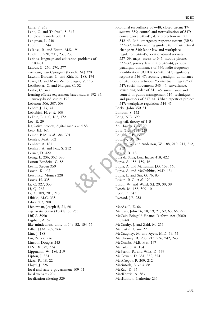Lane, F. 265 Lane, G. and Thelwall, S. 347 Langlois, Ganaele 383n1 Langman, L. 240 Lappin, T. 344 LaRose, R. and Eastin, M.S. 191 Lasch, C. 230, 231, 237, 238 Latinos, language and education problems of 180–81 Latour, B. 250, 270, 377 Launching into Cyberspace (Franda, M.) 320 Lawson-Borders, G. and Kirk, R. 188, 194 Lazer, D. and Mayer-Schönberger, V. 113 Leadbeater, C. and Mulgan, G. 32 Leake, C. 340 learning effects: experiment-based studies 192–93; survey-based studies 192 Lebanon 306, 307, 308 Lebert, J. 33, 34 Leblebici, H. et al. 100 LeDuc, L. 160, 162, 172 Lee, E. 29 legislative process, digital media and 88 Leib, E.J. 161 Leiner, B.M. et al. 384, 391 Lemley, M.A. 362 Lenhart, A. 181 Lenhart, A. and Fox, S. 212 Lerner, D. 422 Lessig, L. 236, 362, 380 Leston-Bandeira, C. 88 Levitt, Steven 359 Lewin, K. 402 Lewinsky, Monica 228 Lewis, H. 335 Li, C. 327, 335 Li, Q. 262 Li, X. 189, 201, 213 Libicki, M.C. 335 Libya 307, 308 Lieberman, Joseph 5, 21, 60 Life on the Screen (Turkle, S.) 263 Liff, S. 399n1 Lijphart, A. 62 like-mindedness, unity in 149–52, 154–55 Lillie, J.J.M. 265, 266 Lim, J. 188 Lin, N. 77, 276 Lincoln-Douglas 243 LINUX 372, 374 Lippmann, W. 186, 219 Lipton, J. 354 Lizza, R. 18, 22 Lloyd, J. 226 local and state e-government 109–11 local websites 204 localization filtering 329

tia and 88<br>
Les Angeles Times 20<br>
Les Angeles Times 20<br>
Les Angeles Times 20<br>
Les Angeles Times 20<br>
Les Les Les Les Angeles Times 20<br>
Les Les Les Angeles Times 20<br>
Les Angeles Times 20<br>
Les Angeles Times 20<br>
Les Angeles T locational surveillance 337–48; closed circuit TV systems 339; control and normalization of 347; convergence 340–41; data protection in EU 342–43, 346; emergency response system (ERS) 337–39; further reading guide 348; infrastructural change in 346; labor law and workplace regulation 344–45; location-based services 337–39; maps, access to 345; mobile phones 337–39; privacy law in US 343–44; privacy paradigm, dominance of 346; radio frequency identification (RFID) 339–40, 347; regulatory responses 346–47; security paradigm, dominance of 346; social activities "contextual integrity" of 347; social movements 345–46; surveillance, structuring order of 341–46; surveillance and control in public management 116; techniques and practices of 337–41; Urban tapestries project 347; workplace regulation 344–45 Locke, John 350–51 London, S. 152 Long, N.E. 399 long tail, theory of 4–5 Los Angeles Times 20 Lott, Trent 194, 229 Loughlan, P. 354 Lowrey, W. 194 Lowrey, W. and Anderson, W. 188, 210, 211, 212, 213 Lowry, R. 18 Lula da Silva, Luiz Inacio 418, 422 Lupia, A. 158, 159, 161 Lupia, A. and Matsusaka, J.G. 158, 160 Lupia, A. and McCubbins, M.D. 134 Lupia, L. and Sin, G. 76, 85 Luskin, R.C. et al. 170 Lusoli, W. and Ward, S.J. 29, 30, 39 Lynch, M. 188, 309–10 Lyon, D. 347 Lyotard, J.F. 233 MacAskill, E. 66 McCain, John 16, 18, 19, 21, 59, 65, 66, 229 McCain-Feingold Finance Reform Act (2002) 67–68 McCarthy, J. and Zald, M. 253 McCaskill, Claire 22 McCaughey, M. and Ayers, M.D. 39, 75 McChesney, R. 208, 213, 236, 242, 243 McCombs, M.E. et al. 147 McFarland, A. 184 McFerrin, R. and Wills, D. 349 McGowan, D. 351, 352, 354 MacGregor, P. 209, 212 Macintosh, A. et al. 88 McKay, D. 65 MacKenzie, A. 383 MacKinnon, Catherine 266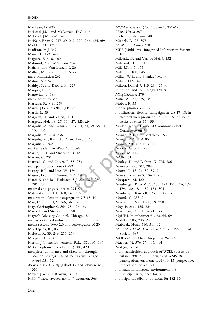7, 24, 34, 38, 58, 71,<br>
Modernization, House<br>
Committee, on 91<br>
Monge, P.R. and Co<br>
d Levy, J. 13<br>
Monge, P.R. and Hull<br>
05-8<br>
Moody, G. 374, 375<br>
Moody, G. 374, 375<br>
Moody, G. 374, 375<br>
Moody, G. 374, 375<br>
Moody, G. 374, MacLean, D. 406 McLeod, J.M. and McDonald, D.G. 146 McLeod, J.M. et al. 147 McNair, Brian 9, 217–29, 219, 220, 266, 424, xiv Madden, M. 202 Madison, M.J. 349 Magid, L. 339, 340 Maguire, S. et al. 100 Mahmud, Abdul-Moneim 314 Mair, P. and Von Biezen, I. 26 Malbin, M.J. and Cain, C.A. 66 male domination 262 Malina, A. 234 Maltby, S. and Keeble, R. 229 Manjoo, F. 17 Manovich, L. 189 maps, access to 345 Marcella, R. et al. 239 March, J.G. and Olsen, J.P. 57 March, L. 35 Margetts, H. and Yared, H. 125 Margetts, Helen 8, 27, 114–27, 425, xiv Margolis, M. and Resnick, D. 7, 24, 34, 38, 58, 71, 135, 236 Margolis, M. et al. 236 Margolis, M., Resnick, D. and Levy, J. 13 Margulis, S. 362 market leaders on Web 2.0 205–8 Martin, C.H. and Stronach, B. 42 Marvin, C. 231 Marwell, G. and Oliver, P. 85, 254 mass participation, rise of 223 Massey, B.L. and Luo, W. 189 Massey, D.S. and Denton, N.A. 180 Matei, S. and Ball-Rokeach, S.J. 276, 277, 286, 287 material and physical access 291–94 Matsusaka, J.G. 158, 160, 161, 172 maturation, election campaigns in US 15–19 May, C. and Sell, S. 366, 367, 375 May, Christopher 9, 364–75, 426, xiv Mayo, E. and Steinberg, T. 90 Mayor's Advisory Council, Chicago 183 media-controlled online communication 19–21 media sectors, Web 2.0 and convergence of 204 MeetUp 73, 81, 83 Melucci, A. 85, 246, 253, 259 Menjívar, C. 284 Merrill, J.C. and Lowenstein, R.L. 187, 195, 196 Metamorphosis Project (USC) 280, 428 metaphor: dominance and distortion through 352–53; strategic use of 353; as twin-edged sword 351–52 Metaphors We Live By (Lakoff, G. and Johnson, M.) 351 Meyer, J.W. and Rowan, B. 100 MFN ("most-favored nation") treatment 366

MGM v. Grokster (2005) 359–61, 361–62 Miami Herald 207 michelinmedia.com 340 Michels, R. 28, 397 Middle East Journal 320 MIIS (Multi-level Integrated Information System) 101 Milbank, D. and Van de Hei, J. 132 Miliband, David 61 Mill, J.S. 145, 155 Miller, T. 108, 245 Miller, W.E. and Shanks, J.M. 144 Milner, H.V. 422 Milton, Daniel 9, 415–23, 425, xiv minorities and technology 179–80 MissyUSA.com 279 Mitra, A. 235, 279, 287 Mobbs, P. 33 mobile phones 337–39 mobilization: election campaigns in US 17–18; in electoral web production 43, 48–49; online 241; tactics of elites 154–55 Modernization, House of Commons Select Committee on 91 Monge, P.R. and Contractor, N.S. 81 Monge, P.R. et al. 85 Monge P.R. and Fulk, J. 73 Moody, G. 374, 375 Moon, M. 117 MORI 61 Morley, D. and Robins, K. 275, 286 Morocco 306, 307, 308 Morris, D. 13, 24, 32, 59, 71 Morris, Jonathan S. 13–24, xiv Mosquera, M. 422 Mossberger, K. et al. 77, 173, 174, 175, 176, 178, 179, 180, 181, 182, 184, 304 Mossberger, Karen 8, 173–85, 425, xiv Mouffe, C. 233, 241 MoveOn 7, 60–61, 68, 69, 250 Moy, P. et al. 135, 234 Moynihan, Daniel Patrick 133 MpURL Membersnet 61, 63, 64, 69 MSNBC 203, 206, 209 Mubarak, Hosni 310, 311–12 Much More Could Have Been Achieved (WSIS Civil Society) 387 MUDs (Multi User Dungeons) 262, 263 Mueller, M. 376–77, 403, 414 Mulgan, G. 26 multi-stakeholder: approach of WSIS, success or failure? 388–90, 398; origins of WSIS 387–88; participation, enablement of 410–13; perspective, implications of 393–94 multiaxial information environment 148 multidisciplinarity, need for 261 municipal broadband, potential for 182–83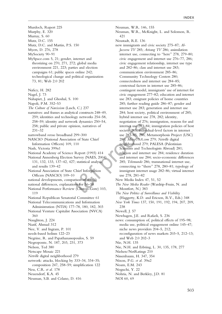Murdoch, Rupert 225 Murphy, E. 320 Murray, S. 60

Mutz, D.C. 155

Mutz, D.C. and Martin, P.S. 150

Myers, D. 276, 278

MySociety 90–91

MySpace.com 5, 21; gender, internet and theorizing on 270, 271, 272; global media environment 221, 223; parties and election campaigns 61; public spaces online 242; technological change and political organization 73, 81; Web 2.0 202

Naficy, H. 282

Nagel, J. 73

Nahapiet, J. and Ghoshal, S. 100

Napoli, P.M. 352–53

The Culture of Narcissism (Lasch, C.) 237

- narratives: and frames as analytical constructs 248–49, 259; identities and technology networks 254–58, 258–59; identity and network dynamics 250–54, 258; public and private opinion, narratives of 231–32
- narrowband versus broadband 299–300
- NASCIO (National Association of State Chief Information Officers) 109, 110
- Nash, Victoria 399n1
- National Academy of Science Report (1993) 414
- National Annenberg Election Survey (NAES, 2004) 131, 132, 133, 137–42, 427; statistical analysis and results 139–42

National Association of State Chief Information Officers (NASCIO) 109–10

national developments, comparison of 49–50

- national differences, explanations for 56–58
- National Performance Review (Clinton-Gore) 103, 119
- National Republican Senatorial Committee 61
- National Telecommunications and Information Administration (NTIA) 177–78, 180, 182, 303
- National Venture Capitalist Association (NVCA) 360
- Naughton, J. 224
- Nazif, Ahmad 312
- Nee, V. and Ingram, P. 101
- needs-based holism 122–23
- Negrine, R. and Papathanassopoulos, S. 59
- Negroponte, N. 187, 203, 231, 373
- Nelson, Ted 380
- Netscape Mosaic 221
- Netville digital neighborhood 279
- network: attacks, blocking by 333–34, 334–35;
- composition 247, 258–59; simplification 122 Neu, C.R. et al. 178
- Neuendorf, K.A. 45
- Neuman, S.B. and Celano, D. 416

Neuman, W.R. 146, 155

Neuman, W.R., McKnight, L. and Solomon, R. 421

- Neustadt, R.E. 136
- The New Media Index 47<br>
infon, narratives of the secondary and the secondary 285; individue<br>
299–300 use 283–85, 286; NisyluSA.com<br>
110 examples the secondary of State Chief and the secondary of State Chief Report (1993) 4 new immigrants and civic society 275–87; Al-Jazeera TV 285; Arirang TV 286; assimilation internet use, connecting to "here" 278, 279–80; civic engagement and internet use 276–77, 286; civic engagement relationship, internet use type and 282–86; class and internet use 283; communication environment 285–86; Community Technology Centers 280; connectedness and internet use 284–85; contextual factors in internet use 285–86; contingent model, immigrants' use of internet for civic engagement 277–82; education and internet use 283; emigrant policies of home countries 285; further reading guide 286–87; gender and internet use 283; generation and internet use 284; host society, political environment of 285; hybrid internet use 278, 282; identity, negotiation of 276; immigration, reasons for and internet use 283–84; immigration policies of host society 285; individual-level factors in internet use 283–85, 286; Metamorphosis Project (USC) 280; MissyUSA.com 279; Netville digital neighborhood 279; PALESA (Palestinian Scientists and Technologists Abroad) 281; religion and internet use 284; residence duration and internet use 284; socio-economic differences 285; Telemundo 286; transnational internet use, connecting to "there" 278, 280–81; typology of immigrant internet usage 282–86; virtual internet use 278, 281–82 New Media Index 47, 51, 52 The New Media Reader (Wardrip-Fruin, N. and Montfort, N.) 383 The New Politics of Surveillance and Visibility (Haggerty, K.D. and Ericson, R.V., Eds.) 348 New York Times 137, 150, 191, 192, 194, 207, 209, 238 Newell, J. 57 Newhagen, J.E. and Rafaeli, S. 236 news: consumption of, political effects of 195–98; media use, political engagement online 145–47; niche news providers 204–5, 212; reconfiguration of news markets 203–5, 212–13; and Web 2.0 202–3 Nie, N.H. 135 Nie, N.H. and Erbring, L. 30, 135, 178, 277 Nielsen/NetRatings 210 Nissenbaum, H. 347, 354 Nixon, P.G. et al. 39n2 Noam, E.M. 243 Noguchi, Y. 22 Nohria, N. and Berkley, J.D. 81 NOI 60, 69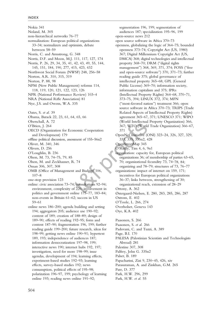(which the actual discussion of 155–56n2<br>
Start Cooperation and Compensation and Compension and Compensation and Compension and Compensation and Compension and Density organization: capacity organizations 36; of  $\sigma$ 10; o Nokia 341 Noland, M. 305 non-hierarchical networks 76–77 normalization: European political organizations 33–34; normalizers and optimists, debate between 58–59 Norris, C. and Armstrong, G. 348 Norris, D.F. and Moon, M.J. 111, 117, 127, 174 Norris, P. 26, 29, 34, 35, 41, 42, 43, 49, 55, 144, 145, 151, 184, 190, 277, 415, 423, 432 Northwest Social Forum (NWSF) 248, 256–58 Norton, A.R. 310, 315, 319 Norton, P. 88, 98 NPM (New Public Management) reforms 114, 118, 119, 120, 121, 122, 123, 126 NPR (National Performance Review) 103–4 NRA (National Rifle Association) 81 Nye, J.S. and Owens, W.A. 335 Oates, S. et al. 39 Obama, Barack 22, 23, 61, 64, 65, 66 Oberschall, A. 72 O'Brien, J. 264 OECD (Organization for Economic Cooperation and Development) 179 offline political discussion, assessment of 155–56n2 Oliver, M. 340, 346 Olivers, D. 256 O'Loughlin, B. 236 Olson, M. 73, 74–75, 79, 85 Olson, M. and Zeckhauser, R. 74 Oman 306, 307, 308 OMB (Office of Management and Budget) 106, 107–8 one-stop provision 123 online: civic association 73–74; consultations 92–94; environment, complexity of 226; involvement in politics and government online 175–77, 183–84; non-events in Britain 61–62; success in US 59–61 online news 186–200; agenda building and setting 194; aggregators 205; audience use 190–92; content of 189; creation of 188–89; design of 189–90; effects of reading 192–95; form and content 187–90; fragmentation 196, 199; further reading guide 199–200; future research, ideas for 198–99; getting news online 190–91; hypertext 189, 193; independence of audiences 187; information democratization 197–98, 199; interactive news 190; internet hubs 192, 197; investigation, need for more 198–99; issue agendas, development of 194; learning effects, experiment-based studies 192–93; learning effects, survey-based studies 192; news consumption, political effects of 195–98; polarization 196–97, 199; psychology of learning online 193; reading news online 191–92;

segmentation 196, 199; segmentation of audiences 187; specialization 195–96, 199 open-source news 212 open source software in Africa 370–73 openness, globalizing the logic of 364–75; bounded openness 373–74; Copyright Act (US, 1980) 367; Digital Millennium Copyright Act (US, DMCA) 368; digital technologies and intellectual property 368–70; DRM ("digital rights management") 368, 369, 371, 374; FOSS ("free and open-source softwate") 370, 371–73; further reading guide 375; global governance of intellectual property 365–68; GPL (General Public License) 369–70; information society, information capitalism and 375; IPRs (Intellectual Property Rights) 364–68, 370–71, 373–75, 394; LINUX 372, 374; MFN ("most-favored nation") treatment 366; open source software in Africa 370–73; TRIPS (Trade Related Aspects of Intellectual Property Rights) agreement 365–67, 371; UNESCO 371; WIPO (World Intellectual Property Organization) 366, 367; WTO (World Trade Organization) 366–67, 371 OpenNet Initiative (ONI) 323–24, 326, 327, 329, 333, 335, 335n2, 428 OpenStreetMap 345 O'Reilly, Tim 4, 6, 9n1 organization: capacity for, European political organizations 36; of membership of parties 63–65, 70; organizational fecundity 73, 74–78, 84; organizing and 78–79; structures of 73, 76–77 organizations: impact of internet on 159, 171; incentives for European political organizations 36–37; links between, strengthening of 30; organizational reach, extension of 28–29 Ortony, A. 362 Østergaard-Nielsen, E. 280, 283, 285, 286, 287 Ostrom, E. 402 O'Toole, L. 266, 274 Overholser, Geneva 143 Oye, K.A. 402 Paasonen, S. 266 Paasonen, S. et al. 266 Padovani, C. and Tuzzi, A. 389 Page, B.I. 170 PALESA (Palestinian Scientists and Technologists Abroad) 281 Palestine 307, 308 Palfrey, John G. 335n2 Palser, B. 189 Papacharissi, Zizi 9, 230–45, 426, xiv Parasuraman, A. and Zinkhan, G.M. 265 Pare, D. 377 Park, H.W. 296, 299 Park, H.W. et al. 55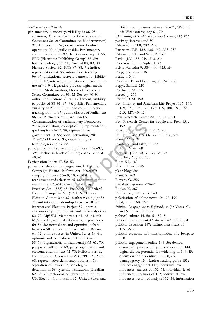Parliamentary Affairs 98

- parliamentary democracy, visibility of 86–98; Connecting Parliament with the Public (House of Commons Select Committee on Modernization) 91; deference 95–96; demand-based online operations 90; digitally enables Parliamentary communications 96–97; direct democracy 94–95; EPG (Electronic Publishing Group) 88–89; further reading guide 98; Hansard 88, 89, 90; Hansard Society 92; ICTs 87–88, 91; indirect representation 94–95; information tracking 96–97; institutional secrecy, democratic visibility and 86–87; internet, consultation on Parliament's use of 91–94; legislative process, digital media and 88; Modernization, House of Commons Select Committee on 91; MySociety 90–91; online consultations 92–94; Parliament, visibility to public of 88–91, 97–98; public, Parliamentary visibility of 91–94, 98; public communication, tracking flow of 97; public distrust of Parliament 86–87; Puttnam Commission on the Communication of Parliamentary Democracy 91; representation, concept of 96; representation, speaking for 94–97, 98; representative government 94–95; social networking 90; TheyWorkForYou 90; visibility, digital technologies and 87–88
- participation: civil society and politics of 396–97, 398; decline in levels of 26–27; enablement of? 405–6

Participation Index 47, 50, 52

parties and election campaigns 56–71; Bipartisan Campaign Finance Reform Act (2002) 67; campaign finance 66–68, 70; candidate recruitment and selection 65–66; communication environment 68–70; Corrupt and Illegal Practices Act (1883) 68; Facebook 61; Federal Election Campaign Act (1971) 67; Federal Election Commission 67; further reading guide 71; institutions, relationship between 58–59; Internet and Elections Project 57; internet election campaigns, catalysts and anti-catalysts for 62–70; MpURL Membersnet 61, 63, 64, 69; MySpace 61; national differences, explanations for 56–58; normalizers and optimists, debate between 58–59; online non-events in Britain 61–62; online success in United States 59–61; optimists and normalizers, debate between 58–59; organization of membership 63–65, 70; party-controlled TV 69; party organization and electoral environment 62–70; Political Parties, Elections and Referendum Act (PPERA, 2000) 68; representative democracy optimism 59; separation of powers 63; sociological determinism 58; systemic institutional pluralism 62–63, 70; technological determinism 58, 59; UK Election Commission 67; United States and

orday<br>
or 96; representation,<br>
or 96; representation,<br>
or 192<br>
or exerces the pharm of Pharm and Planta M. 253<br>
pianta M. 253<br>
Pianta M. 263<br>
pianta M. 263<br>
pianta M. 263<br>
pianta M. 263<br>
pianta M. 263<br>
pianta M. 263<br>
piant Britain, comparisons between 70–71; Web 2.0 65; Webcameron.org 61, 70 The Passing of Traditional Society (Lerner, D.) 422 passivity, internet and 30 Paterson, C. 208, 209, 212 Patterson, T.E. 132, 136, 142, 233, 237 Patterson, T.E. and Seib, P. 133 Pavlik, J.V. 188, 210, 213, 234 Pederson, K. and Saglie, J. 39 Peltu, Malcolm 9, 384–400, 425, xiv Peng, F.Y. et al. 136 Penn, I. 340 Pentland, B. and Feldman, M. 247, 260 Pepys, Samuel 220 Perelman, M. 375 Peretti, J. 253 Perloff, R.M. 190 Pew Internet and American Life Project 165, 166, 169, 171, 174, 176, 178, 179, 180, 181, 185, 213, 427, 434n2 Pew Research Center 22, 194, 202, 211 Pew Research Center for People and Press 131, 192 Pharr, S.J. and Putnam, R.D. 26 Phillips, David J. 9, 66, 337–48, 426, xiv Pianta, M. 253 Pianta, M. and Silva, F. 253 Pickard, V.W. 240 Pickerill, J. 27, 30, 31, 33, 34, 39 Pinochet, Augusto 170 Piott, S.L. 160 Pitkin, Hannah 96 place blogs 204 Plant, S. 263 Pleyers, G. 256 pluralistic agonism 239–41 Podlas, K. 267 Poindexter, P.M. et al. 140 polarization of online news 196–97, 199 Polat, R.K. 168, 169 Political Campaigning in Referendums (de Vreese,C. and Semetko, H.) 172 political culture 44, 50, 51–52, 54 political development 43–44, 47, 49–50, 52, 54 political discussion 147; online, assessment of 155–56n2 political economy and transformation of cyberspace 350 political engagement online 144–56; demos, democratic process and judgements of the 144; digital divide, potential for widening of 144–45; discussion forums online 149–50; elite demagoguery 154; further reading guide 155; indirect engagement 145; individual-level

> influences, analysis of 152–54; individual-level influences, measures of 152; individual-level influences, results of analysis 152–54; information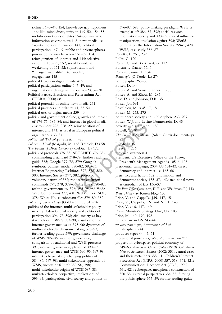richness 145–49, 154; knowledge gap hypothesis 146; like-mindedness, unity in 149–52, 154–55; mobilization tactics of elites 154–55; multiaxial information environment 148; news media use 145–47; political discussion 147; political participation 147–49; public and private spheres, porous boundaries between 151–52, 154; reinvigoration of, internet and 144; selective exposure 150–51, 152; social boundaries, weakening of 151–52; sophistication and "enlarged mentality" 145; subtlety in engagement 145

- political factors in digital divide 416 political participation: online 147–49; and organizational change in Europe 26–28, 37–38
- Political Parties, Elections and Referendum Act (PPERA, 2000) 68
- political potential of online news media 231
- political practices and cultures 41, 53–54
- political uses of digital media 239–40
- politics: and government online, growth and impact of 174–75, 183–84; and internet in global media environment 225, 228–29; reinvigoration of, internet and 144; as usual in European political organizations 33–34
- Politics and Technology (Street, J.) 423
- Politics as Usual (Margolis, M. and Resnick, D.) 58
- The Politics of Direct Democracy (LeDuc, L.) 172
- politics of protocols 376–83; ARPANET 376, 384; commanding a standard 378–79; further reading guide 383; Google 377–78, 379; Google's symbiotic business model 380–82, 382–83; Internet Engineering Taskforce 377, 378, 382, 390; Internet Society 377, 382; protocol, voluntary nature of 382; robots.txt exclusion commands 377, 378, 379–80; site maps 380–82; techno-governmentality 376; W3 (World Wide Web Consortium) 377, 401; Webcrawler (AOL) 378; White House robots.txt files 379–80, 382
- Politics of Small Things (Goldfarb, J.C.) 315–16 politics of the internet, multi-stakeholder policy
- making 384–400; civil society and politics of participation 396–97, 398; civil society as key stakeholder in WSIS 387–90; classification of internet governance issues 395–96; dynamics of multi-stakeholder decision-making 395–97; further reading guide 399; governance challenge of WSIS 385–86; internet governance, comparison of traditional and WSIS processes 391; internet governance, phases of 390–93; internet governance and WSIS 390–93, 397–98; internet policy-making, changing politics of 384–86, 397–98; multi-stakeholder approach of WSIS, success or failure? 388–90, 398; multi-stakeholder origins of WSIS 387–88; multi-stakeholder perspective, implications of 393–94; participation, civil society and politics of

t&f proofs 396–97, 398; policy-making paradigm, WSIS as exemplar of? 386–87, 398; social research, information society and 398–99; special influence manipulation, insulation against 393; World Summit on the Information Society 399n1, 428; WSIS, case study 386–87 Polletta, F. 251, 259 Pollit, C. 120 Pollitt, C. and Boukhaert, G. 117 Polyarchy Dataset 55n6 Popkin, Samuel L. 134 Pornocopia (O'Toole, L.) 274 pornography 265–66 Porter, D. 144 Portes, A. and Sensenbrenner, J. 280 Portes, A. and Zhou, M. 283 Post, D. and Johnson, D.R. 351 Postel, Jon 391 Postelnicu, M. et al. 17, 18 Poster, M. 235, 273 postmodern society and public sphere 233, 237 Potter, W.J. and Levine-Donnerstein, D. 45 poverty and segregation 180 Powell, W. 81 The Power of Nightmares (Adam Curtis documentary) 227 PQMedia 19 Preece, J. 276 presence awareness 411 President, US Executive Office of the 105–6; President's Management Agenda 105–6, 108 presidential campaign, 2004 US 131–43; direct democracy and internet use 165–66 press: fact and fiction 132; information and democratic society 133–37, 142; traditional news as custodian of fact 136–37 The Press Effect (Jamieson, K.H. and Waldman, P.) 143 Press Think (Jay Rosen blog) 137 Price, V. and Cappella, J.N. 147, 151 Price, V., Cappella, J.N. and Nir, L. 145 Price, V. et al. 147, 149 Prime Minister's Strategy Unit, UK 183 Prior, M. 140, 190, 192 privacy law in US 343–44 privacy paradigm, dominance of 346 private sphere 244 producer types 44–45, 51 professional journalists, Web 2.0 impact on 211 property in cyberspace, political economy of 349–63; Abrams v. United States (1919) 352; Access Now v. Southwest Airlines (2002) 351; central cases and their metaphors 355–61; Children's Internet Protection Act (CIPA, 2000) 357, 358, 361, 421; Communications Decency Act (CDA, 1996) 361, 421; cyberspace, metaphoric construction of 350–55; external perspectives 354–55; filtering

the public sphere 357–59; further reading guide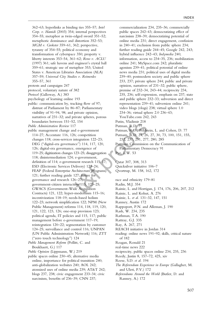- 362–63; hyperlinks as binding ties 355–57; Intel Corp. v. Hamidi (2003) 354; internal perspectives 354–55; metaphor as twin-edged sword 351–52; metaphoric dominance and distortion 352–53; MGM v. Grokster 359-61, 362; perspective, tyranny of 354–55; political economy and transformation of cyberspace 350; property v. liberty interests 353–54, 361–62; Reno v. ACLU (1997) 361; safe havens and engineer's crystal ball 359–61; strategic use of metaphor 353; United States v. American Libraries Association (ALA) 357–59; Universal City Studios v. Reimerdes 355–57, 361
- protests and campaigns 247
- protocol, voluntary nature of 382
- Protocol (Galloway, A.) 383
- psychology of learning online 193
- public: communication by, tracking flow of 97; distrust of Parliament by 86–87; Parliamentary visibility of 91–94, 98; and private opinion, narratives of 231–32; and private spheres, porous boundaries between 151–52, 154
- Public Administration Review 117
- 17<br>
27, 1971<br>
17<br>
17<br>
17<br>
27, 2002<br>
17<br>
27, Putman, R.D. 77<br>
27, Putman, R.D. 24, 26<br>
integration 122–23;<br>
232, 237, 251, 277<br>
23, 237, 251, 277<br>
23, 237, 251, 277<br>
23, 237, 251, 277<br>
23, 237, 251, 277<br>
23, 237, 251, 277<br> public management change and e-government 114–27; Accenture 116, 126; competition changes 118; cross-services integration 122–23; DEG ("digital-era governance") 114, 117, 120, 126; digital-era governance, emergence of 119–25; digitization changes 123–25; disaggregation 118; disintermediation 124; e-government, definition of 114; e-government research 115–17; ESD (Electronic Services Delivery) 123–24; FEAP (Federal Enterprise Architecture Programs) 121; further reading guide 127; future for governance and research 126–27; government-citizen interaction 115, 123–25; GWACS (Government-Wide Acquisition Contracts) 121, 122; hyper-modernism 115–16; incentivization 118–19; needs-based holism 122–23; network simplification 122; NPM (New Public Management) reforms 114, 118, 119, 120, 121, 122, 123, 126; one-stop provision 123; political agenda, IT policies and 115, 117; public management before e-government 117–19; reintegration 120–22; segmentation by customer 124–25; surveillance and control 116; UNPAN (UN Public Administration Network) 116; ZTT ("zero touch technology") 124
- Public Management Reform (Pollitt, C. and Boukhaert, G.) 117
- Public Opinion (Lippmann, W.) 219
- public spaces online 230–45; alternative media online, importance for political transition 240; anti-globalization websites 240; AOL 242; atomized uses of online media 239; AT&T 242; blogs 237, 238; civic engagement 233–34; civic narcissism, benefits of 236–39; CNN 237;

commercialization 234, 235–36; commercially public spaces 242–43; democratizing effect of narcissism 238–39; democratizing potential of online media 231; direct engagement, confusion in 240–41; exclusion from public sphere 234; further reading guide 244–45; Google 242, 243; hybrid influence 242–43; Indymedia 240; information, access to 234–35, 236; mobilization online 241; MySpace.com 242; pluralistic agonism 239–41; political potential of online news media 231; political uses of digital media 239–40; postmodern society and public sphere 233, 237; private sphere 244; public and private opinion, narratives of 231–32; public sphere, premise of 232–34, 243–44; reciprocity 234, 235, 236; self-expression, emphasis on 237; state and public sphere 232–33; subversion and direct representation 239–41; subversion online 241; video blogs (vlogs) 238; virtual sphere 1.0 234–36; virtual sphere 2.0 236–43; YouTube.com 242, 243 Putin, Vladimir 218 Putman, R.D. 77 Putman, R.D., Feldstein, L. and Cohen, D. 77 Putnam, R.D. 24, 26, 27, 30, 73, 100, 151, 155,

232, 237, 251, 277, 280, 285 Puttnam Commission on the Communication of Parliamentary Democracy 91 Pye, L.W. 53

Qatar 307, 308, 313 Quicksilver initiative 106–7 Qvortrup, M. 158, 162, 172

race and ethnicity 179–81 Radin, M.J. 354 Rainie, L. and Horrigan, J. 174, 176, 206, 207, 212 Rainie, L. and Kohut, A. 276 Rainie, L. et al. 131–32, 147, 151 Ranney, Austin 172 Rappoport, P.N. and Alleman, J. 190 Rash, W. 234, 235 Rathman, T.A. 190 Rattray, G.J. 335 Ray, A. 267, 271 REACH initiative in Jordan 314 reading: online news 191–92; skills, critical nature of 182 Reagan, Ronald 21 real-time news 222 reciprocity, public spaces online 234, 235, 236 Reedy, Justin 8, 157–72, 425, xiv Reese, S.D. et al. 194 The Referendum Experience in Europe (Gallagher, M. and Uleri, P.V.) 172 Referendums Around the World (Butler, D. and Ranney, A.) 172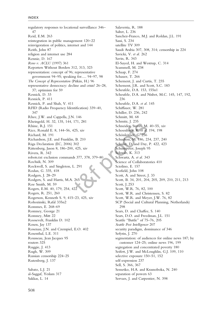regulatory responses to locational surveillance 346– 47 Reid, E.M. 263 reintegration in public management 120–22 reinvigoration of politics, internet and 144 Reith, John 87 religion and internet use 284 Rennie, D. 167 Reno v. ACLU (1997) 361 Reporters Without Borders 312, 313, 323 representation: concept of 96; representative government 94–95; speaking for..... 94–97, 98 The Concept of Representation (Pitkin, H.) 96 representative democracy: decline and crisis? 26–28, 37; optimism for 59 Resnick, D. 33 Resnick, P. 411 Resnick, P. and Shah, V. 411 RFID (Radio Frequency Identification) 339–40, 347 Rhee, J.W. and Cappella, J.N. 146 Rheingold, H. 32, 135, 144, 171, 281 Rhine, R.J. 151 Rice, Ronald E. 8, 144–56, 425, xiv Richard, M. 191 Richardson, J.E. and Franklin, B. 210 Riga Declaration (EC, 2006) 302 Rittenberg, Jason 8, 186–200, 425, xiv Rivera, R. 342 robots.txt exclusion commands 377, 378, 379–80 Rochidi, N. 309 Rockwell, S. and Singleton, L. 291 Rodan, G. 335, 418 Rodgers, J. 28–29 Rodgers, S. and Harris, M.A. 265 Roe Smith, M. 59 Rogers, E.M. 40, 179, 254, 422 Rogers, R. 251, 260 Rogerson, Kenneth S. 9, 415–23, 425, xiv Rohozinski, Rafal 335n2 Rommes, E. 268–69 Romney, George 21 Romney, Mitt 22 Roosevelt, Franklin D. 102 Rosen, Jay 137 Rosenau, J.N. and Czempiel, E.O. 402 Rosenthal, L.E. 311 Rousseau, Jean Jacques 95 routers 325 Ruggie, J. 413 Rugh, W. 309 Russian censorship 224–25 Rutenberg, J. 137 Sabato, L.J. 21 al-Saggaf, Yeslam 317 Sakkas, L. 14

171, 251<br>
Schneider, Steven M.<br>
125, xiv<br>
Schoenbach, K. et al.<br>
125, xiv<br>
Schoenbach, K. et al.<br>
Schönleitner, G. 256<br>
1302<br>
1302<br>
1425, xiv<br>
Schudson, M. 186, 22<br>
Schuler, D. and Day,<br>
Schuler, D. and Day,<br>
Schuler, D. a Salaverria, R. 188 Salter, L. 236 Sanchez-Franco, M.J. and Roldan, J.L. 191 Sassi, S. 234 satellite TV 309 Saudi Arabia 307, 308, 314; censorship in 224 Savicki, V. et al. 262 Savin, R. 343 El-Sayed, H. and Westrup, C. 314 Scammell, M. 238 Schaap, F. 274 Schauer, T. 266 Schement, J. and Curtis, T. 235 Schement, J.R. and Scott, S.C. 183 Scheufele, D.A. 153, 155n1 Scheufele, D.A. and Nisbet, M.C. 145, 147, 192, 236 Scheufele, D.A. et al. 145 Schiffauer, W. 281 Schiller, D. 236, 242 Schmitt, M. 68 Schmitz, J. 235 Schneider, Steven M. 40–55, xiv Schoenbach, K. et al. 194, 198 Schönleitner, G. 256 Schudson, M. 186, 234, 237, 240 Schuler, D. and Day, P. 422, 423 Schumpeter, Joseph 95 Schwab, K. 313 Schwartz, A. et al. 343 Science of Collaboratories 410 Sciolino, E. 157 Scofield, John 108 Scott, A. and Street, J. 33 Scott, B. 34, 201, 204, 205, 209, 210, 211, 213 Scott, J..253 Scott, W.R. 76, 82, 100 Scott, W.R. and Christensen, S. 82 Scott, W.R. and Meyer, J.W. 76, 82 SCP (Social and Cultural Planning, Netherlands) 298 Sears, D. and Chaffee, S. 140 Sears, D.O. and Freedman, J.L. 151 Seattle "Battle" of 75–76, 205 Seattle Post Intelligencer 207 security paradigm, dominance of 346 Sefyrin, J. 270 segmentation: of audiences for online news 187; by customer 124–25; online news 196, 199 segregation and concentrated poverty 180 Seifert, J.W. and McLoughlin, G.J. 109, 110 selective exposure 150–51, 152 self-expression 237 Sell, S. 366, 367 Semetko, H.A. and Krasnoboka, N. 240 separation of powers 63 Servaes, J. and Carpentier, N. 398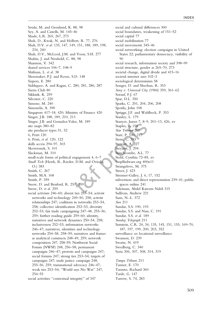tagles, B, 158<br>
Staples, B, 158<br>
Staples, B, 158<br>
Star Tribune 207<br>
Star Tribune 207<br>
Star Tribune 207<br>
Star Tribune 207<br>
Star Tribune 207<br>
Star Tribune 207<br>
Star Tribune 207<br>
Star Tribune 207<br>
Star Tribune 201<br>
Star Trib Setala, M. and Gronlund, K. 88, 98 Sey, A. and Castells, M. 145–46 Shade, L.R. 265, 267, 273 Shah, D., Kwak, N. and Holbert, R. 77, 276 Shah, D.V. et al. 135, 147, 149, 151, 188, 189, 198, 234, 240 Shah, D.V., McLeod, J.M. and Yoon, S.H. 277 Shahin, J. and Neuhold, C. 88, 98 Shannon, V. 342 shared services 106–7, 108–9 Shifman, L. et al. 38 Shoemaker, P.J. and Reese, S.D. 148 Siapera, E. 280 Siddiquee, A. and Kagan, C. 280, 281, 286, 287 Sierra Club 80 Sikkink, K. 259 Silvester, C. 220 Simone, M. 240 Simonelis, A. 390 Singapore 417–18, 420; Ministry of Finance 420 Singer, J.B. 188, 189, 210, 213 Singer, J.B. and Gonzalez-Valez, M. 189 site maps 380–82 site producer types 51, 52 6, Perri 120 6, Perri, et al. 120, 122 skills access 294–97, 303 Skowronek, S. 101 Slackman, M. 310 small-scale forms of political engagement 4, 6–7 Small Tech (Hawk, B., Rieder, D.M. and Oviedo, O.) 383 Smith, C. 267 Smith, M.A. 168 Smith, P. 359 Snow, D. and Benford, R. 251, 259 Snow, D. et al. 259 social activism 246–60; absent ties 253–54; activist networks and technology 249–50, 258; activist relationships 247; coalitions in networks 253–54, 258; collective identification 252–53; diversity 252–53; fair trade campaigning 247–48, 255–56, 259; further reading guide 259–60; identity, narratives and network dynamics 250–54, 258; inclusiveness 252–53; information networks 246–47; narratives, identities and technology networks 254–58, 258–59; narratives and frames as analytical constructs 248–49, 259; network composition 247, 258–59; Northwest Social Forum (NWSF) 248, 256–58; permanent campaigns 246–47; protests and campaigns 247; social forums 247; strong ties 253–54; targets of campaigns 247; trade justice campaign 248, 255–56, 259; transnational advocacy 246–47; weak ties 253–54; "World says No War" 247, 254–55 social activities "contextual integrity" of 347

social and cultural differences 300 social boundaries, weakening of 151–52 social capital 77 social mobilization 77 social movements 345–46 social networking: election campaigns in United States 22; parliamentary democracy, visibility of 90 social research, information society and 398–99 social structure, gender as 265–70, 273 societal change, digital divide and 415–16 societal internet uses 102–3 sociological determinism 58 Songer, D. and Sheehan, R. 353 Sony v. Universal City (1984) 359, 361–62 Sorauf, F.J. 67 Spar, D.L. 350 Sparks, C. 201, 204, 206, 208 Spotila, John 108 Spriggs, J.F. and Wahlbeck, P. 353 Stanley, L. 179 Stanyer, James 7, 8–9, 201–13, 426, xv Staples, B. 158 Star Tribune 207 Starr, P. 100, 217 Stern, C. 393 Stewart, A. 227 Steyaert, J. 294 Stinchcombe, A.L. 77 Stohl, Cynthia 72–85, xv StopBadware.org 400n11 Strangelove, M. 375 Street, J. 423 Stromer-Galley, J. 6, 17, 152 subversion: and direct representation 239–41; public spaces online 241 Suleiman, Abdel Kareem Nabil 315 Sullivan, Andrew 221 Sum, N.-L. 372 Sun 211 Sundar, S.S. 190, 193 Sundar, S.S. and Nass, C. 191 Sundar, S.S. et al. 189 Sunday Telegraph 211 Sunstein, C.R. 24, 34, 135, 145, 151, 155, 169–70, 187, 197, 199, 200, 203, 352 surveillance see locational surveillance Swanson, D. 239 Swartz, N. 419 Swedberg, C. 340 Syria 306, 307, 308, 314, 319 Tampa Tribune 211 Tanner, E. 170 Taranto, Richard 360 Tarde, G. 147 Tarrow, S. 74, 283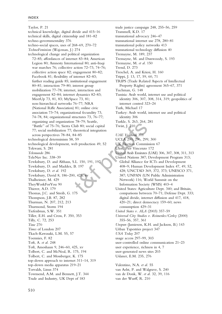Taylor, P. 21 technical knowledge, digital divide and 415–16 technical skills, digital citizenship and 181–82 techno-governmentality 376 techno-social spaces, uses of 268–69, 270–72 TechnoFeminism (Wajcman, J.) 274 technological change and political organization 72–85; affordances of internet 83–84; American Legion 80; Amnesty International 80; anti-Iraqi war marches 76; collective action 72–73, 74–76; collective action space 82; engagement 80–82; Facebook 81; flexibility of internet 82–83; further reading guide 85; institutional engagement 80–81; interaction 79–80; interest group mobilization 77–78; internet, interaction and engagement 82–84; internet dynamics 82–83; MeetUp 73, 81, 83; MySpace 73, 81; non-hierarchical networks 76–77; NRA (National Rifle Association) 81; online civic association 73–74; organizational fecundity 73, 74–78, 84; organizational structures 73, 76–77; organizing and organization 78–79; Seattle, "Battle" of 75–76; Sierra Club 80; social capital 77; social mobilization 77; theoretical integration across perspectives 78–84, 84–85 technological determinism 58, 59 technological development, web production 49, 52 Tekwani, S. 281 Telemundo 286 TeleNav Inc. 338–39 Tewksbury, D. and Althaus, S.L. 150, 191, 192 Tewksbury, D. and Maddex, B. 197 Tewksbury, D. et al. 192 Tewksbury, David 8, 186-200, 425 Thalheimer, M. 429 TheyWorkForYou 90 Thierer, A.D. 179 Thomas, J.C. and Streib, G. 175 Thompson, J.B. 87, 282 Thurman, N. 207, 212, 213 Thurmond, Storm 194 Tiefenbrun, S.W. 351 Tiller, E.H. and Cross, F. 350, 353 Tilly, C. 72, 253 Time 270 Times of London 207 Tkach-Kawasaki, L.M. 55, 57 Toennies, F. 82 Toft, A. et al. 248 Toft, Amoshaun 9, 246–60, 425, xv Tolbert, C. and McNeal, R. 175, 194 Tolbert, C. and Mossberger, K. 175 top-down approach to internet 311–14, 319 top-down media apparatus 219–21 Torvalds, Linus 374 Townsend, A.M. and Bennett, J.T. 344 Trade and Industry, UK Dept of 183

The Street Contract Contract Contract Contract Contract Contract Contract Contract Contract Contract Contract Contract Contract Contract Contract Contract Contract Contract Contract Contract Contract Contract Contract Cont trade justice campaign 248, 255–56, 259 Trammell, K.D. 17 transnational advocacy 246–47 transnational internet use 278, 280–81 transnational policy networks 413 transnational technology diffusion 40 Tremayne, M. 189, 237 Tremayne, M. and Dunwoody, S. 193 Tremayne, M. et al. 150 Trend, D. 273 Treschel, A. and Kriesi, H. 160 Trippi, J. 13, 17, 59, 60, 71 TRIPS (Trade Related Aspects of Intellectual Property Rights) agreement 365–67, 371 Tuchman, G. 148 Tunisia: Arab world, internet use and political identity 306, 307, 308, 314, 319; geopolitics of internet control 323–24 Turk, Michael 17 Turkey: Arab world, internet use and political identity 306 Turkle, S. 263, 264, 281 Twist, J. 210 UAE Yearbook 311 UCLA 290, 296, 299, 300 UK Election Commission 67 Uleri, Pier Vincenzo 172 United Arab Emirates (UAE) 306, 307, 308, 311, 313 United Nations 387; Development Program 313; Global Alliance for ICTs and Development 408–9; Human Development Index 47, 49, 52, 428; UNCTAD 369, 372, 373; UNESCO 371, 387; UNPAN (UN Public Administration Network) 116; World Summit on the Information Society (WSIS) 403–4 United States: Agriculture Dept. 340; and Britain, comparisons between 70–71; Defense Dept. 333; digital divide, internet diffusion and 417, 418, 420–21; direct democracy 159–60; news consumption 429–31 United States v. ALA (2003) 357–59 Universal City Studios v. Reimerdes/Corley (2000) 355–56, 357, 361 Unspun (Jamieson, K.H. and Jackson, B.) 143 Urban Tapestries project 347 USA Today 207 usage access 297–99, 303 user-controlled online communication 21–23 user experience, richness in 4, 7 user-generated news sites 203 Uslaner, E.M. 235, 276 Valentino, N.A. et al. 55 van Aelst, P. and Walgrave, S. 240

van de Donk, W. et al. 32, 39, 116

van der Wurff, R. 210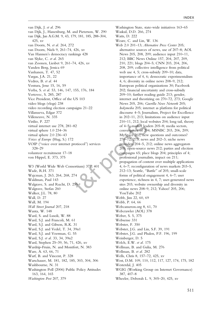82<br>  $64-5$ ; market lead<br>
onvergence of 20<br>
MySpace 202; new<br>
moviders 204-5, 2<br>
moviders 204-5, 2<br>
moviders 204-5, 2<br>
providers 204-5, 2<br>
providers 204-5, 2<br>
propagation of contium) 377, 401<br>
ortium) 377, 401<br>  $4, 6-7$ ; r van Dijk, J. et al. 296 van Dijk, J., Hanenburg, M. and Pieterson, W. 290 van Dijk, Jan A.G.M. 9, 43, 179, 181, 185, 288–304, 425, xv van Doorn, N. et al. 264, 272 van Doorn, Niels 9, 261–74, 426, xv Van Hannen's democracy rankings 428 van Slyke, C. et al. 265 van Zoonen, Liesbet 9, 261–74, 426, xv Vanden Berg, Jessica 69 Vanhanen, T. 47, 52 Vargas, J.A. 21, 22 Vedres, B. et al. 44 Ventura, Jesse 15, 16, 59 Verba, S. et al. 53, 146, 147, 155, 176, 184 Vertovec, S. 285, 287 Vice President, Office of the US 103 video blogs (vlogs) 238 video recording election campaigns 21–22 Villanueva, Edgar 372 Villeneuve, N. 335 Virilio, P. 227 virtual internet use 278, 281–82 virtual sphere 1.0 234–36 virtual sphere 2.0 236–43 Voices of Europe (Hug, S.) 172 VOIP ("voice over internet protiocol") services 328–29 volunteer recruitment 17–18 von Hippel, E. 373, 375 W3 (World Wide Web Consortium) 37 Wade, R.H. 371 Wajcman, J. 263, 264, 268, 274 Waldman, Paul 143 Walgrave, S. and Rucht, D. 255 Walgrave, Stefan 260 Walker, J.L. 78, 80 Wall, D. 27 Wall, M. 194 Wall Street Journal 207, 218 Wanta, W. 148 Ward, S. and Lusoli, W. 88 Ward, S.J. and Francoli, M. 61 Ward, S.J. and Gibson, R.K. 31 Ward, S.J. and Vedel, T. 34, 39n1 Ward, S.J. and Voerman, G. 55 Ward, S.J. et al. 33, 34, 39n2 Ward, Stephen 25–39, 56, 71, 426, xv Wardrip-Fruin, N. and Montfort, N. 383 Ware, A. 63, 66, 71 Warf, B. and Vincent, P. 328 Warschauer, M. 181, 182, 185, 303, 304, 306 Washbourne, N. 31 Washington Poll (2006) Public Policy Attitudes 163, 164, 165 Washington Post 207, 379

Washington State, state-wide initiatives 163–65 Waskul, D.D. 266, 274 Watts, D. 222 Weare, C. and Lin, W. 136 Web 2.0 201–13; Alternative Press Center 205; alternative sources of news, use of 207–8; AOL News 205, 208, 209; audience input 210–11, 212; BBC News Online 157, 204, 207, 209, 210, 221; blogs 204–5; CNN 203, 204, 206, 208, 209; collective intelligence from political web use 4, 5; cross-subsidy 209–10; data, importance of 4, 6; democratic experimentalism 4, 6; diversity in online news 208–9, 212; European political organizations 30; Facebook 202; financial uncertainty and cross-subsidy 209–10; further reading guide 213; gender, internet and theorizing on 270–72, 273; Google News 205, 206; Guerilla News Network 205; Indymedia 205; internet as platform for political discourse 4–5; Journalism, Project for Excellence in 202–11, 213; limitations on audience input 210–11, 212; local websites 204; long tail, theory of 4–5; market leaders 205–8; media sectors, convergence of 204; MSNBC 203, 206, 209; MySpace 202; new questions and outcomes? 270–72, 273; news and 202–3; niche news providers 204–5, 212; online news aggregators 205; open-source news 212; parties and election campaigns 65; place blogs 204; principles of 4; professional journalists, impact on 211; propagation of content over multiple applications 4, 6–7; reconfiguration of news markets 203–5, 212–13; Seattle, "Battle" of 205; small-scale forms of political engagement 4, 6–7; user experience, richness in 4, 7; user-generated news sites 203; website ownership and diversity in online news 208–9, 212; Yahoo! 205, 206; YouTube 202 Webb, Jim 22, 60, 69 Webb, P. 64, 66 Webcameron.org 8, 61, 70 Webcrawler (AOL) 378 Weber, S. 5, 375 Websense 331 Webster, F. 350 Webster, J.G. and Lin, S.F. 39, 191 Webster, J.G. and Phalen, P.F. 196, 199 Weinberger, D. 5 Welch, E.W. et al. 175 Wellman, B. and Gulia, M. 276 Wellman, B. et al. 282 Wells, Chris 8, 157–72, 425, xv West, D.M. 109, 110, 112, 117, 127, 174, 175, 182 Westerdal, I. 405 WGIG (Working Group on Internet Governance) 387, 407–8 Wheeler, Deborah L. 9, 305–20, 425, xv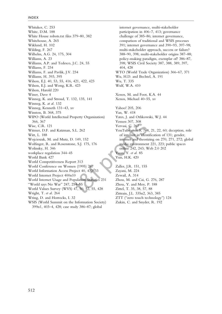Yervasi, G. 267<br>
Yervasi, G. 267<br>
S.L. 262<br>
YouTube.com 5, 7–8<br>
of internet in ident<br>
. 149, 152<br>
e, S.J. 175, 176<br>
media environmen<br>
online 242, 243; Wuan, Y. *et al.* 85<br>
Yun, H.K. 420<br>
ort 313<br>
ort 313<br>
m (1995) 267<br>
Za Whitaker, C. 253 White, D.M. 188 White House robots.txt files 379–80, 382 Whitehouse, A. 265 Wiklund, H. 102 Wilding, F. 267 Wilhelm, A.G. 24, 175, 304 Williams, A. 23 Williams, A.P. and Tedesco, J.C. 24, 55 Williams, F. 234 Williams, F. and Pavlik, J.V. 234 Williams, H. 393, 395 Wilson, E.J. 40, 53, 55, 416, 421, 422, 423 Wilson, E.J. and Wong, K.R. 423 Wilson, Harold 220 Winer, Dave 4 Winneg, K. and Stroud, T. 132, 135, 141 Winneg, K. at al. 132 Winneg, Kenneth 131–43, xv Winston, B. 368, 375 WIPO (World Intellectual Property Organization) 366, 367 Wise, C.R. 121 Witmer, D.F. and Katzman, S.L. 262 Witt, L. 188 Wojcieszak, M. and Mutz, D. 149, 152 Wolfinger, R. and Rosenstone, S.J. 175, 176 Wolinsky, H. 346 workplace regulation 344–45 World Bank 427 World Competitiveness Report 313 World Conference on Women (1995) 267 World Information Access Project 40, 432–33 World Internet Project 400n10 World Internet Usage and Population Statistics 231 "World says No War" 247, 254–55 World Values Survey (WVS) 47, 50, 52, 55, 428 Wright, T. et al. 264 Wring, D. and Horrocks, I. 32 WSIS (World Summit on the Information Society)

399n1, 403–4, 428; case study 386–87; global

internet governance, multi-stakeholder participation in 406–7, 413; governance challenge of 385–86; internet governance, comparison of traditional and WSIS processes 391; internet governance and 390–93, 397–98; multi-stakeholder approach, success or failure? 388–90, 398; multi-stakeholder origins 387–88; policy-making paradigm, exemplar of? 386–87, 398; WSIS Civil Society 387, 388, 389, 397, 404, 428 WTO (World Trade Organization) 366–67, 371 Wu, H.D. and Bechtel, A. 191 Wu, T. 335 Wulf, W.A. 410 Xenos, M. and Foot, K.A. 44 Xenos, Michael 40–55, xv Yahoo! 205, 206 Yan, W. 418 Yates, J. and Orlikowski, W.J. 44 Yemen 307, 308 Yervasi, C. 267 YouTube.com 5, 7–8, 21, 22, 60; deception, role of internet in identification of 131; gender, internet and theorizing on 270, 271, 272; global media environment 221, 223; public spaces online 242, 243; Web 2.0 202 Yuan, Y. et al. 85 Yun, H.K. 420 Zaller, J.R. 151, 155 Zayani, M. 224 Zewail, A. 314 Zhou, M. and Cai, G. 276, 287 Zhou, Y. and Moy, P. 188 Zittel, T. 35, 38, 57, 88 Zittrain, J.L. 335n2, 363, 385 ZTT ("zero touch technology") 124

Zukin, C. and Snyder, R. 192